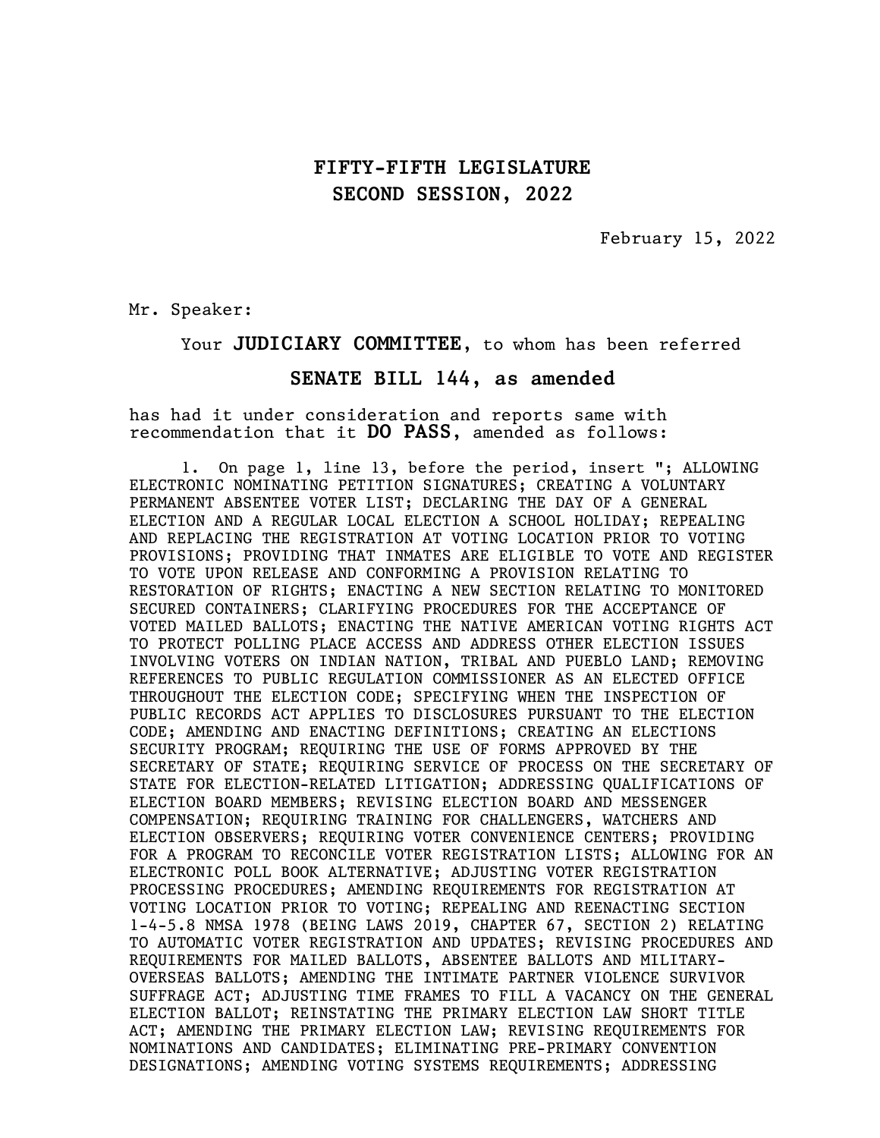February 15, 2022

Mr. Speaker:

#### Your JUDICIARY COMMITTEE, to whom has been referred

#### SENATE BILL 144, as amended

has had it under consideration and reports same with recommendation that it DO PASS, amended as follows:

1. On page 1, line 13, before the period, insert "; ALLOWING ELECTRONIC NOMINATING PETITION SIGNATURES; CREATING A VOLUNTARY PERMANENT ABSENTEE VOTER LIST; DECLARING THE DAY OF A GENERAL ELECTION AND A REGULAR LOCAL ELECTION A SCHOOL HOLIDAY; REPEALING AND REPLACING THE REGISTRATION AT VOTING LOCATION PRIOR TO VOTING PROVISIONS; PROVIDING THAT INMATES ARE ELIGIBLE TO VOTE AND REGISTER TO VOTE UPON RELEASE AND CONFORMING A PROVISION RELATING TO RESTORATION OF RIGHTS; ENACTING A NEW SECTION RELATING TO MONITORED SECURED CONTAINERS; CLARIFYING PROCEDURES FOR THE ACCEPTANCE OF VOTED MAILED BALLOTS; ENACTING THE NATIVE AMERICAN VOTING RIGHTS ACT TO PROTECT POLLING PLACE ACCESS AND ADDRESS OTHER ELECTION ISSUES INVOLVING VOTERS ON INDIAN NATION, TRIBAL AND PUEBLO LAND; REMOVING REFERENCES TO PUBLIC REGULATION COMMISSIONER AS AN ELECTED OFFICE THROUGHOUT THE ELECTION CODE; SPECIFYING WHEN THE INSPECTION OF PUBLIC RECORDS ACT APPLIES TO DISCLOSURES PURSUANT TO THE ELECTION CODE; AMENDING AND ENACTING DEFINITIONS; CREATING AN ELECTIONS SECURITY PROGRAM; REQUIRING THE USE OF FORMS APPROVED BY THE SECRETARY OF STATE; REQUIRING SERVICE OF PROCESS ON THE SECRETARY OF STATE FOR ELECTION-RELATED LITIGATION; ADDRESSING QUALIFICATIONS OF ELECTION BOARD MEMBERS; REVISING ELECTION BOARD AND MESSENGER COMPENSATION; REQUIRING TRAINING FOR CHALLENGERS, WATCHERS AND ELECTION OBSERVERS; REQUIRING VOTER CONVENIENCE CENTERS; PROVIDING FOR A PROGRAM TO RECONCILE VOTER REGISTRATION LISTS; ALLOWING FOR AN ELECTRONIC POLL BOOK ALTERNATIVE; ADJUSTING VOTER REGISTRATION PROCESSING PROCEDURES; AMENDING REQUIREMENTS FOR REGISTRATION AT VOTING LOCATION PRIOR TO VOTING; REPEALING AND REENACTING SECTION 1-4-5.8 NMSA 1978 (BEING LAWS 2019, CHAPTER 67, SECTION 2) RELATING TO AUTOMATIC VOTER REGISTRATION AND UPDATES; REVISING PROCEDURES AND REQUIREMENTS FOR MAILED BALLOTS, ABSENTEE BALLOTS AND MILITARY-OVERSEAS BALLOTS; AMENDING THE INTIMATE PARTNER VIOLENCE SURVIVOR SUFFRAGE ACT; ADJUSTING TIME FRAMES TO FILL A VACANCY ON THE GENERAL ELECTION BALLOT; REINSTATING THE PRIMARY ELECTION LAW SHORT TITLE ACT; AMENDING THE PRIMARY ELECTION LAW; REVISING REQUIREMENTS FOR NOMINATIONS AND CANDIDATES; ELIMINATING PRE-PRIMARY CONVENTION DESIGNATIONS; AMENDING VOTING SYSTEMS REQUIREMENTS; ADDRESSING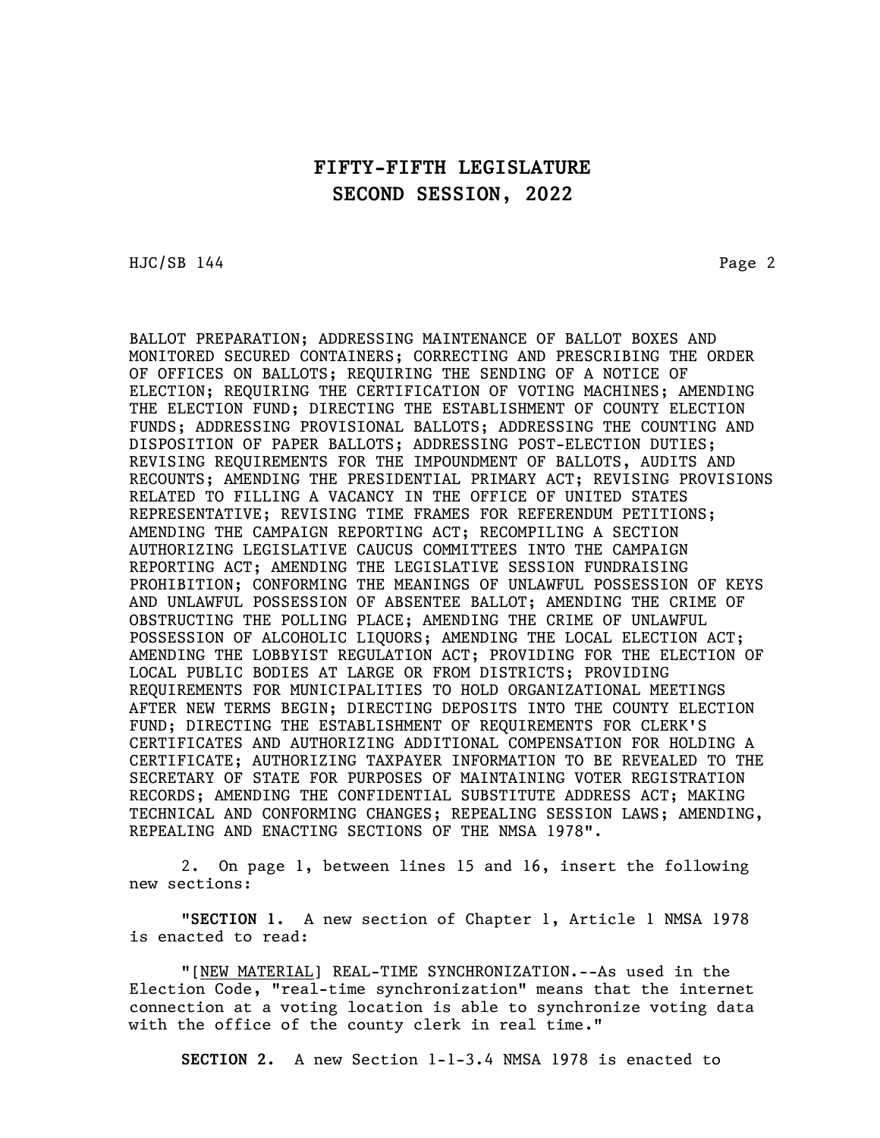HJC/SB 144 Page 2

BALLOT PREPARATION; ADDRESSING MAINTENANCE OF BALLOT BOXES AND MONITORED SECURED CONTAINERS; CORRECTING AND PRESCRIBING THE ORDER OF OFFICES ON BALLOTS; REQUIRING THE SENDING OF A NOTICE OF ELECTION; REQUIRING THE CERTIFICATION OF VOTING MACHINES; AMENDING THE ELECTION FUND; DIRECTING THE ESTABLISHMENT OF COUNTY ELECTION FUNDS; ADDRESSING PROVISIONAL BALLOTS; ADDRESSING THE COUNTING AND DISPOSITION OF PAPER BALLOTS; ADDRESSING POST-ELECTION DUTIES; REVISING REQUIREMENTS FOR THE IMPOUNDMENT OF BALLOTS, AUDITS AND RECOUNTS; AMENDING THE PRESIDENTIAL PRIMARY ACT; REVISING PROVISIONS RELATED TO FILLING A VACANCY IN THE OFFICE OF UNITED STATES REPRESENTATIVE; REVISING TIME FRAMES FOR REFERENDUM PETITIONS; AMENDING THE CAMPAIGN REPORTING ACT; RECOMPILING A SECTION AUTHORIZING LEGISLATIVE CAUCUS COMMITTEES INTO THE CAMPAIGN REPORTING ACT; AMENDING THE LEGISLATIVE SESSION FUNDRAISING PROHIBITION; CONFORMING THE MEANINGS OF UNLAWFUL POSSESSION OF KEYS AND UNLAWFUL POSSESSION OF ABSENTEE BALLOT; AMENDING THE CRIME OF OBSTRUCTING THE POLLING PLACE; AMENDING THE CRIME OF UNLAWFUL POSSESSION OF ALCOHOLIC LIQUORS; AMENDING THE LOCAL ELECTION ACT; AMENDING THE LOBBYIST REGULATION ACT; PROVIDING FOR THE ELECTION OF LOCAL PUBLIC BODIES AT LARGE OR FROM DISTRICTS; PROVIDING REQUIREMENTS FOR MUNICIPALITIES TO HOLD ORGANIZATIONAL MEETINGS AFTER NEW TERMS BEGIN; DIRECTING DEPOSITS INTO THE COUNTY ELECTION FUND; DIRECTING THE ESTABLISHMENT OF REQUIREMENTS FOR CLERK'S CERTIFICATES AND AUTHORIZING ADDITIONAL COMPENSATION FOR HOLDING A CERTIFICATE; AUTHORIZING TAXPAYER INFORMATION TO BE REVEALED TO THE SECRETARY OF STATE FOR PURPOSES OF MAINTAINING VOTER REGISTRATION RECORDS; AMENDING THE CONFIDENTIAL SUBSTITUTE ADDRESS ACT; MAKING TECHNICAL AND CONFORMING CHANGES; REPEALING SESSION LAWS; AMENDING, REPEALING AND ENACTING SECTIONS OF THE NMSA 1978".

2. On page 1, between lines 15 and 16, insert the following new sections:

"SECTION 1. A new section of Chapter 1, Article 1 NMSA 1978 is enacted to read:

"[NEW MATERIAL] REAL-TIME SYNCHRONIZATION.--As used in the Election Code, "real-time synchronization" means that the internet connection at a voting location is able to synchronize voting data with the office of the county clerk in real time."

SECTION 2. A new Section 1-1-3.4 NMSA 1978 is enacted to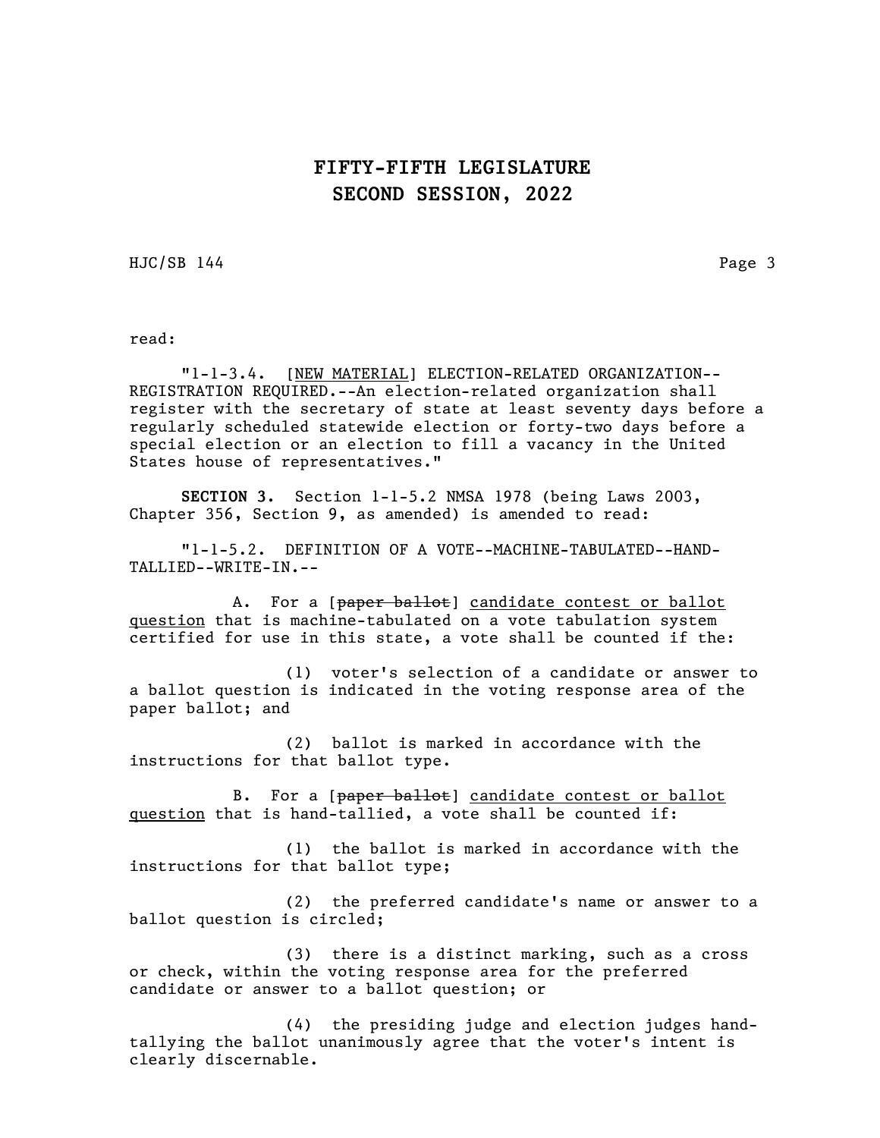HJC/SB 144 Page 3

read:

"1-1-3.4. [NEW MATERIAL] ELECTION-RELATED ORGANIZATION-- REGISTRATION REQUIRED.--An election-related organization shall register with the secretary of state at least seventy days before a regularly scheduled statewide election or forty-two days before a special election or an election to fill a vacancy in the United States house of representatives."

SECTION 3. Section 1-1-5.2 NMSA 1978 (being Laws 2003, Chapter 356, Section 9, as amended) is amended to read:

"1-1-5.2. DEFINITION OF A VOTE--MACHINE-TABULATED--HAND-TALLIED--WRITE-IN.--

A. For a [paper ballot] candidate contest or ballot question that is machine-tabulated on a vote tabulation system certified for use in this state, a vote shall be counted if the:

(1) voter's selection of a candidate or answer to a ballot question is indicated in the voting response area of the paper ballot; and

(2) ballot is marked in accordance with the instructions for that ballot type.

B. For a [paper ballot] candidate contest or ballot question that is hand-tallied, a vote shall be counted if:

(1) the ballot is marked in accordance with the instructions for that ballot type;

(2) the preferred candidate's name or answer to a ballot question is circled;

(3) there is a distinct marking, such as a cross or check, within the voting response area for the preferred candidate or answer to a ballot question; or

(4) the presiding judge and election judges handtallying the ballot unanimously agree that the voter's intent is clearly discernable.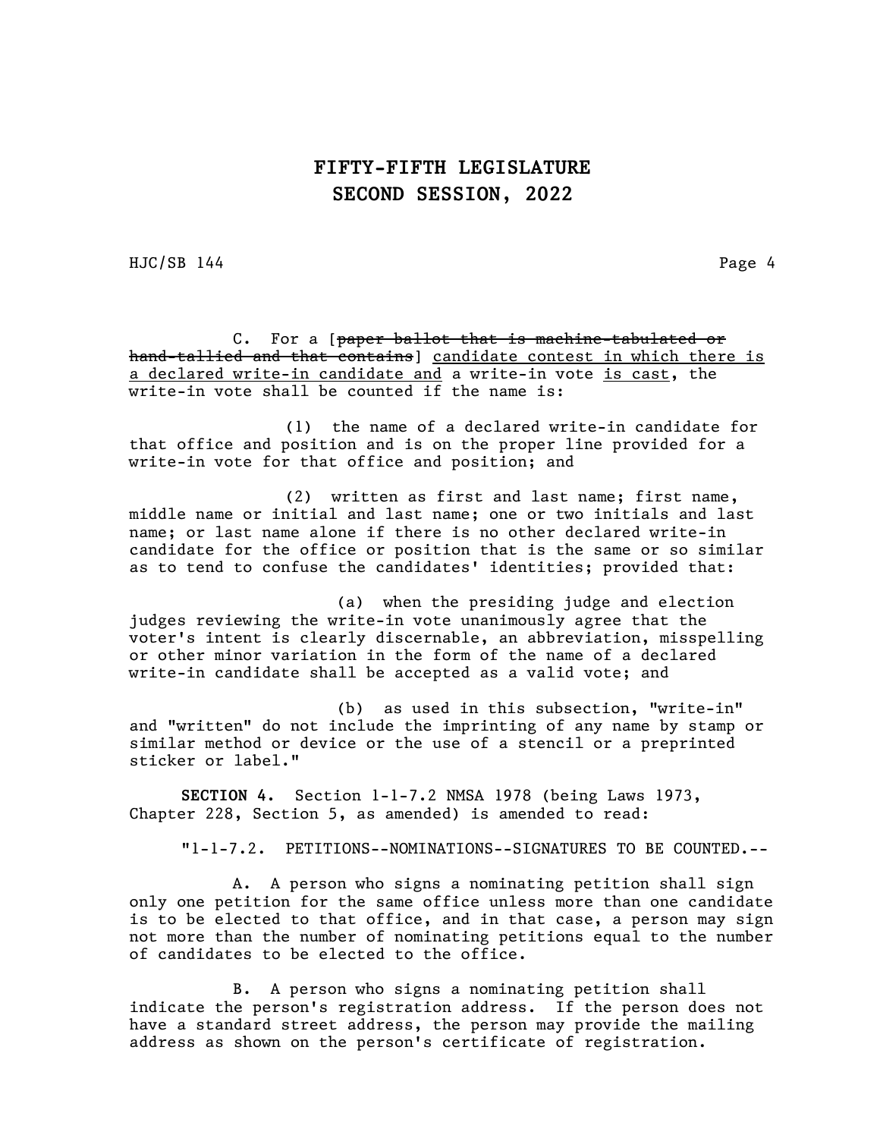HJC/SB 144 Page 4

C. For a [paper ballot that is machine-tabulated or hand-tallied and that contains] candidate contest in which there is a declared write-in candidate and a write-in vote is cast, the write-in vote shall be counted if the name is:

(1) the name of a declared write-in candidate for that office and position and is on the proper line provided for a write-in vote for that office and position; and

(2) written as first and last name; first name, middle name or initial and last name; one or two initials and last name; or last name alone if there is no other declared write-in candidate for the office or position that is the same or so similar as to tend to confuse the candidates' identities; provided that:

(a) when the presiding judge and election judges reviewing the write-in vote unanimously agree that the voter's intent is clearly discernable, an abbreviation, misspelling or other minor variation in the form of the name of a declared write-in candidate shall be accepted as a valid vote; and

(b) as used in this subsection, "write-in" and "written" do not include the imprinting of any name by stamp or similar method or device or the use of a stencil or a preprinted sticker or label."

SECTION 4. Section 1-1-7.2 NMSA 1978 (being Laws 1973, Chapter 228, Section 5, as amended) is amended to read:

"1-1-7.2. PETITIONS--NOMINATIONS--SIGNATURES TO BE COUNTED.--

A. A person who signs a nominating petition shall sign only one petition for the same office unless more than one candidate is to be elected to that office, and in that case, a person may sign not more than the number of nominating petitions equal to the number of candidates to be elected to the office.

B. A person who signs a nominating petition shall indicate the person's registration address. If the person does not have a standard street address, the person may provide the mailing address as shown on the person's certificate of registration.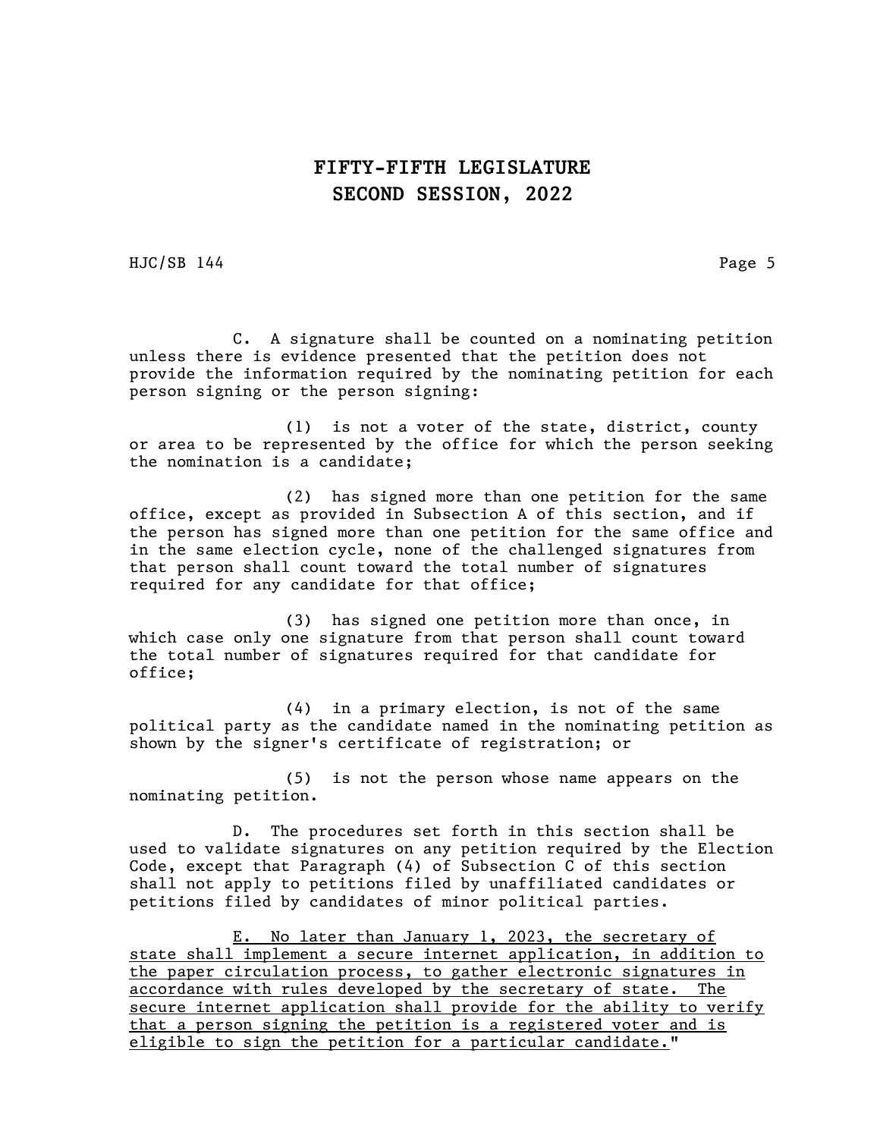HJC/SB 144 Page 5

C. A signature shall be counted on a nominating petition unless there is evidence presented that the petition does not provide the information required by the nominating petition for each person signing or the person signing:

(1) is not a voter of the state, district, county or area to be represented by the office for which the person seeking the nomination is a candidate;

(2) has signed more than one petition for the same office, except as provided in Subsection A of this section, and if the person has signed more than one petition for the same office and in the same election cycle, none of the challenged signatures from that person shall count toward the total number of signatures required for any candidate for that office;

(3) has signed one petition more than once, in which case only one signature from that person shall count toward the total number of signatures required for that candidate for office;

(4) in a primary election, is not of the same political party as the candidate named in the nominating petition as shown by the signer's certificate of registration; or

(5) is not the person whose name appears on the nominating petition.

D. The procedures set forth in this section shall be used to validate signatures on any petition required by the Election Code, except that Paragraph (4) of Subsection C of this section shall not apply to petitions filed by unaffiliated candidates or petitions filed by candidates of minor political parties.

E. No later than January 1, 2023, the secretary of state shall implement a secure internet application, in addition to the paper circulation process, to gather electronic signatures in accordance with rules developed by the secretary of state. The secure internet application shall provide for the ability to verify that a person signing the petition is a registered voter and is eligible to sign the petition for a particular candidate."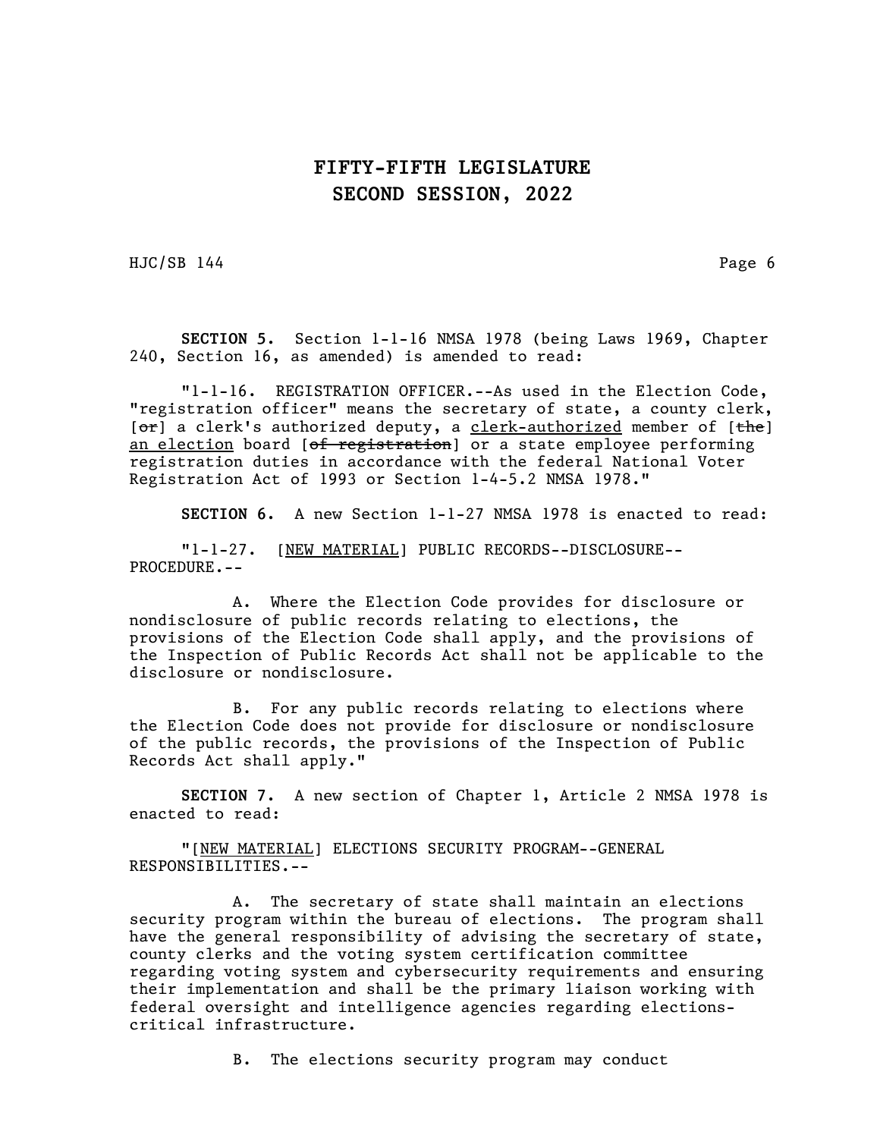HJC/SB 144 Page 6

SECTION 5. Section 1-1-16 NMSA 1978 (being Laws 1969, Chapter 240, Section 16, as amended) is amended to read:

"1-1-16. REGISTRATION OFFICER.--As used in the Election Code, "registration officer" means the secretary of state, a county clerk,  $[**or**]$  a clerk's authorized deputy, a clerk-authorized member of  $[**the**]$ an election board [of registration] or a state employee performing registration duties in accordance with the federal National Voter Registration Act of 1993 or Section 1-4-5.2 NMSA 1978."

SECTION 6. A new Section 1-1-27 NMSA 1978 is enacted to read:

"1-1-27. [NEW MATERIAL] PUBLIC RECORDS--DISCLOSURE-- PROCEDURE.--

A. Where the Election Code provides for disclosure or nondisclosure of public records relating to elections, the provisions of the Election Code shall apply, and the provisions of the Inspection of Public Records Act shall not be applicable to the disclosure or nondisclosure.

B. For any public records relating to elections where the Election Code does not provide for disclosure or nondisclosure of the public records, the provisions of the Inspection of Public Records Act shall apply."

SECTION 7. A new section of Chapter 1, Article 2 NMSA 1978 is enacted to read:

"[NEW MATERIAL] ELECTIONS SECURITY PROGRAM--GENERAL RESPONSIBILITIES.--

A. The secretary of state shall maintain an elections security program within the bureau of elections. The program shall have the general responsibility of advising the secretary of state, county clerks and the voting system certification committee regarding voting system and cybersecurity requirements and ensuring their implementation and shall be the primary liaison working with federal oversight and intelligence agencies regarding electionscritical infrastructure.

B. The elections security program may conduct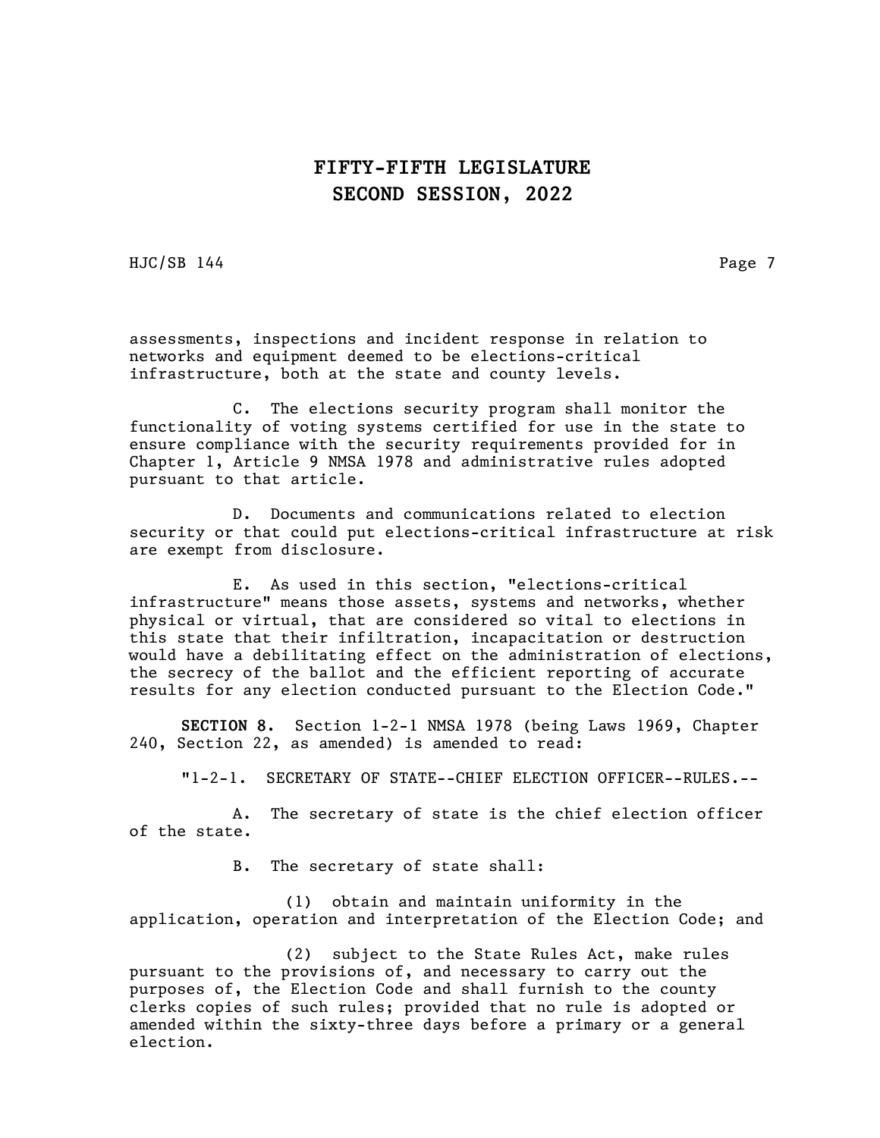HJC/SB 144 Page 7

assessments, inspections and incident response in relation to networks and equipment deemed to be elections-critical infrastructure, both at the state and county levels.

C. The elections security program shall monitor the functionality of voting systems certified for use in the state to ensure compliance with the security requirements provided for in Chapter 1, Article 9 NMSA 1978 and administrative rules adopted pursuant to that article.

D. Documents and communications related to election security or that could put elections-critical infrastructure at risk are exempt from disclosure.

E. As used in this section, "elections-critical infrastructure" means those assets, systems and networks, whether physical or virtual, that are considered so vital to elections in this state that their infiltration, incapacitation or destruction would have a debilitating effect on the administration of elections, the secrecy of the ballot and the efficient reporting of accurate results for any election conducted pursuant to the Election Code."

SECTION 8. Section 1-2-1 NMSA 1978 (being Laws 1969, Chapter 240, Section 22, as amended) is amended to read:

"1-2-1. SECRETARY OF STATE--CHIEF ELECTION OFFICER--RULES.--

A. The secretary of state is the chief election officer of the state.

B. The secretary of state shall:

(1) obtain and maintain uniformity in the application, operation and interpretation of the Election Code; and

(2) subject to the State Rules Act, make rules pursuant to the provisions of, and necessary to carry out the purposes of, the Election Code and shall furnish to the county clerks copies of such rules; provided that no rule is adopted or amended within the sixty-three days before a primary or a general election.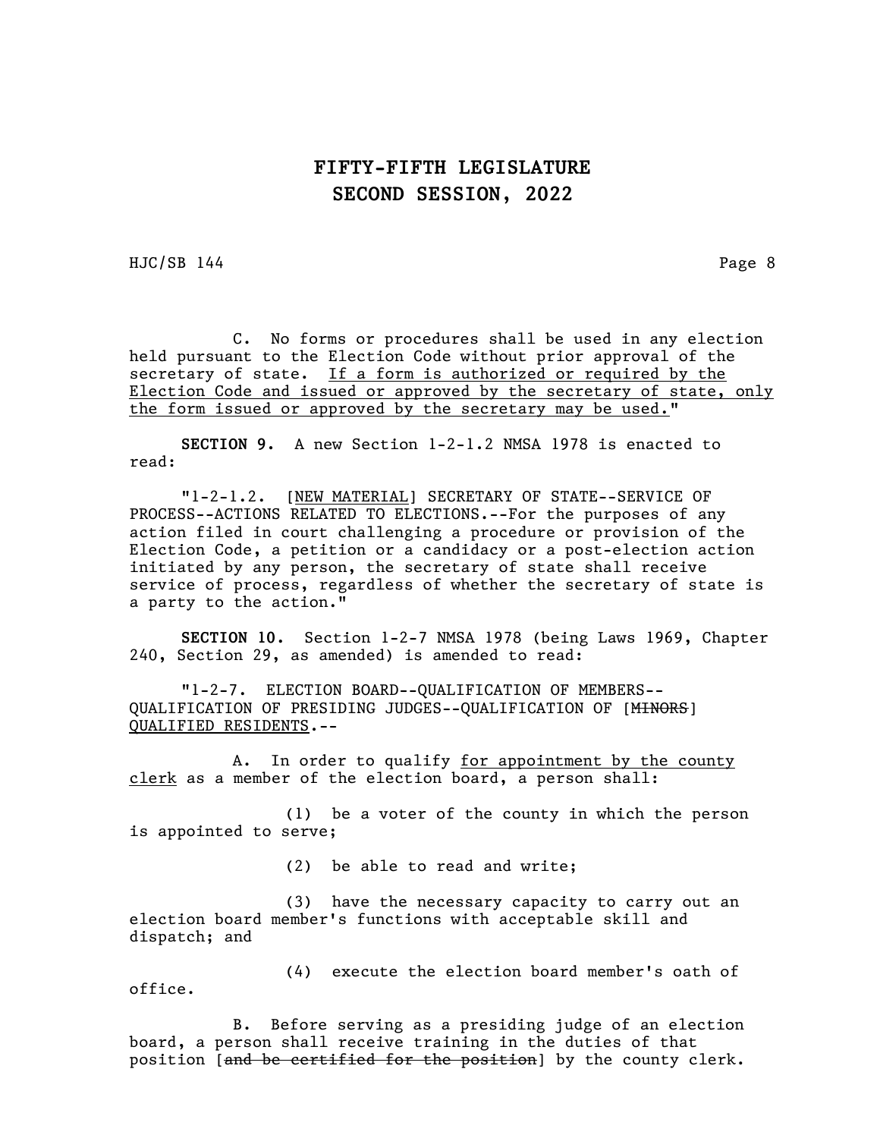HJC/SB 144 Page 8

C. No forms or procedures shall be used in any election held pursuant to the Election Code without prior approval of the secretary of state. If a form is authorized or required by the Election Code and issued or approved by the secretary of state, only the form issued or approved by the secretary may be used."

SECTION 9. A new Section 1-2-1.2 NMSA 1978 is enacted to read:

"1-2-1.2. [NEW MATERIAL] SECRETARY OF STATE--SERVICE OF PROCESS--ACTIONS RELATED TO ELECTIONS.--For the purposes of any action filed in court challenging a procedure or provision of the Election Code, a petition or a candidacy or a post-election action initiated by any person, the secretary of state shall receive service of process, regardless of whether the secretary of state is a party to the action."

SECTION 10. Section 1-2-7 NMSA 1978 (being Laws 1969, Chapter 240, Section 29, as amended) is amended to read:

"1-2-7. ELECTION BOARD--QUALIFICATION OF MEMBERS-- QUALIFICATION OF PRESIDING JUDGES--QUALIFICATION OF [MINORS] QUALIFIED RESIDENTS.--

A. In order to qualify for appointment by the county clerk as a member of the election board, a person shall:

(1) be a voter of the county in which the person is appointed to serve;

(2) be able to read and write;

(3) have the necessary capacity to carry out an election board member's functions with acceptable skill and dispatch; and

office.

(4) execute the election board member's oath of

B. Before serving as a presiding judge of an election board, a person shall receive training in the duties of that position [and be certified for the position] by the county clerk.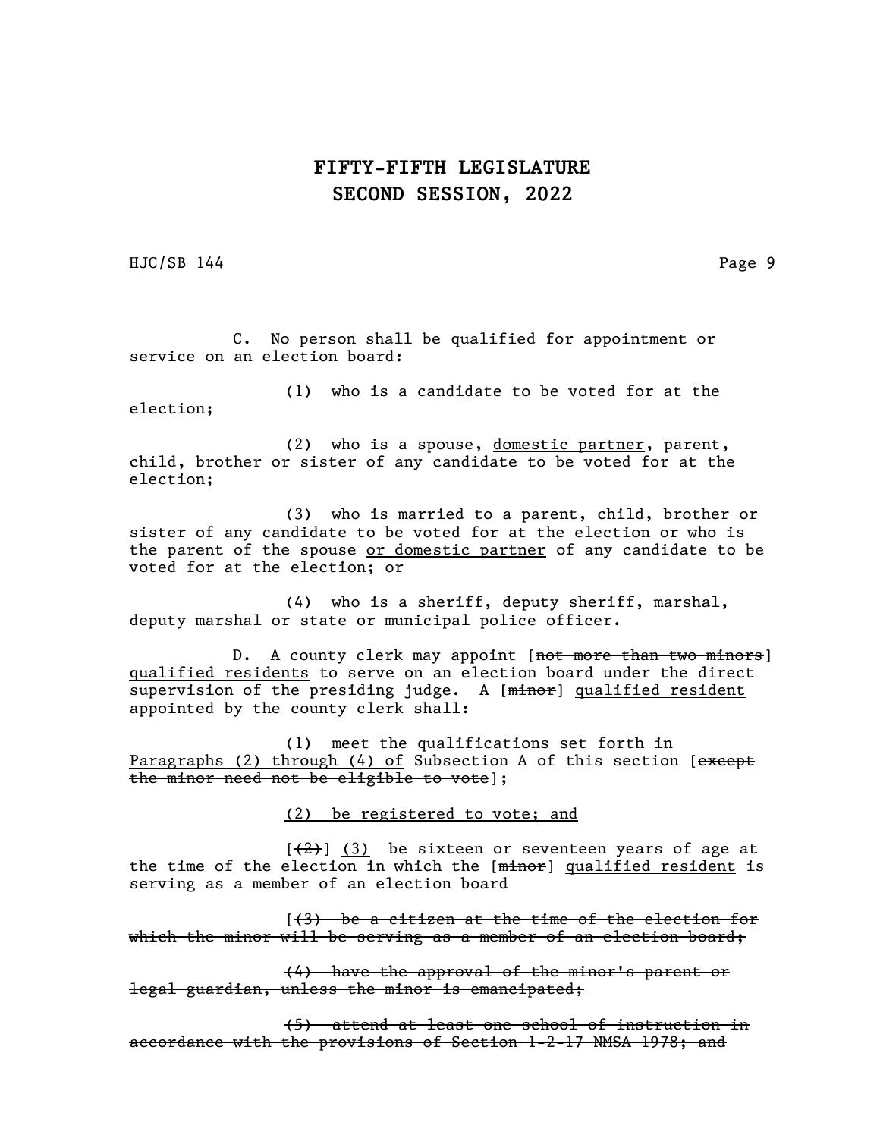HJC/SB 144 Page 9

C. No person shall be qualified for appointment or service on an election board:

(1) who is a candidate to be voted for at the election;

(2) who is a spouse, domestic partner, parent, child, brother or sister of any candidate to be voted for at the election;

(3) who is married to a parent, child, brother or sister of any candidate to be voted for at the election or who is the parent of the spouse or domestic partner of any candidate to be voted for at the election; or

(4) who is a sheriff, deputy sheriff, marshal, deputy marshal or state or municipal police officer.

D. A county clerk may appoint [not more than two minors] qualified residents to serve on an election board under the direct supervision of the presiding judge. A [minor] qualified resident appointed by the county clerk shall:

(1) meet the qualifications set forth in Paragraphs (2) through (4) of Subsection A of this section [except the minor need not be eligible to vote];

(2) be registered to vote; and

 $[\frac{1}{2}]$  (3) be sixteen or seventeen years of age at the time of the election in which the [minor] qualified resident is serving as a member of an election board

 $(3)$  be a citizen at the time of the election for which the minor will be serving as a member of an election board;

(4) have the approval of the minor's parent or legal guardian, unless the minor is emancipated;

(5) attend at least one school of instruction in accordance with the provisions of Section 1-2-17 NMSA 1978; and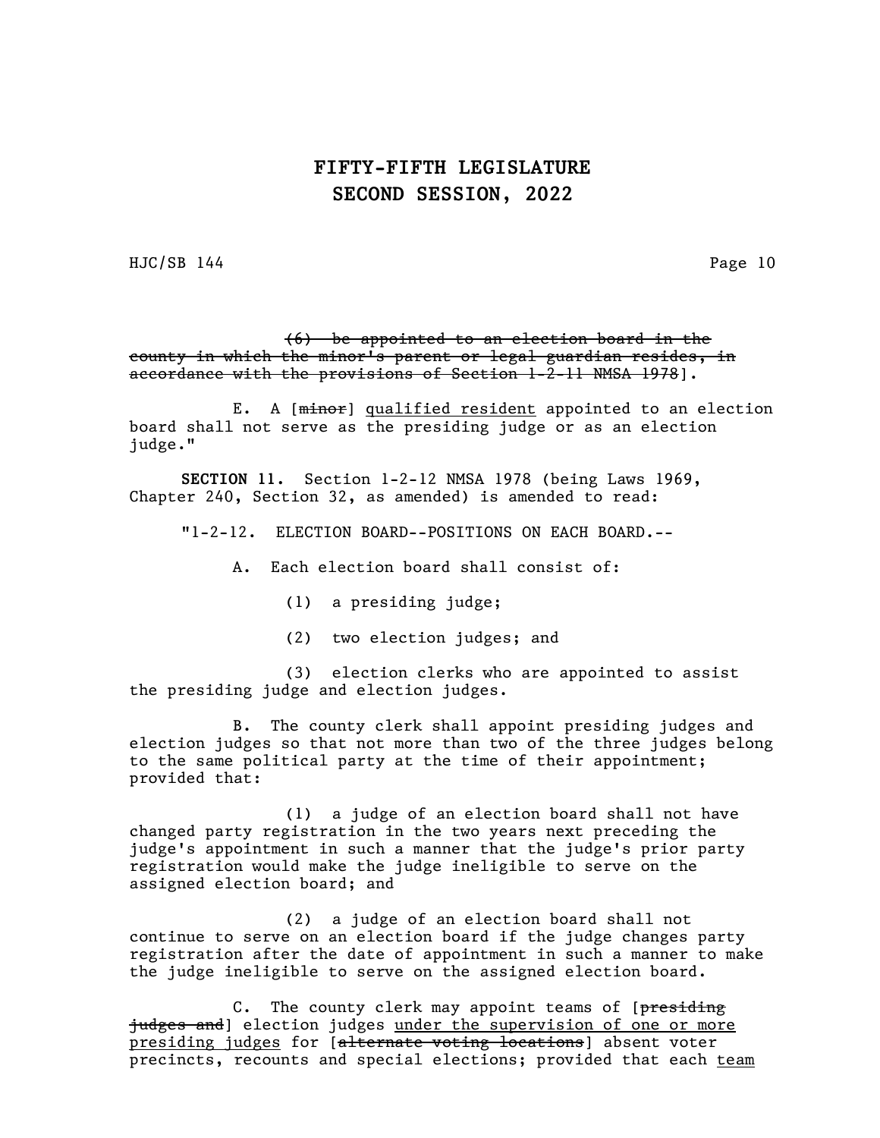HJC/SB 144 Page 10

(6) be appointed to an election board in the county in which the minor's parent or legal guardian resides, in accordance with the provisions of Section 1-2-11 NMSA 1978].

E. A [minor] qualified resident appointed to an election board shall not serve as the presiding judge or as an election judge."

SECTION 11. Section 1-2-12 NMSA 1978 (being Laws 1969, Chapter 240, Section 32, as amended) is amended to read:

"1-2-12. ELECTION BOARD--POSITIONS ON EACH BOARD.--

A. Each election board shall consist of:

(1) a presiding judge;

(2) two election judges; and

(3) election clerks who are appointed to assist the presiding judge and election judges.

B. The county clerk shall appoint presiding judges and election judges so that not more than two of the three judges belong to the same political party at the time of their appointment; provided that:

(1) a judge of an election board shall not have changed party registration in the two years next preceding the judge's appointment in such a manner that the judge's prior party registration would make the judge ineligible to serve on the assigned election board; and

(2) a judge of an election board shall not continue to serve on an election board if the judge changes party registration after the date of appointment in such a manner to make the judge ineligible to serve on the assigned election board.

C. The county clerk may appoint teams of [presiding judges and] election judges <u>under the supervision of one or more</u> presiding judges for [alternate voting locations] absent voter precincts, recounts and special elections; provided that each team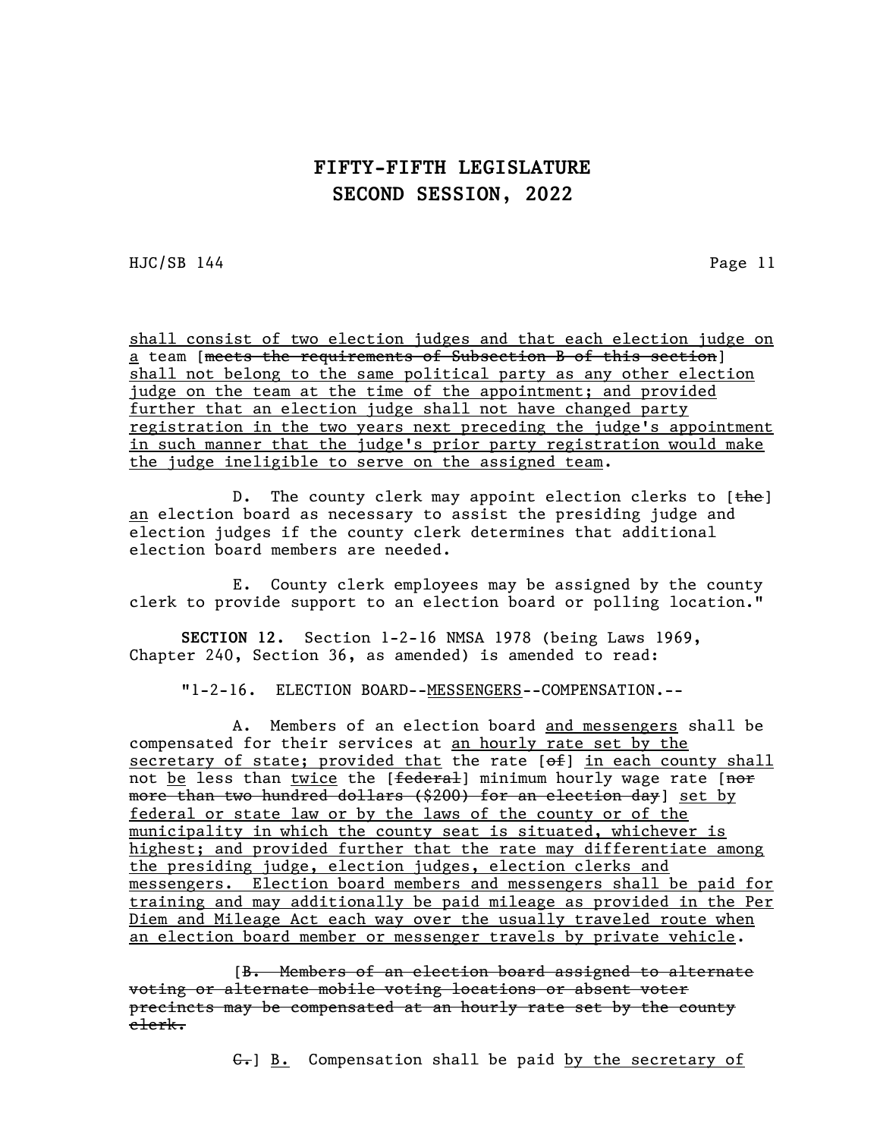HJC/SB 144 Page 11

shall consist of two election judges and that each election judge on a team [meets the requirements of Subsection B of this section] shall not belong to the same political party as any other election judge on the team at the time of the appointment; and provided further that an election judge shall not have changed party registration in the two years next preceding the judge's appointment in such manner that the judge's prior party registration would make the judge ineligible to serve on the assigned team.

D. The county clerk may appoint election clerks to [the] an election board as necessary to assist the presiding judge and election judges if the county clerk determines that additional election board members are needed.

E. County clerk employees may be assigned by the county clerk to provide support to an election board or polling location."

SECTION 12. Section 1-2-16 NMSA 1978 (being Laws 1969, Chapter 240, Section 36, as amended) is amended to read:

"1-2-16. ELECTION BOARD--MESSENGERS--COMPENSATION.--

A. Members of an election board and messengers shall be compensated for their services at an hourly rate set by the secretary of state; provided that the rate  $[ $\theta$  +  $\theta$ ]$  in each county shall not <u>be</u> less than twice the [<del>federal</del>] minimum hourly wage rate [<del>nor</del> more than two hundred dollars (\$200) for an election day] set by federal or state law or by the laws of the county or of the municipality in which the county seat is situated, whichever is highest; and provided further that the rate may differentiate among the presiding judge, election judges, election clerks and messengers. Election board members and messengers shall be paid for training and may additionally be paid mileage as provided in the Per Diem and Mileage Act each way over the usually traveled route when an election board member or messenger travels by private vehicle.

[B. Members of an election board assigned to alternate voting or alternate mobile voting locations or absent voter precincts may be compensated at an hourly rate set by the county clerk.

 $\leftarrow$ ] B. Compensation shall be paid by the secretary of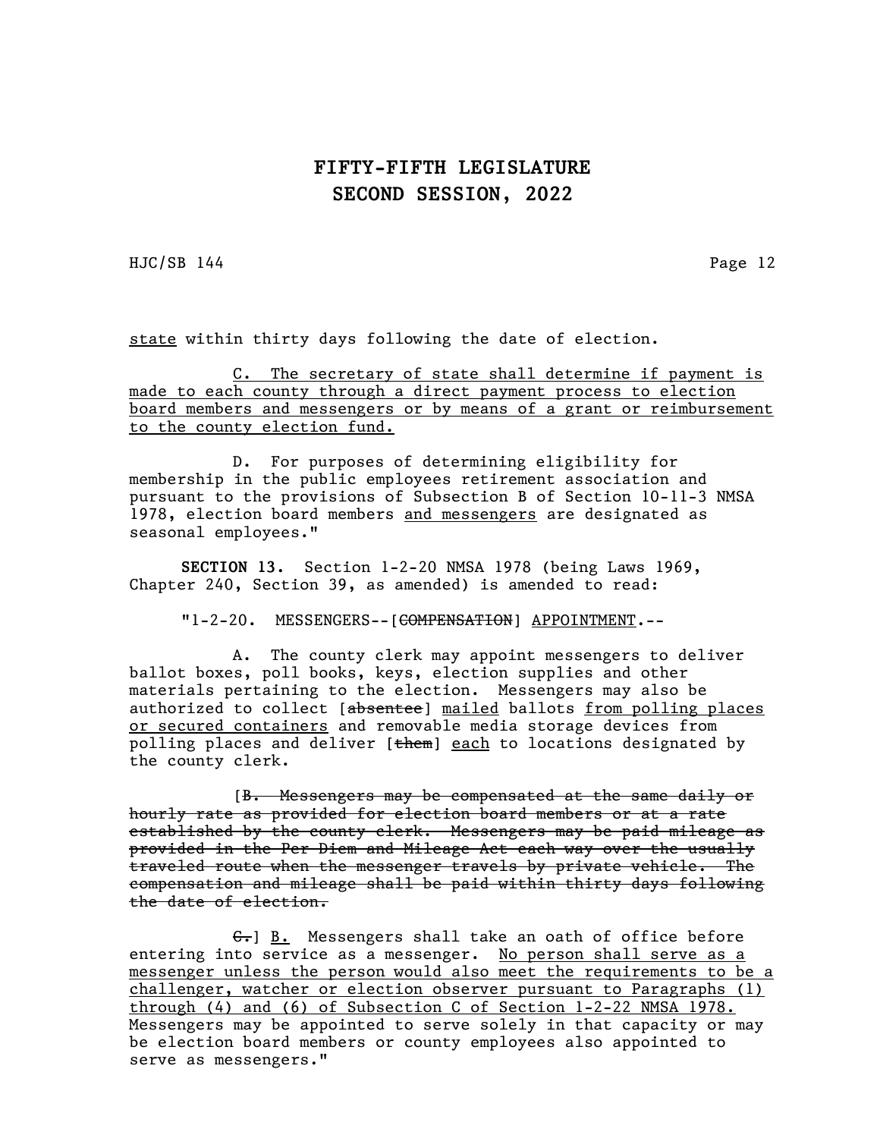HJC/SB 144 Page 12

state within thirty days following the date of election.

C. The secretary of state shall determine if payment is made to each county through a direct payment process to election board members and messengers or by means of a grant or reimbursement to the county election fund.

D. For purposes of determining eligibility for membership in the public employees retirement association and pursuant to the provisions of Subsection B of Section 10-11-3 NMSA 1978, election board members and messengers are designated as seasonal employees."

SECTION 13. Section 1-2-20 NMSA 1978 (being Laws 1969, Chapter 240, Section 39, as amended) is amended to read:

"1-2-20. MESSENGERS--[<del>COMPENSATION</del>] APPOINTMENT.--

A. The county clerk may appoint messengers to deliver ballot boxes, poll books, keys, election supplies and other materials pertaining to the election. Messengers may also be authorized to collect [absentee] mailed ballots from polling places or secured containers and removable media storage devices from polling places and deliver [them] each to locations designated by the county clerk.

[B. Messengers may be compensated at the same daily or hourly rate as provided for election board members or at a rate established by the county clerk. Messengers may be paid mileage as provided in the Per Diem and Mileage Act each way over the usually traveled route when the messenger travels by private vehicle. The compensation and mileage shall be paid within thirty days following the date of election.

 $G_r$ ] B. Messengers shall take an oath of office before entering into service as a messenger. No person shall serve as a messenger unless the person would also meet the requirements to be a challenger, watcher or election observer pursuant to Paragraphs (1) through (4) and (6) of Subsection C of Section 1-2-22 NMSA 1978. Messengers may be appointed to serve solely in that capacity or may be election board members or county employees also appointed to serve as messengers."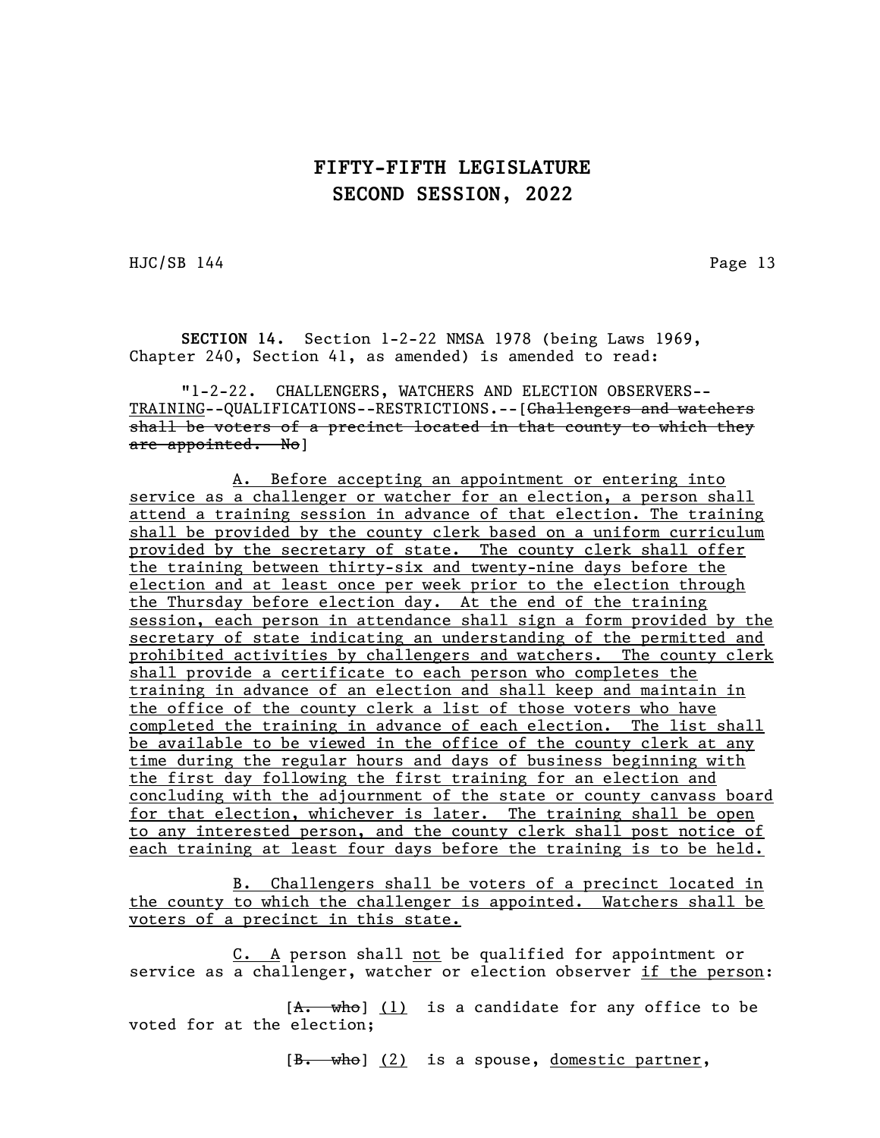HJC/SB 144 Page 13

SECTION 14. Section 1-2-22 NMSA 1978 (being Laws 1969, Chapter 240, Section 41, as amended) is amended to read:

"1-2-22. CHALLENGERS, WATCHERS AND ELECTION OBSERVERS-- TRAINING--QUALIFICATIONS--RESTRICTIONS.--[<del>Challengers and watchers</del> shall be voters of a precinct located in that county to which they are appointed. No]

A. Before accepting an appointment or entering into service as a challenger or watcher for an election, a person shall attend a training session in advance of that election. The training shall be provided by the county clerk based on a uniform curriculum provided by the secretary of state. The county clerk shall offer the training between thirty-six and twenty-nine days before the election and at least once per week prior to the election through the Thursday before election day. At the end of the training session, each person in attendance shall sign a form provided by the secretary of state indicating an understanding of the permitted and prohibited activities by challengers and watchers. The county clerk shall provide a certificate to each person who completes the training in advance of an election and shall keep and maintain in the office of the county clerk a list of those voters who have completed the training in advance of each election. The list shall be available to be viewed in the office of the county clerk at any time during the regular hours and days of business beginning with the first day following the first training for an election and concluding with the adjournment of the state or county canvass board for that election, whichever is later. The training shall be open to any interested person, and the county clerk shall post notice of each training at least four days before the training is to be held.

B. Challengers shall be voters of a precinct located in the county to which the challenger is appointed. Watchers shall be voters of a precinct in this state.

C. A person shall not be qualified for appointment or service as a challenger, watcher or election observer if the person:

 $[A. \quad \text{whe}]$  (1) is a candidate for any office to be voted for at the election;

 $[\frac{B.}{b.}$  who]  $(2)$  is a spouse, domestic partner,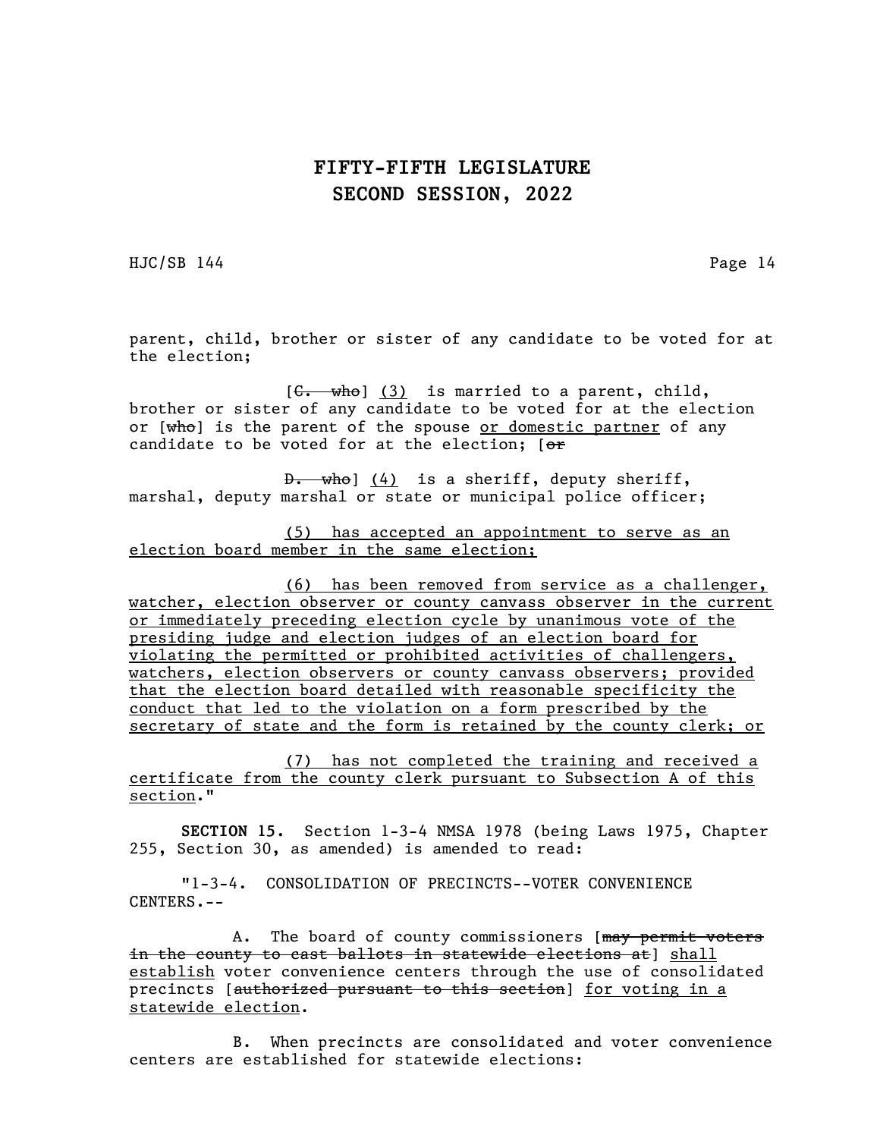HJC/SB 144 Page 14

parent, child, brother or sister of any candidate to be voted for at the election;

 $[G. \twhich is married to a parent, child,$ brother or sister of any candidate to be voted for at the election or [who] is the parent of the spouse or domestic partner of any candidate to be voted for at the election;  $[ $\sigma$  r]$ 

 $\theta$ . who]  $(4)$  is a sheriff, deputy sheriff, marshal, deputy marshal or state or municipal police officer;

(5) has accepted an appointment to serve as an election board member in the same election;

(6) has been removed from service as a challenger, watcher, election observer or county canvass observer in the current or immediately preceding election cycle by unanimous vote of the presiding judge and election judges of an election board for violating the permitted or prohibited activities of challengers, watchers, election observers or county canvass observers; provided that the election board detailed with reasonable specificity the conduct that led to the violation on a form prescribed by the secretary of state and the form is retained by the county clerk; or

(7) has not completed the training and received a certificate from the county clerk pursuant to Subsection A of this section."

SECTION 15. Section 1-3-4 NMSA 1978 (being Laws 1975, Chapter 255, Section 30, as amended) is amended to read:

"1-3-4. CONSOLIDATION OF PRECINCTS--VOTER CONVENIENCE CENTERS.--

A. The board of county commissioners [may permit voters] in the county to cast ballots in statewide elections at] shall establish voter convenience centers through the use of consolidated precincts [authorized pursuant to this section] for voting in a statewide election.

B. When precincts are consolidated and voter convenience centers are established for statewide elections: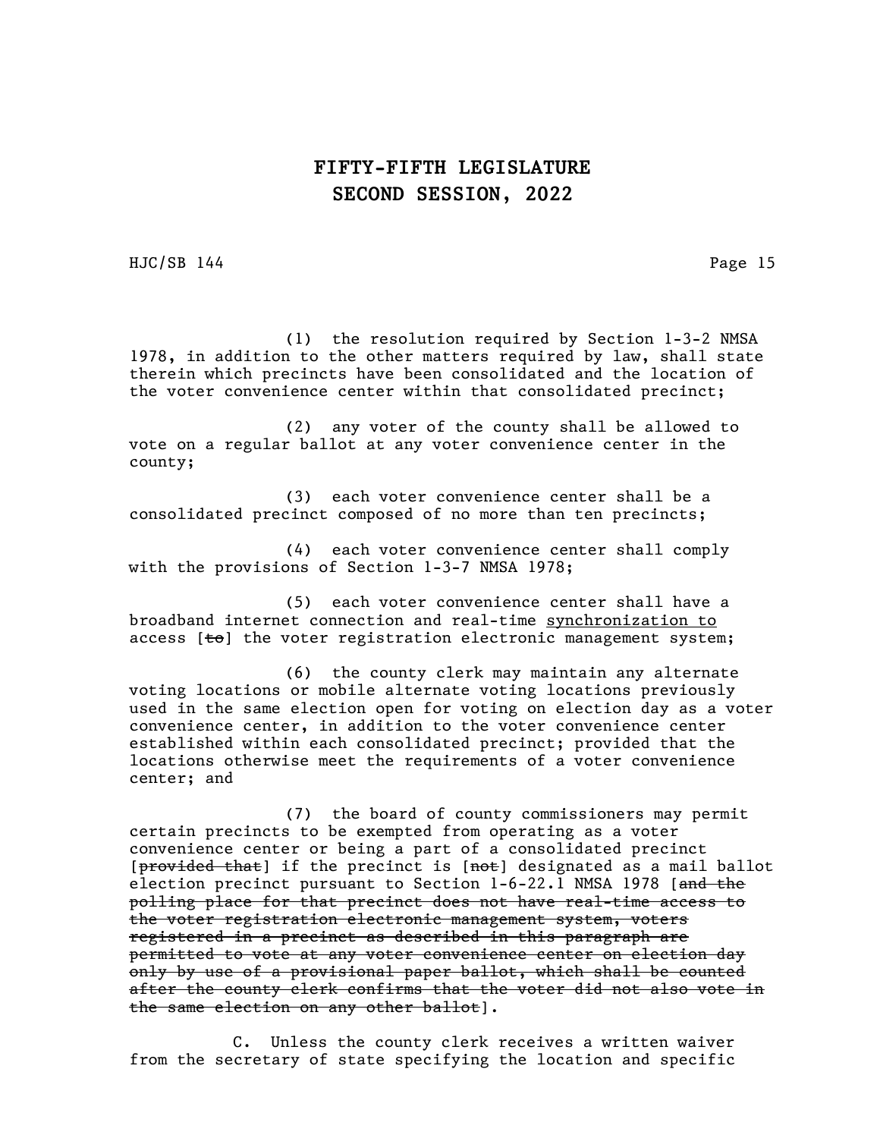HJC/SB 144 Page 15

(1) the resolution required by Section 1-3-2 NMSA 1978, in addition to the other matters required by law, shall state therein which precincts have been consolidated and the location of the voter convenience center within that consolidated precinct;

(2) any voter of the county shall be allowed to vote on a regular ballot at any voter convenience center in the county;

(3) each voter convenience center shall be a consolidated precinct composed of no more than ten precincts;

(4) each voter convenience center shall comply with the provisions of Section 1-3-7 NMSA 1978;

(5) each voter convenience center shall have a broadband internet connection and real-time synchronization to access  $[t\Theta]$  the voter registration electronic management system;

(6) the county clerk may maintain any alternate voting locations or mobile alternate voting locations previously used in the same election open for voting on election day as a voter convenience center, in addition to the voter convenience center established within each consolidated precinct; provided that the locations otherwise meet the requirements of a voter convenience center; and

(7) the board of county commissioners may permit certain precincts to be exempted from operating as a voter convenience center or being a part of a consolidated precinct [provided that] if the precinct is [not] designated as a mail ballot election precinct pursuant to Section 1-6-22.1 NMSA 1978 [and the polling place for that precinct does not have real-time access to the voter registration electronic management system, voters registered in a precinct as described in this paragraph are permitted to vote at any voter convenience center on election day only by use of a provisional paper ballot, which shall be counted after the county clerk confirms that the voter did not also vote in the same election on any other ballot].

C. Unless the county clerk receives a written waiver from the secretary of state specifying the location and specific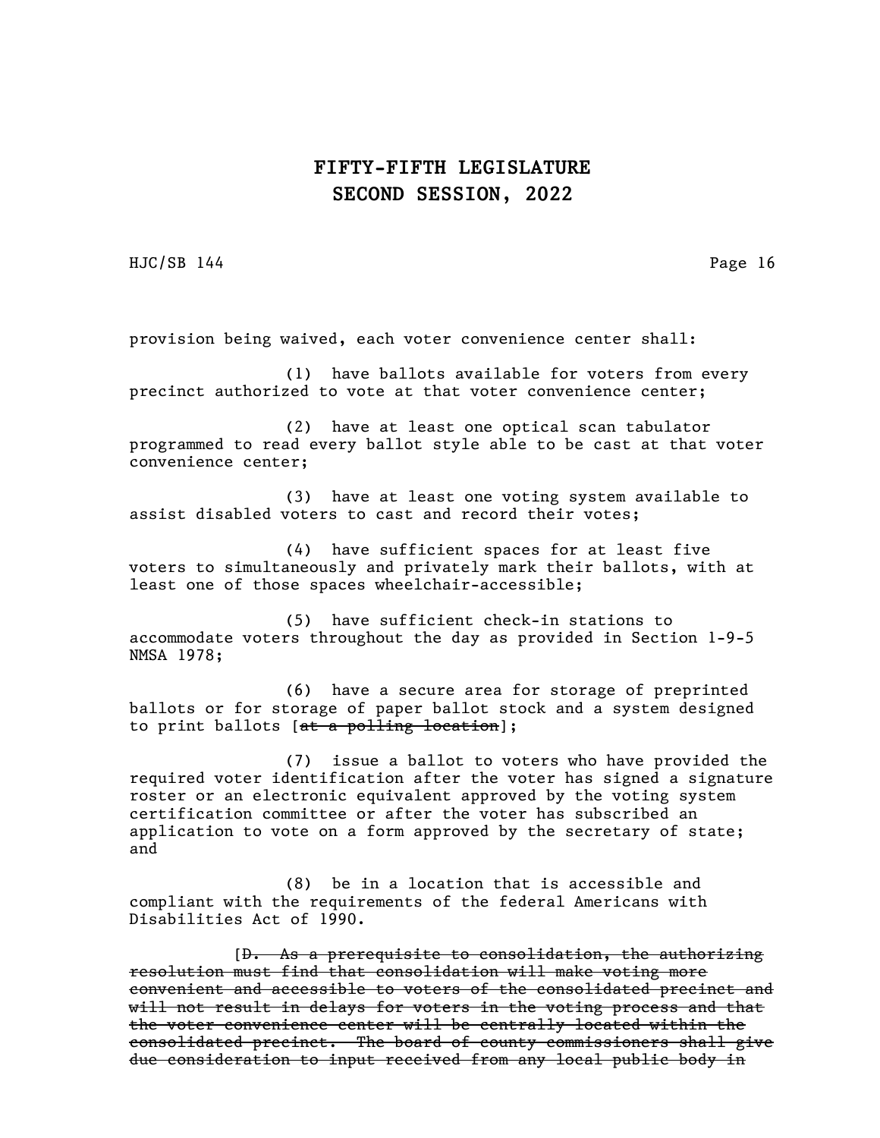HJC/SB 144 Page 16

provision being waived, each voter convenience center shall:

(1) have ballots available for voters from every precinct authorized to vote at that voter convenience center;

(2) have at least one optical scan tabulator programmed to read every ballot style able to be cast at that voter convenience center;

(3) have at least one voting system available to assist disabled voters to cast and record their votes;

(4) have sufficient spaces for at least five voters to simultaneously and privately mark their ballots, with at least one of those spaces wheelchair-accessible;

(5) have sufficient check-in stations to accommodate voters throughout the day as provided in Section 1-9-5 NMSA 1978;

(6) have a secure area for storage of preprinted ballots or for storage of paper ballot stock and a system designed to print ballots [at a polling location];

(7) issue a ballot to voters who have provided the required voter identification after the voter has signed a signature roster or an electronic equivalent approved by the voting system certification committee or after the voter has subscribed an application to vote on a form approved by the secretary of state; and

(8) be in a location that is accessible and compliant with the requirements of the federal Americans with Disabilities Act of 1990.

[D. As a prerequisite to consolidation, the authorizing resolution must find that consolidation will make voting more convenient and accessible to voters of the consolidated precinct and will not result in delays for voters in the voting process and that the voter convenience center will be centrally located within the consolidated precinct. The board of county commissioners shall give due consideration to input received from any local public body in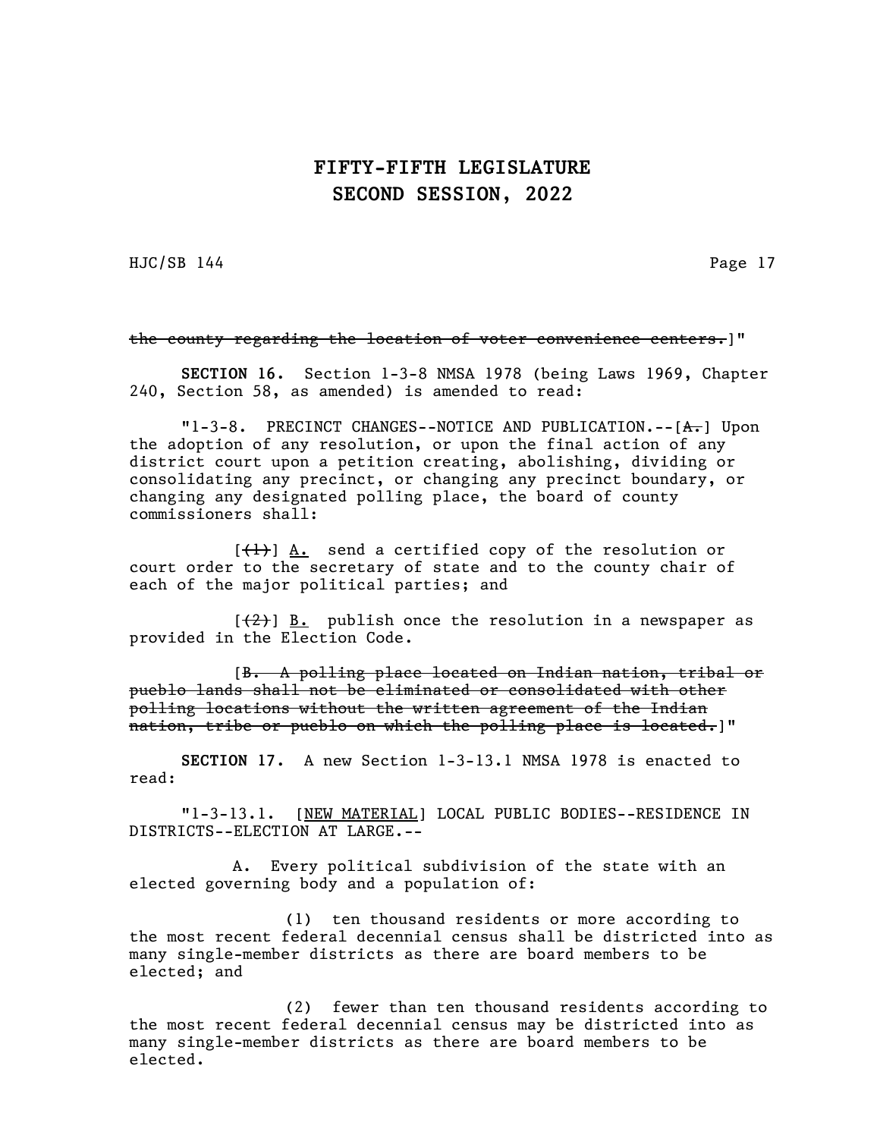HJC/SB 144 Page 17

#### the county regarding the location of voter convenience centers.]"

SECTION 16. Section 1-3-8 NMSA 1978 (being Laws 1969, Chapter 240, Section 58, as amended) is amended to read:

"1-3-8. PRECINCT CHANGES--NOTICE AND PUBLICATION.--[A.] Upon the adoption of any resolution, or upon the final action of any district court upon a petition creating, abolishing, dividing or consolidating any precinct, or changing any precinct boundary, or changing any designated polling place, the board of county commissioners shall:

 $[\frac{1}{1}]$  A. send a certified copy of the resolution or court order to the secretary of state and to the county chair of each of the major political parties; and

 $[\frac{2}{2}]$  B. publish once the resolution in a newspaper as provided in the Election Code.

[B. A polling place located on Indian nation, tribal or pueblo lands shall not be eliminated or consolidated with other polling locations without the written agreement of the Indian nation, tribe or pueblo on which the polling place is located.]"

SECTION 17. A new Section 1-3-13.1 NMSA 1978 is enacted to read:

"1-3-13.1. [NEW MATERIAL] LOCAL PUBLIC BODIES--RESIDENCE IN DISTRICTS--ELECTION AT LARGE.--

A. Every political subdivision of the state with an elected governing body and a population of:

(1) ten thousand residents or more according to the most recent federal decennial census shall be districted into as many single-member districts as there are board members to be elected; and

(2) fewer than ten thousand residents according to the most recent federal decennial census may be districted into as many single-member districts as there are board members to be elected.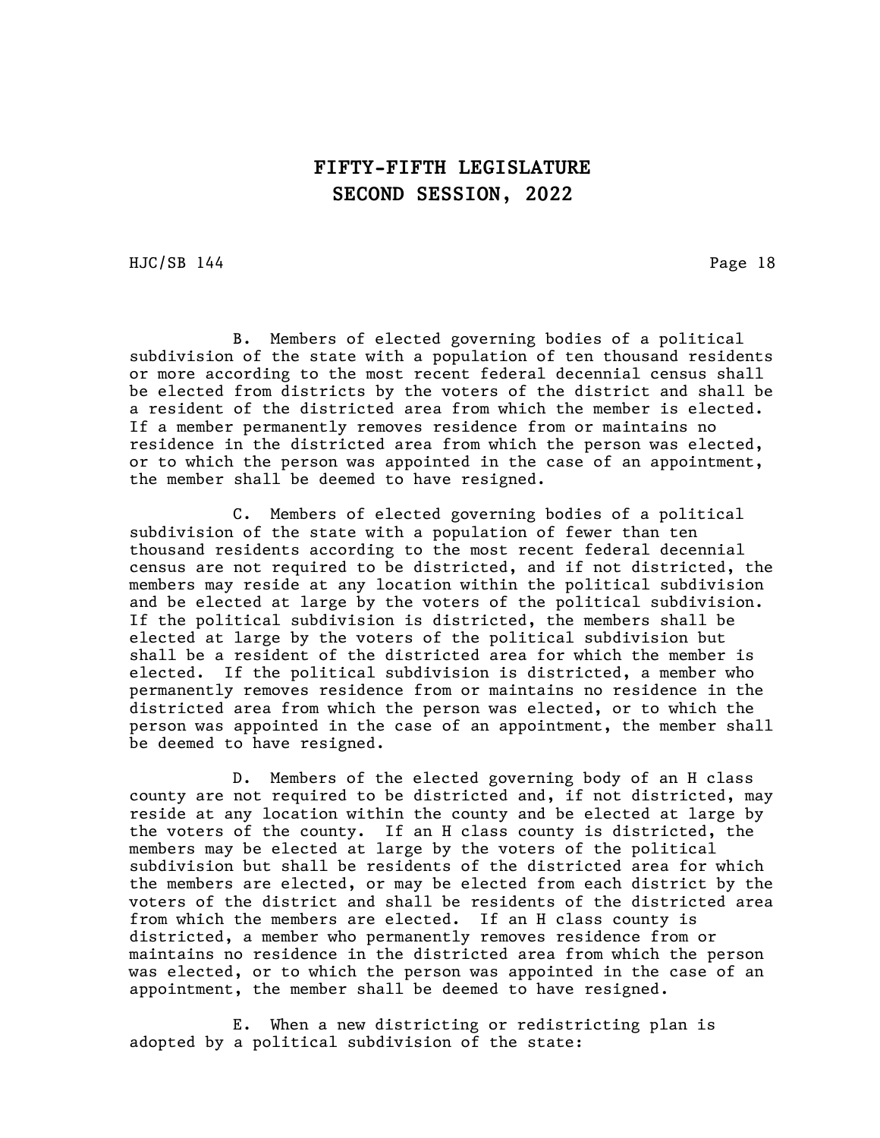HJC/SB 144 Page 18

B. Members of elected governing bodies of a political subdivision of the state with a population of ten thousand residents or more according to the most recent federal decennial census shall be elected from districts by the voters of the district and shall be a resident of the districted area from which the member is elected. If a member permanently removes residence from or maintains no residence in the districted area from which the person was elected, or to which the person was appointed in the case of an appointment, the member shall be deemed to have resigned.

C. Members of elected governing bodies of a political subdivision of the state with a population of fewer than ten thousand residents according to the most recent federal decennial census are not required to be districted, and if not districted, the members may reside at any location within the political subdivision and be elected at large by the voters of the political subdivision. If the political subdivision is districted, the members shall be elected at large by the voters of the political subdivision but shall be a resident of the districted area for which the member is elected. If the political subdivision is districted, a member who permanently removes residence from or maintains no residence in the districted area from which the person was elected, or to which the person was appointed in the case of an appointment, the member shall be deemed to have resigned.

D. Members of the elected governing body of an H class county are not required to be districted and, if not districted, may reside at any location within the county and be elected at large by the voters of the county. If an H class county is districted, the members may be elected at large by the voters of the political subdivision but shall be residents of the districted area for which the members are elected, or may be elected from each district by the voters of the district and shall be residents of the districted area from which the members are elected. If an H class county is districted, a member who permanently removes residence from or maintains no residence in the districted area from which the person was elected, or to which the person was appointed in the case of an appointment, the member shall be deemed to have resigned.

E. When a new districting or redistricting plan is adopted by a political subdivision of the state: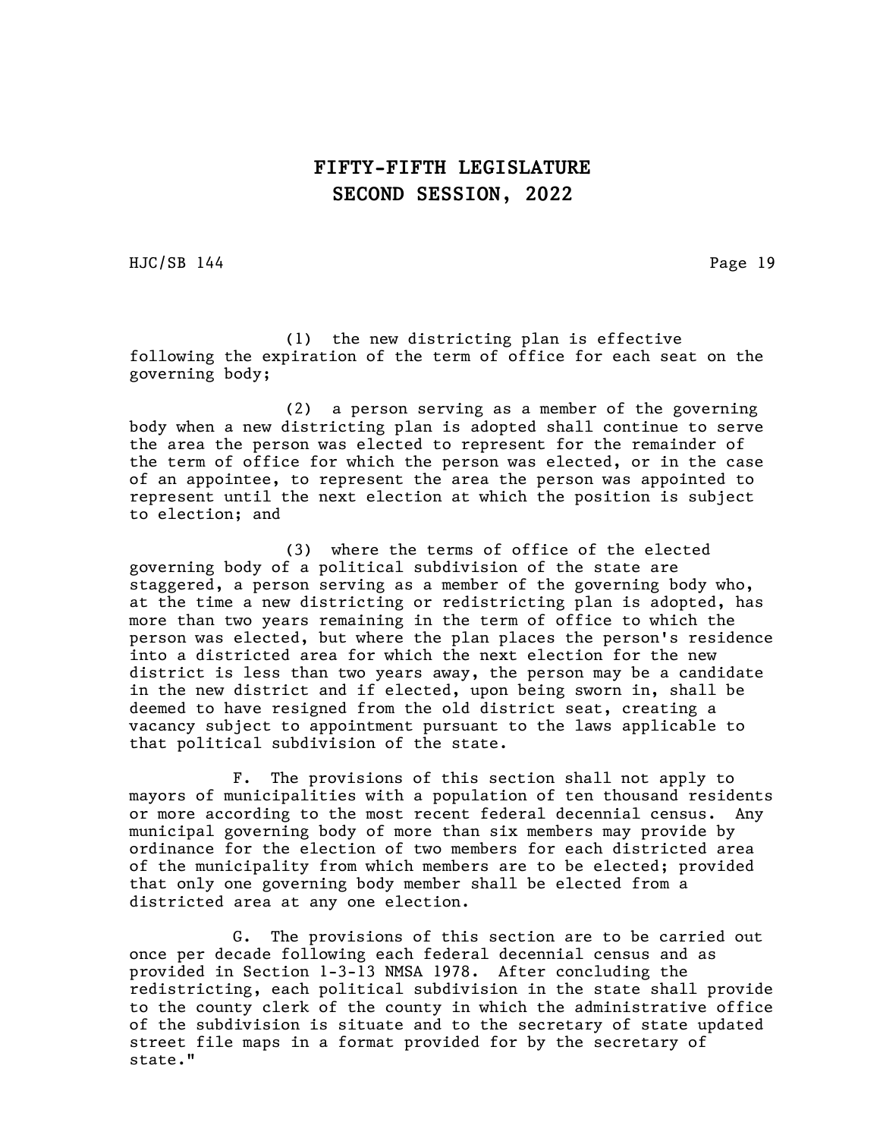HJC/SB 144 Page 19

(1) the new districting plan is effective following the expiration of the term of office for each seat on the governing body;

(2) a person serving as a member of the governing body when a new districting plan is adopted shall continue to serve the area the person was elected to represent for the remainder of the term of office for which the person was elected, or in the case of an appointee, to represent the area the person was appointed to represent until the next election at which the position is subject to election; and

(3) where the terms of office of the elected governing body of a political subdivision of the state are staggered, a person serving as a member of the governing body who, at the time a new districting or redistricting plan is adopted, has more than two years remaining in the term of office to which the person was elected, but where the plan places the person's residence into a districted area for which the next election for the new district is less than two years away, the person may be a candidate in the new district and if elected, upon being sworn in, shall be deemed to have resigned from the old district seat, creating a vacancy subject to appointment pursuant to the laws applicable to that political subdivision of the state.

F. The provisions of this section shall not apply to mayors of municipalities with a population of ten thousand residents or more according to the most recent federal decennial census. Any municipal governing body of more than six members may provide by ordinance for the election of two members for each districted area of the municipality from which members are to be elected; provided that only one governing body member shall be elected from a districted area at any one election.

G. The provisions of this section are to be carried out once per decade following each federal decennial census and as provided in Section 1-3-13 NMSA 1978. After concluding the redistricting, each political subdivision in the state shall provide to the county clerk of the county in which the administrative office of the subdivision is situate and to the secretary of state updated street file maps in a format provided for by the secretary of state."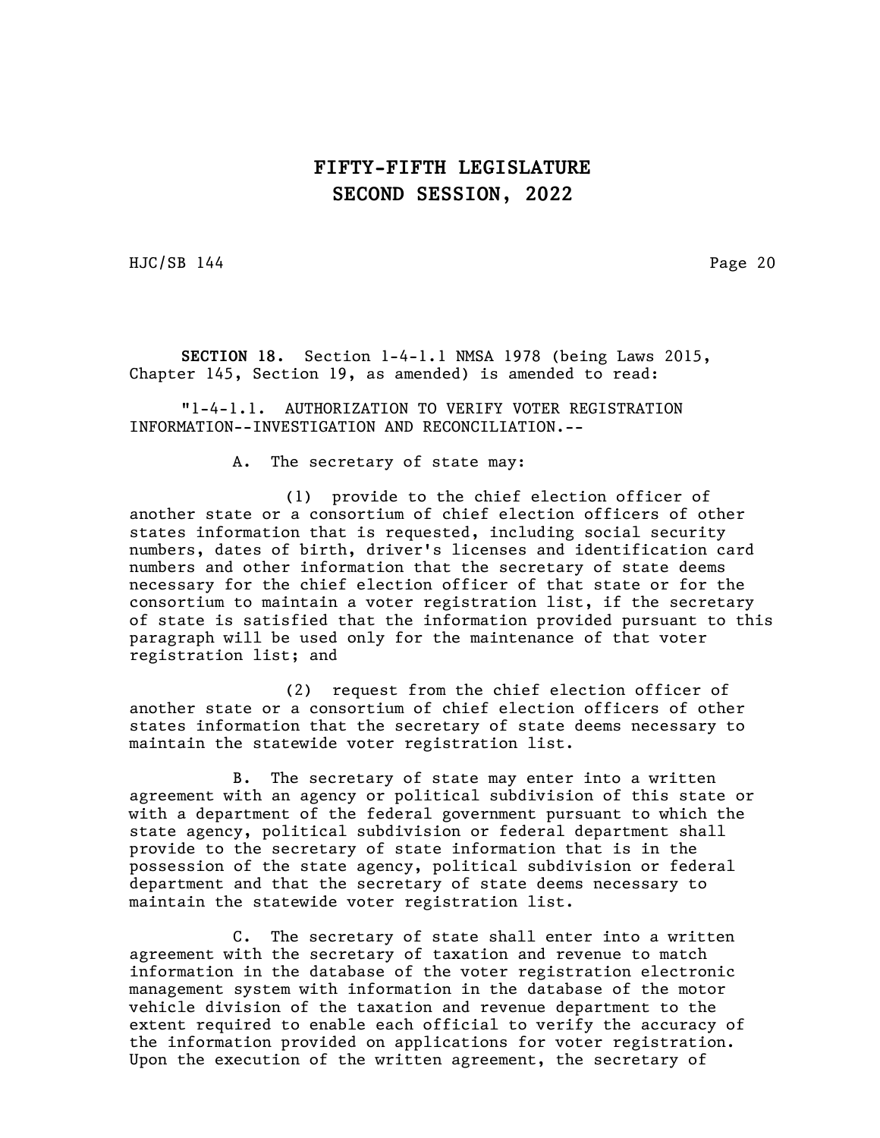HJC/SB 144 Page 20

SECTION 18. Section 1-4-1.1 NMSA 1978 (being Laws 2015, Chapter 145, Section 19, as amended) is amended to read:

"1-4-1.1. AUTHORIZATION TO VERIFY VOTER REGISTRATION INFORMATION--INVESTIGATION AND RECONCILIATION.--

A. The secretary of state may:

(1) provide to the chief election officer of another state or a consortium of chief election officers of other states information that is requested, including social security numbers, dates of birth, driver's licenses and identification card numbers and other information that the secretary of state deems necessary for the chief election officer of that state or for the consortium to maintain a voter registration list, if the secretary of state is satisfied that the information provided pursuant to this paragraph will be used only for the maintenance of that voter registration list; and

(2) request from the chief election officer of another state or a consortium of chief election officers of other states information that the secretary of state deems necessary to maintain the statewide voter registration list.

B. The secretary of state may enter into a written agreement with an agency or political subdivision of this state or with a department of the federal government pursuant to which the state agency, political subdivision or federal department shall provide to the secretary of state information that is in the possession of the state agency, political subdivision or federal department and that the secretary of state deems necessary to maintain the statewide voter registration list.

C. The secretary of state shall enter into a written agreement with the secretary of taxation and revenue to match information in the database of the voter registration electronic management system with information in the database of the motor vehicle division of the taxation and revenue department to the extent required to enable each official to verify the accuracy of the information provided on applications for voter registration. Upon the execution of the written agreement, the secretary of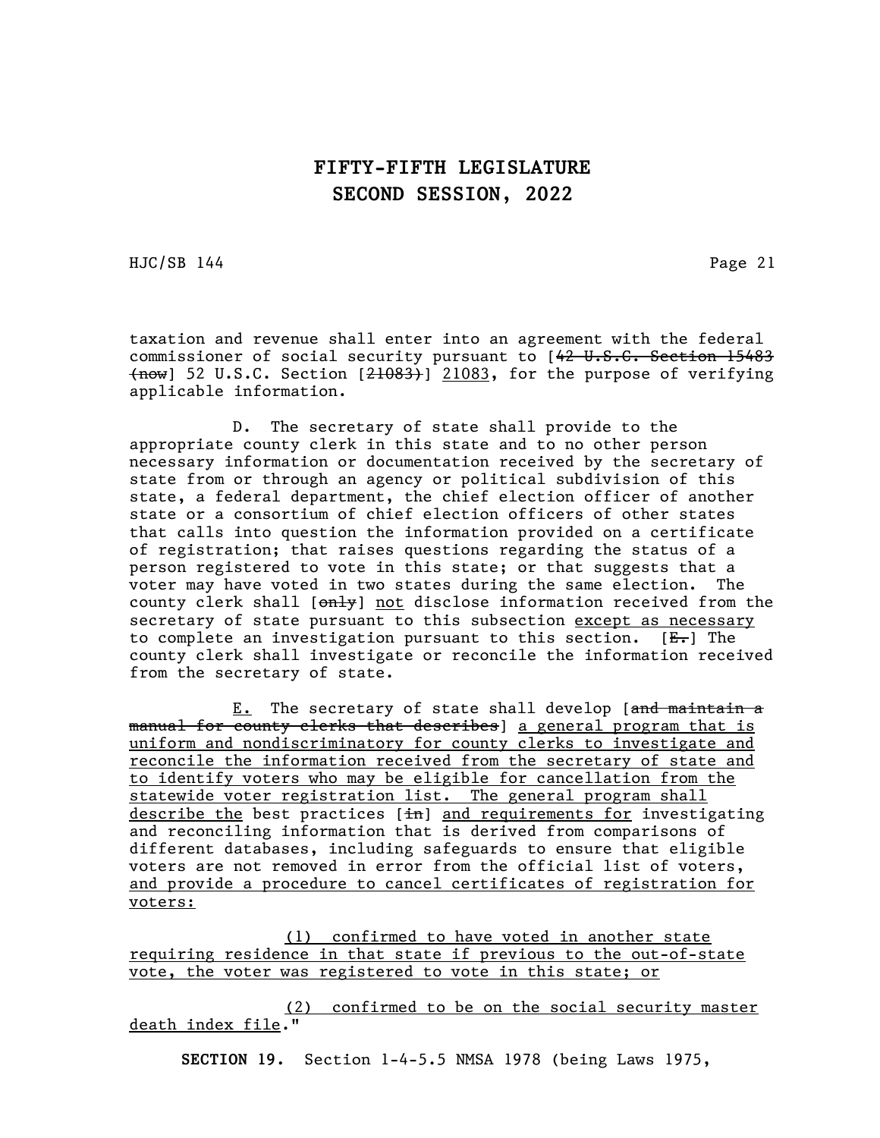HJC/SB 144 Page 21

taxation and revenue shall enter into an agreement with the federal commissioner of social security pursuant to [42 U.S.C. Section 15483  ${+}$ now] 52 U.S.C. Section  $[21083, 21083,$  for the purpose of verifying applicable information.

D. The secretary of state shall provide to the appropriate county clerk in this state and to no other person necessary information or documentation received by the secretary of state from or through an agency or political subdivision of this state, a federal department, the chief election officer of another state or a consortium of chief election officers of other states that calls into question the information provided on a certificate of registration; that raises questions regarding the status of a person registered to vote in this state; or that suggests that a voter may have voted in two states during the same election. The county clerk shall  $\left[\right. \left[\right. \right]$  not disclose information received from the secretary of state pursuant to this subsection except as necessary to complete an investigation pursuant to this section.  $[E_r]$  The county clerk shall investigate or reconcile the information received from the secretary of state.

E. The secretary of state shall develop [and maintain a manual for county clerks that describes] a general program that is uniform and nondiscriminatory for county clerks to investigate and reconcile the information received from the secretary of state and to identify voters who may be eligible for cancellation from the statewide voter registration list. The general program shall describe the best practices [in] and requirements for investigating and reconciling information that is derived from comparisons of different databases, including safeguards to ensure that eligible voters are not removed in error from the official list of voters, and provide a procedure to cancel certificates of registration for voters:

(1) confirmed to have voted in another state requiring residence in that state if previous to the out-of-state vote, the voter was registered to vote in this state; or

(2) confirmed to be on the social security master death index file."

SECTION 19. Section 1-4-5.5 NMSA 1978 (being Laws 1975,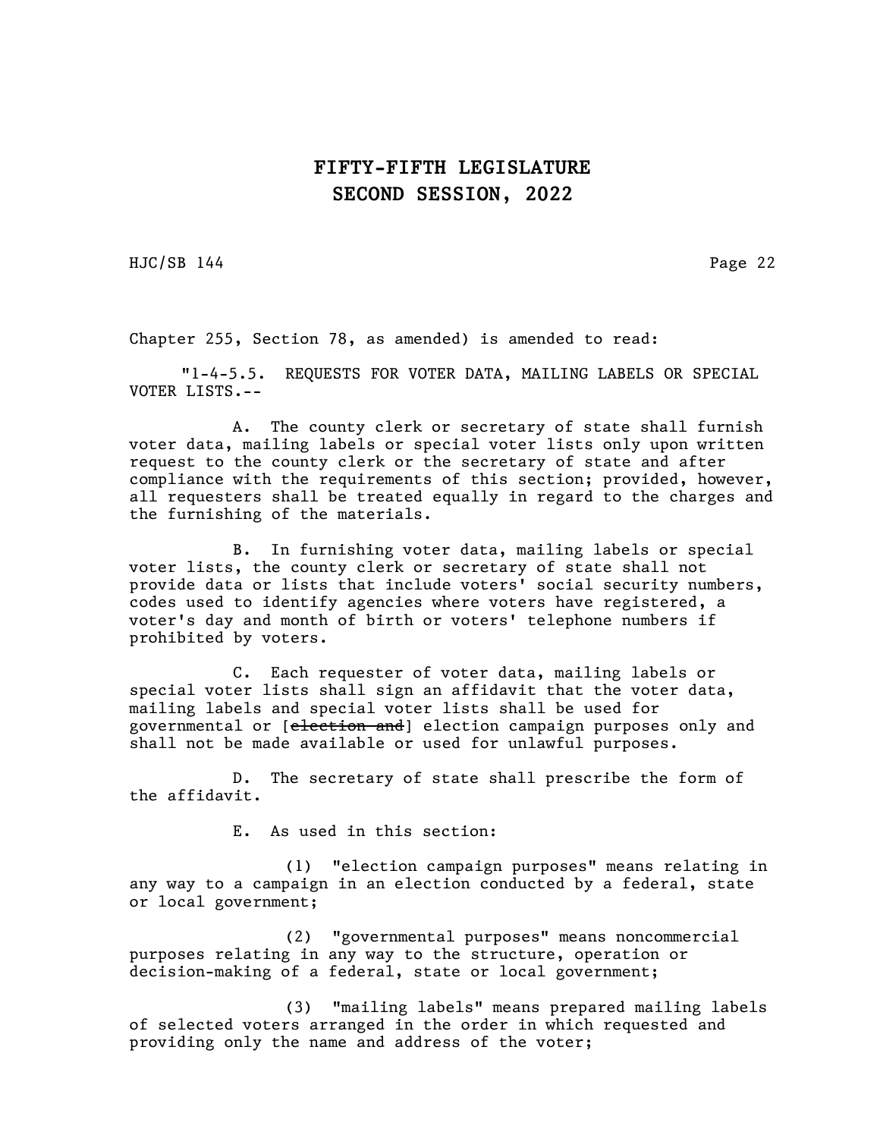HJC/SB 144 Page 22

Chapter 255, Section 78, as amended) is amended to read:

"1-4-5.5. REQUESTS FOR VOTER DATA, MAILING LABELS OR SPECIAL VOTER LISTS.--

A. The county clerk or secretary of state shall furnish voter data, mailing labels or special voter lists only upon written request to the county clerk or the secretary of state and after compliance with the requirements of this section; provided, however, all requesters shall be treated equally in regard to the charges and the furnishing of the materials.

B. In furnishing voter data, mailing labels or special voter lists, the county clerk or secretary of state shall not provide data or lists that include voters' social security numbers, codes used to identify agencies where voters have registered, a voter's day and month of birth or voters' telephone numbers if prohibited by voters.

C. Each requester of voter data, mailing labels or special voter lists shall sign an affidavit that the voter data, mailing labels and special voter lists shall be used for governmental or [election and] election campaign purposes only and shall not be made available or used for unlawful purposes.

D. The secretary of state shall prescribe the form of the affidavit.

E. As used in this section:

(1) "election campaign purposes" means relating in any way to a campaign in an election conducted by a federal, state or local government;

(2) "governmental purposes" means noncommercial purposes relating in any way to the structure, operation or decision-making of a federal, state or local government;

(3) "mailing labels" means prepared mailing labels of selected voters arranged in the order in which requested and providing only the name and address of the voter;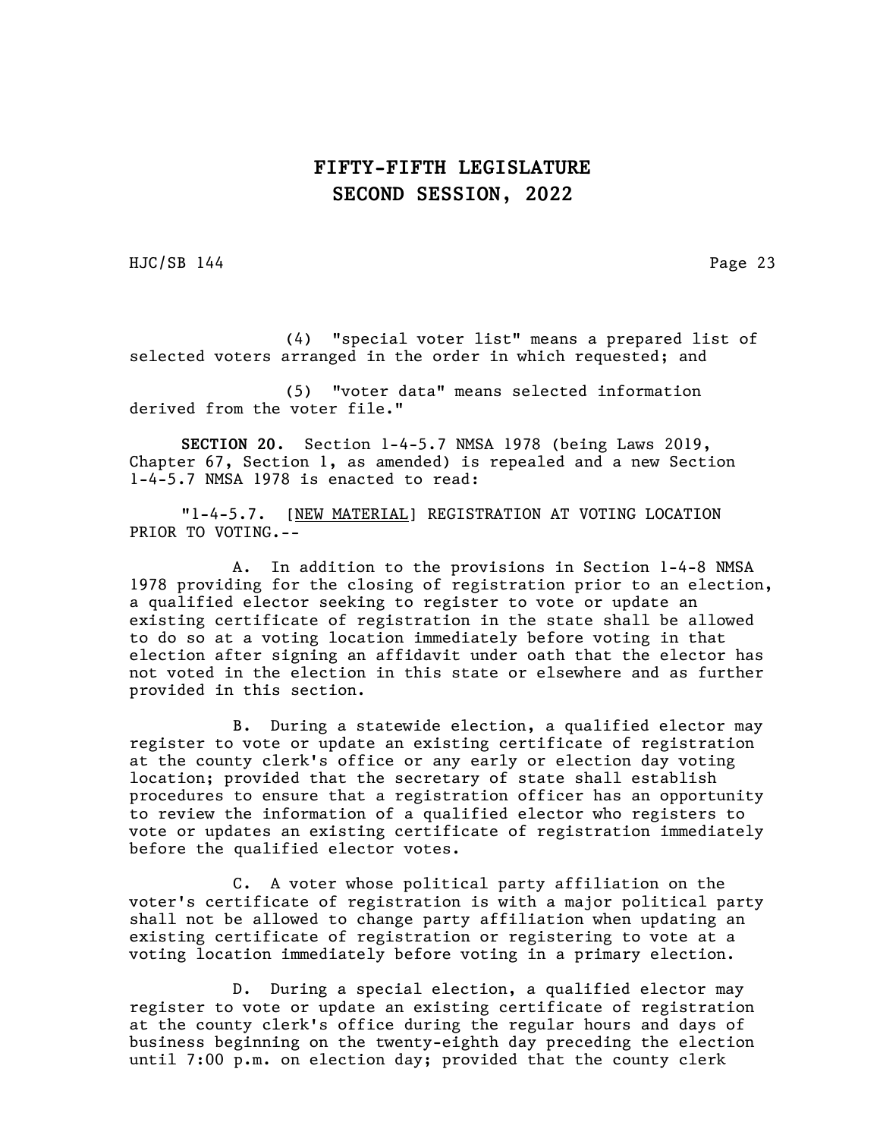HJC/SB 144 Page 23

(4) "special voter list" means a prepared list of selected voters arranged in the order in which requested; and

(5) "voter data" means selected information derived from the voter file."

SECTION 20. Section 1-4-5.7 NMSA 1978 (being Laws 2019, Chapter 67, Section 1, as amended) is repealed and a new Section 1-4-5.7 NMSA 1978 is enacted to read:

"1-4-5.7. [NEW MATERIAL] REGISTRATION AT VOTING LOCATION PRIOR TO VOTING.--

A. In addition to the provisions in Section 1-4-8 NMSA 1978 providing for the closing of registration prior to an election, a qualified elector seeking to register to vote or update an existing certificate of registration in the state shall be allowed to do so at a voting location immediately before voting in that election after signing an affidavit under oath that the elector has not voted in the election in this state or elsewhere and as further provided in this section.

B. During a statewide election, a qualified elector may register to vote or update an existing certificate of registration at the county clerk's office or any early or election day voting location; provided that the secretary of state shall establish procedures to ensure that a registration officer has an opportunity to review the information of a qualified elector who registers to vote or updates an existing certificate of registration immediately before the qualified elector votes.

C. A voter whose political party affiliation on the voter's certificate of registration is with a major political party shall not be allowed to change party affiliation when updating an existing certificate of registration or registering to vote at a voting location immediately before voting in a primary election.

D. During a special election, a qualified elector may register to vote or update an existing certificate of registration at the county clerk's office during the regular hours and days of business beginning on the twenty-eighth day preceding the election until 7:00 p.m. on election day; provided that the county clerk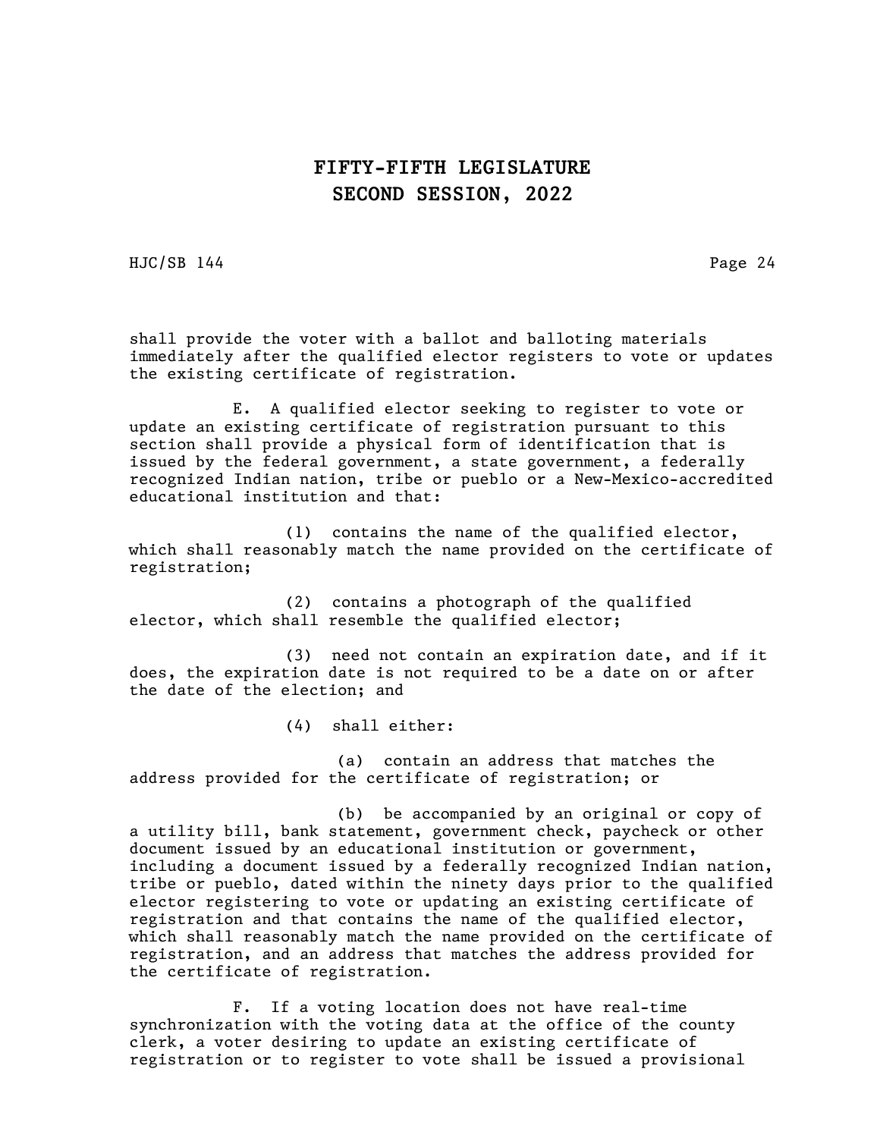HJC/SB 144 Page 24

shall provide the voter with a ballot and balloting materials immediately after the qualified elector registers to vote or updates the existing certificate of registration.

E. A qualified elector seeking to register to vote or update an existing certificate of registration pursuant to this section shall provide a physical form of identification that is issued by the federal government, a state government, a federally recognized Indian nation, tribe or pueblo or a New-Mexico-accredited educational institution and that:

(1) contains the name of the qualified elector, which shall reasonably match the name provided on the certificate of registration;

(2) contains a photograph of the qualified elector, which shall resemble the qualified elector;

(3) need not contain an expiration date, and if it does, the expiration date is not required to be a date on or after the date of the election; and

(4) shall either:

(a) contain an address that matches the address provided for the certificate of registration; or

(b) be accompanied by an original or copy of a utility bill, bank statement, government check, paycheck or other document issued by an educational institution or government, including a document issued by a federally recognized Indian nation, tribe or pueblo, dated within the ninety days prior to the qualified elector registering to vote or updating an existing certificate of registration and that contains the name of the qualified elector, which shall reasonably match the name provided on the certificate of registration, and an address that matches the address provided for the certificate of registration.

F. If a voting location does not have real-time synchronization with the voting data at the office of the county clerk, a voter desiring to update an existing certificate of registration or to register to vote shall be issued a provisional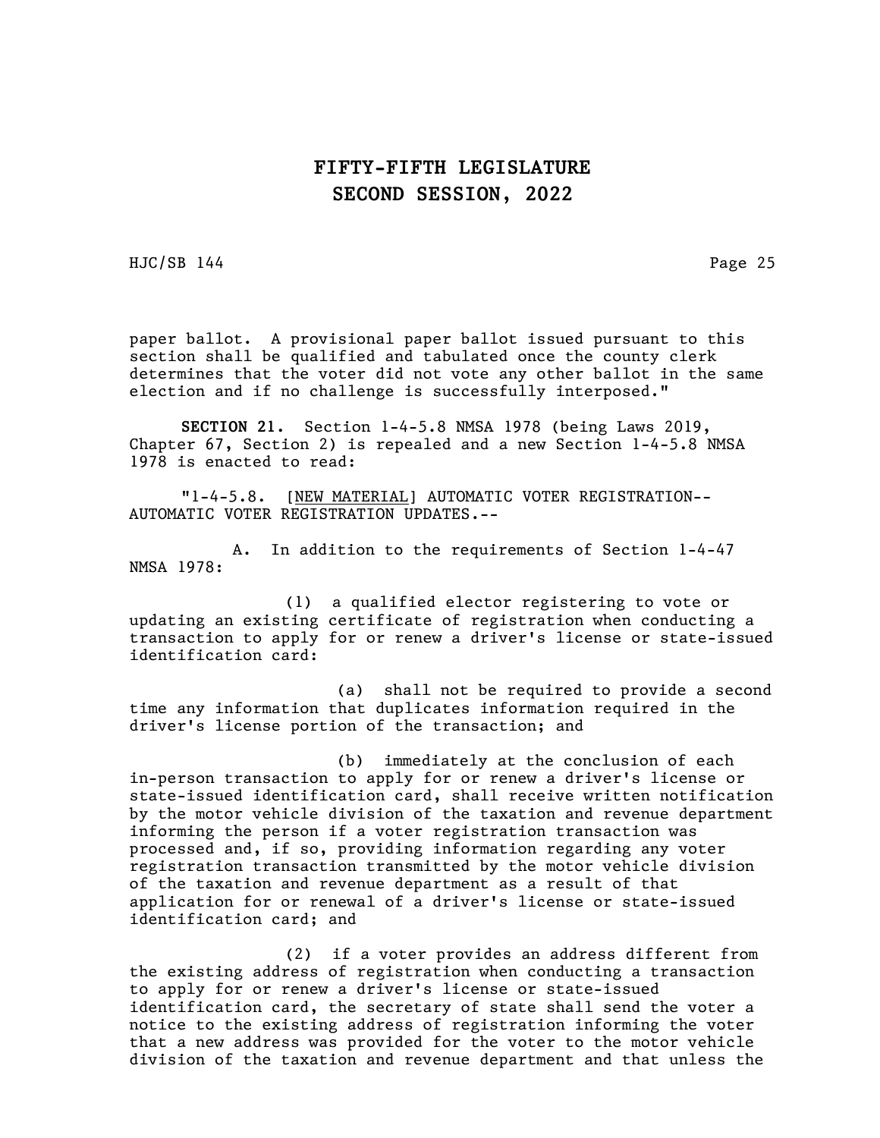HJC/SB 144 Page 25

paper ballot. A provisional paper ballot issued pursuant to this section shall be qualified and tabulated once the county clerk determines that the voter did not vote any other ballot in the same election and if no challenge is successfully interposed."

SECTION 21. Section 1-4-5.8 NMSA 1978 (being Laws 2019, Chapter 67, Section 2) is repealed and a new Section 1-4-5.8 NMSA 1978 is enacted to read:

"1-4-5.8. [NEW MATERIAL] AUTOMATIC VOTER REGISTRATION-- AUTOMATIC VOTER REGISTRATION UPDATES.--

A. In addition to the requirements of Section 1-4-47 NMSA 1978:

(1) a qualified elector registering to vote or updating an existing certificate of registration when conducting a transaction to apply for or renew a driver's license or state-issued identification card:

(a) shall not be required to provide a second time any information that duplicates information required in the driver's license portion of the transaction; and

(b) immediately at the conclusion of each in-person transaction to apply for or renew a driver's license or state-issued identification card, shall receive written notification by the motor vehicle division of the taxation and revenue department informing the person if a voter registration transaction was processed and, if so, providing information regarding any voter registration transaction transmitted by the motor vehicle division of the taxation and revenue department as a result of that application for or renewal of a driver's license or state-issued identification card; and

(2) if a voter provides an address different from the existing address of registration when conducting a transaction to apply for or renew a driver's license or state-issued identification card, the secretary of state shall send the voter a notice to the existing address of registration informing the voter that a new address was provided for the voter to the motor vehicle division of the taxation and revenue department and that unless the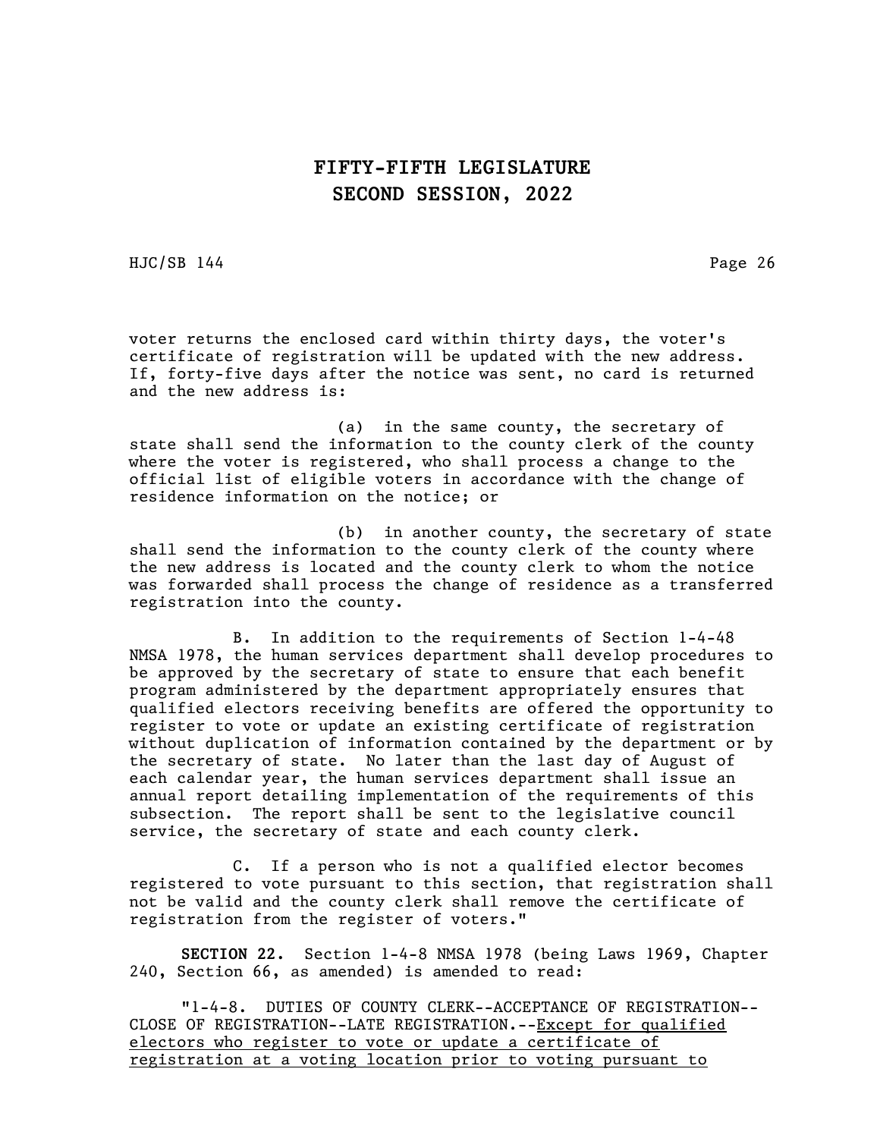HJC/SB 144 Page 26

voter returns the enclosed card within thirty days, the voter's certificate of registration will be updated with the new address. If, forty-five days after the notice was sent, no card is returned and the new address is:

(a) in the same county, the secretary of state shall send the information to the county clerk of the county where the voter is registered, who shall process a change to the official list of eligible voters in accordance with the change of residence information on the notice; or

(b) in another county, the secretary of state shall send the information to the county clerk of the county where the new address is located and the county clerk to whom the notice was forwarded shall process the change of residence as a transferred registration into the county.

B. In addition to the requirements of Section 1-4-48 NMSA 1978, the human services department shall develop procedures to be approved by the secretary of state to ensure that each benefit program administered by the department appropriately ensures that qualified electors receiving benefits are offered the opportunity to register to vote or update an existing certificate of registration without duplication of information contained by the department or by the secretary of state. No later than the last day of August of each calendar year, the human services department shall issue an annual report detailing implementation of the requirements of this subsection. The report shall be sent to the legislative council service, the secretary of state and each county clerk.

C. If a person who is not a qualified elector becomes registered to vote pursuant to this section, that registration shall not be valid and the county clerk shall remove the certificate of registration from the register of voters."

SECTION 22. Section 1-4-8 NMSA 1978 (being Laws 1969, Chapter 240, Section 66, as amended) is amended to read:

"1-4-8. DUTIES OF COUNTY CLERK--ACCEPTANCE OF REGISTRATION-- CLOSE OF REGISTRATION--LATE REGISTRATION.--Except for qualified electors who register to vote or update a certificate of registration at a voting location prior to voting pursuant to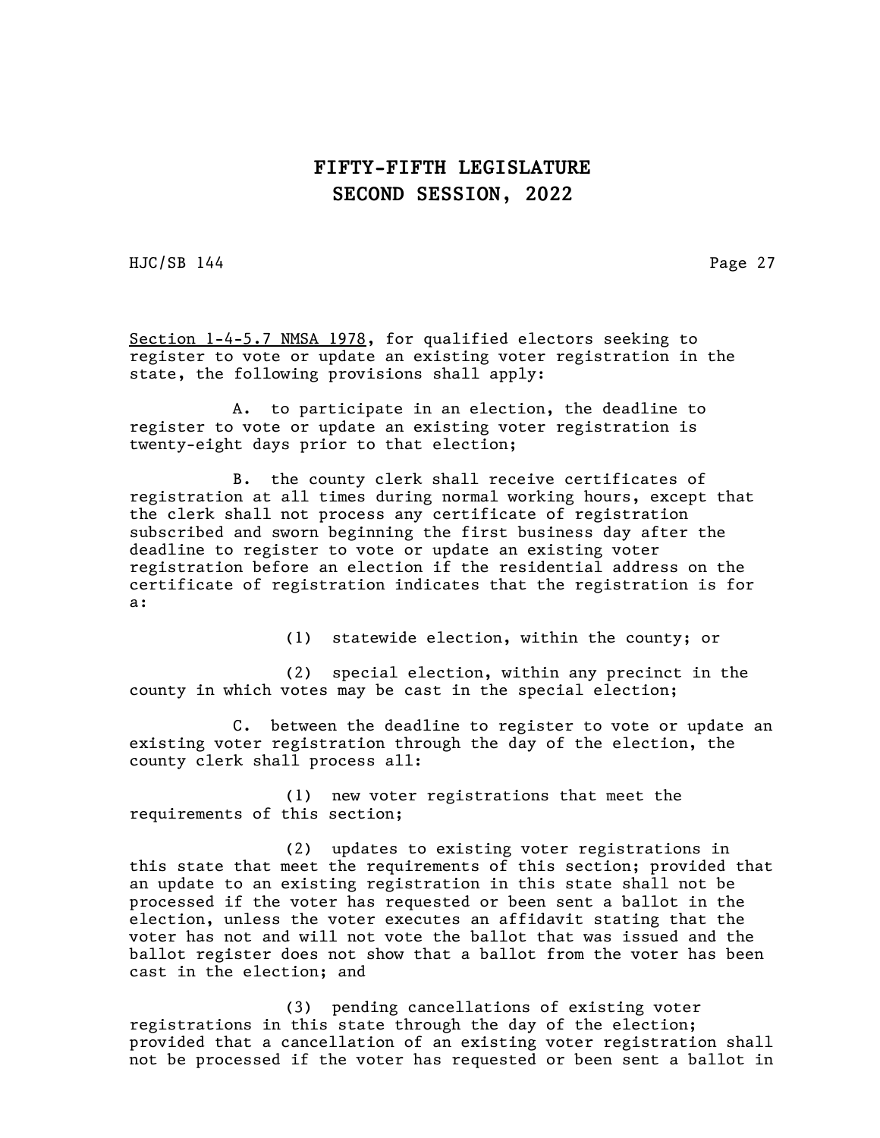HJC/SB 144 Page 27

Section 1-4-5.7 NMSA 1978, for qualified electors seeking to register to vote or update an existing voter registration in the state, the following provisions shall apply:

A. to participate in an election, the deadline to register to vote or update an existing voter registration is twenty-eight days prior to that election;

B. the county clerk shall receive certificates of registration at all times during normal working hours, except that the clerk shall not process any certificate of registration subscribed and sworn beginning the first business day after the deadline to register to vote or update an existing voter registration before an election if the residential address on the certificate of registration indicates that the registration is for a:

(1) statewide election, within the county; or

(2) special election, within any precinct in the county in which votes may be cast in the special election;

C. between the deadline to register to vote or update an existing voter registration through the day of the election, the county clerk shall process all:

(1) new voter registrations that meet the requirements of this section;

(2) updates to existing voter registrations in this state that meet the requirements of this section; provided that an update to an existing registration in this state shall not be processed if the voter has requested or been sent a ballot in the election, unless the voter executes an affidavit stating that the voter has not and will not vote the ballot that was issued and the ballot register does not show that a ballot from the voter has been cast in the election; and

(3) pending cancellations of existing voter registrations in this state through the day of the election; provided that a cancellation of an existing voter registration shall not be processed if the voter has requested or been sent a ballot in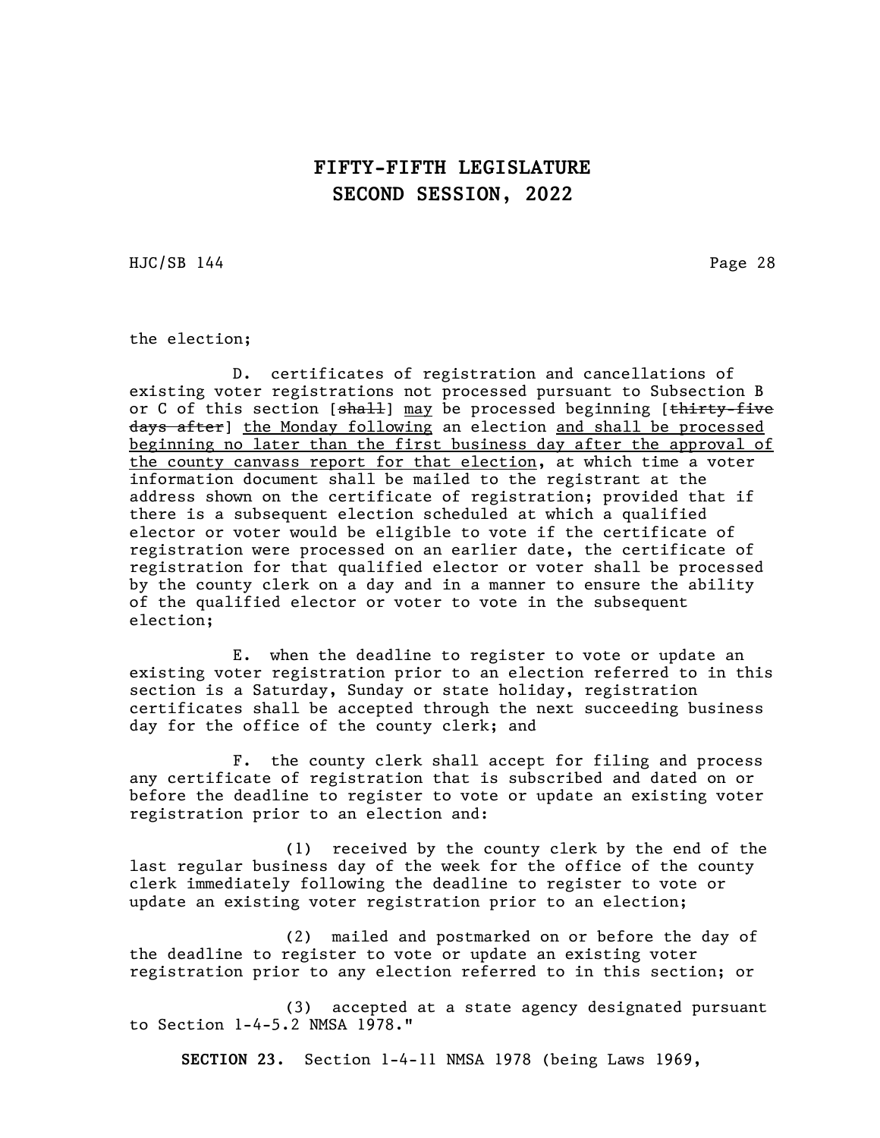HJC/SB 144 Page 28

the election;

D. certificates of registration and cancellations of existing voter registrations not processed pursuant to Subsection B or C of this section [shall] may be processed beginning [thirty-five days after] the Monday following an election and shall be processed beginning no later than the first business day after the approval of the county canvass report for that election, at which time a voter information document shall be mailed to the registrant at the address shown on the certificate of registration; provided that if there is a subsequent election scheduled at which a qualified elector or voter would be eligible to vote if the certificate of registration were processed on an earlier date, the certificate of registration for that qualified elector or voter shall be processed by the county clerk on a day and in a manner to ensure the ability of the qualified elector or voter to vote in the subsequent election;

E. when the deadline to register to vote or update an existing voter registration prior to an election referred to in this section is a Saturday, Sunday or state holiday, registration certificates shall be accepted through the next succeeding business day for the office of the county clerk; and

F. the county clerk shall accept for filing and process any certificate of registration that is subscribed and dated on or before the deadline to register to vote or update an existing voter registration prior to an election and:

(1) received by the county clerk by the end of the last regular business day of the week for the office of the county clerk immediately following the deadline to register to vote or update an existing voter registration prior to an election;

(2) mailed and postmarked on or before the day of the deadline to register to vote or update an existing voter registration prior to any election referred to in this section; or

(3) accepted at a state agency designated pursuant to Section 1-4-5.2 NMSA 1978."

SECTION 23. Section 1-4-11 NMSA 1978 (being Laws 1969,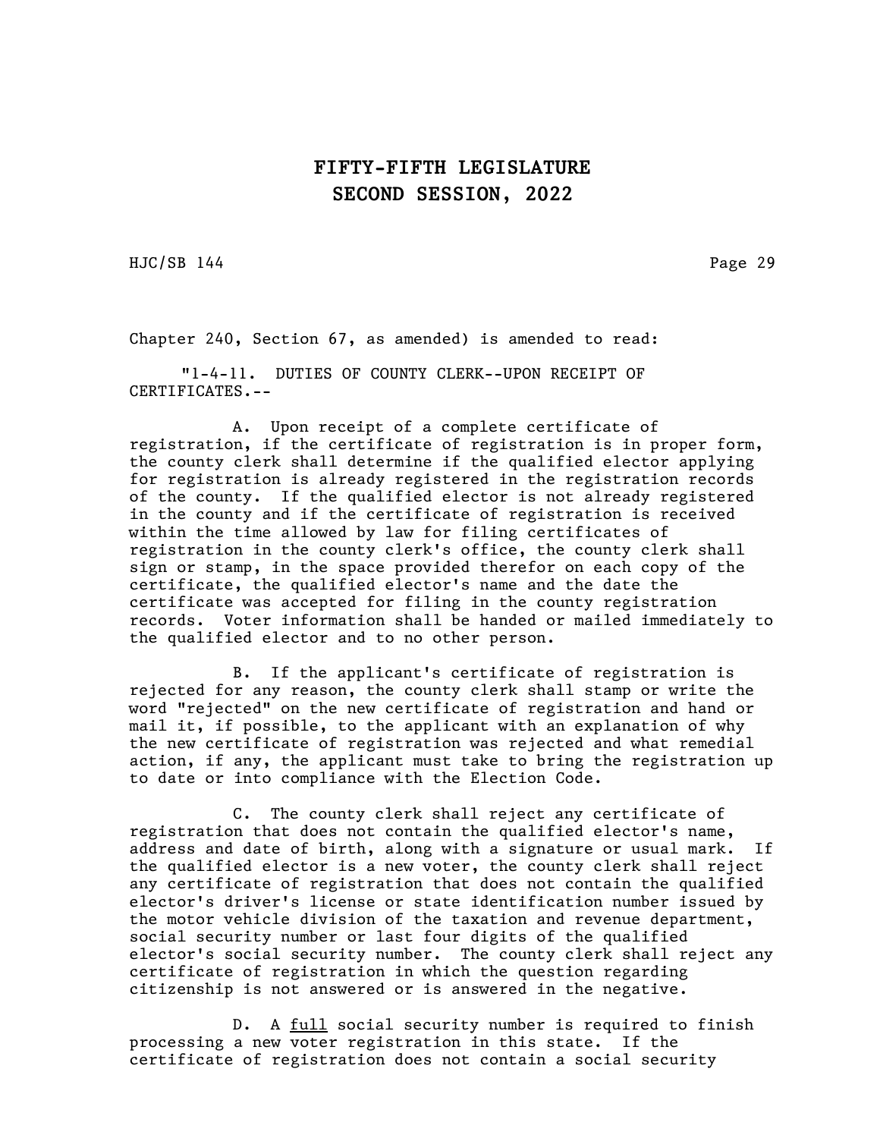HJC/SB 144 Page 29

Chapter 240, Section 67, as amended) is amended to read:

"1-4-11. DUTIES OF COUNTY CLERK--UPON RECEIPT OF CERTIFICATES.--

A. Upon receipt of a complete certificate of registration, if the certificate of registration is in proper form, the county clerk shall determine if the qualified elector applying for registration is already registered in the registration records of the county. If the qualified elector is not already registered in the county and if the certificate of registration is received within the time allowed by law for filing certificates of registration in the county clerk's office, the county clerk shall sign or stamp, in the space provided therefor on each copy of the certificate, the qualified elector's name and the date the certificate was accepted for filing in the county registration records. Voter information shall be handed or mailed immediately to the qualified elector and to no other person.

B. If the applicant's certificate of registration is rejected for any reason, the county clerk shall stamp or write the word "rejected" on the new certificate of registration and hand or mail it, if possible, to the applicant with an explanation of why the new certificate of registration was rejected and what remedial action, if any, the applicant must take to bring the registration up to date or into compliance with the Election Code.

C. The county clerk shall reject any certificate of registration that does not contain the qualified elector's name, address and date of birth, along with a signature or usual mark. If the qualified elector is a new voter, the county clerk shall reject any certificate of registration that does not contain the qualified elector's driver's license or state identification number issued by the motor vehicle division of the taxation and revenue department, social security number or last four digits of the qualified elector's social security number. The county clerk shall reject any certificate of registration in which the question regarding citizenship is not answered or is answered in the negative.

D. A <u>full</u> social security number is required to finish processing a new voter registration in this state. If the certificate of registration does not contain a social security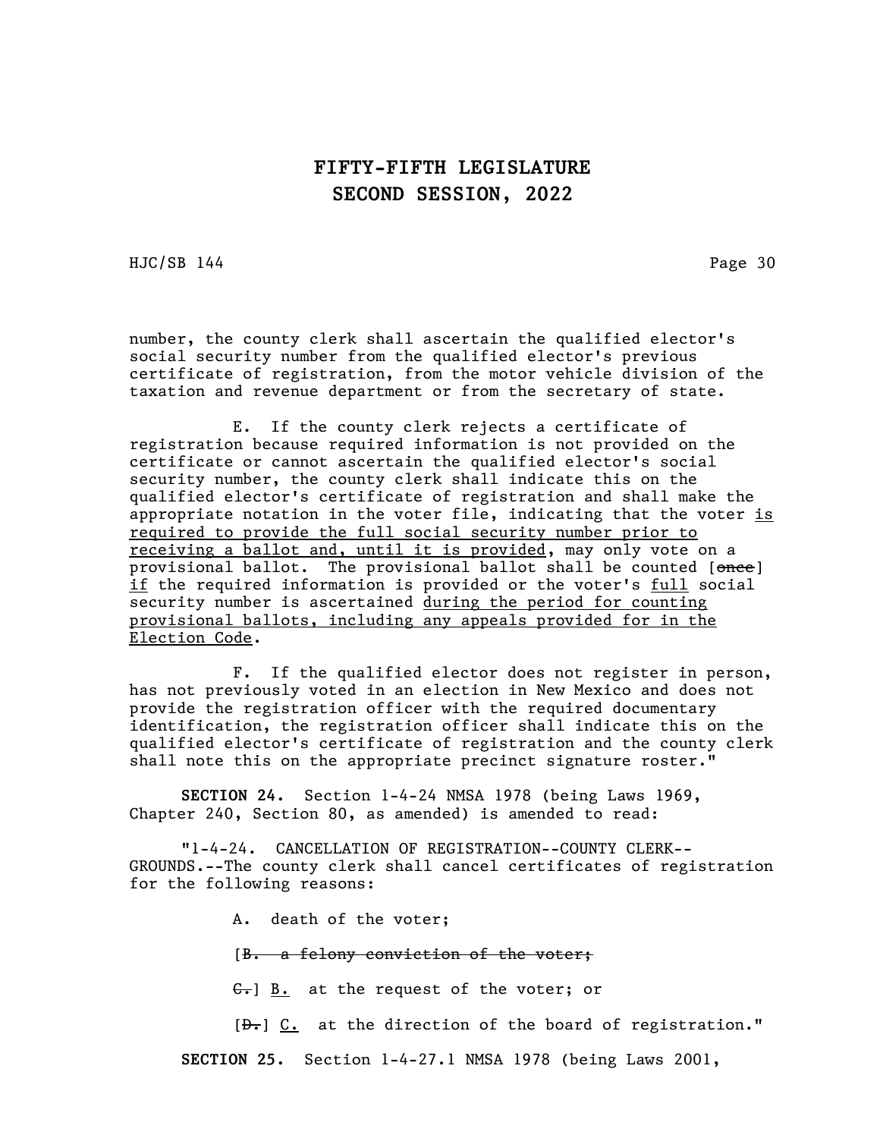HJC/SB 144 Page 30

number, the county clerk shall ascertain the qualified elector's social security number from the qualified elector's previous certificate of registration, from the motor vehicle division of the taxation and revenue department or from the secretary of state.

E. If the county clerk rejects a certificate of registration because required information is not provided on the certificate or cannot ascertain the qualified elector's social security number, the county clerk shall indicate this on the qualified elector's certificate of registration and shall make the appropriate notation in the voter file, indicating that the voter  $is$ required to provide the full social security number prior to receiving a ballot and, until it is provided, may only vote on a provisional ballot. The provisional ballot shall be counted [once] if the required information is provided or the voter's full social security number is ascertained during the period for counting provisional ballots, including any appeals provided for in the Election Code.

F. If the qualified elector does not register in person, has not previously voted in an election in New Mexico and does not provide the registration officer with the required documentary identification, the registration officer shall indicate this on the qualified elector's certificate of registration and the county clerk shall note this on the appropriate precinct signature roster."

SECTION 24. Section 1-4-24 NMSA 1978 (being Laws 1969, Chapter 240, Section 80, as amended) is amended to read:

"1-4-24. CANCELLATION OF REGISTRATION--COUNTY CLERK-- GROUNDS.--The county clerk shall cancel certificates of registration for the following reasons:

A. death of the voter;

[B. a felony conviction of the voter;

 $\left\{ \frac{c}{\cdot} \right\}$  B. at the request of the voter; or

 $[\frac{\partial F}{\partial t}]$  C. at the direction of the board of registration."

SECTION 25. Section 1-4-27.1 NMSA 1978 (being Laws 2001,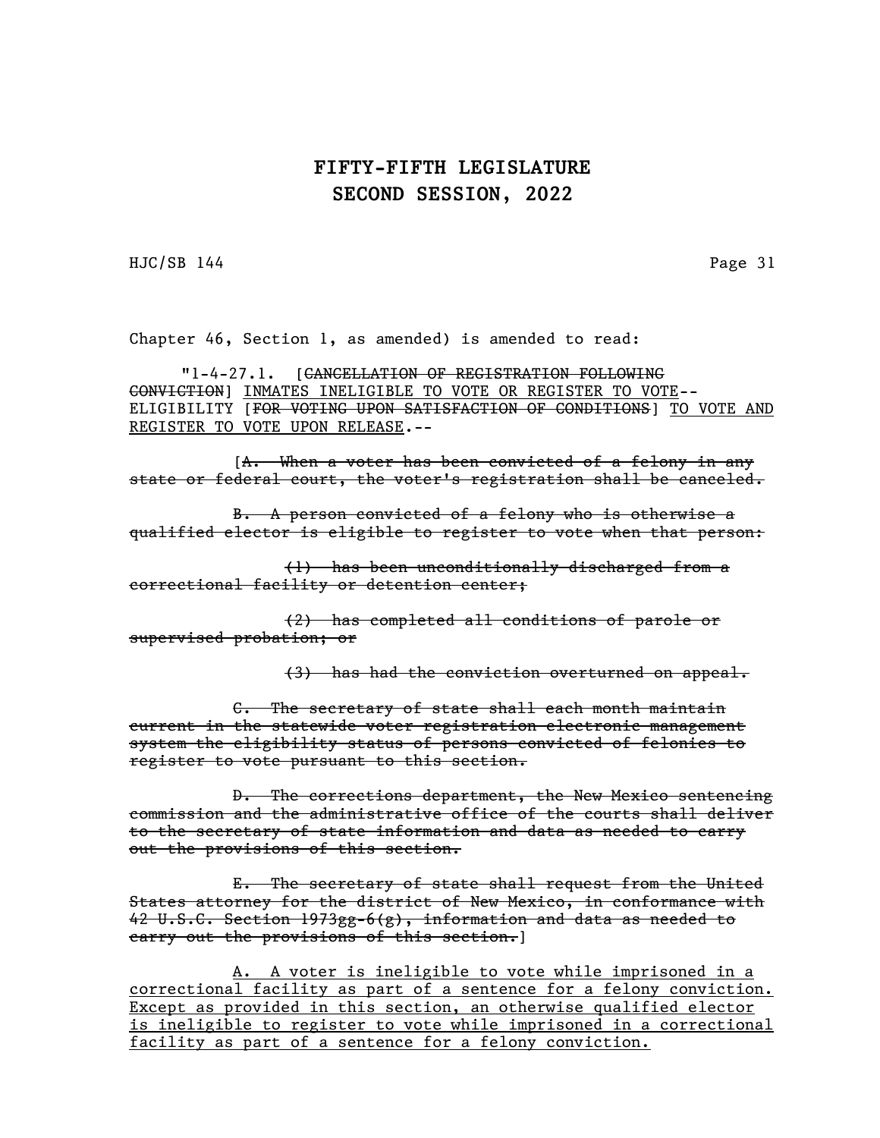HJC/SB 144 Page 31

Chapter 46, Section 1, as amended) is amended to read:

"1-4-27.1. [CANCELLATION OF REGISTRATION FOLLOWING CONVICTION] INMATES INELIGIBLE TO VOTE OR REGISTER TO VOTE-- ELIGIBILITY [FOR VOTING UPON SATISFACTION OF CONDITIONS] TO VOTE AND REGISTER TO VOTE UPON RELEASE.--

[A. When a voter has been convicted of a felony in any state or federal court, the voter's registration shall be canceled.

B. A person convicted of a felony who is otherwise a qualified elector is eligible to register to vote when that person:

(1) has been unconditionally discharged from a correctional facility or detention center;

(2) has completed all conditions of parole or supervised probation; or

(3) has had the conviction overturned on appeal.

C. The secretary of state shall each month maintain current in the statewide voter registration electronic management system the eligibility status of persons convicted of felonies to register to vote pursuant to this section.

D. The corrections department, the New Mexico sentencing commission and the administrative office of the courts shall deliver to the secretary of state information and data as needed to carry out the provisions of this section.

E. The secretary of state shall request from the United States attorney for the district of New Mexico, in conformance with 42 U.S.C. Section 1973gg-6(g), information and data as needed to carry out the provisions of this section.]

A. A voter is ineligible to vote while imprisoned in a correctional facility as part of a sentence for a felony conviction. Except as provided in this section, an otherwise qualified elector is ineligible to register to vote while imprisoned in a correctional facility as part of a sentence for a felony conviction.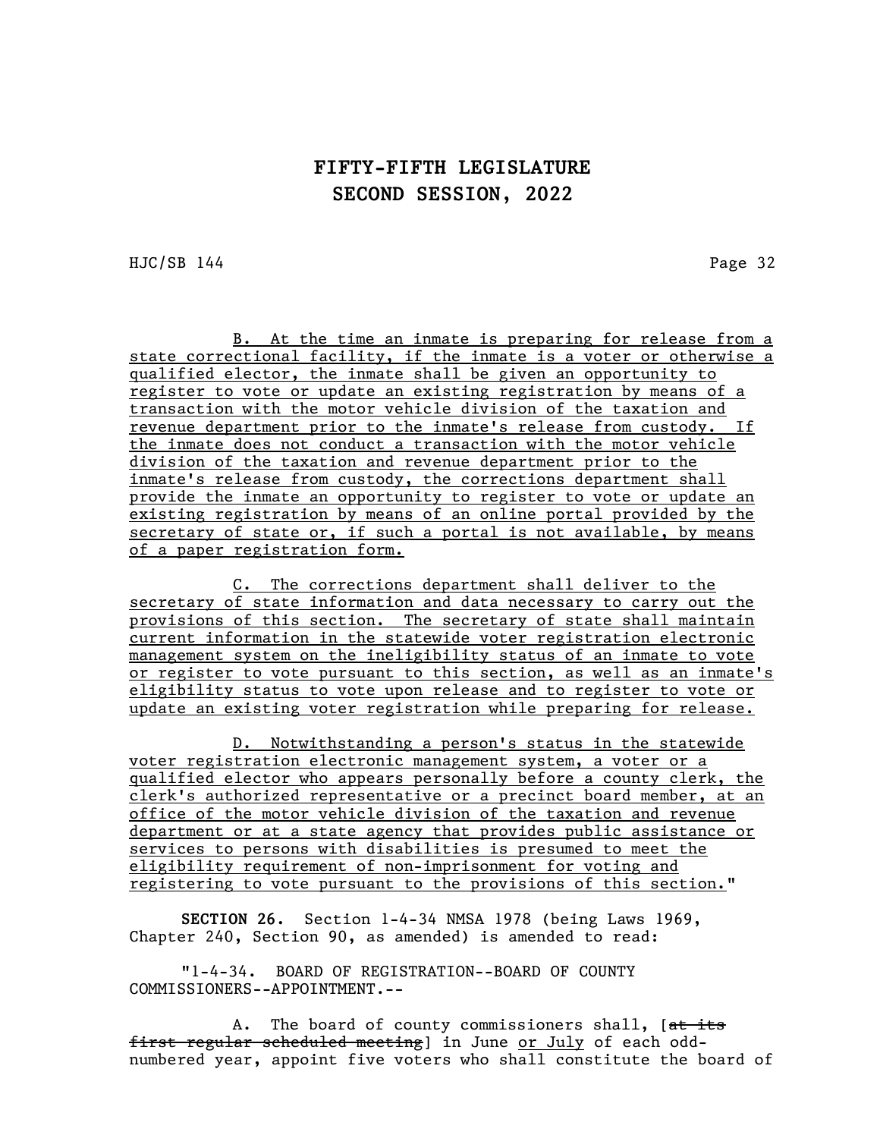HJC/SB 144 Page 32

B. At the time an inmate is preparing for release from a state correctional facility, if the inmate is a voter or otherwise a qualified elector, the inmate shall be given an opportunity to register to vote or update an existing registration by means of a transaction with the motor vehicle division of the taxation and revenue department prior to the inmate's release from custody. If the inmate does not conduct a transaction with the motor vehicle division of the taxation and revenue department prior to the inmate's release from custody, the corrections department shall provide the inmate an opportunity to register to vote or update an existing registration by means of an online portal provided by the secretary of state or, if such a portal is not available, by means of a paper registration form.

C. The corrections department shall deliver to the secretary of state information and data necessary to carry out the provisions of this section. The secretary of state shall maintain current information in the statewide voter registration electronic management system on the ineligibility status of an inmate to vote or register to vote pursuant to this section, as well as an inmate's eligibility status to vote upon release and to register to vote or update an existing voter registration while preparing for release.

D. Notwithstanding a person's status in the statewide voter registration electronic management system, a voter or a qualified elector who appears personally before a county clerk, the clerk's authorized representative or a precinct board member, at an office of the motor vehicle division of the taxation and revenue department or at a state agency that provides public assistance or services to persons with disabilities is presumed to meet the eligibility requirement of non-imprisonment for voting and registering to vote pursuant to the provisions of this section."

SECTION 26. Section 1-4-34 NMSA 1978 (being Laws 1969, Chapter 240, Section 90, as amended) is amended to read:

"1-4-34. BOARD OF REGISTRATION--BOARD OF COUNTY COMMISSIONERS--APPOINTMENT.--

A. The board of county commissioners shall, [at its first regular scheduled meeting] in June or July of each oddnumbered year, appoint five voters who shall constitute the board of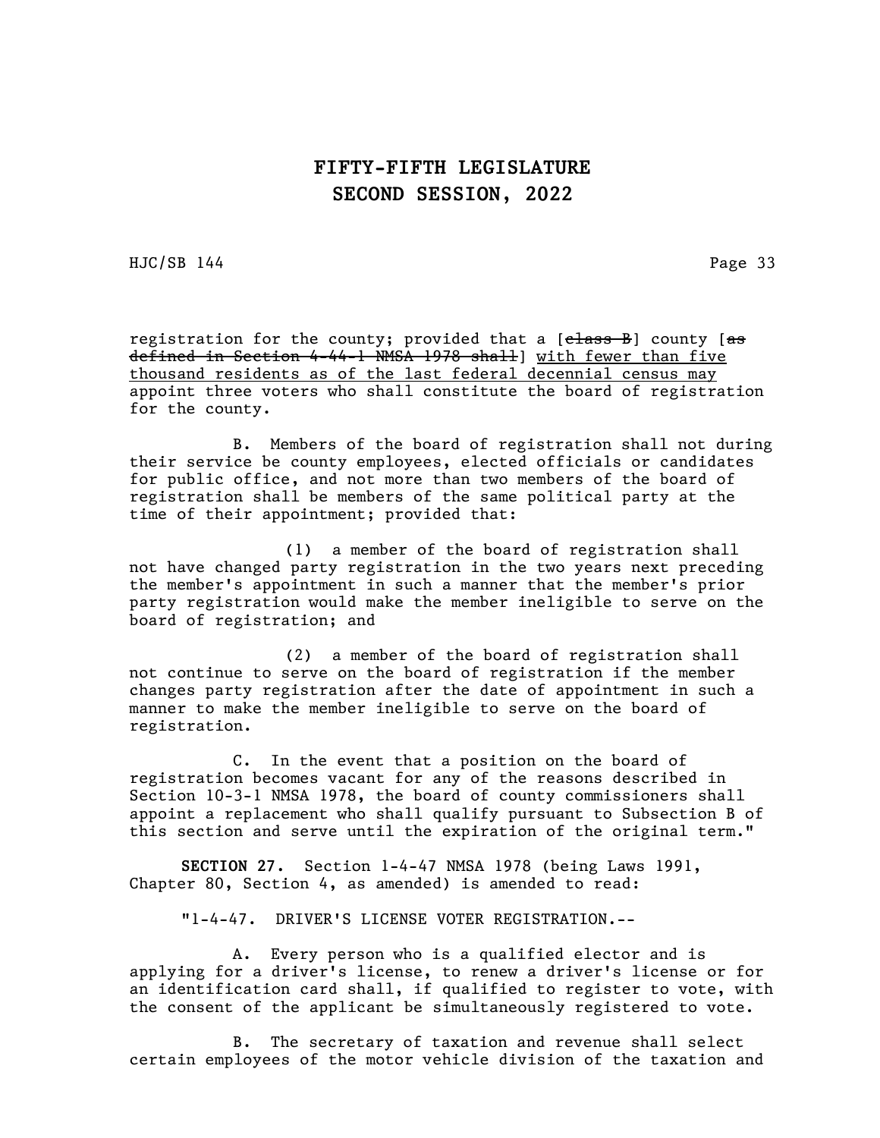HJC/SB 144 Page 33

registration for the county; provided that a [elass B] county [as defined in Section 4-44-1 NMSA 1978 shall] with fewer than five thousand residents as of the last federal decennial census may appoint three voters who shall constitute the board of registration for the county.

B. Members of the board of registration shall not during their service be county employees, elected officials or candidates for public office, and not more than two members of the board of registration shall be members of the same political party at the time of their appointment; provided that:

 (1) a member of the board of registration shall not have changed party registration in the two years next preceding the member's appointment in such a manner that the member's prior party registration would make the member ineligible to serve on the board of registration; and

(2) a member of the board of registration shall not continue to serve on the board of registration if the member changes party registration after the date of appointment in such a manner to make the member ineligible to serve on the board of registration.

C. In the event that a position on the board of registration becomes vacant for any of the reasons described in Section 10-3-1 NMSA 1978, the board of county commissioners shall appoint a replacement who shall qualify pursuant to Subsection B of this section and serve until the expiration of the original term."

SECTION 27. Section 1-4-47 NMSA 1978 (being Laws 1991, Chapter 80, Section 4, as amended) is amended to read:

"1-4-47. DRIVER'S LICENSE VOTER REGISTRATION.--

A. Every person who is a qualified elector and is applying for a driver's license, to renew a driver's license or for an identification card shall, if qualified to register to vote, with the consent of the applicant be simultaneously registered to vote.

B. The secretary of taxation and revenue shall select certain employees of the motor vehicle division of the taxation and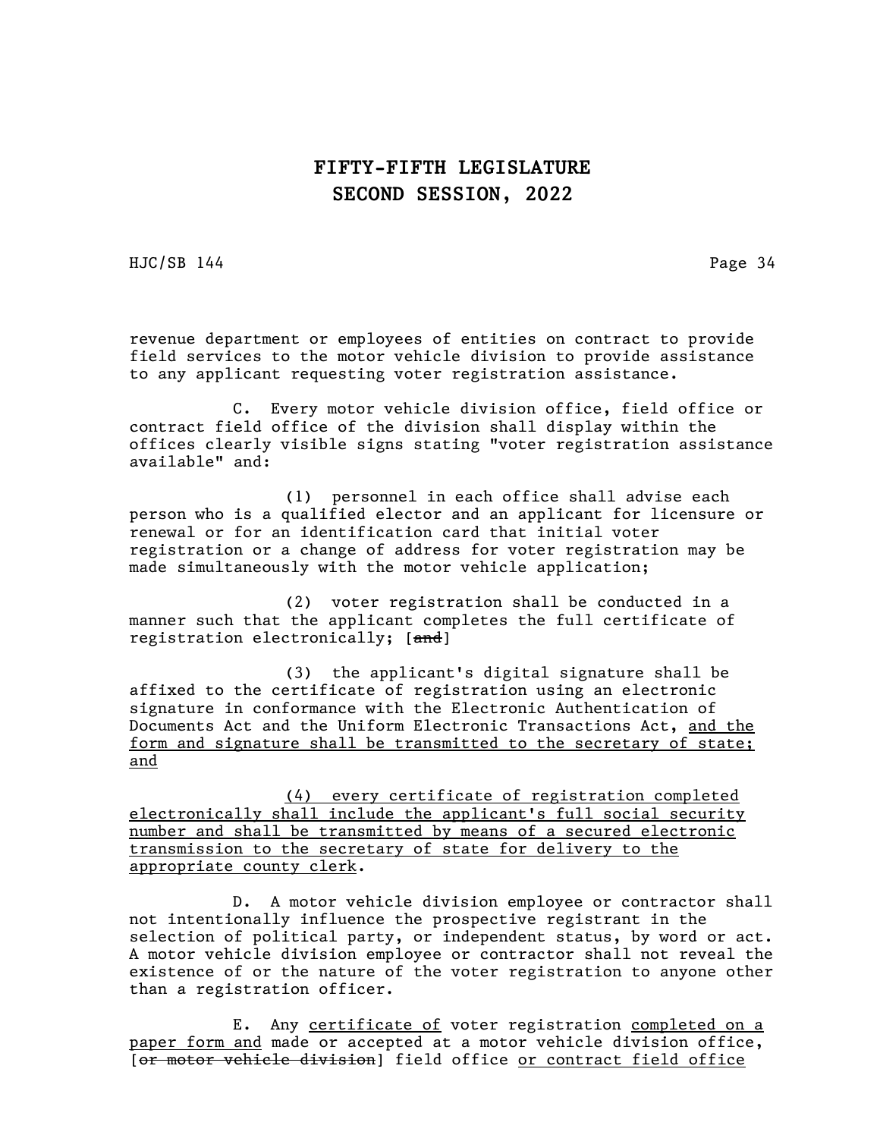HJC/SB 144 Page 34

revenue department or employees of entities on contract to provide field services to the motor vehicle division to provide assistance to any applicant requesting voter registration assistance.

C. Every motor vehicle division office, field office or contract field office of the division shall display within the offices clearly visible signs stating "voter registration assistance available" and:

(1) personnel in each office shall advise each person who is a qualified elector and an applicant for licensure or renewal or for an identification card that initial voter registration or a change of address for voter registration may be made simultaneously with the motor vehicle application;

(2) voter registration shall be conducted in a manner such that the applicant completes the full certificate of registration electronically; [and]

(3) the applicant's digital signature shall be affixed to the certificate of registration using an electronic signature in conformance with the Electronic Authentication of Documents Act and the Uniform Electronic Transactions Act, and the form and signature shall be transmitted to the secretary of state; and

(4) every certificate of registration completed electronically shall include the applicant's full social security number and shall be transmitted by means of a secured electronic transmission to the secretary of state for delivery to the appropriate county clerk.

D. A motor vehicle division employee or contractor shall not intentionally influence the prospective registrant in the selection of political party, or independent status, by word or act. A motor vehicle division employee or contractor shall not reveal the existence of or the nature of the voter registration to anyone other than a registration officer.

E. Any certificate of voter registration completed on a paper form and made or accepted at a motor vehicle division office, [or motor vehicle division] field office or contract field office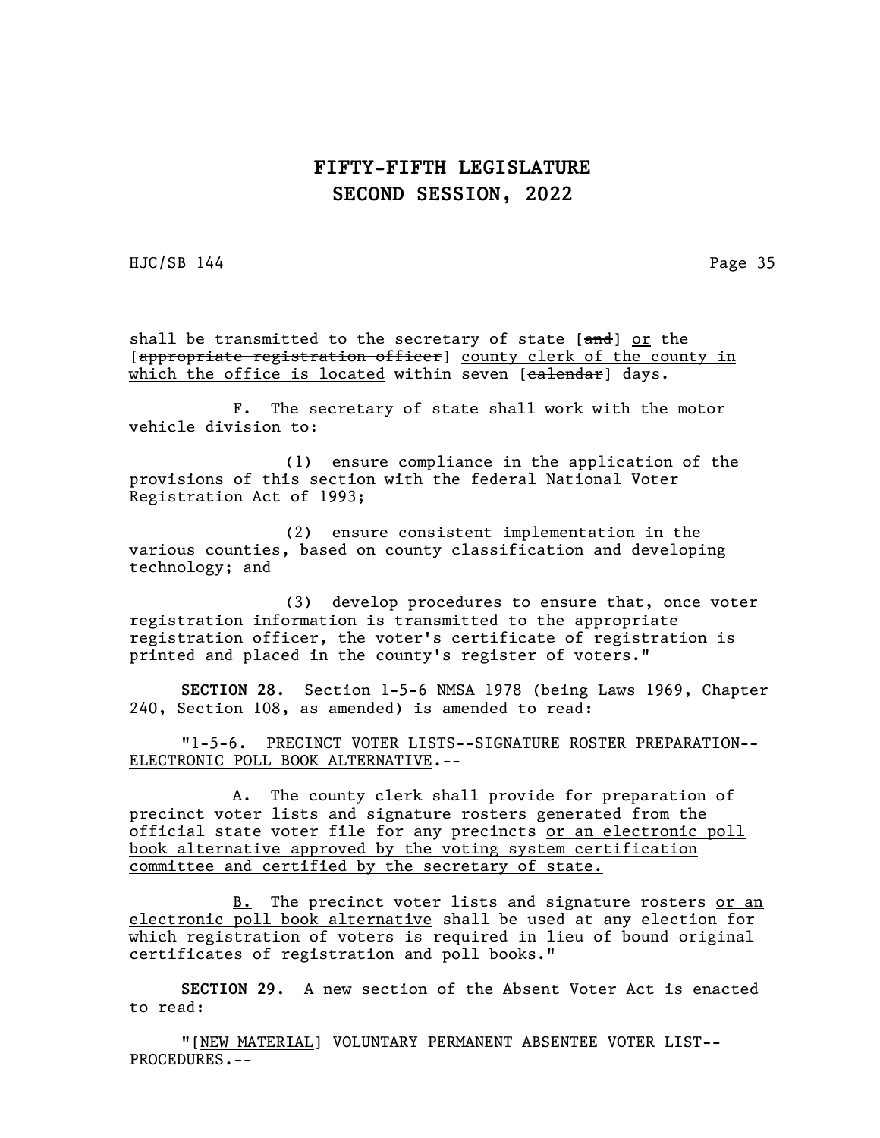HJC/SB 144 Page 35

shall be transmitted to the secretary of state [and] or the [appropriate registration officer] county clerk of the county in which the office is located within seven [calendar] days.

F. The secretary of state shall work with the motor vehicle division to:

(1) ensure compliance in the application of the provisions of this section with the federal National Voter Registration Act of 1993;

(2) ensure consistent implementation in the various counties, based on county classification and developing technology; and

(3) develop procedures to ensure that, once voter registration information is transmitted to the appropriate registration officer, the voter's certificate of registration is printed and placed in the county's register of voters."

SECTION 28. Section 1-5-6 NMSA 1978 (being Laws 1969, Chapter 240, Section 108, as amended) is amended to read:

"1-5-6. PRECINCT VOTER LISTS--SIGNATURE ROSTER PREPARATION-- ELECTRONIC POLL BOOK ALTERNATIVE.--

A. The county clerk shall provide for preparation of precinct voter lists and signature rosters generated from the official state voter file for any precincts or an electronic poll book alternative approved by the voting system certification committee and certified by the secretary of state.

B. The precinct voter lists and signature rosters or an electronic poll book alternative shall be used at any election for which registration of voters is required in lieu of bound original certificates of registration and poll books."

SECTION 29. A new section of the Absent Voter Act is enacted to read:

"[NEW MATERIAL] VOLUNTARY PERMANENT ABSENTEE VOTER LIST-- PROCEDURES.--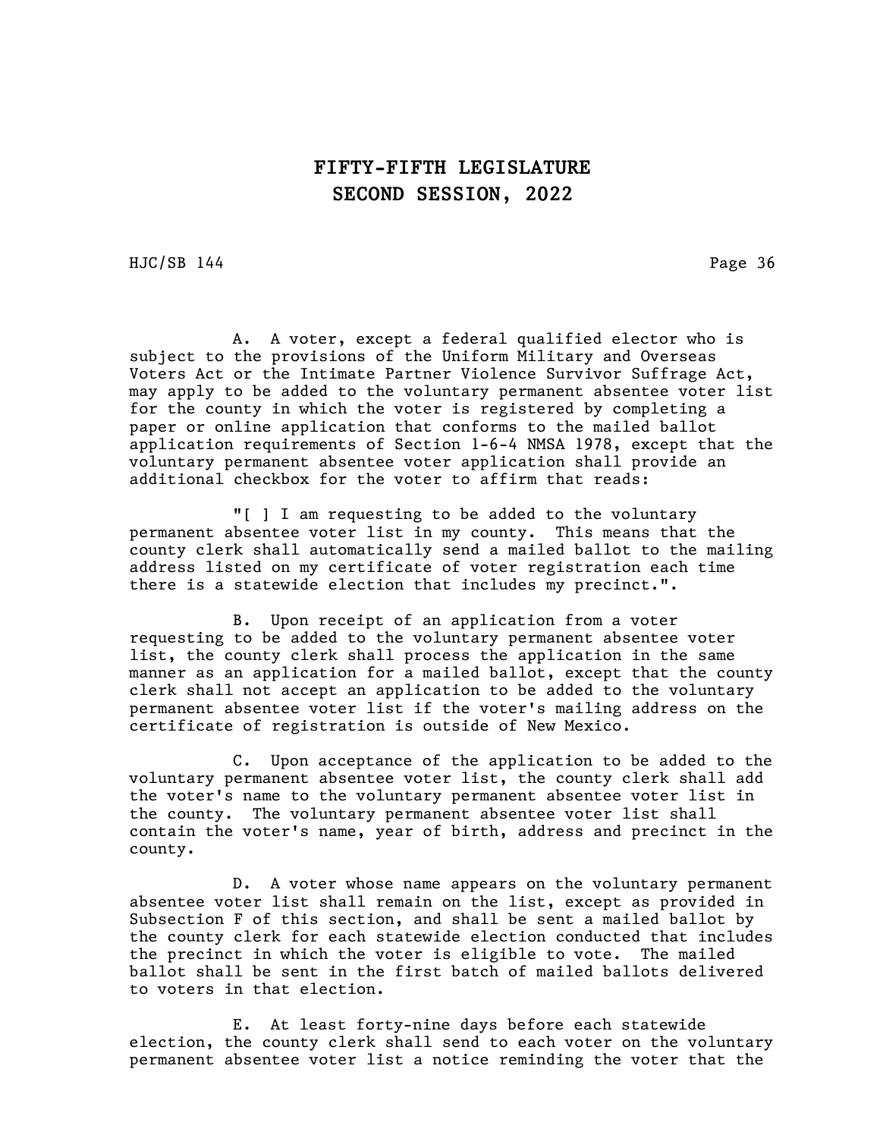HJC/SB 144 Page 36

A. A voter, except a federal qualified elector who is subject to the provisions of the Uniform Military and Overseas Voters Act or the Intimate Partner Violence Survivor Suffrage Act, may apply to be added to the voluntary permanent absentee voter list for the county in which the voter is registered by completing a paper or online application that conforms to the mailed ballot application requirements of Section 1-6-4 NMSA 1978, except that the voluntary permanent absentee voter application shall provide an additional checkbox for the voter to affirm that reads:

"[ ] I am requesting to be added to the voluntary permanent absentee voter list in my county. This means that the county clerk shall automatically send a mailed ballot to the mailing address listed on my certificate of voter registration each time there is a statewide election that includes my precinct.".

B. Upon receipt of an application from a voter requesting to be added to the voluntary permanent absentee voter list, the county clerk shall process the application in the same manner as an application for a mailed ballot, except that the county clerk shall not accept an application to be added to the voluntary permanent absentee voter list if the voter's mailing address on the certificate of registration is outside of New Mexico.

C. Upon acceptance of the application to be added to the voluntary permanent absentee voter list, the county clerk shall add the voter's name to the voluntary permanent absentee voter list in the county. The voluntary permanent absentee voter list shall contain the voter's name, year of birth, address and precinct in the county.

D. A voter whose name appears on the voluntary permanent absentee voter list shall remain on the list, except as provided in Subsection F of this section, and shall be sent a mailed ballot by the county clerk for each statewide election conducted that includes the precinct in which the voter is eligible to vote. The mailed ballot shall be sent in the first batch of mailed ballots delivered to voters in that election.

E. At least forty-nine days before each statewide election, the county clerk shall send to each voter on the voluntary permanent absentee voter list a notice reminding the voter that the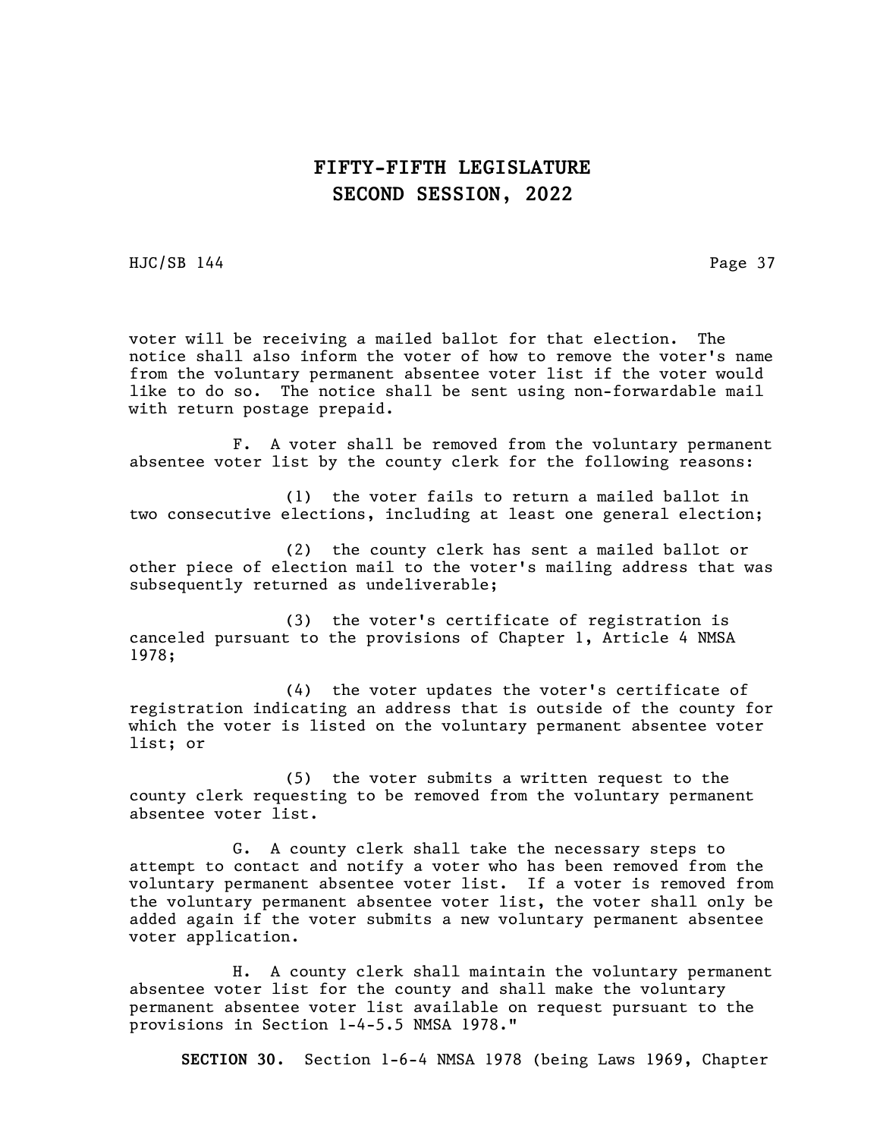HJC/SB 144 Page 37

voter will be receiving a mailed ballot for that election. The notice shall also inform the voter of how to remove the voter's name from the voluntary permanent absentee voter list if the voter would like to do so. The notice shall be sent using non-forwardable mail with return postage prepaid.

F. A voter shall be removed from the voluntary permanent absentee voter list by the county clerk for the following reasons:

(1) the voter fails to return a mailed ballot in two consecutive elections, including at least one general election;

(2) the county clerk has sent a mailed ballot or other piece of election mail to the voter's mailing address that was subsequently returned as undeliverable;

(3) the voter's certificate of registration is canceled pursuant to the provisions of Chapter 1, Article 4 NMSA 1978;

(4) the voter updates the voter's certificate of registration indicating an address that is outside of the county for which the voter is listed on the voluntary permanent absentee voter list; or

(5) the voter submits a written request to the county clerk requesting to be removed from the voluntary permanent absentee voter list.

G. A county clerk shall take the necessary steps to attempt to contact and notify a voter who has been removed from the voluntary permanent absentee voter list. If a voter is removed from the voluntary permanent absentee voter list, the voter shall only be added again if the voter submits a new voluntary permanent absentee voter application.

H. A county clerk shall maintain the voluntary permanent absentee voter list for the county and shall make the voluntary permanent absentee voter list available on request pursuant to the provisions in Section 1-4-5.5 NMSA 1978."

SECTION 30. Section 1-6-4 NMSA 1978 (being Laws 1969, Chapter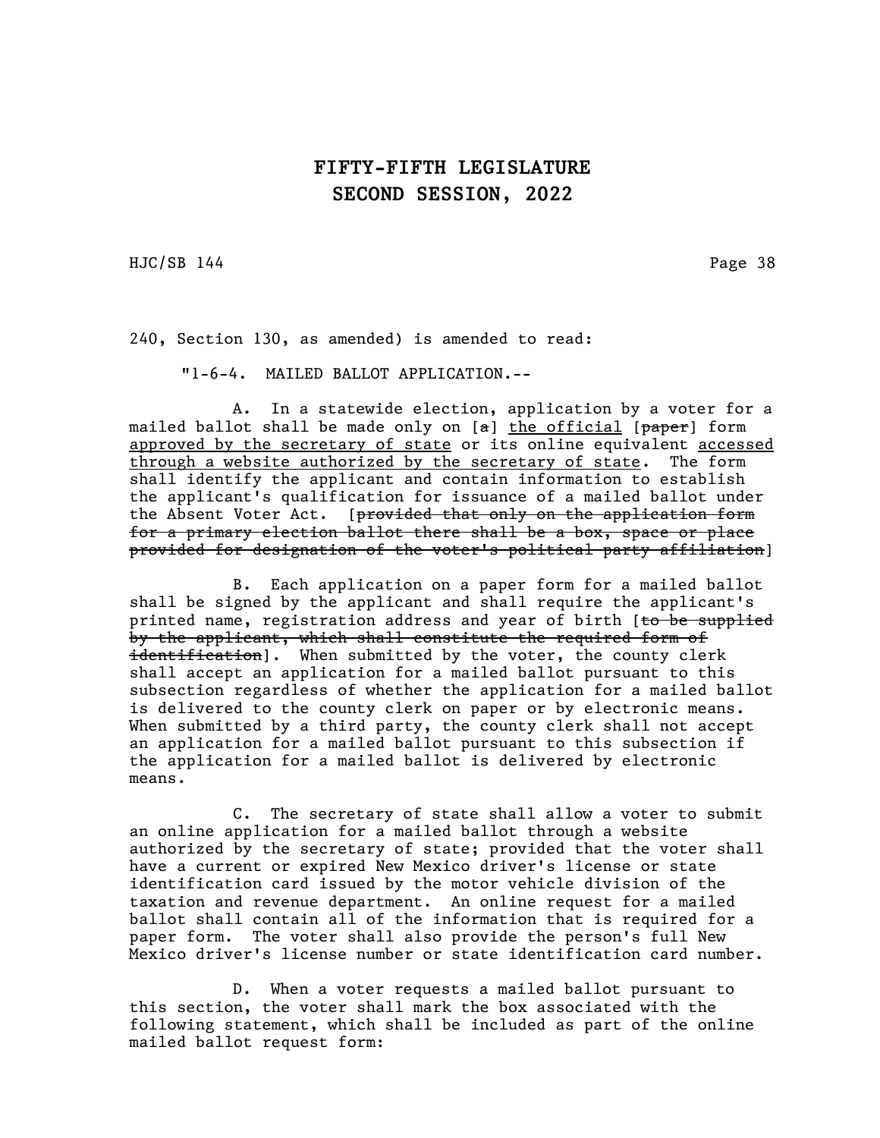HJC/SB 144 Page 38

240, Section 130, as amended) is amended to read:

"1-6-4. MAILED BALLOT APPLICATION.--

A. In a statewide election, application by a voter for a mailed ballot shall be made only on [a] the official [paper] form approved by the secretary of state or its online equivalent accessed through a website authorized by the secretary of state. The form shall identify the applicant and contain information to establish the applicant's qualification for issuance of a mailed ballot under the Absent Voter Act. [provided that only on the application form for a primary election ballot there shall be a box, space or place provided for designation of the voter's political party affiliation]

B. Each application on a paper form for a mailed ballot shall be signed by the applicant and shall require the applicant's printed name, registration address and year of birth [to be supplied by the applicant, which shall constitute the required form of identification]. When submitted by the voter, the county clerk shall accept an application for a mailed ballot pursuant to this subsection regardless of whether the application for a mailed ballot is delivered to the county clerk on paper or by electronic means. When submitted by a third party, the county clerk shall not accept an application for a mailed ballot pursuant to this subsection if the application for a mailed ballot is delivered by electronic means.

C. The secretary of state shall allow a voter to submit an online application for a mailed ballot through a website authorized by the secretary of state; provided that the voter shall have a current or expired New Mexico driver's license or state identification card issued by the motor vehicle division of the taxation and revenue department. An online request for a mailed ballot shall contain all of the information that is required for a paper form. The voter shall also provide the person's full New Mexico driver's license number or state identification card number.

D. When a voter requests a mailed ballot pursuant to this section, the voter shall mark the box associated with the following statement, which shall be included as part of the online mailed ballot request form: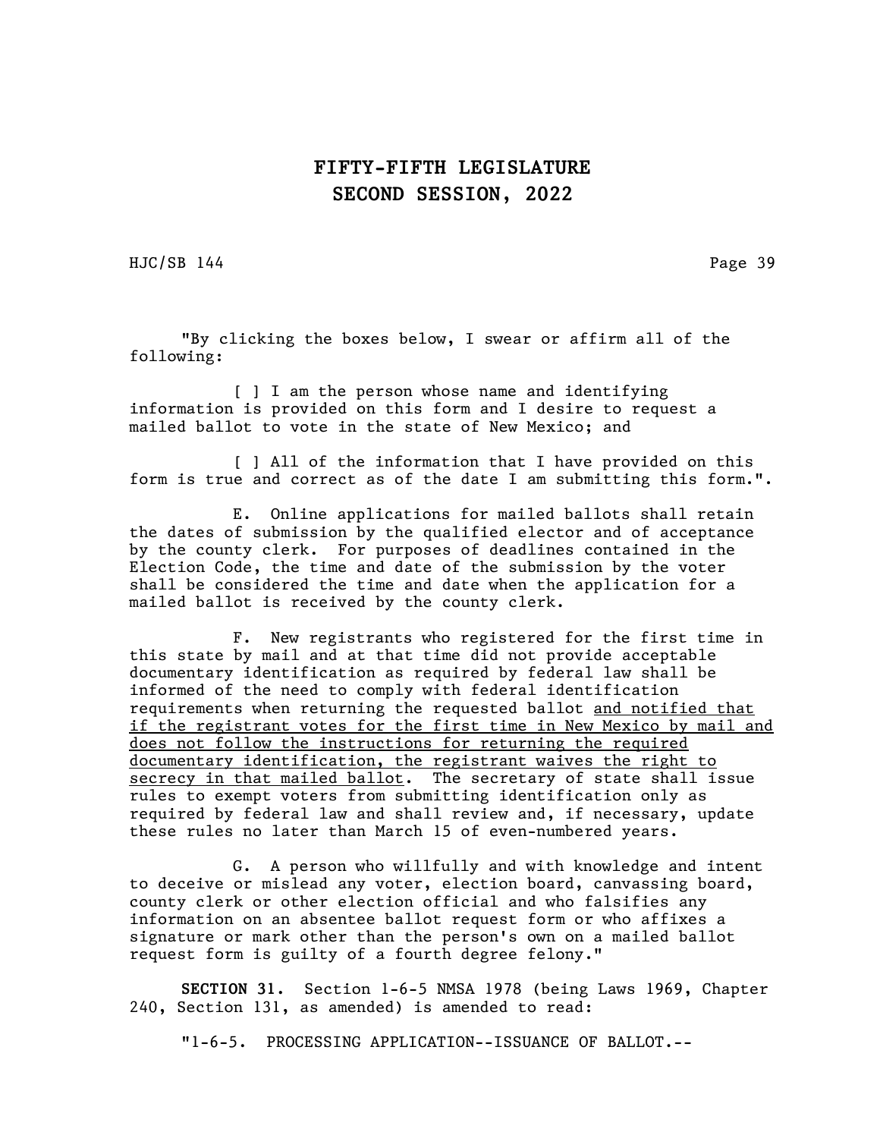HJC/SB 144 Page 39

"By clicking the boxes below, I swear or affirm all of the following:

[ ] I am the person whose name and identifying information is provided on this form and I desire to request a mailed ballot to vote in the state of New Mexico; and

[ ] All of the information that I have provided on this form is true and correct as of the date I am submitting this form.".

E. Online applications for mailed ballots shall retain the dates of submission by the qualified elector and of acceptance by the county clerk. For purposes of deadlines contained in the Election Code, the time and date of the submission by the voter shall be considered the time and date when the application for a mailed ballot is received by the county clerk.

F. New registrants who registered for the first time in this state by mail and at that time did not provide acceptable documentary identification as required by federal law shall be informed of the need to comply with federal identification requirements when returning the requested ballot and notified that if the registrant votes for the first time in New Mexico by mail and does not follow the instructions for returning the required documentary identification, the registrant waives the right to secrecy in that mailed ballot. The secretary of state shall issue rules to exempt voters from submitting identification only as required by federal law and shall review and, if necessary, update these rules no later than March 15 of even-numbered years.

G. A person who willfully and with knowledge and intent to deceive or mislead any voter, election board, canvassing board, county clerk or other election official and who falsifies any information on an absentee ballot request form or who affixes a signature or mark other than the person's own on a mailed ballot request form is guilty of a fourth degree felony."

SECTION 31. Section 1-6-5 NMSA 1978 (being Laws 1969, Chapter 240, Section 131, as amended) is amended to read:

"1-6-5. PROCESSING APPLICATION--ISSUANCE OF BALLOT.--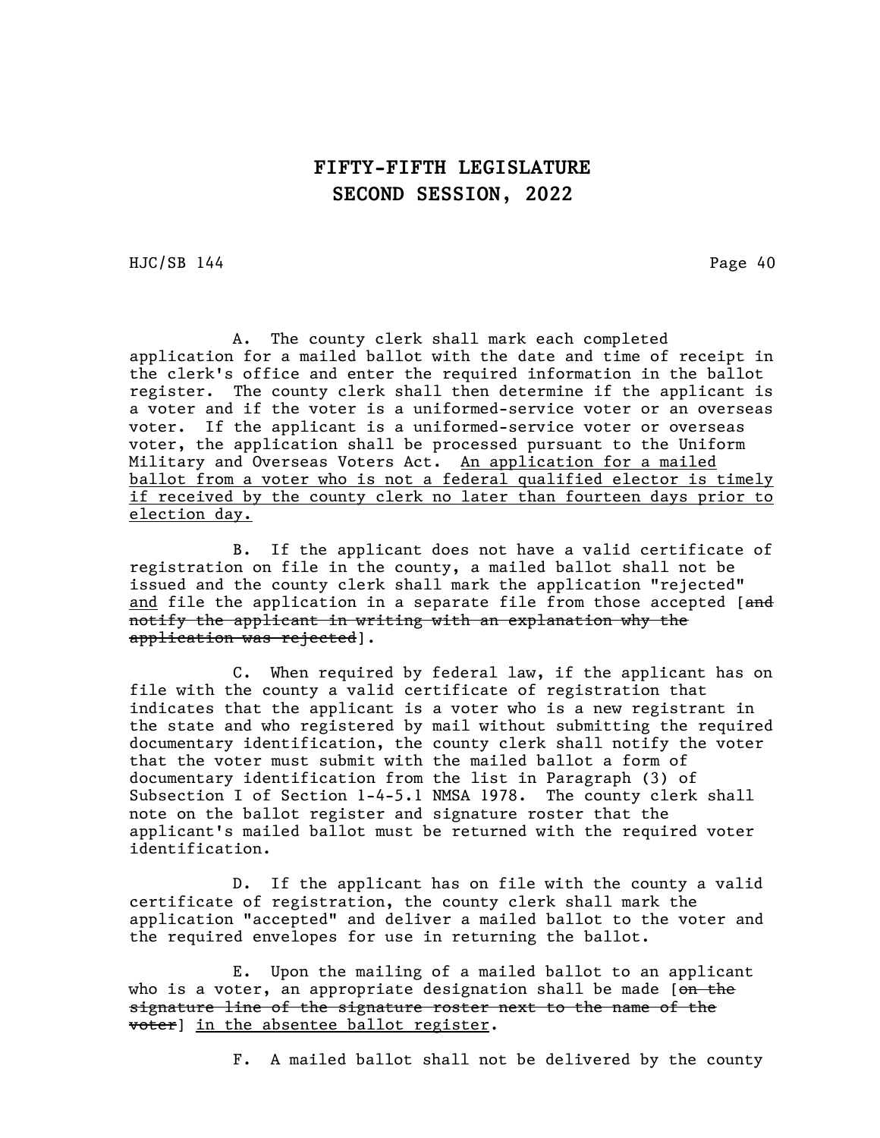HJC/SB 144 Page 40

A. The county clerk shall mark each completed application for a mailed ballot with the date and time of receipt in the clerk's office and enter the required information in the ballot register. The county clerk shall then determine if the applicant is a voter and if the voter is a uniformed-service voter or an overseas voter. If the applicant is a uniformed-service voter or overseas voter, the application shall be processed pursuant to the Uniform Military and Overseas Voters Act. An application for a mailed ballot from a voter who is not a federal qualified elector is timely if received by the county clerk no later than fourteen days prior to election day.

B. If the applicant does not have a valid certificate of registration on file in the county, a mailed ballot shall not be issued and the county clerk shall mark the application "rejected" and file the application in a separate file from those accepted [and notify the applicant in writing with an explanation why the application was rejected].

C. When required by federal law, if the applicant has on file with the county a valid certificate of registration that indicates that the applicant is a voter who is a new registrant in the state and who registered by mail without submitting the required documentary identification, the county clerk shall notify the voter that the voter must submit with the mailed ballot a form of documentary identification from the list in Paragraph (3) of Subsection I of Section 1-4-5.1 NMSA 1978. The county clerk shall note on the ballot register and signature roster that the applicant's mailed ballot must be returned with the required voter identification.

D. If the applicant has on file with the county a valid certificate of registration, the county clerk shall mark the application "accepted" and deliver a mailed ballot to the voter and the required envelopes for use in returning the ballot.

E. Upon the mailing of a mailed ballot to an applicant who is a voter, an appropriate designation shall be made  $[*on the*]$ signature line of the signature roster next to the name of the voter] in the absentee ballot register.

F. A mailed ballot shall not be delivered by the county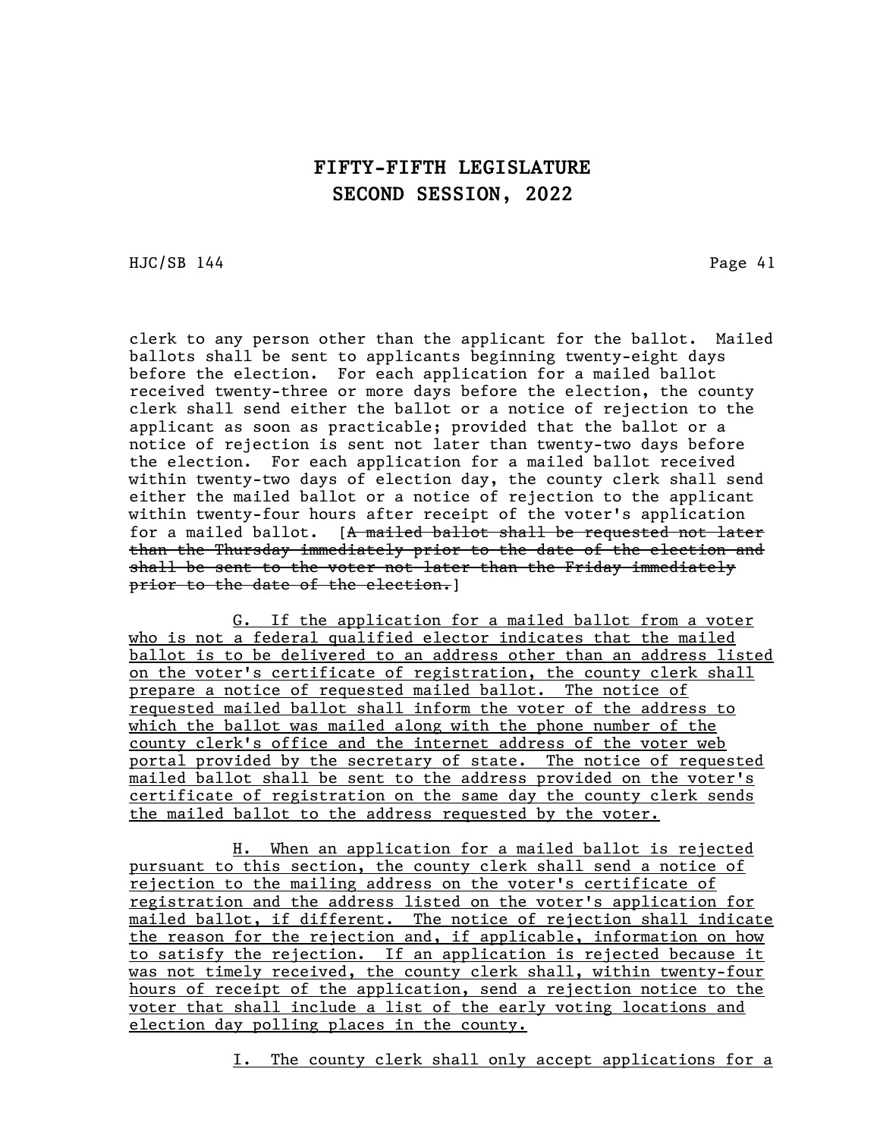HJC/SB 144 Page 41

clerk to any person other than the applicant for the ballot. Mailed ballots shall be sent to applicants beginning twenty-eight days before the election. For each application for a mailed ballot received twenty-three or more days before the election, the county clerk shall send either the ballot or a notice of rejection to the applicant as soon as practicable; provided that the ballot or a notice of rejection is sent not later than twenty-two days before the election. For each application for a mailed ballot received within twenty-two days of election day, the county clerk shall send either the mailed ballot or a notice of rejection to the applicant within twenty-four hours after receipt of the voter's application for a mailed ballot.  $[A \text{ mailed ballot shallot} be requested not later]$ than the Thursday immediately prior to the date of the election and shall be sent to the voter not later than the Friday immediately prior to the date of the election.]

G. If the application for a mailed ballot from a voter who is not a federal qualified elector indicates that the mailed ballot is to be delivered to an address other than an address listed on the voter's certificate of registration, the county clerk shall prepare a notice of requested mailed ballot. The notice of requested mailed ballot shall inform the voter of the address to which the ballot was mailed along with the phone number of the county clerk's office and the internet address of the voter web portal provided by the secretary of state. The notice of requested mailed ballot shall be sent to the address provided on the voter's certificate of registration on the same day the county clerk sends the mailed ballot to the address requested by the voter.

H. When an application for a mailed ballot is rejected pursuant to this section, the county clerk shall send a notice of rejection to the mailing address on the voter's certificate of registration and the address listed on the voter's application for mailed ballot, if different. The notice of rejection shall indicate the reason for the rejection and, if applicable, information on how to satisfy the rejection. If an application is rejected because it was not timely received, the county clerk shall, within twenty-four hours of receipt of the application, send a rejection notice to the voter that shall include a list of the early voting locations and election day polling places in the county.

I. The county clerk shall only accept applications for a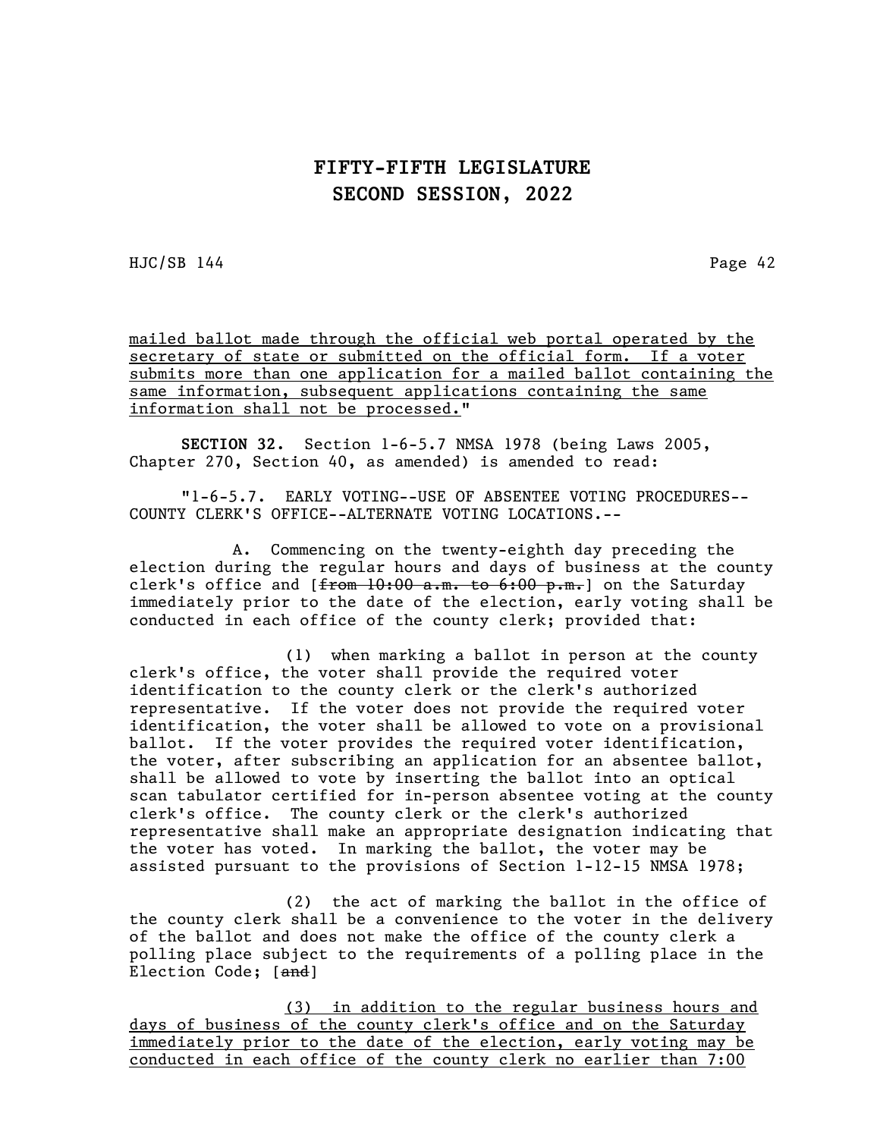HJC/SB 144 Page 42

mailed ballot made through the official web portal operated by the secretary of state or submitted on the official form. If a voter submits more than one application for a mailed ballot containing the same information, subsequent applications containing the same information shall not be processed."

SECTION 32. Section 1-6-5.7 NMSA 1978 (being Laws 2005, Chapter 270, Section 40, as amended) is amended to read:

"1-6-5.7. EARLY VOTING--USE OF ABSENTEE VOTING PROCEDURES-- COUNTY CLERK'S OFFICE--ALTERNATE VOTING LOCATIONS.--

A. Commencing on the twenty-eighth day preceding the election during the regular hours and days of business at the county clerk's office and [from 10:00 a.m. to 6:00 p.m.] on the Saturday immediately prior to the date of the election, early voting shall be conducted in each office of the county clerk; provided that:

(1) when marking a ballot in person at the county clerk's office, the voter shall provide the required voter identification to the county clerk or the clerk's authorized representative. If the voter does not provide the required voter identification, the voter shall be allowed to vote on a provisional ballot. If the voter provides the required voter identification, the voter, after subscribing an application for an absentee ballot, shall be allowed to vote by inserting the ballot into an optical scan tabulator certified for in-person absentee voting at the county clerk's office. The county clerk or the clerk's authorized representative shall make an appropriate designation indicating that the voter has voted. In marking the ballot, the voter may be assisted pursuant to the provisions of Section 1-12-15 NMSA 1978;

(2) the act of marking the ballot in the office of the county clerk shall be a convenience to the voter in the delivery of the ballot and does not make the office of the county clerk a polling place subject to the requirements of a polling place in the Election Code; [and]

(3) in addition to the regular business hours and days of business of the county clerk's office and on the Saturday immediately prior to the date of the election, early voting may be conducted in each office of the county clerk no earlier than 7:00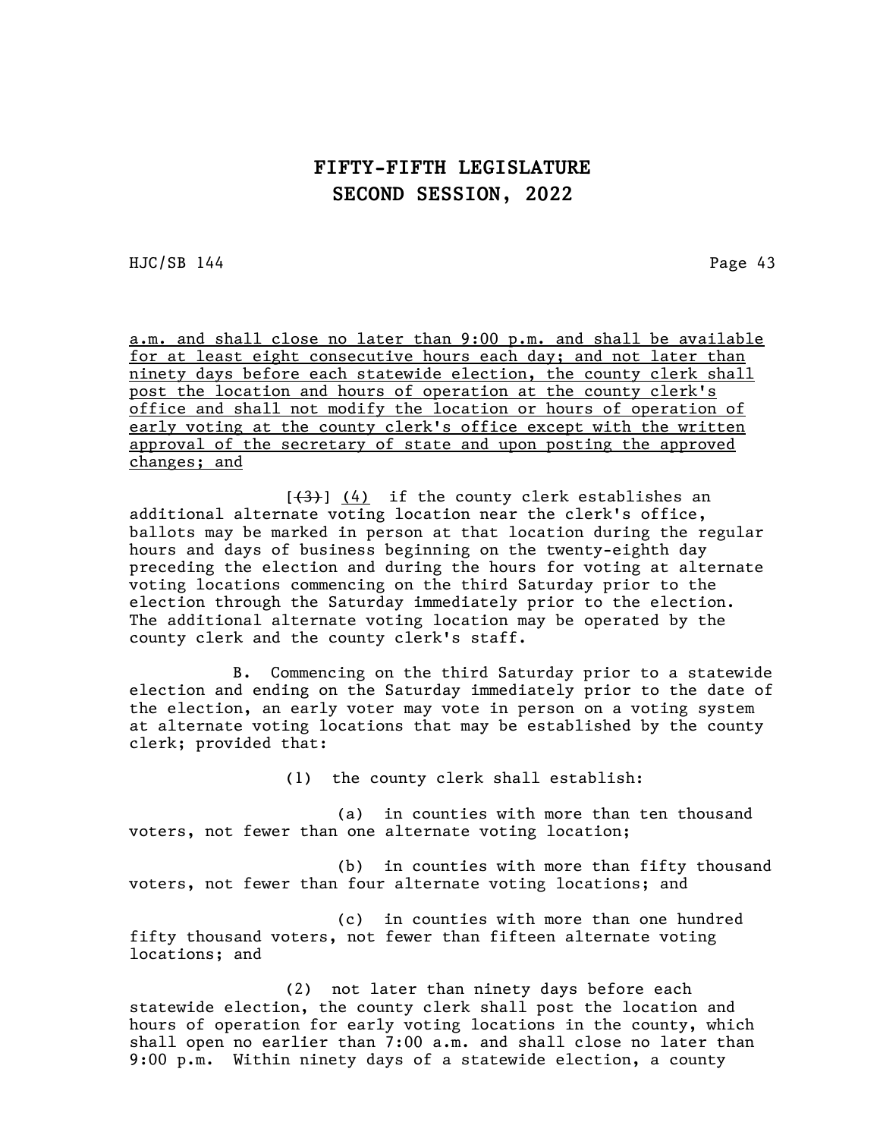HJC/SB 144 Page 43

a.m. and shall close no later than 9:00 p.m. and shall be available for at least eight consecutive hours each day; and not later than ninety days before each statewide election, the county clerk shall post the location and hours of operation at the county clerk's office and shall not modify the location or hours of operation of early voting at the county clerk's office except with the written approval of the secretary of state and upon posting the approved changes; and

 $[\frac{(4)}{4}]$  (4) if the county clerk establishes an additional alternate voting location near the clerk's office, ballots may be marked in person at that location during the regular hours and days of business beginning on the twenty-eighth day preceding the election and during the hours for voting at alternate voting locations commencing on the third Saturday prior to the election through the Saturday immediately prior to the election. The additional alternate voting location may be operated by the county clerk and the county clerk's staff.

B. Commencing on the third Saturday prior to a statewide election and ending on the Saturday immediately prior to the date of the election, an early voter may vote in person on a voting system at alternate voting locations that may be established by the county clerk; provided that:

(1) the county clerk shall establish:

(a) in counties with more than ten thousand voters, not fewer than one alternate voting location;

(b) in counties with more than fifty thousand voters, not fewer than four alternate voting locations; and

(c) in counties with more than one hundred fifty thousand voters, not fewer than fifteen alternate voting locations; and

(2) not later than ninety days before each statewide election, the county clerk shall post the location and hours of operation for early voting locations in the county, which shall open no earlier than 7:00 a.m. and shall close no later than 9:00 p.m. Within ninety days of a statewide election, a county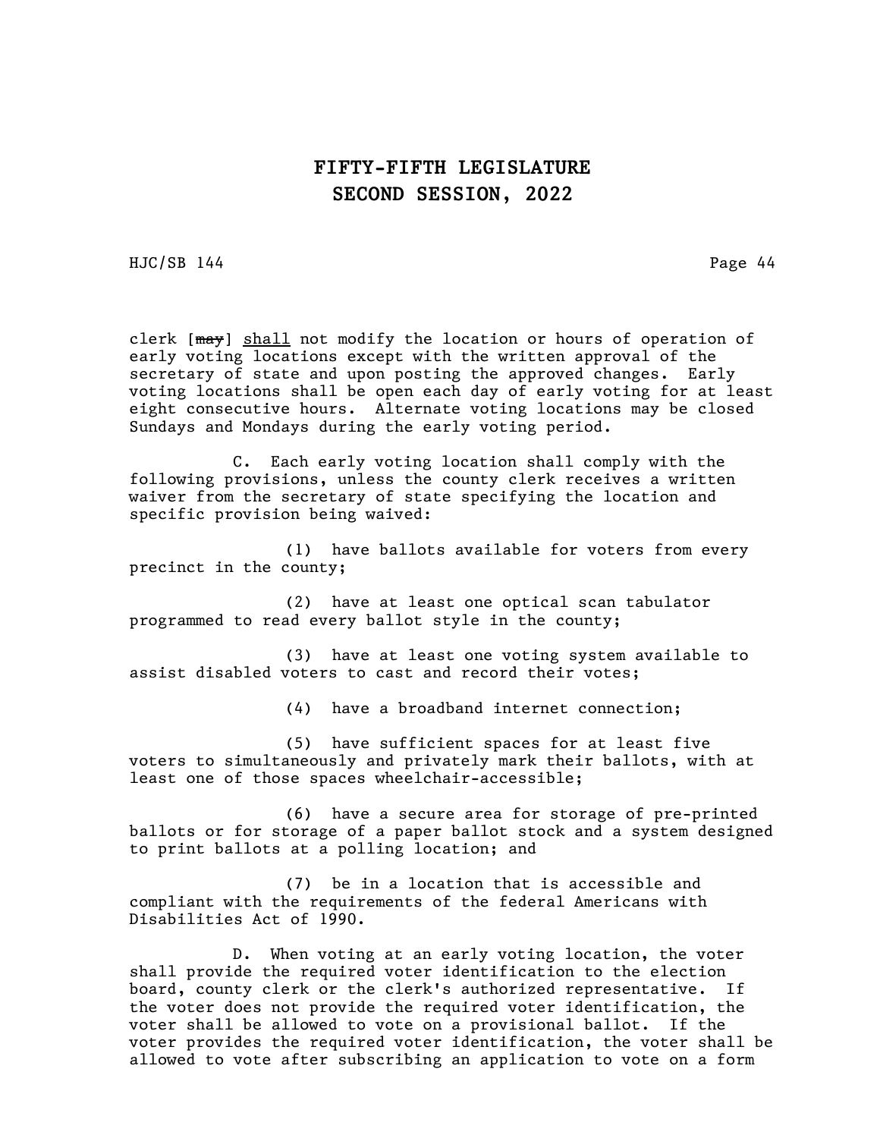HJC/SB 144 Page 44

clerk  $[\frac{max}{1}]$  shall not modify the location or hours of operation of early voting locations except with the written approval of the secretary of state and upon posting the approved changes. Early voting locations shall be open each day of early voting for at least eight consecutive hours. Alternate voting locations may be closed Sundays and Mondays during the early voting period.

C. Each early voting location shall comply with the following provisions, unless the county clerk receives a written waiver from the secretary of state specifying the location and specific provision being waived:

(1) have ballots available for voters from every precinct in the county;

(2) have at least one optical scan tabulator programmed to read every ballot style in the county;

(3) have at least one voting system available to assist disabled voters to cast and record their votes;

(4) have a broadband internet connection;

(5) have sufficient spaces for at least five voters to simultaneously and privately mark their ballots, with at least one of those spaces wheelchair-accessible;

(6) have a secure area for storage of pre-printed ballots or for storage of a paper ballot stock and a system designed to print ballots at a polling location; and

(7) be in a location that is accessible and compliant with the requirements of the federal Americans with Disabilities Act of 1990.

D. When voting at an early voting location, the voter shall provide the required voter identification to the election board, county clerk or the clerk's authorized representative. If the voter does not provide the required voter identification, the voter shall be allowed to vote on a provisional ballot. If the voter provides the required voter identification, the voter shall be allowed to vote after subscribing an application to vote on a form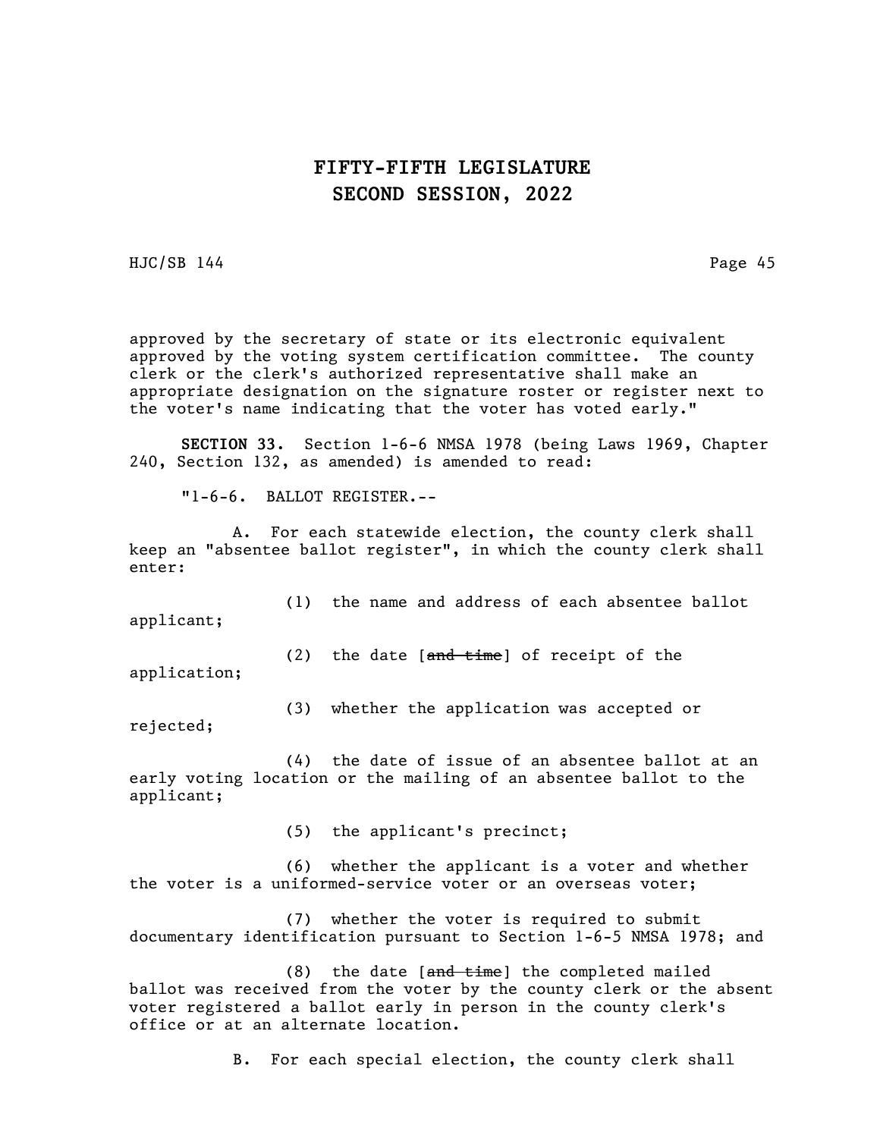HJC/SB 144 Page 45

approved by the secretary of state or its electronic equivalent approved by the voting system certification committee. The county clerk or the clerk's authorized representative shall make an appropriate designation on the signature roster or register next to the voter's name indicating that the voter has voted early."

SECTION 33. Section 1-6-6 NMSA 1978 (being Laws 1969, Chapter 240, Section 132, as amended) is amended to read:

"1-6-6. BALLOT REGISTER.--

A. For each statewide election, the county clerk shall keep an "absentee ballot register", in which the county clerk shall enter:

(1) the name and address of each absentee ballot applicant;

(2) the date  $[ $\frac{\text{and time}}{\text{time}}$ ] of receipt of the$ application;

(3) whether the application was accepted or

rejected;

(4) the date of issue of an absentee ballot at an early voting location or the mailing of an absentee ballot to the applicant;

(5) the applicant's precinct;

(6) whether the applicant is a voter and whether the voter is a uniformed-service voter or an overseas voter;

(7) whether the voter is required to submit documentary identification pursuant to Section 1-6-5 NMSA 1978; and

 $(8)$  the date [ $a$ nd time] the completed mailed ballot was received from the voter by the county clerk or the absent voter registered a ballot early in person in the county clerk's office or at an alternate location.

B. For each special election, the county clerk shall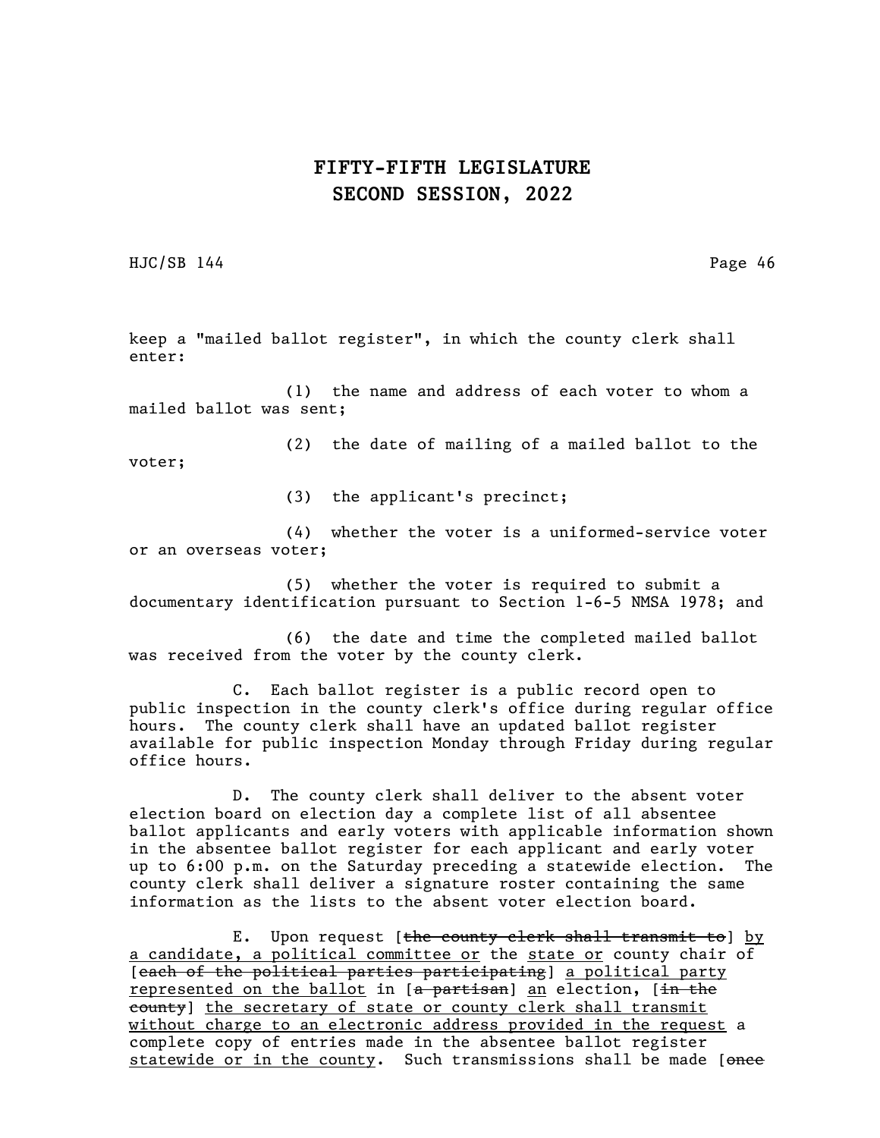HJC/SB 144 Page 46

keep a "mailed ballot register", in which the county clerk shall enter:

(1) the name and address of each voter to whom a mailed ballot was sent;

(2) the date of mailing of a mailed ballot to the voter;

(3) the applicant's precinct;

(4) whether the voter is a uniformed-service voter or an overseas voter;

(5) whether the voter is required to submit a documentary identification pursuant to Section 1-6-5 NMSA 1978; and

(6) the date and time the completed mailed ballot was received from the voter by the county clerk.

C. Each ballot register is a public record open to public inspection in the county clerk's office during regular office hours. The county clerk shall have an updated ballot register available for public inspection Monday through Friday during regular office hours.

D. The county clerk shall deliver to the absent voter election board on election day a complete list of all absentee ballot applicants and early voters with applicable information shown in the absentee ballot register for each applicant and early voter up to 6:00 p.m. on the Saturday preceding a statewide election. The county clerk shall deliver a signature roster containing the same information as the lists to the absent voter election board.

E. Upon request [the county clerk shall transmit to] by a candidate, a political committee or the state or county chair of [each of the political parties participating] a political party represented on the ballot in  $[a\text{-}partisan]$  an election,  $[\text{in the}]$ eounty] the secretary of state or county clerk shall transmit without charge to an electronic address provided in the request a complete copy of entries made in the absentee ballot register statewide or in the county. Such transmissions shall be made [once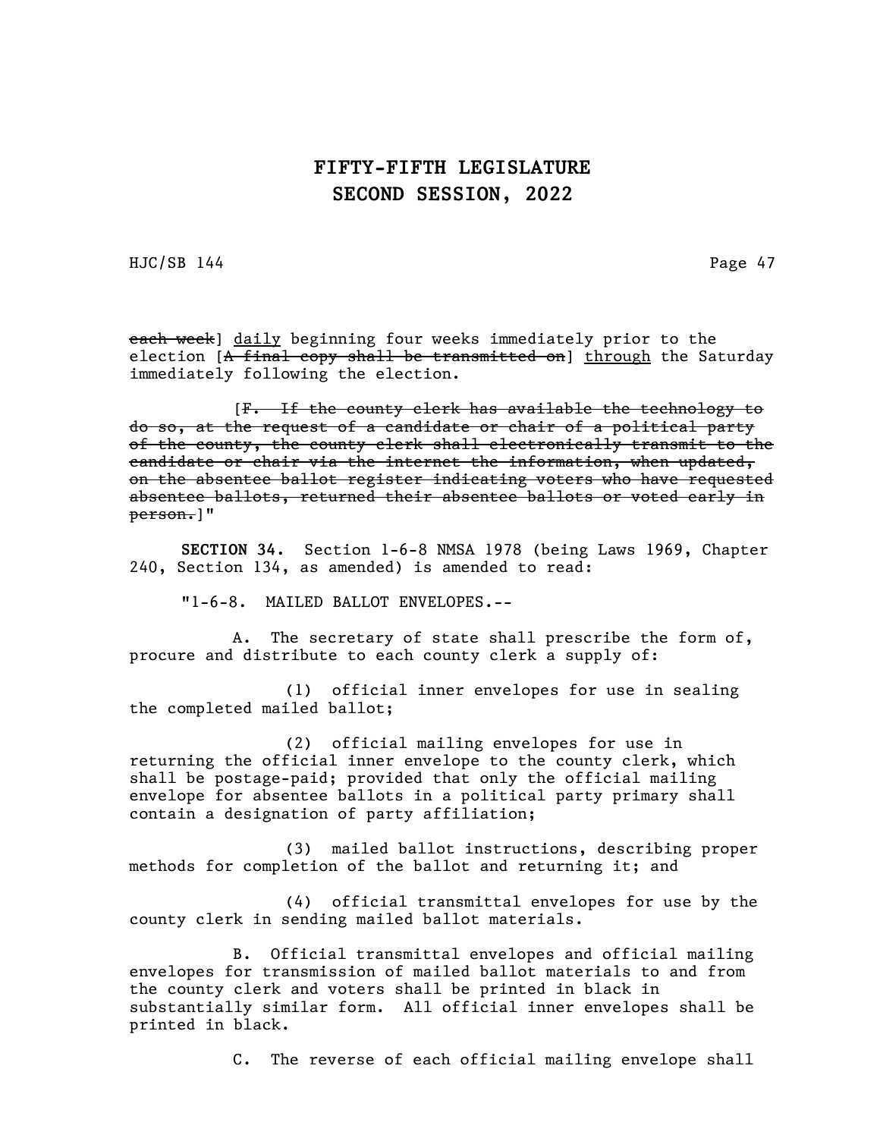HJC/SB 144 Page 47

each week] daily beginning four weeks immediately prior to the election [A final copy shall be transmitted on] through the Saturday immediately following the election.

[F. If the county clerk has available the technology to do so, at the request of a candidate or chair of a political party of the county, the county clerk shall electronically transmit to the candidate or chair via the internet the information, when updated, on the absentee ballot register indicating voters who have requested absentee ballots, returned their absentee ballots or voted early in person.]"

SECTION 34. Section 1-6-8 NMSA 1978 (being Laws 1969, Chapter 240, Section 134, as amended) is amended to read:

"1-6-8. MAILED BALLOT ENVELOPES.--

A. The secretary of state shall prescribe the form of, procure and distribute to each county clerk a supply of:

(1) official inner envelopes for use in sealing the completed mailed ballot;

(2) official mailing envelopes for use in returning the official inner envelope to the county clerk, which shall be postage-paid; provided that only the official mailing envelope for absentee ballots in a political party primary shall contain a designation of party affiliation;

(3) mailed ballot instructions, describing proper methods for completion of the ballot and returning it; and

(4) official transmittal envelopes for use by the county clerk in sending mailed ballot materials.

B. Official transmittal envelopes and official mailing envelopes for transmission of mailed ballot materials to and from the county clerk and voters shall be printed in black in substantially similar form. All official inner envelopes shall be printed in black.

C. The reverse of each official mailing envelope shall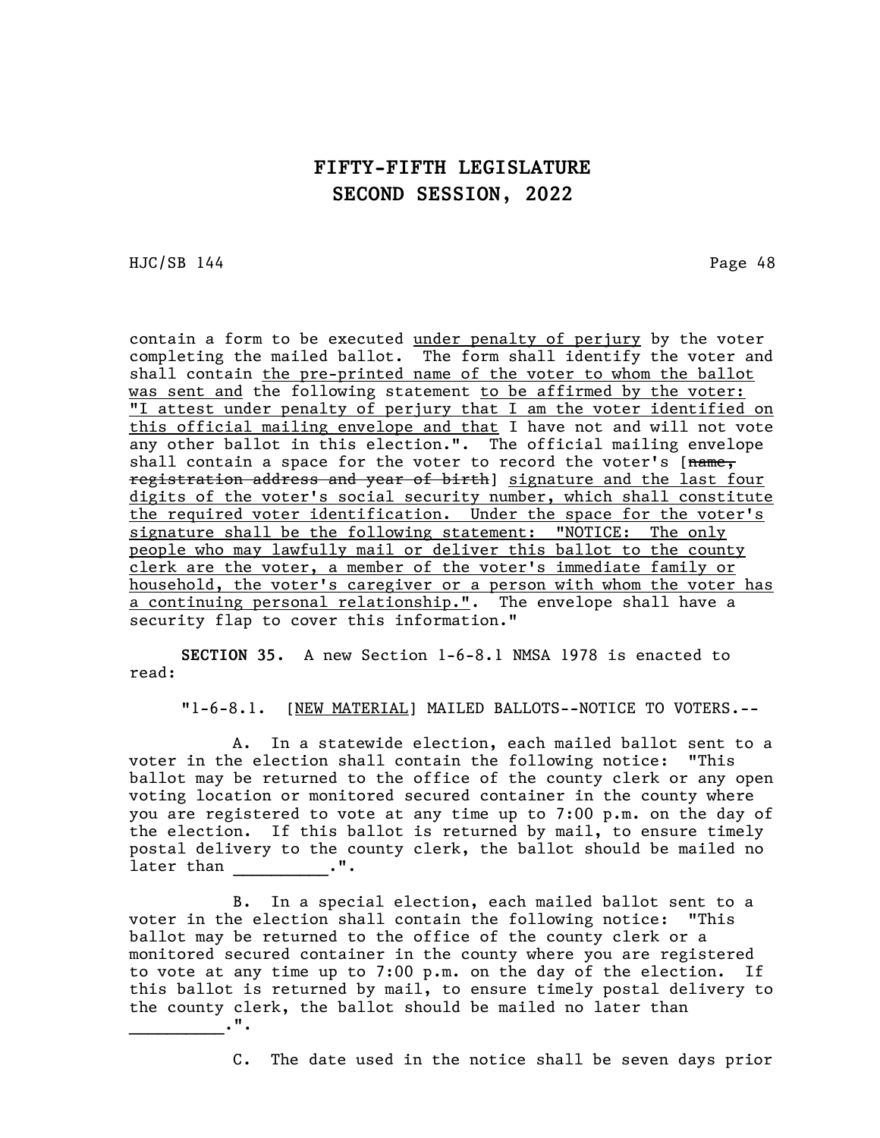HJC/SB 144 Page 48

contain a form to be executed under penalty of perjury by the voter completing the mailed ballot. The form shall identify the voter and shall contain the pre-printed name of the voter to whom the ballot was sent and the following statement to be affirmed by the voter: "I attest under penalty of perjury that I am the voter identified on this official mailing envelope and that I have not and will not vote any other ballot in this election.". The official mailing envelope shall contain a space for the voter to record the voter's  $[name,$ registration address and year of birth] signature and the last four digits of the voter's social security number, which shall constitute the required voter identification. Under the space for the voter's signature shall be the following statement: "NOTICE: The only people who may lawfully mail or deliver this ballot to the county clerk are the voter, a member of the voter's immediate family or household, the voter's caregiver or a person with whom the voter has a continuing personal relationship.". The envelope shall have a security flap to cover this information."

SECTION 35. A new Section 1-6-8.1 NMSA 1978 is enacted to read:

"1-6-8.1. [NEW MATERIAL] MAILED BALLOTS--NOTICE TO VOTERS.--

A. In a statewide election, each mailed ballot sent to a voter in the election shall contain the following notice: "This ballot may be returned to the office of the county clerk or any open voting location or monitored secured container in the county where you are registered to vote at any time up to 7:00 p.m. on the day of the election. If this ballot is returned by mail, to ensure timely postal delivery to the county clerk, the ballot should be mailed no later than  $\cdots$ 

B. In a special election, each mailed ballot sent to a voter in the election shall contain the following notice: "This ballot may be returned to the office of the county clerk or a monitored secured container in the county where you are registered to vote at any time up to 7:00 p.m. on the day of the election. If this ballot is returned by mail, to ensure timely postal delivery to the county clerk, the ballot should be mailed no later than  $\overline{\phantom{a}}$ .".

C. The date used in the notice shall be seven days prior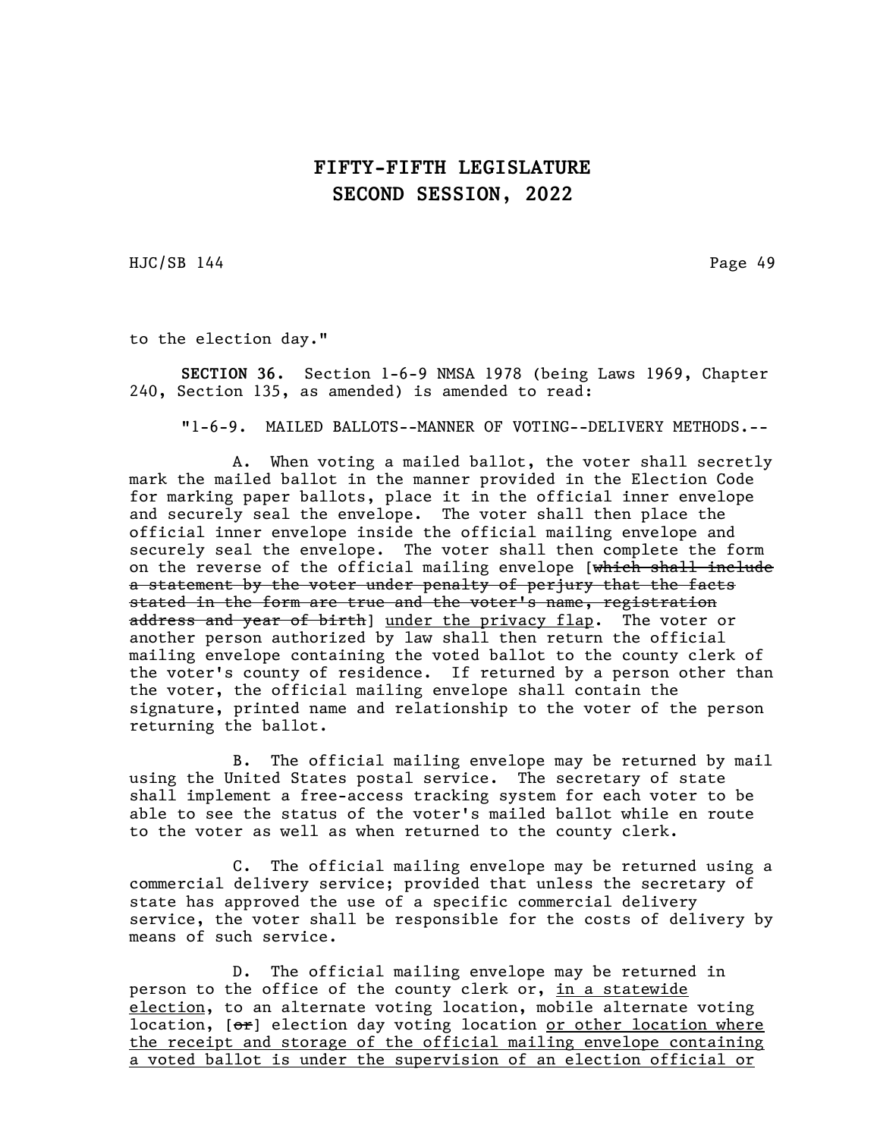HJC/SB 144 Page 49

to the election day."

SECTION 36. Section 1-6-9 NMSA 1978 (being Laws 1969, Chapter 240, Section 135, as amended) is amended to read:

"1-6-9. MAILED BALLOTS--MANNER OF VOTING--DELIVERY METHODS.--

A. When voting a mailed ballot, the voter shall secretly mark the mailed ballot in the manner provided in the Election Code for marking paper ballots, place it in the official inner envelope and securely seal the envelope. The voter shall then place the official inner envelope inside the official mailing envelope and securely seal the envelope. The voter shall then complete the form on the reverse of the official mailing envelope [which shall include a statement by the voter under penalty of perjury that the facts stated in the form are true and the voter's name, registration address and year of birth] under the privacy flap. The voter or another person authorized by law shall then return the official mailing envelope containing the voted ballot to the county clerk of the voter's county of residence. If returned by a person other than the voter, the official mailing envelope shall contain the signature, printed name and relationship to the voter of the person returning the ballot.

B. The official mailing envelope may be returned by mail using the United States postal service. The secretary of state shall implement a free-access tracking system for each voter to be able to see the status of the voter's mailed ballot while en route to the voter as well as when returned to the county clerk.

C. The official mailing envelope may be returned using a commercial delivery service; provided that unless the secretary of state has approved the use of a specific commercial delivery service, the voter shall be responsible for the costs of delivery by means of such service.

D. The official mailing envelope may be returned in person to the office of the county clerk or, in a statewide election, to an alternate voting location, mobile alternate voting location,  $[\theta^*]$  election day voting location or other location where the receipt and storage of the official mailing envelope containing a voted ballot is under the supervision of an election official or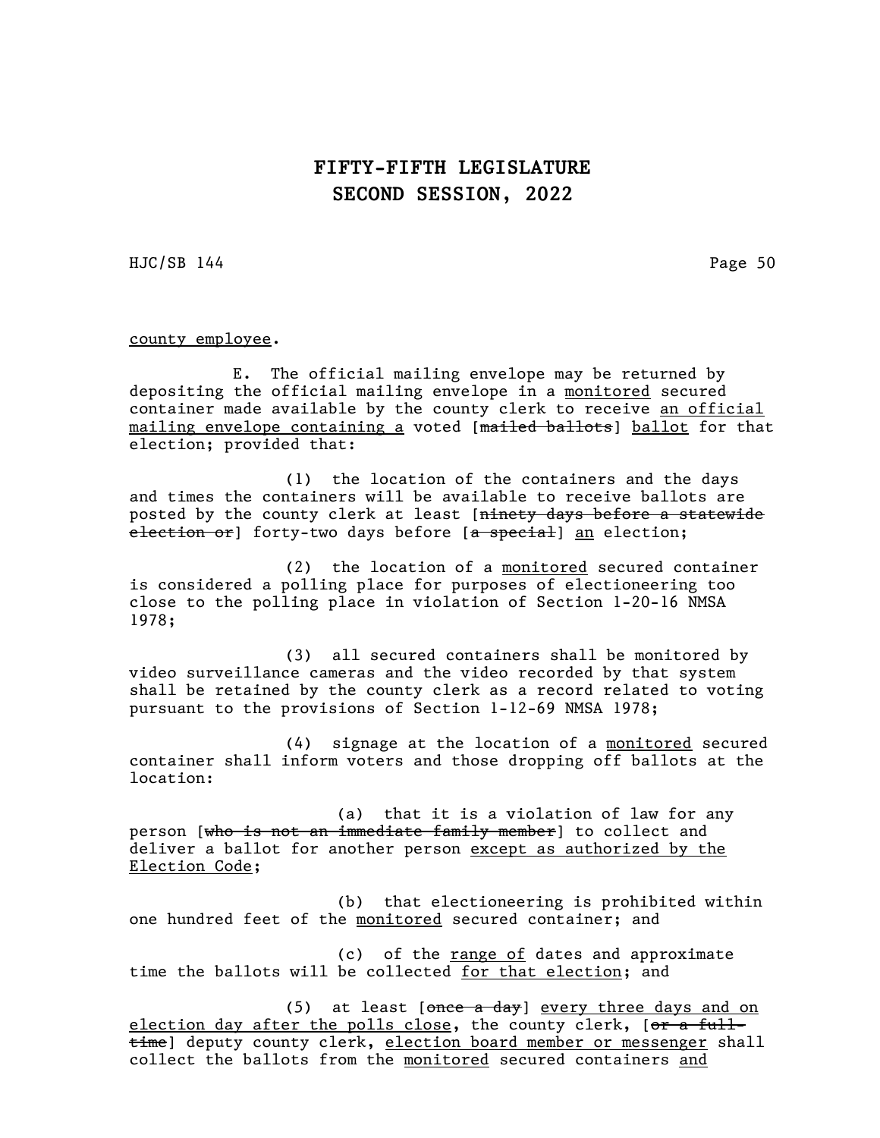HJC/SB 144 Page 50

county employee.

E. The official mailing envelope may be returned by depositing the official mailing envelope in a monitored secured container made available by the county clerk to receive an official mailing envelope containing a voted [mailed ballots] ballot for that election; provided that:

(1) the location of the containers and the days and times the containers will be available to receive ballots are posted by the county clerk at least [ninety days before a statewide election or] forty-two days before [a special] an election;

(2) the location of a monitored secured container is considered a polling place for purposes of electioneering too close to the polling place in violation of Section 1-20-16 NMSA 1978;

(3) all secured containers shall be monitored by video surveillance cameras and the video recorded by that system shall be retained by the county clerk as a record related to voting pursuant to the provisions of Section 1-12-69 NMSA 1978;

(4) signage at the location of a monitored secured container shall inform voters and those dropping off ballots at the location:

(a) that it is a violation of law for any person [who is not an immediate family member] to collect and deliver a ballot for another person except as authorized by the Election Code;

(b) that electioneering is prohibited within one hundred feet of the monitored secured container; and

(c) of the range of dates and approximate time the ballots will be collected for that election; and

(5) at least  $[onee a day]$  every three days and on election day after the polls close, the county clerk, [or a fulltime] deputy county clerk, election board member or messenger shall collect the ballots from the monitored secured containers and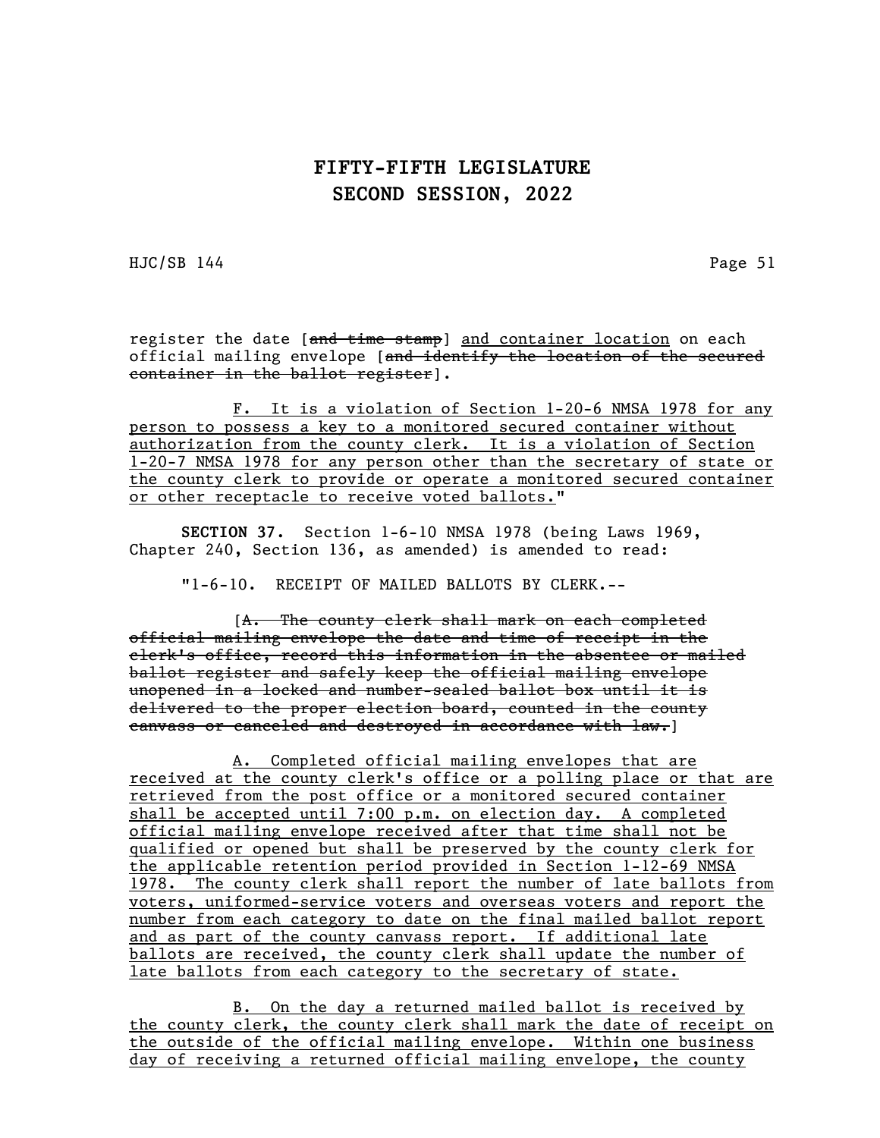HJC/SB 144 Page 51

register the date [and time stamp] and container location on each official mailing envelope [and identify the location of the secured container in the ballot register].

F. It is a violation of Section 1-20-6 NMSA 1978 for any person to possess a key to a monitored secured container without authorization from the county clerk. It is a violation of Section 1-20-7 NMSA 1978 for any person other than the secretary of state or the county clerk to provide or operate a monitored secured container or other receptacle to receive voted ballots."

SECTION 37. Section 1-6-10 NMSA 1978 (being Laws 1969, Chapter 240, Section 136, as amended) is amended to read:

"1-6-10. RECEIPT OF MAILED BALLOTS BY CLERK.--

[A. The county clerk shall mark on each completed official mailing envelope the date and time of receipt in the clerk's office, record this information in the absentee or mailed ballot register and safely keep the official mailing envelope unopened in a locked and number-sealed ballot box until it is delivered to the proper election board, counted in the county canvass or canceled and destroyed in accordance with law.]

A. Completed official mailing envelopes that are received at the county clerk's office or a polling place or that are retrieved from the post office or a monitored secured container shall be accepted until 7:00 p.m. on election day. A completed official mailing envelope received after that time shall not be qualified or opened but shall be preserved by the county clerk for the applicable retention period provided in Section 1-12-69 NMSA 1978. The county clerk shall report the number of late ballots from voters, uniformed-service voters and overseas voters and report the number from each category to date on the final mailed ballot report and as part of the county canvass report. If additional late ballots are received, the county clerk shall update the number of late ballots from each category to the secretary of state.

B. On the day a returned mailed ballot is received by the county clerk, the county clerk shall mark the date of receipt on the outside of the official mailing envelope. Within one business day of receiving a returned official mailing envelope, the county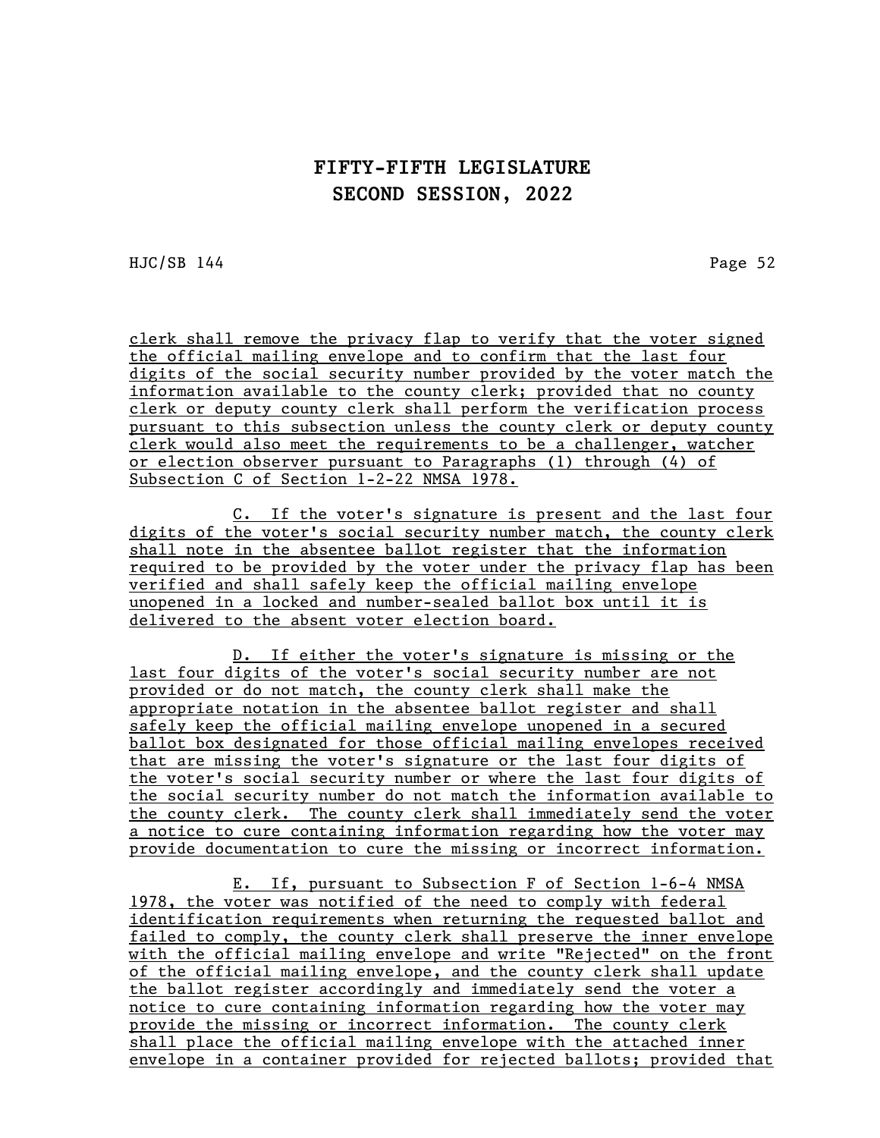HJC/SB 144 Page 52

clerk shall remove the privacy flap to verify that the voter signed the official mailing envelope and to confirm that the last four digits of the social security number provided by the voter match the information available to the county clerk; provided that no county clerk or deputy county clerk shall perform the verification process pursuant to this subsection unless the county clerk or deputy county clerk would also meet the requirements to be a challenger, watcher or election observer pursuant to Paragraphs (1) through (4) of Subsection C of Section 1-2-22 NMSA 1978.

C. If the voter's signature is present and the last four digits of the voter's social security number match, the county clerk shall note in the absentee ballot register that the information required to be provided by the voter under the privacy flap has been verified and shall safely keep the official mailing envelope unopened in a locked and number-sealed ballot box until it is delivered to the absent voter election board.

D. If either the voter's signature is missing or the last four digits of the voter's social security number are not provided or do not match, the county clerk shall make the appropriate notation in the absentee ballot register and shall safely keep the official mailing envelope unopened in a secured ballot box designated for those official mailing envelopes received that are missing the voter's signature or the last four digits of the voter's social security number or where the last four digits of the social security number do not match the information available to the county clerk. The county clerk shall immediately send the voter a notice to cure containing information regarding how the voter may provide documentation to cure the missing or incorrect information.

E. If, pursuant to Subsection F of Section 1-6-4 NMSA 1978, the voter was notified of the need to comply with federal identification requirements when returning the requested ballot and failed to comply, the county clerk shall preserve the inner envelope with the official mailing envelope and write "Rejected" on the front of the official mailing envelope, and the county clerk shall update the ballot register accordingly and immediately send the voter a notice to cure containing information regarding how the voter may provide the missing or incorrect information. The county clerk shall place the official mailing envelope with the attached inner envelope in a container provided for rejected ballots; provided that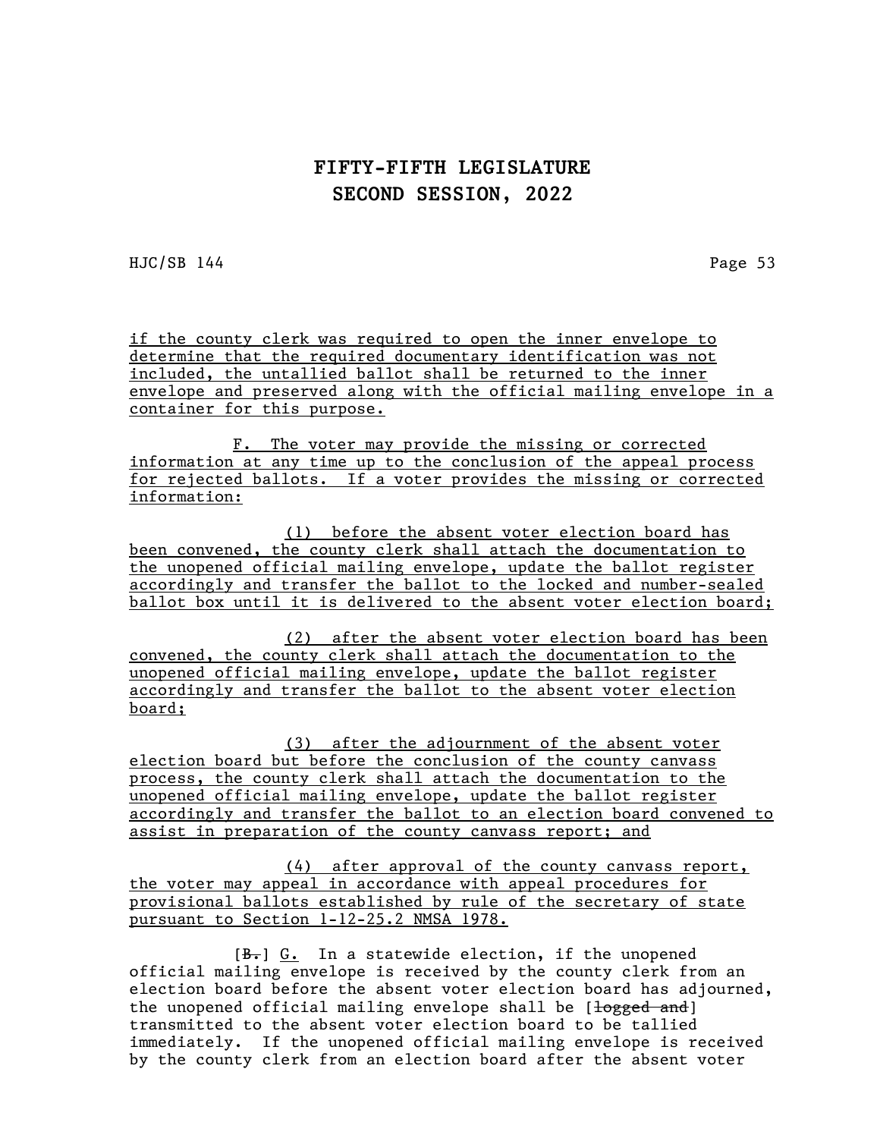HJC/SB 144 Page 53

if the county clerk was required to open the inner envelope to determine that the required documentary identification was not included, the untallied ballot shall be returned to the inner envelope and preserved along with the official mailing envelope in a container for this purpose.

F. The voter may provide the missing or corrected information at any time up to the conclusion of the appeal process for rejected ballots. If a voter provides the missing or corrected information:

(1) before the absent voter election board has been convened, the county clerk shall attach the documentation to the unopened official mailing envelope, update the ballot register accordingly and transfer the ballot to the locked and number-sealed ballot box until it is delivered to the absent voter election board;

(2) after the absent voter election board has been convened, the county clerk shall attach the documentation to the unopened official mailing envelope, update the ballot register accordingly and transfer the ballot to the absent voter election board;

(3) after the adjournment of the absent voter election board but before the conclusion of the county canvass process, the county clerk shall attach the documentation to the unopened official mailing envelope, update the ballot register accordingly and transfer the ballot to an election board convened to assist in preparation of the county canvass report; and

(4) after approval of the county canvass report, the voter may appeal in accordance with appeal procedures for provisional ballots established by rule of the secretary of state pursuant to Section 1-12-25.2 NMSA 1978.

 $[\frac{B_{\tau}}{B_{\tau}}]$   $\underline{G_{\tau}}$  In a statewide election, if the unopened official mailing envelope is received by the county clerk from an election board before the absent voter election board has adjourned, the unopened official mailing envelope shall be [logged and] transmitted to the absent voter election board to be tallied immediately. If the unopened official mailing envelope is received by the county clerk from an election board after the absent voter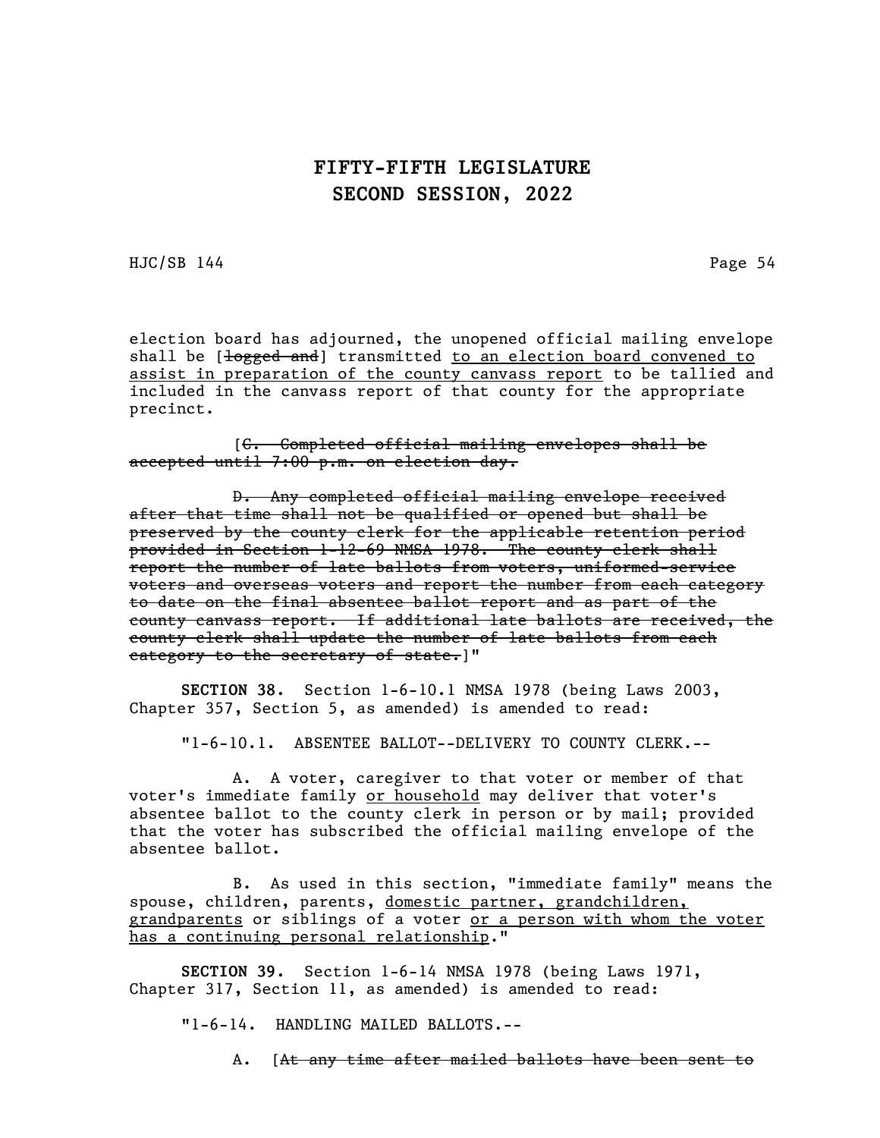HJC/SB 144 Page 54

election board has adjourned, the unopened official mailing envelope shall be  $\left[\frac{1}{\sqrt{1-\frac{1}{n}}} \right]$  transmitted to an election board convened to assist in preparation of the county canvass report to be tallied and included in the canvass report of that county for the appropriate precinct.

[C. Completed official mailing envelopes shall be accepted until 7:00 p.m. on election day.

D. Any completed official mailing envelope received after that time shall not be qualified or opened but shall be preserved by the county clerk for the applicable retention period provided in Section 1-12-69 NMSA 1978. The county clerk shall report the number of late ballots from voters, uniformed-service voters and overseas voters and report the number from each category to date on the final absentee ballot report and as part of the county canvass report. If additional late ballots are received, the county clerk shall update the number of late ballots from each category to the secretary of state.]"

SECTION 38. Section 1-6-10.1 NMSA 1978 (being Laws 2003, Chapter 357, Section 5, as amended) is amended to read:

"1-6-10.1. ABSENTEE BALLOT--DELIVERY TO COUNTY CLERK.--

A. A voter, caregiver to that voter or member of that voter's immediate family or household may deliver that voter's absentee ballot to the county clerk in person or by mail; provided that the voter has subscribed the official mailing envelope of the absentee ballot.

B. As used in this section, "immediate family" means the spouse, children, parents, domestic partner, grandchildren, grandparents or siblings of a voter or a person with whom the voter has a continuing personal relationship."

SECTION 39. Section 1-6-14 NMSA 1978 (being Laws 1971, Chapter 317, Section 11, as amended) is amended to read:

"1-6-14. HANDLING MAILED BALLOTS.--

A. [At any time after mailed ballots have been sent to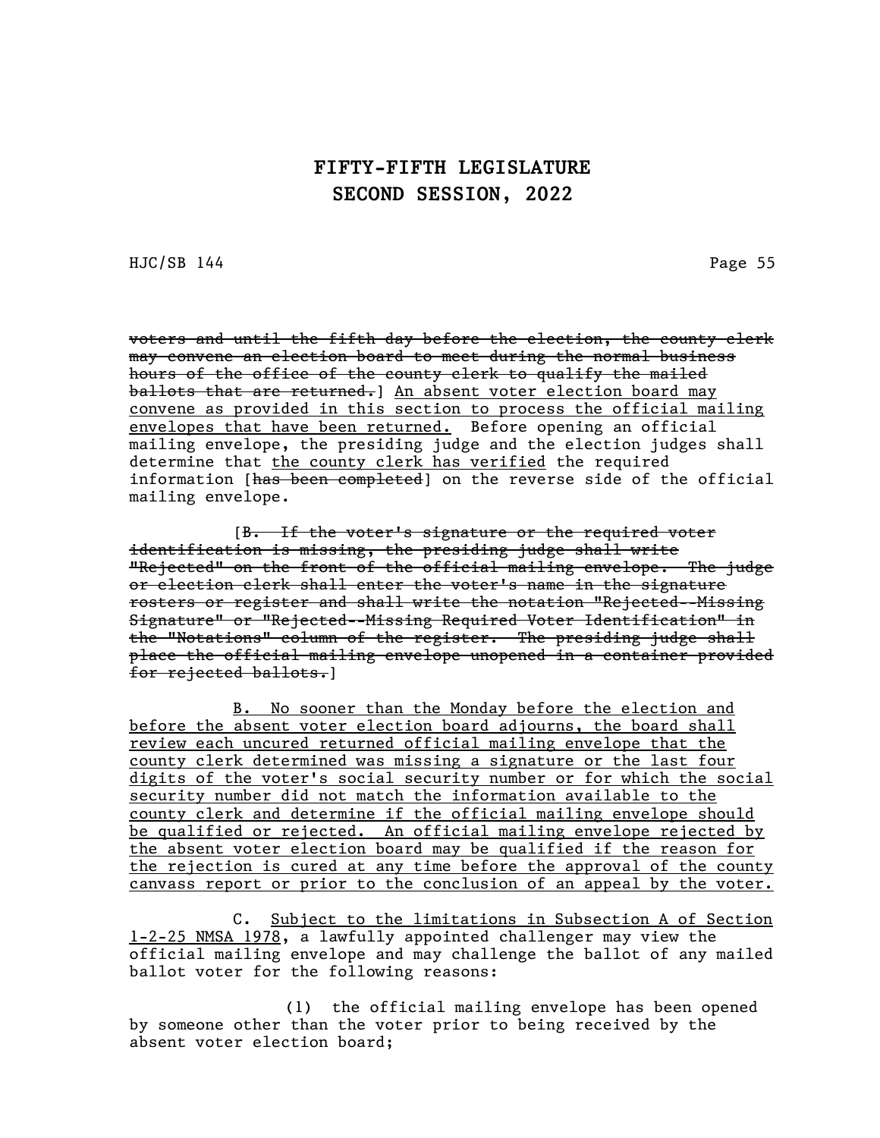HJC/SB 144 Page 55

voters and until the fifth day before the election, the county clerk may convene an election board to meet during the normal business hours of the office of the county clerk to qualify the mailed ballots that are returned.] An absent voter election board may convene as provided in this section to process the official mailing envelopes that have been returned. Before opening an official mailing envelope, the presiding judge and the election judges shall determine that the county clerk has verified the required information [has been completed] on the reverse side of the official mailing envelope.

[B. If the voter's signature or the required voter identification is missing, the presiding judge shall write "Rejected" on the front of the official mailing envelope. The judge or election clerk shall enter the voter's name in the signature rosters or register and shall write the notation "Rejected--Missing Signature" or "Rejected--Missing Required Voter Identification" in the "Notations" column of the register. The presiding judge shall place the official mailing envelope unopened in a container provided for rejected ballots.]

B. No sooner than the Monday before the election and before the absent voter election board adjourns, the board shall review each uncured returned official mailing envelope that the county clerk determined was missing a signature or the last four digits of the voter's social security number or for which the social security number did not match the information available to the county clerk and determine if the official mailing envelope should be qualified or rejected. An official mailing envelope rejected by the absent voter election board may be qualified if the reason for the rejection is cured at any time before the approval of the county canvass report or prior to the conclusion of an appeal by the voter.

C. Subject to the limitations in Subsection A of Section 1-2-25 NMSA 1978, a lawfully appointed challenger may view the official mailing envelope and may challenge the ballot of any mailed ballot voter for the following reasons:

(1) the official mailing envelope has been opened by someone other than the voter prior to being received by the absent voter election board;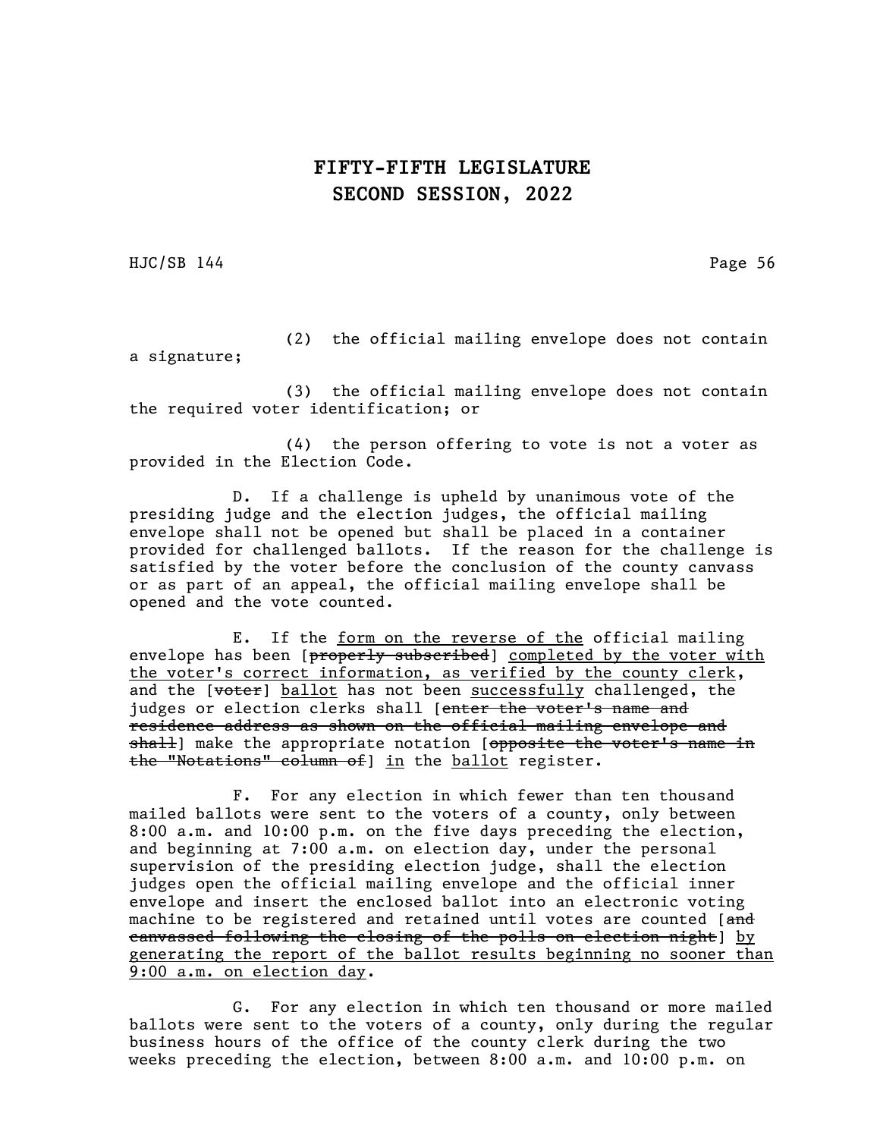HJC/SB 144 Page 56

(2) the official mailing envelope does not contain a signature;

(3) the official mailing envelope does not contain the required voter identification; or

(4) the person offering to vote is not a voter as provided in the Election Code.

D. If a challenge is upheld by unanimous vote of the presiding judge and the election judges, the official mailing envelope shall not be opened but shall be placed in a container provided for challenged ballots. If the reason for the challenge is satisfied by the voter before the conclusion of the county canvass or as part of an appeal, the official mailing envelope shall be opened and the vote counted.

E. If the form on the reverse of the official mailing envelope has been [properly subscribed] completed by the voter with the voter's correct information, as verified by the county clerk, and the  $[*wter*]$  ballot has not been successfully challenged, the judges or election clerks shall [enter the voter's name and residence address as shown on the official mailing envelope and shall] make the appropriate notation [opposite the voter's name in the "Notations" column of] in the ballot register.

F. For any election in which fewer than ten thousand mailed ballots were sent to the voters of a county, only between 8:00 a.m. and 10:00 p.m. on the five days preceding the election, and beginning at 7:00 a.m. on election day, under the personal supervision of the presiding election judge, shall the election judges open the official mailing envelope and the official inner envelope and insert the enclosed ballot into an electronic voting machine to be registered and retained until votes are counted [and canvassed following the closing of the polls on election night] by generating the report of the ballot results beginning no sooner than 9:00 a.m. on election day.

G. For any election in which ten thousand or more mailed ballots were sent to the voters of a county, only during the regular business hours of the office of the county clerk during the two weeks preceding the election, between 8:00 a.m. and 10:00 p.m. on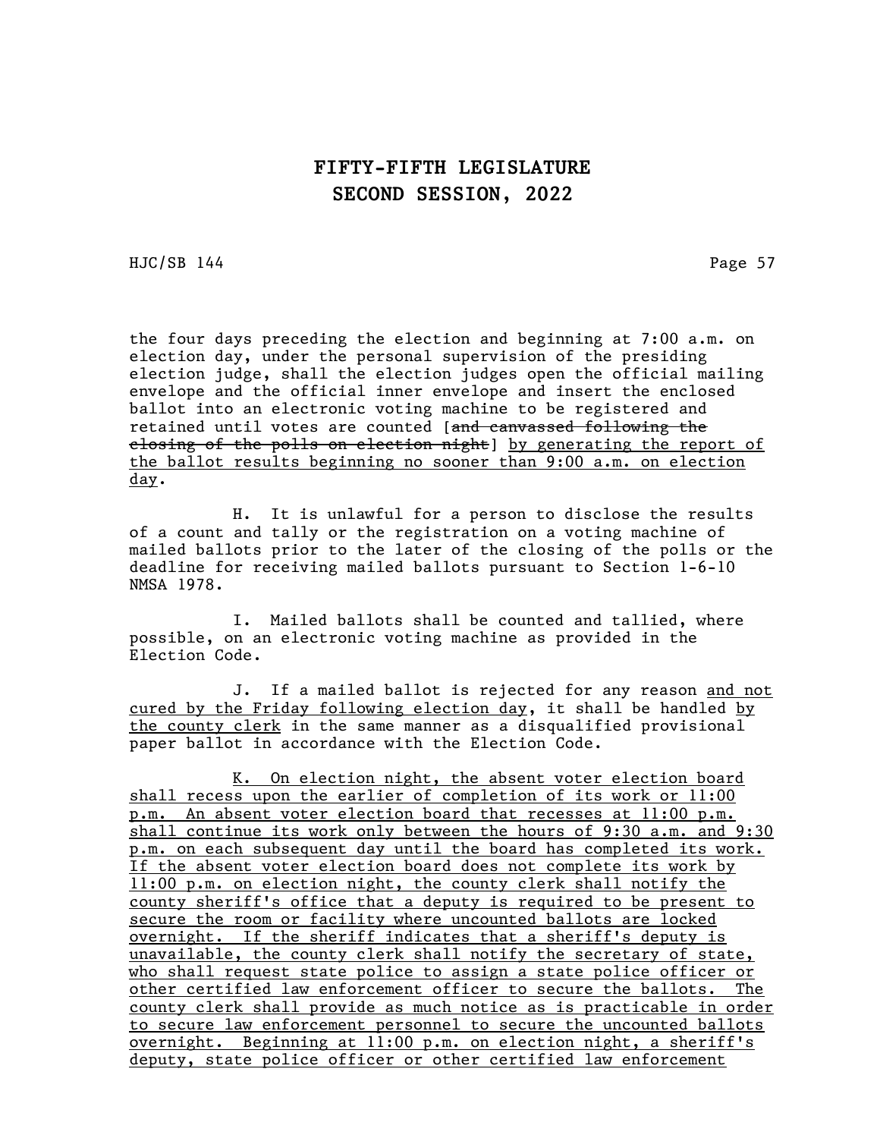HJC/SB 144 Page 57

the four days preceding the election and beginning at 7:00 a.m. on election day, under the personal supervision of the presiding election judge, shall the election judges open the official mailing envelope and the official inner envelope and insert the enclosed ballot into an electronic voting machine to be registered and retained until votes are counted [and canvassed following the elosing of the polls on election night by generating the report of the ballot results beginning no sooner than 9:00 a.m. on election day.

H. It is unlawful for a person to disclose the results of a count and tally or the registration on a voting machine of mailed ballots prior to the later of the closing of the polls or the deadline for receiving mailed ballots pursuant to Section 1-6-10 NMSA 1978.

I. Mailed ballots shall be counted and tallied, where possible, on an electronic voting machine as provided in the Election Code.

J. If a mailed ballot is rejected for any reason and not cured by the Friday following election day, it shall be handled by the county clerk in the same manner as a disqualified provisional paper ballot in accordance with the Election Code.

K. On election night, the absent voter election board shall recess upon the earlier of completion of its work or 11:00 p.m. An absent voter election board that recesses at 11:00 p.m. shall continue its work only between the hours of 9:30 a.m. and 9:30 p.m. on each subsequent day until the board has completed its work. If the absent voter election board does not complete its work by 11:00 p.m. on election night, the county clerk shall notify the county sheriff's office that a deputy is required to be present to secure the room or facility where uncounted ballots are locked overnight. If the sheriff indicates that a sheriff's deputy is unavailable, the county clerk shall notify the secretary of state, who shall request state police to assign a state police officer or other certified law enforcement officer to secure the ballots. The county clerk shall provide as much notice as is practicable in order to secure law enforcement personnel to secure the uncounted ballots overnight. Beginning at 11:00 p.m. on election night, a sheriff's deputy, state police officer or other certified law enforcement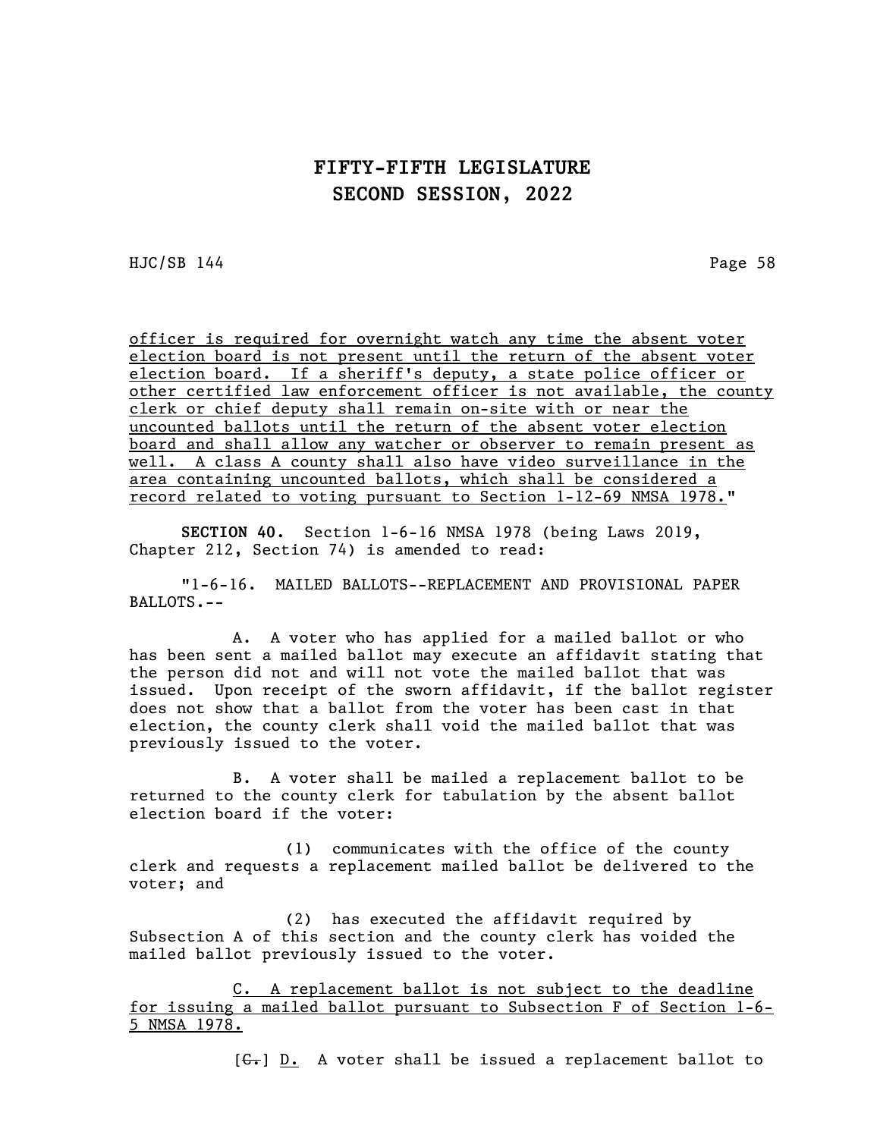HJC/SB 144 Page 58

officer is required for overnight watch any time the absent voter election board is not present until the return of the absent voter election board. If a sheriff's deputy, a state police officer or other certified law enforcement officer is not available, the county clerk or chief deputy shall remain on-site with or near the uncounted ballots until the return of the absent voter election board and shall allow any watcher or observer to remain present as well. A class A county shall also have video surveillance in the area containing uncounted ballots, which shall be considered a record related to voting pursuant to Section 1-12-69 NMSA 1978."

SECTION 40. Section 1-6-16 NMSA 1978 (being Laws 2019, Chapter 212, Section 74) is amended to read:

"1-6-16. MAILED BALLOTS--REPLACEMENT AND PROVISIONAL PAPER BALLOTS.--

A. A voter who has applied for a mailed ballot or who has been sent a mailed ballot may execute an affidavit stating that the person did not and will not vote the mailed ballot that was issued. Upon receipt of the sworn affidavit, if the ballot register does not show that a ballot from the voter has been cast in that election, the county clerk shall void the mailed ballot that was previously issued to the voter.

B. A voter shall be mailed a replacement ballot to be returned to the county clerk for tabulation by the absent ballot election board if the voter:

(1) communicates with the office of the county clerk and requests a replacement mailed ballot be delivered to the voter; and

(2) has executed the affidavit required by Subsection A of this section and the county clerk has voided the mailed ballot previously issued to the voter.

C. A replacement ballot is not subject to the deadline for issuing a mailed ballot pursuant to Subsection F of Section 1-6- 5 NMSA 1978.

 $[G_r]$  D. A voter shall be issued a replacement ballot to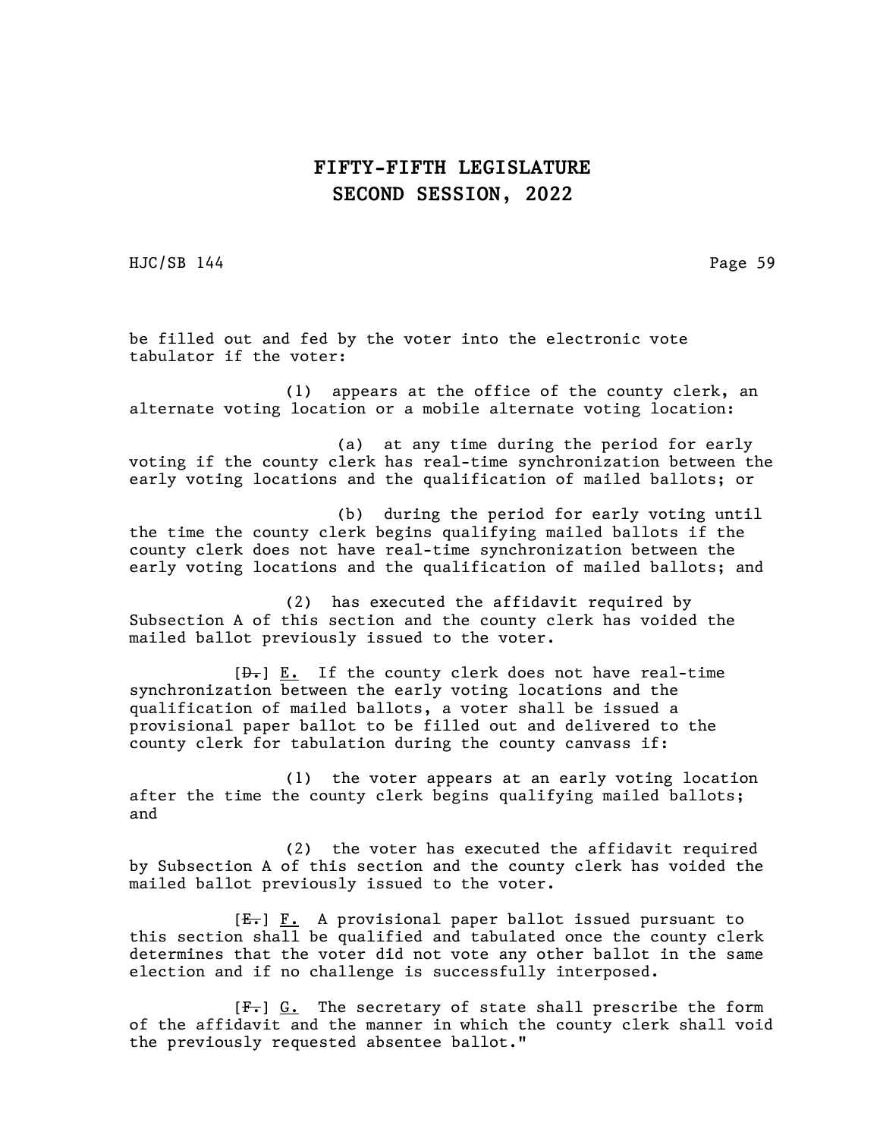HJC/SB 144 Page 59

be filled out and fed by the voter into the electronic vote tabulator if the voter:

(1) appears at the office of the county clerk, an alternate voting location or a mobile alternate voting location:

(a) at any time during the period for early voting if the county clerk has real-time synchronization between the early voting locations and the qualification of mailed ballots; or

(b) during the period for early voting until the time the county clerk begins qualifying mailed ballots if the county clerk does not have real-time synchronization between the early voting locations and the qualification of mailed ballots; and

(2) has executed the affidavit required by Subsection A of this section and the county clerk has voided the mailed ballot previously issued to the voter.

 $[\frac{D-1}{2}]$  E. If the county clerk does not have real-time synchronization between the early voting locations and the qualification of mailed ballots, a voter shall be issued a provisional paper ballot to be filled out and delivered to the county clerk for tabulation during the county canvass if:

(1) the voter appears at an early voting location after the time the county clerk begins qualifying mailed ballots; and

(2) the voter has executed the affidavit required by Subsection A of this section and the county clerk has voided the mailed ballot previously issued to the voter.

 $[E-]$   $F.$  A provisional paper ballot issued pursuant to this section shall be qualified and tabulated once the county clerk determines that the voter did not vote any other ballot in the same election and if no challenge is successfully interposed.

 $[F<sub>1</sub>]$  G. The secretary of state shall prescribe the form of the affidavit and the manner in which the county clerk shall void the previously requested absentee ballot."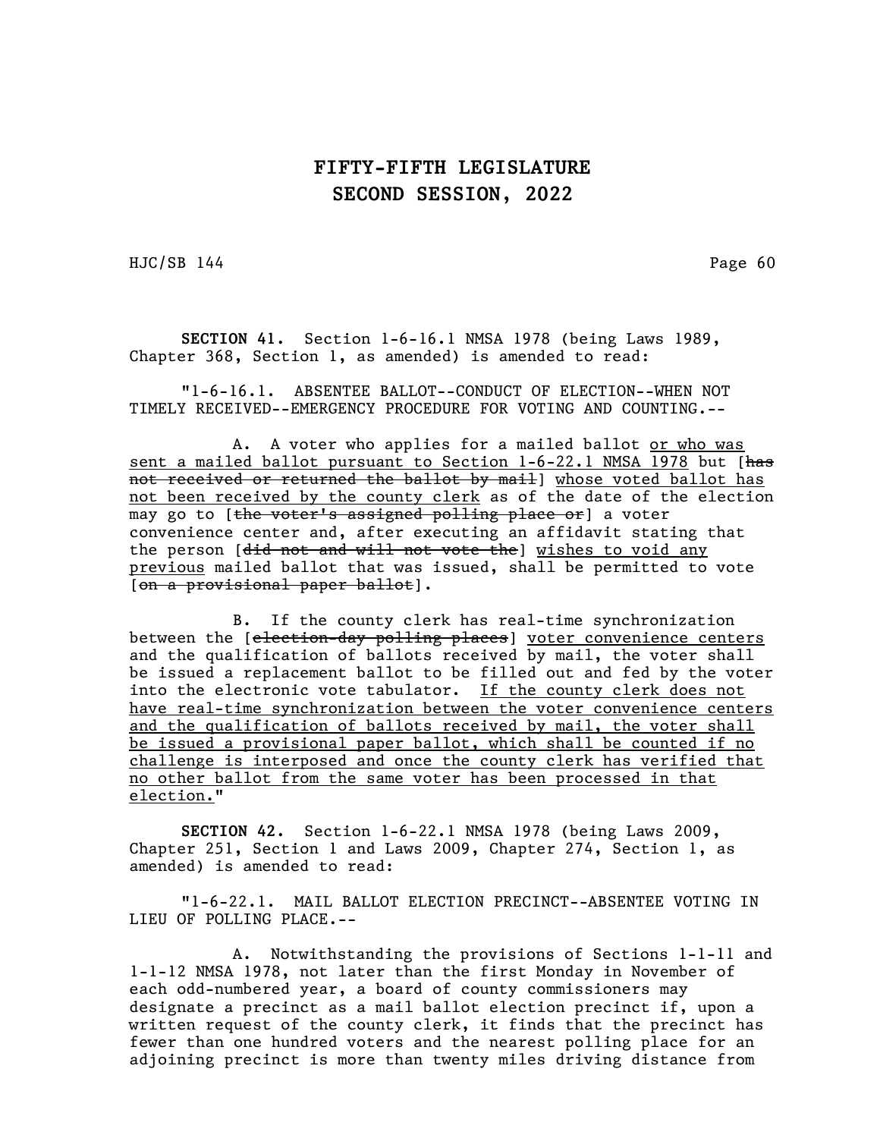HJC/SB 144 Page 60

SECTION 41. Section 1-6-16.1 NMSA 1978 (being Laws 1989, Chapter 368, Section 1, as amended) is amended to read:

"1-6-16.1. ABSENTEE BALLOT--CONDUCT OF ELECTION--WHEN NOT TIMELY RECEIVED--EMERGENCY PROCEDURE FOR VOTING AND COUNTING.--

A. A voter who applies for a mailed ballot or who was sent a mailed ballot pursuant to Section 1-6-22.1 NMSA 1978 but [has not received or returned the ballot by mail] whose voted ballot has not been received by the county clerk as of the date of the election may go to [the voter's assigned polling place or] a voter convenience center and, after executing an affidavit stating that the person [<del>did not and will not vote the</del>] wishes to void any previous mailed ballot that was issued, shall be permitted to vote [on a provisional paper ballot].

B. If the county clerk has real-time synchronization between the [election-day polling places] voter convenience centers and the qualification of ballots received by mail, the voter shall be issued a replacement ballot to be filled out and fed by the voter into the electronic vote tabulator. If the county clerk does not have real-time synchronization between the voter convenience centers and the qualification of ballots received by mail, the voter shall be issued a provisional paper ballot, which shall be counted if no challenge is interposed and once the county clerk has verified that no other ballot from the same voter has been processed in that election."

SECTION 42. Section 1-6-22.1 NMSA 1978 (being Laws 2009, Chapter 251, Section 1 and Laws 2009, Chapter 274, Section 1, as amended) is amended to read:

"1-6-22.1. MAIL BALLOT ELECTION PRECINCT--ABSENTEE VOTING IN LIEU OF POLLING PLACE.--

A. Notwithstanding the provisions of Sections 1-1-11 and 1-1-12 NMSA 1978, not later than the first Monday in November of each odd-numbered year, a board of county commissioners may designate a precinct as a mail ballot election precinct if, upon a written request of the county clerk, it finds that the precinct has fewer than one hundred voters and the nearest polling place for an adjoining precinct is more than twenty miles driving distance from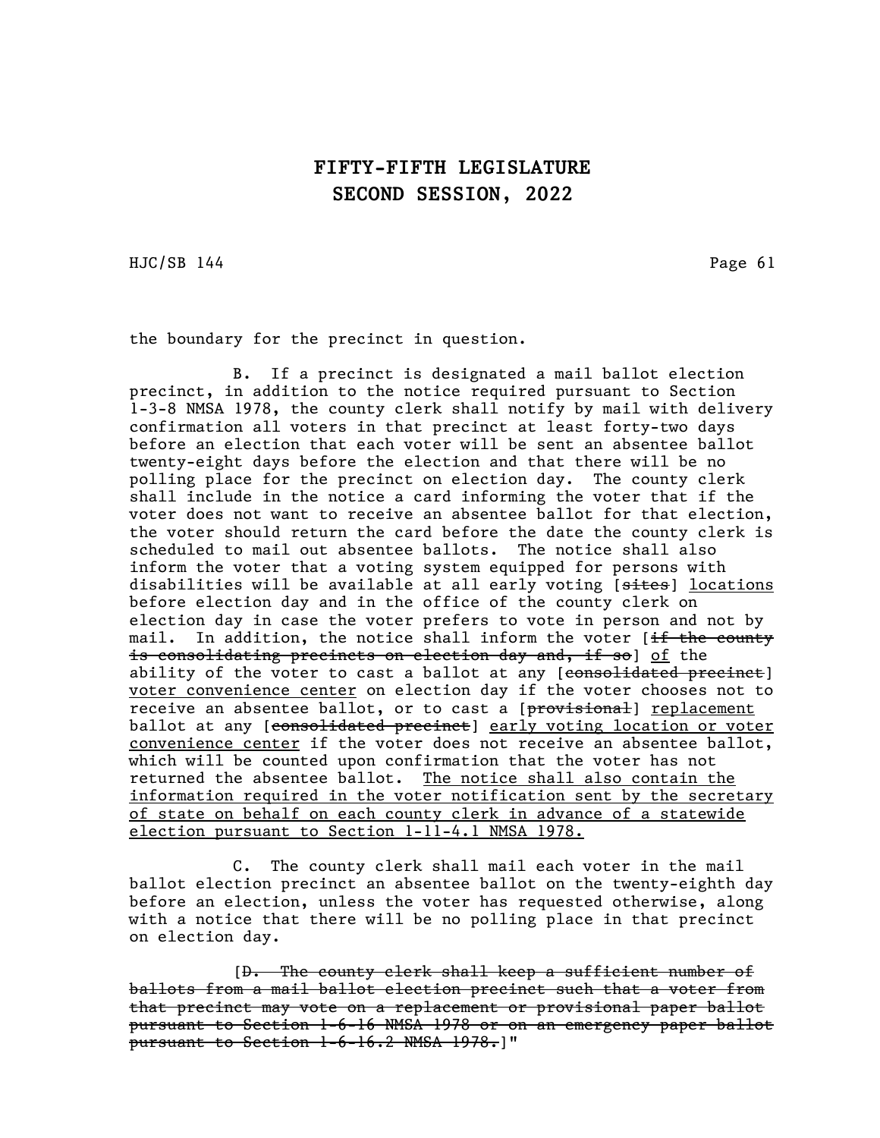HJC/SB 144 Page 61

the boundary for the precinct in question.

B. If a precinct is designated a mail ballot election precinct, in addition to the notice required pursuant to Section 1-3-8 NMSA 1978, the county clerk shall notify by mail with delivery confirmation all voters in that precinct at least forty-two days before an election that each voter will be sent an absentee ballot twenty-eight days before the election and that there will be no polling place for the precinct on election day. The county clerk shall include in the notice a card informing the voter that if the voter does not want to receive an absentee ballot for that election, the voter should return the card before the date the county clerk is scheduled to mail out absentee ballots. The notice shall also inform the voter that a voting system equipped for persons with disabilities will be available at all early voting [sites] locations before election day and in the office of the county clerk on election day in case the voter prefers to vote in person and not by mail. In addition, the notice shall inform the voter [<del>if the county</del> is consolidating precincts on election day and, if so] of the ability of the voter to cast a ballot at any [consolidated precinct] voter convenience center on election day if the voter chooses not to receive an absentee ballot, or to cast a [provisional] replacement ballot at any [consolidated precinct] early voting location or voter convenience center if the voter does not receive an absentee ballot, which will be counted upon confirmation that the voter has not returned the absentee ballot. The notice shall also contain the information required in the voter notification sent by the secretary of state on behalf on each county clerk in advance of a statewide election pursuant to Section 1-11-4.1 NMSA 1978.

C. The county clerk shall mail each voter in the mail ballot election precinct an absentee ballot on the twenty-eighth day before an election, unless the voter has requested otherwise, along with a notice that there will be no polling place in that precinct on election day.

[D. The county clerk shall keep a sufficient number of ballots from a mail ballot election precinct such that a voter from that precinct may vote on a replacement or provisional paper ballot pursuant to Section 1-6-16 NMSA 1978 or on an emergency paper ballot pursuant to Section 1-6-16.2 NMSA 1978.]"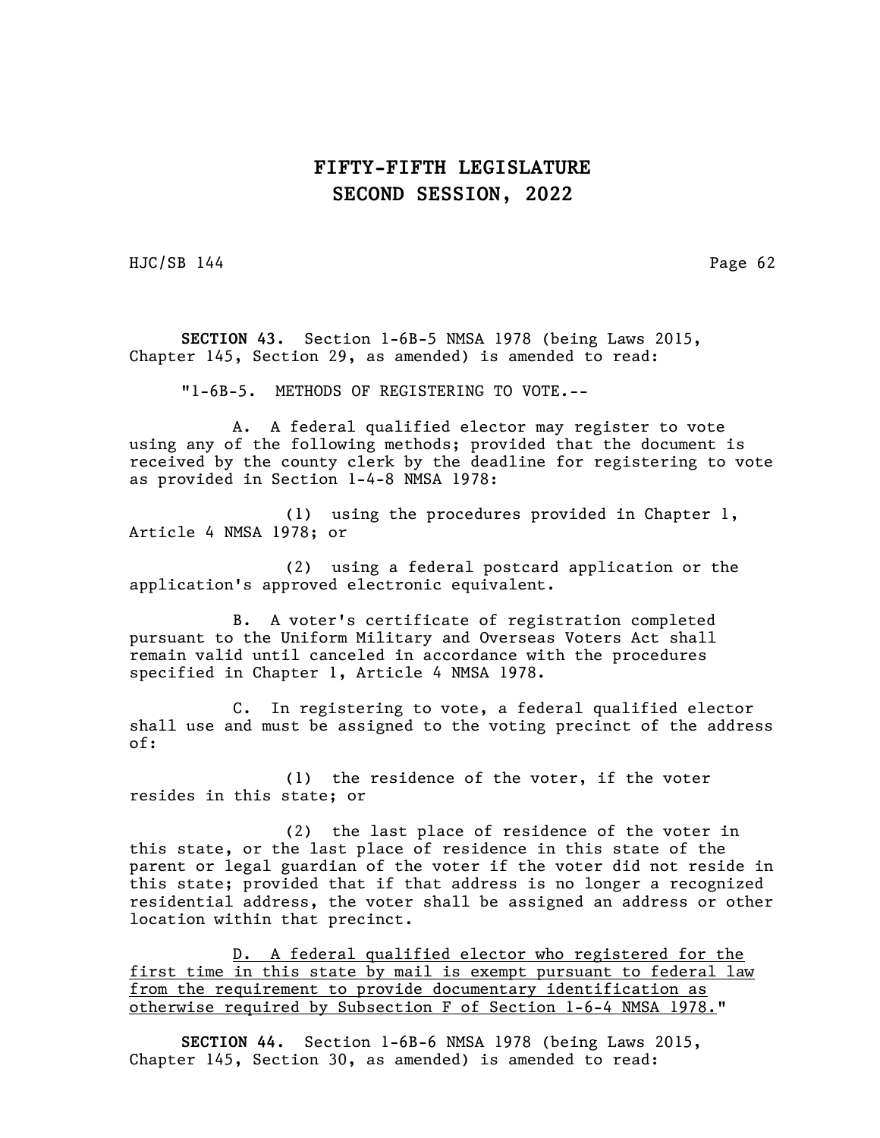HJC/SB 144 Page 62

SECTION 43. Section 1-6B-5 NMSA 1978 (being Laws 2015, Chapter 145, Section 29, as amended) is amended to read:

"1-6B-5. METHODS OF REGISTERING TO VOTE.--

A. A federal qualified elector may register to vote using any of the following methods; provided that the document is received by the county clerk by the deadline for registering to vote as provided in Section 1-4-8 NMSA 1978:

(1) using the procedures provided in Chapter 1, Article 4 NMSA 1978; or

(2) using a federal postcard application or the application's approved electronic equivalent.

B. A voter's certificate of registration completed pursuant to the Uniform Military and Overseas Voters Act shall remain valid until canceled in accordance with the procedures specified in Chapter 1, Article 4 NMSA 1978.

C. In registering to vote, a federal qualified elector shall use and must be assigned to the voting precinct of the address of:

(1) the residence of the voter, if the voter resides in this state; or

(2) the last place of residence of the voter in this state, or the last place of residence in this state of the parent or legal guardian of the voter if the voter did not reside in this state; provided that if that address is no longer a recognized residential address, the voter shall be assigned an address or other location within that precinct.

D. A federal qualified elector who registered for the first time in this state by mail is exempt pursuant to federal law from the requirement to provide documentary identification as otherwise required by Subsection F of Section 1-6-4 NMSA 1978."

SECTION 44. Section 1-6B-6 NMSA 1978 (being Laws 2015, Chapter 145, Section 30, as amended) is amended to read: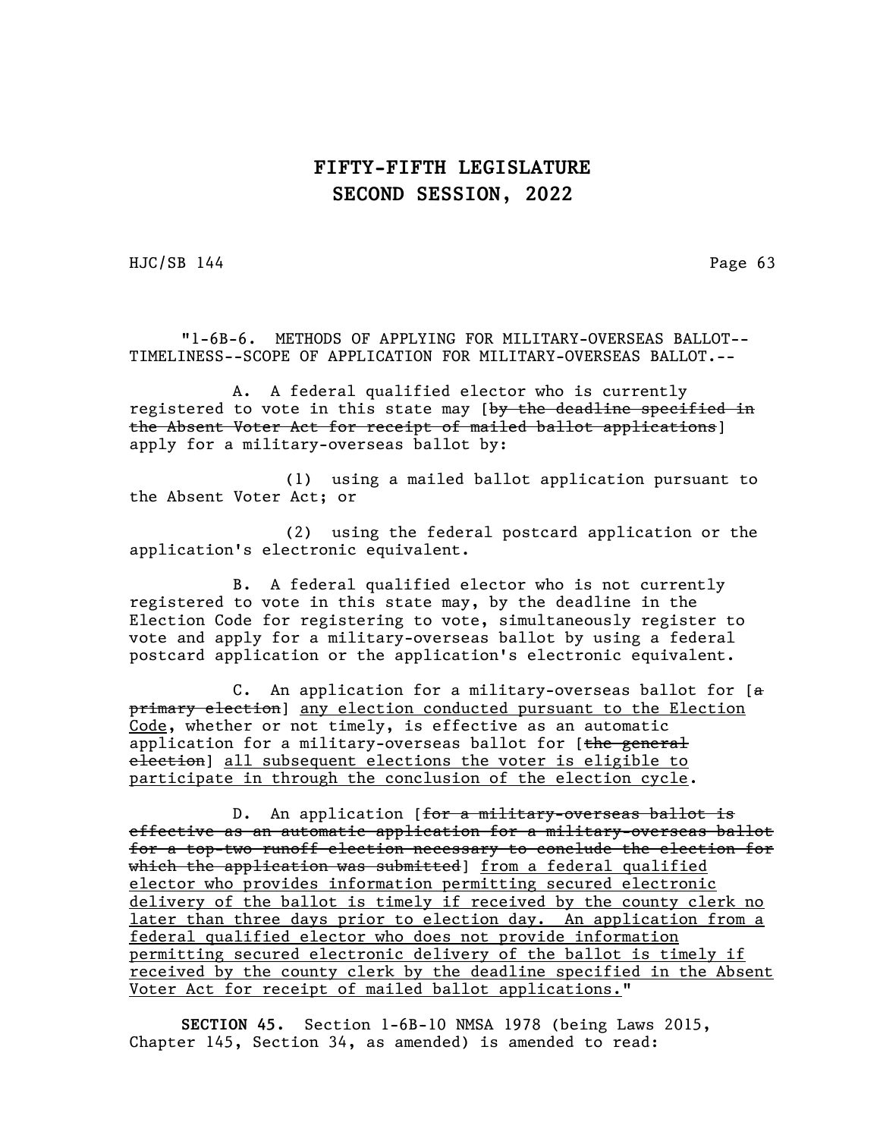HJC/SB 144 Page 63

"1-6B-6. METHODS OF APPLYING FOR MILITARY-OVERSEAS BALLOT-- TIMELINESS--SCOPE OF APPLICATION FOR MILITARY-OVERSEAS BALLOT.--

A. A federal qualified elector who is currently registered to vote in this state may [by the deadline specified in the Absent Voter Act for receipt of mailed ballot applications] apply for a military-overseas ballot by:

(1) using a mailed ballot application pursuant to the Absent Voter Act; or

(2) using the federal postcard application or the application's electronic equivalent.

B. A federal qualified elector who is not currently registered to vote in this state may, by the deadline in the Election Code for registering to vote, simultaneously register to vote and apply for a military-overseas ballot by using a federal postcard application or the application's electronic equivalent.

C. An application for a military-overseas ballot for  $[a]$ primary election] any election conducted pursuant to the Election Code, whether or not timely, is effective as an automatic application for a military-overseas ballot for [the general election] all subsequent elections the voter is eligible to participate in through the conclusion of the election cycle.

D. An application [for a military-overseas ballot is effective as an automatic application for a military-overseas ballot for a top-two runoff election necessary to conclude the election for which the application was submitted] from a federal qualified elector who provides information permitting secured electronic delivery of the ballot is timely if received by the county clerk no later than three days prior to election day. An application from a federal qualified elector who does not provide information permitting secured electronic delivery of the ballot is timely if received by the county clerk by the deadline specified in the Absent Voter Act for receipt of mailed ballot applications."

SECTION 45. Section 1-6B-10 NMSA 1978 (being Laws 2015, Chapter 145, Section 34, as amended) is amended to read: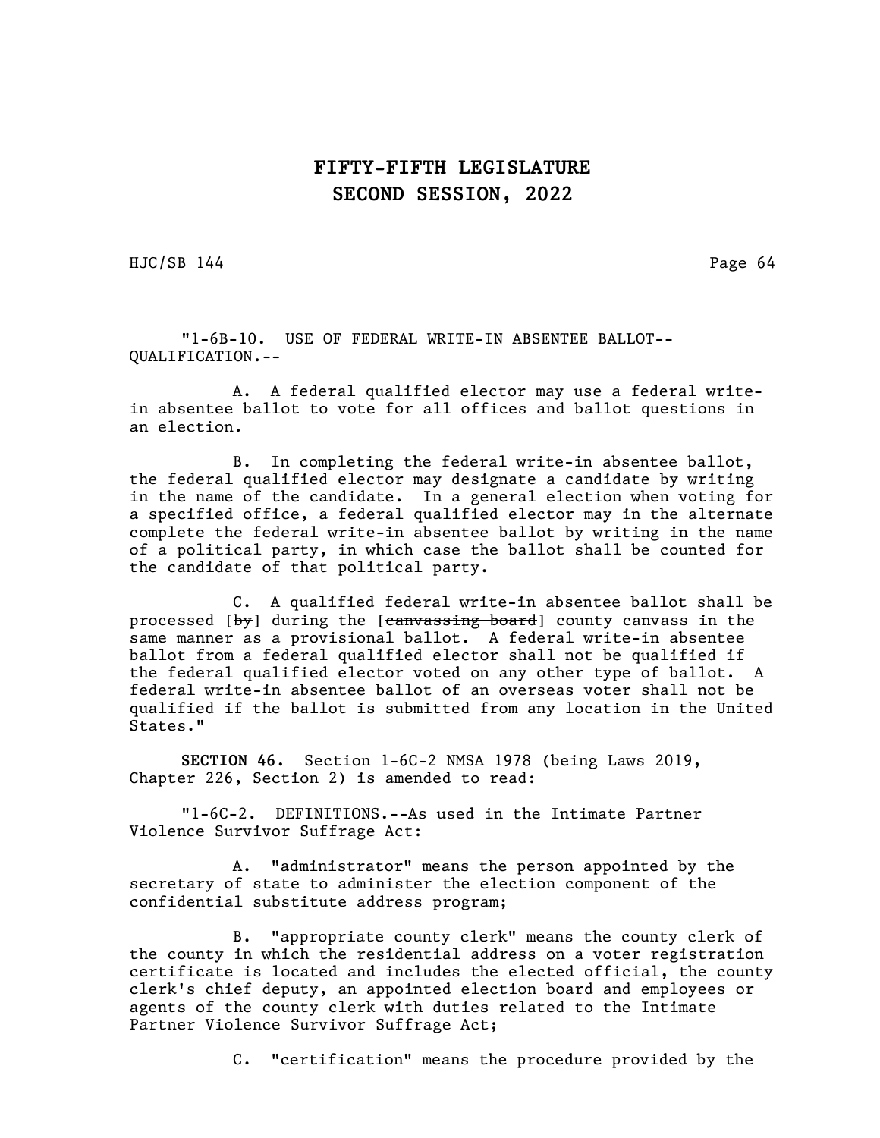HJC/SB 144 Page 64

"1-6B-10. USE OF FEDERAL WRITE-IN ABSENTEE BALLOT-- QUALIFICATION.--

A. A federal qualified elector may use a federal writein absentee ballot to vote for all offices and ballot questions in an election.

B. In completing the federal write-in absentee ballot, the federal qualified elector may designate a candidate by writing in the name of the candidate. In a general election when voting for a specified office, a federal qualified elector may in the alternate complete the federal write-in absentee ballot by writing in the name of a political party, in which case the ballot shall be counted for the candidate of that political party.

C. A qualified federal write-in absentee ballot shall be processed [by] during the [canvassing board] county canvass in the same manner as a provisional ballot. A federal write-in absentee ballot from a federal qualified elector shall not be qualified if the federal qualified elector voted on any other type of ballot. A federal write-in absentee ballot of an overseas voter shall not be qualified if the ballot is submitted from any location in the United States."

SECTION 46. Section 1-6C-2 NMSA 1978 (being Laws 2019, Chapter 226, Section 2) is amended to read:

"1-6C-2. DEFINITIONS.--As used in the Intimate Partner Violence Survivor Suffrage Act:

A. "administrator" means the person appointed by the secretary of state to administer the election component of the confidential substitute address program;

B. "appropriate county clerk" means the county clerk of the county in which the residential address on a voter registration certificate is located and includes the elected official, the county clerk's chief deputy, an appointed election board and employees or agents of the county clerk with duties related to the Intimate Partner Violence Survivor Suffrage Act;

C. "certification" means the procedure provided by the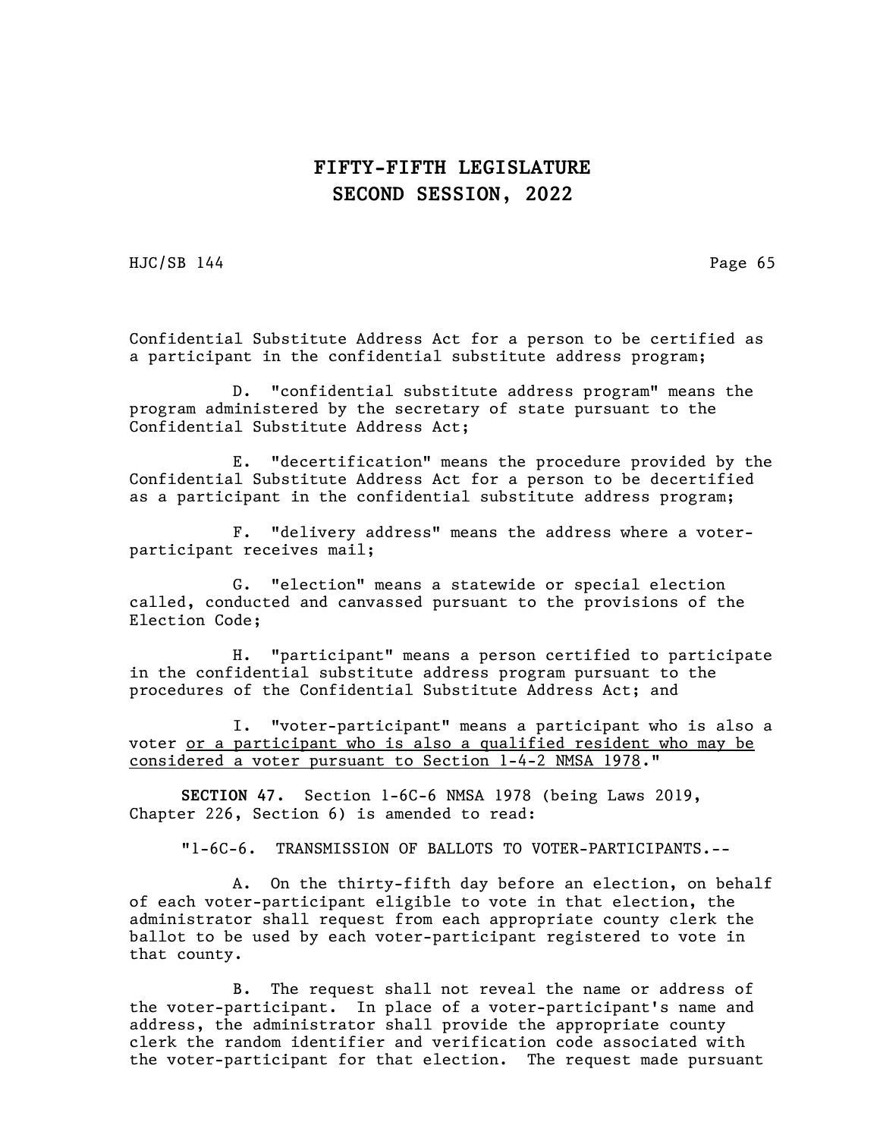HJC/SB 144 Page 65

Confidential Substitute Address Act for a person to be certified as a participant in the confidential substitute address program;

D. "confidential substitute address program" means the program administered by the secretary of state pursuant to the Confidential Substitute Address Act;

E. "decertification" means the procedure provided by the Confidential Substitute Address Act for a person to be decertified as a participant in the confidential substitute address program;

F. "delivery address" means the address where a voterparticipant receives mail;

G. "election" means a statewide or special election called, conducted and canvassed pursuant to the provisions of the Election Code;

H. "participant" means a person certified to participate in the confidential substitute address program pursuant to the procedures of the Confidential Substitute Address Act; and

I. "voter-participant" means a participant who is also a voter or a participant who is also a qualified resident who may be considered a voter pursuant to Section 1-4-2 NMSA 1978."

SECTION 47. Section 1-6C-6 NMSA 1978 (being Laws 2019, Chapter 226, Section 6) is amended to read:

"1-6C-6. TRANSMISSION OF BALLOTS TO VOTER-PARTICIPANTS.--

A. On the thirty-fifth day before an election, on behalf of each voter-participant eligible to vote in that election, the administrator shall request from each appropriate county clerk the ballot to be used by each voter-participant registered to vote in that county.

B. The request shall not reveal the name or address of the voter-participant. In place of a voter-participant's name and address, the administrator shall provide the appropriate county clerk the random identifier and verification code associated with the voter-participant for that election. The request made pursuant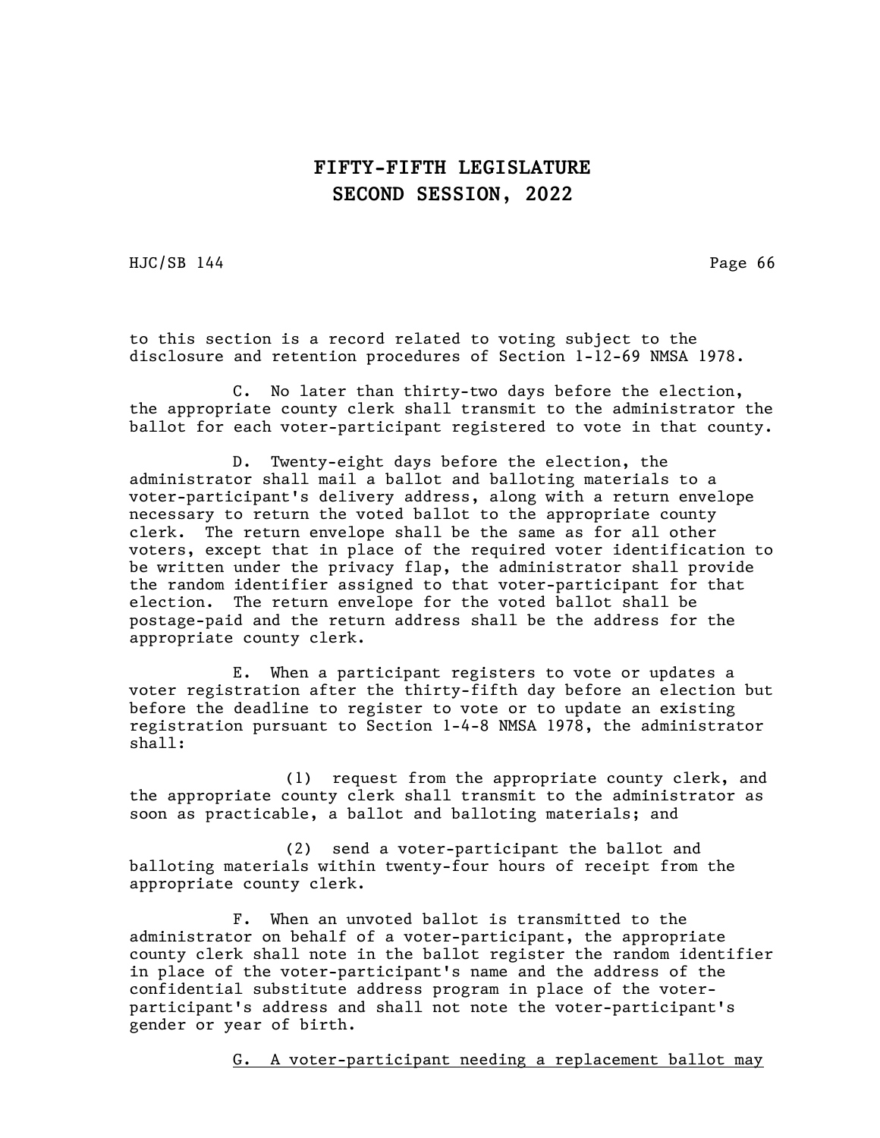HJC/SB 144 Page 66

to this section is a record related to voting subject to the disclosure and retention procedures of Section 1-12-69 NMSA 1978.

C. No later than thirty-two days before the election, the appropriate county clerk shall transmit to the administrator the ballot for each voter-participant registered to vote in that county.

D. Twenty-eight days before the election, the administrator shall mail a ballot and balloting materials to a voter-participant's delivery address, along with a return envelope necessary to return the voted ballot to the appropriate county clerk. The return envelope shall be the same as for all other voters, except that in place of the required voter identification to be written under the privacy flap, the administrator shall provide the random identifier assigned to that voter-participant for that election. The return envelope for the voted ballot shall be postage-paid and the return address shall be the address for the appropriate county clerk.

E. When a participant registers to vote or updates a voter registration after the thirty-fifth day before an election but before the deadline to register to vote or to update an existing registration pursuant to Section 1-4-8 NMSA 1978, the administrator shall:

(1) request from the appropriate county clerk, and the appropriate county clerk shall transmit to the administrator as soon as practicable, a ballot and balloting materials; and

(2) send a voter-participant the ballot and balloting materials within twenty-four hours of receipt from the appropriate county clerk.

F. When an unvoted ballot is transmitted to the administrator on behalf of a voter-participant, the appropriate county clerk shall note in the ballot register the random identifier in place of the voter-participant's name and the address of the confidential substitute address program in place of the voterparticipant's address and shall not note the voter-participant's gender or year of birth.

G. A voter-participant needing a replacement ballot may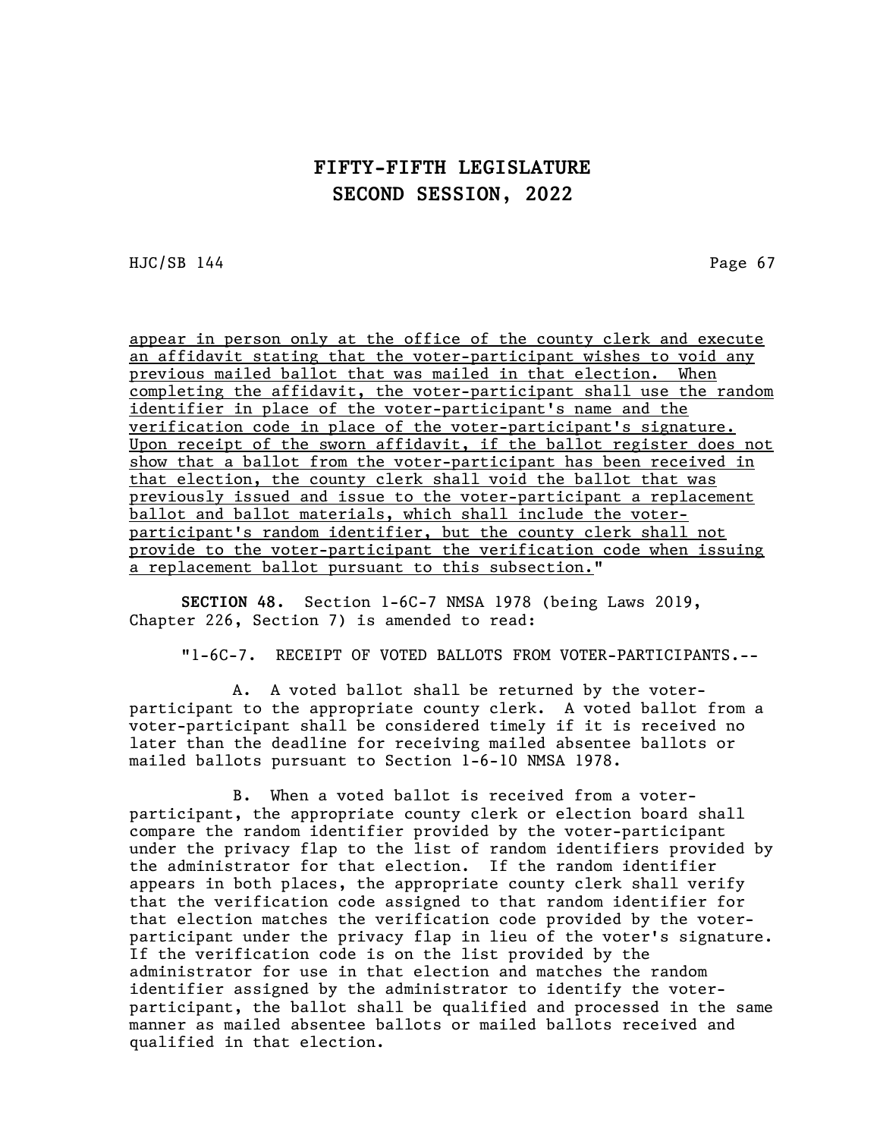HJC/SB 144 Page 67

appear in person only at the office of the county clerk and execute an affidavit stating that the voter-participant wishes to void any previous mailed ballot that was mailed in that election. When completing the affidavit, the voter-participant shall use the random identifier in place of the voter-participant's name and the verification code in place of the voter-participant's signature. Upon receipt of the sworn affidavit, if the ballot register does not show that a ballot from the voter-participant has been received in that election, the county clerk shall void the ballot that was previously issued and issue to the voter-participant a replacement ballot and ballot materials, which shall include the voterparticipant's random identifier, but the county clerk shall not provide to the voter-participant the verification code when issuing a replacement ballot pursuant to this subsection."

SECTION 48. Section 1-6C-7 NMSA 1978 (being Laws 2019, Chapter 226, Section 7) is amended to read:

"1-6C-7. RECEIPT OF VOTED BALLOTS FROM VOTER-PARTICIPANTS.--

A. A voted ballot shall be returned by the voterparticipant to the appropriate county clerk. A voted ballot from a voter-participant shall be considered timely if it is received no later than the deadline for receiving mailed absentee ballots or mailed ballots pursuant to Section 1-6-10 NMSA 1978.

B. When a voted ballot is received from a voterparticipant, the appropriate county clerk or election board shall compare the random identifier provided by the voter-participant under the privacy flap to the list of random identifiers provided by the administrator for that election. If the random identifier appears in both places, the appropriate county clerk shall verify that the verification code assigned to that random identifier for that election matches the verification code provided by the voterparticipant under the privacy flap in lieu of the voter's signature. If the verification code is on the list provided by the administrator for use in that election and matches the random identifier assigned by the administrator to identify the voterparticipant, the ballot shall be qualified and processed in the same manner as mailed absentee ballots or mailed ballots received and qualified in that election.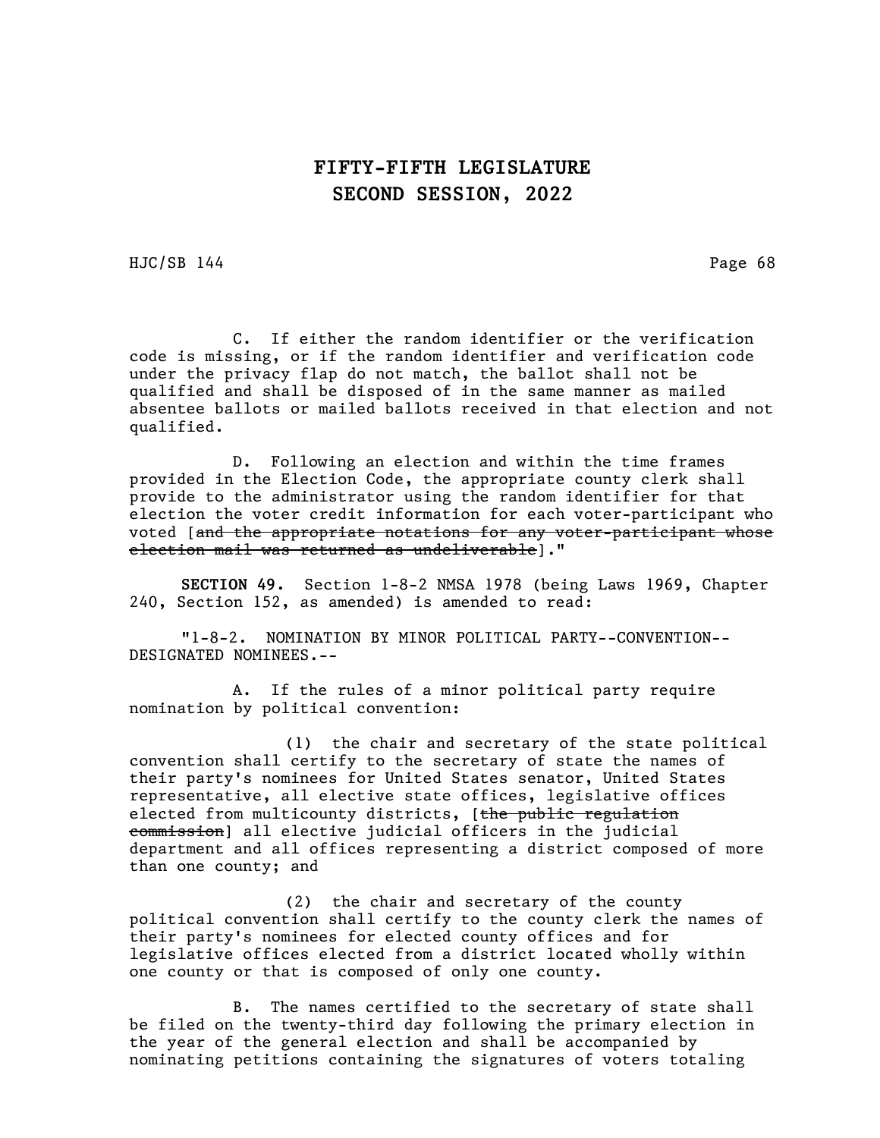HJC/SB 144 Page 68

C. If either the random identifier or the verification code is missing, or if the random identifier and verification code under the privacy flap do not match, the ballot shall not be qualified and shall be disposed of in the same manner as mailed absentee ballots or mailed ballots received in that election and not qualified.

D. Following an election and within the time frames provided in the Election Code, the appropriate county clerk shall provide to the administrator using the random identifier for that election the voter credit information for each voter-participant who voted [and the appropriate notations for any voter-participant whose election mail was returned as undeliverable]."

SECTION 49. Section 1-8-2 NMSA 1978 (being Laws 1969, Chapter 240, Section 152, as amended) is amended to read:

"1-8-2. NOMINATION BY MINOR POLITICAL PARTY--CONVENTION-- DESIGNATED NOMINEES.--

A. If the rules of a minor political party require nomination by political convention:

(1) the chair and secretary of the state political convention shall certify to the secretary of state the names of their party's nominees for United States senator, United States representative, all elective state offices, legislative offices elected from multicounty districts, [the public regulation commission] all elective judicial officers in the judicial department and all offices representing a district composed of more than one county; and

(2) the chair and secretary of the county political convention shall certify to the county clerk the names of their party's nominees for elected county offices and for legislative offices elected from a district located wholly within one county or that is composed of only one county.

B. The names certified to the secretary of state shall be filed on the twenty-third day following the primary election in the year of the general election and shall be accompanied by nominating petitions containing the signatures of voters totaling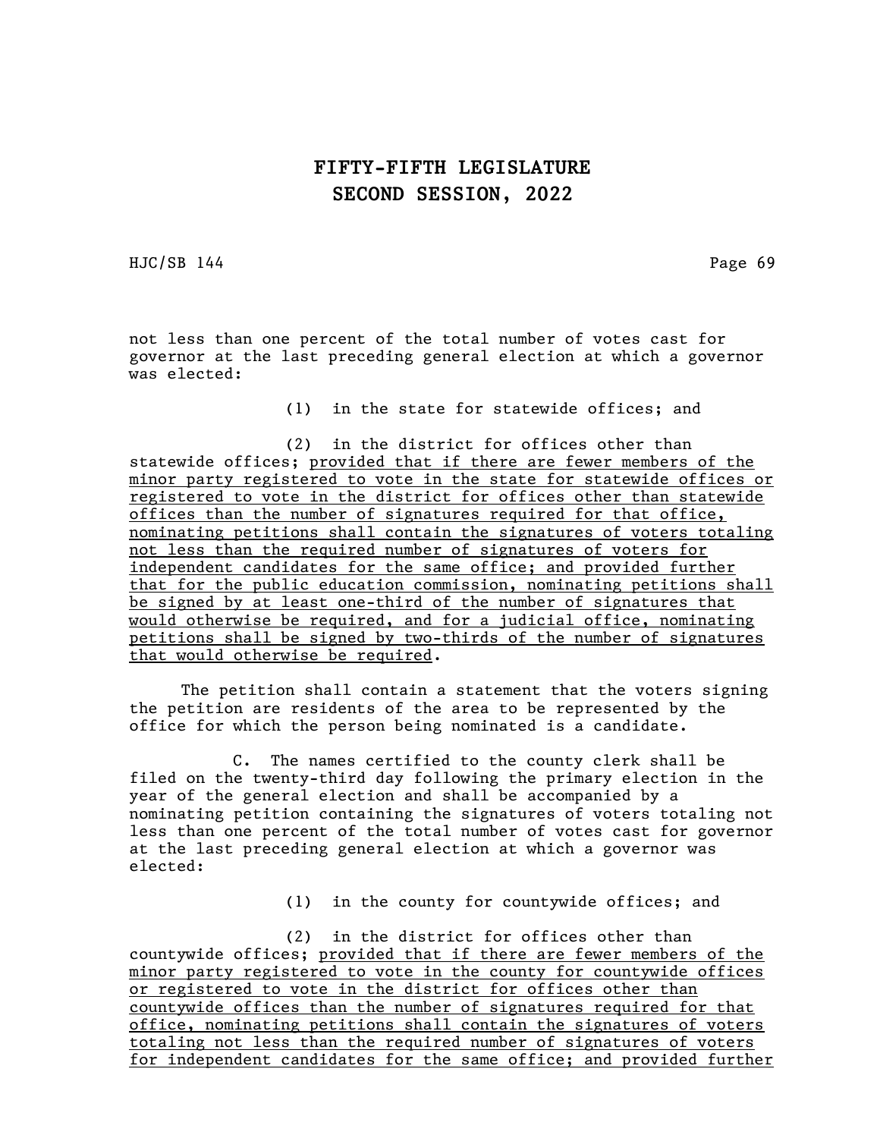HJC/SB 144 Page 69

not less than one percent of the total number of votes cast for governor at the last preceding general election at which a governor was elected:

(1) in the state for statewide offices; and

(2) in the district for offices other than statewide offices; provided that if there are fewer members of the minor party registered to vote in the state for statewide offices or registered to vote in the district for offices other than statewide offices than the number of signatures required for that office, nominating petitions shall contain the signatures of voters totaling not less than the required number of signatures of voters for independent candidates for the same office; and provided further that for the public education commission, nominating petitions shall be signed by at least one-third of the number of signatures that would otherwise be required, and for a judicial office, nominating petitions shall be signed by two-thirds of the number of signatures that would otherwise be required.

The petition shall contain a statement that the voters signing the petition are residents of the area to be represented by the office for which the person being nominated is a candidate.

C. The names certified to the county clerk shall be filed on the twenty-third day following the primary election in the year of the general election and shall be accompanied by a nominating petition containing the signatures of voters totaling not less than one percent of the total number of votes cast for governor at the last preceding general election at which a governor was elected:

(1) in the county for countywide offices; and

(2) in the district for offices other than countywide offices; provided that if there are fewer members of the minor party registered to vote in the county for countywide offices or registered to vote in the district for offices other than countywide offices than the number of signatures required for that office, nominating petitions shall contain the signatures of voters totaling not less than the required number of signatures of voters for independent candidates for the same office; and provided further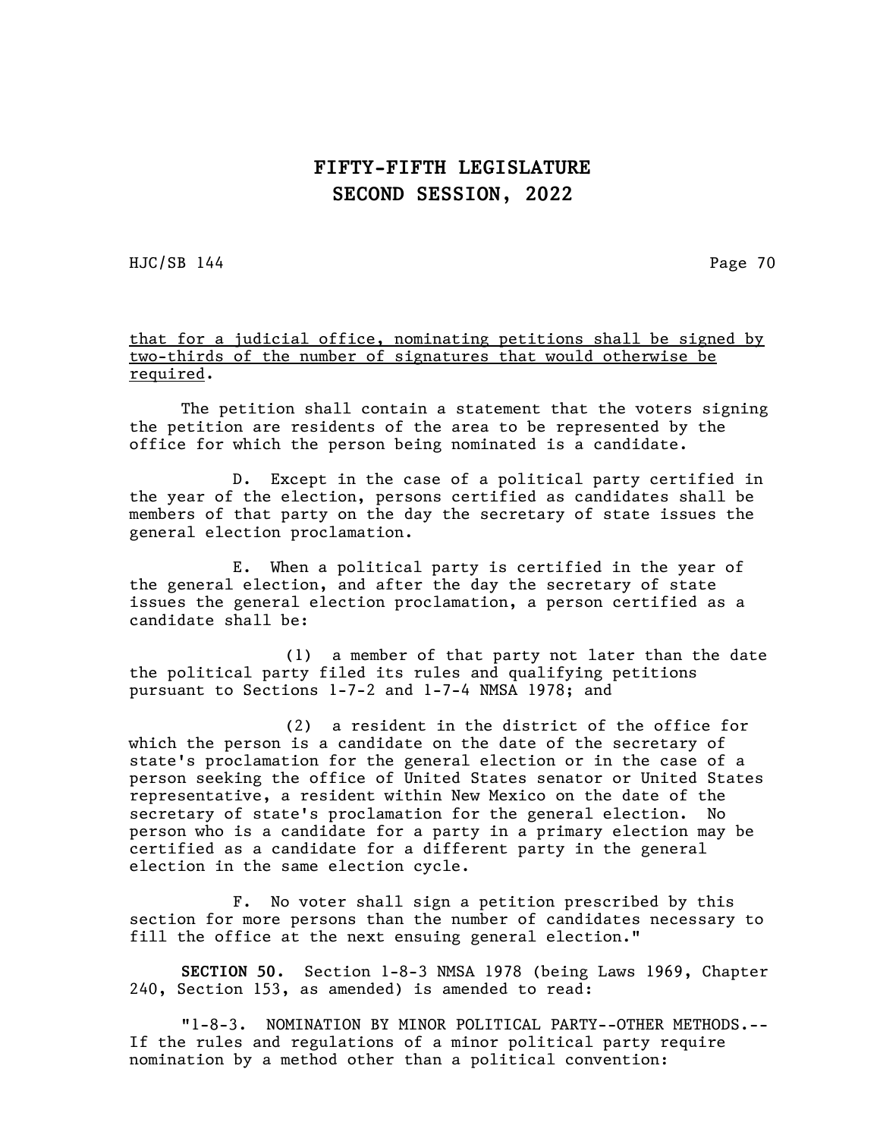HJC/SB 144 Page 70

#### that for a judicial office, nominating petitions shall be signed by two-thirds of the number of signatures that would otherwise be required.

The petition shall contain a statement that the voters signing the petition are residents of the area to be represented by the office for which the person being nominated is a candidate.

D. Except in the case of a political party certified in the year of the election, persons certified as candidates shall be members of that party on the day the secretary of state issues the general election proclamation.

E. When a political party is certified in the year of the general election, and after the day the secretary of state issues the general election proclamation, a person certified as a candidate shall be:

(1) a member of that party not later than the date the political party filed its rules and qualifying petitions pursuant to Sections 1-7-2 and 1-7-4 NMSA 1978; and

(2) a resident in the district of the office for which the person is a candidate on the date of the secretary of state's proclamation for the general election or in the case of a person seeking the office of United States senator or United States representative, a resident within New Mexico on the date of the secretary of state's proclamation for the general election. No person who is a candidate for a party in a primary election may be certified as a candidate for a different party in the general election in the same election cycle.

F. No voter shall sign a petition prescribed by this section for more persons than the number of candidates necessary to fill the office at the next ensuing general election."

SECTION 50. Section 1-8-3 NMSA 1978 (being Laws 1969, Chapter 240, Section 153, as amended) is amended to read:

"1-8-3. NOMINATION BY MINOR POLITICAL PARTY--OTHER METHODS.-- If the rules and regulations of a minor political party require nomination by a method other than a political convention: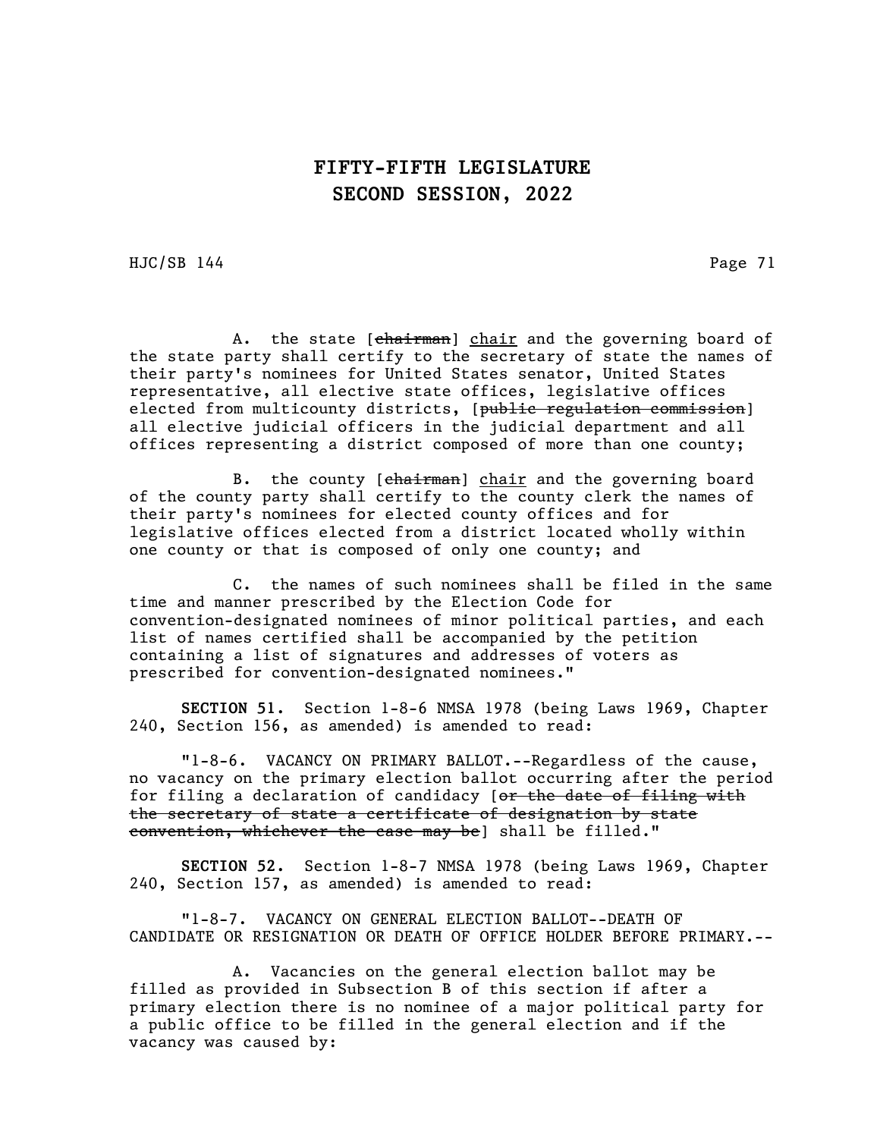HJC/SB 144 Page 71

A. the state [chairman] chair and the governing board of the state party shall certify to the secretary of state the names of their party's nominees for United States senator, United States representative, all elective state offices, legislative offices elected from multicounty districts, [public regulation commission] all elective judicial officers in the judicial department and all offices representing a district composed of more than one county;

B. the county [chairman] chair and the governing board of the county party shall certify to the county clerk the names of their party's nominees for elected county offices and for legislative offices elected from a district located wholly within one county or that is composed of only one county; and

C. the names of such nominees shall be filed in the same time and manner prescribed by the Election Code for convention-designated nominees of minor political parties, and each list of names certified shall be accompanied by the petition containing a list of signatures and addresses of voters as prescribed for convention-designated nominees."

SECTION 51. Section 1-8-6 NMSA 1978 (being Laws 1969, Chapter 240, Section 156, as amended) is amended to read:

"1-8-6. VACANCY ON PRIMARY BALLOT.--Regardless of the cause, no vacancy on the primary election ballot occurring after the period for filing a declaration of candidacy [or the date of filing with the secretary of state a certificate of designation by state convention, whichever the case may be] shall be filled."

SECTION 52. Section 1-8-7 NMSA 1978 (being Laws 1969, Chapter 240, Section 157, as amended) is amended to read:

"1-8-7. VACANCY ON GENERAL ELECTION BALLOT--DEATH OF CANDIDATE OR RESIGNATION OR DEATH OF OFFICE HOLDER BEFORE PRIMARY.--

A. Vacancies on the general election ballot may be filled as provided in Subsection B of this section if after a primary election there is no nominee of a major political party for a public office to be filled in the general election and if the vacancy was caused by: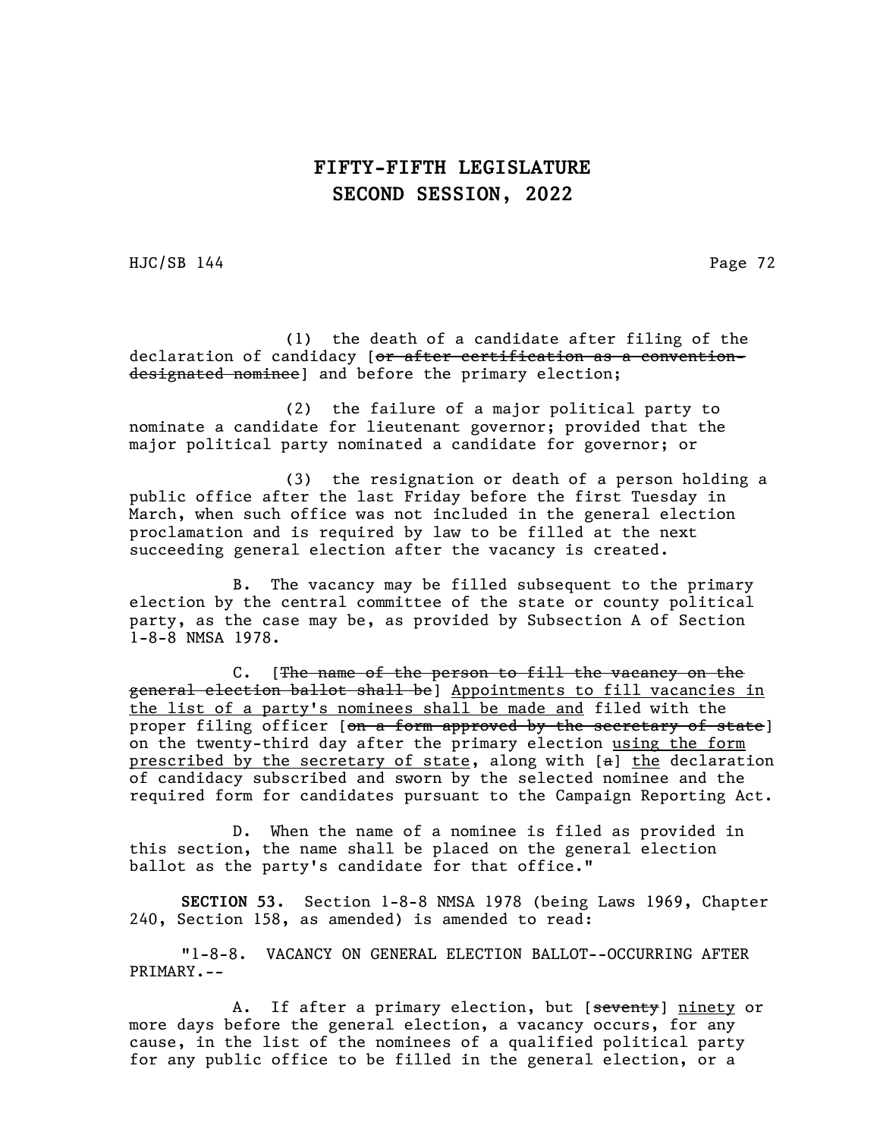HJC/SB 144 Page 72

(1) the death of a candidate after filing of the declaration of candidacy [or after certification as a conventiondesignated nominee] and before the primary election;

(2) the failure of a major political party to nominate a candidate for lieutenant governor; provided that the major political party nominated a candidate for governor; or

(3) the resignation or death of a person holding a public office after the last Friday before the first Tuesday in March, when such office was not included in the general election proclamation and is required by law to be filled at the next succeeding general election after the vacancy is created.

B. The vacancy may be filled subsequent to the primary election by the central committee of the state or county political party, as the case may be, as provided by Subsection A of Section 1-8-8 NMSA 1978.

C. [The name of the person to fill the vacancy on the general election ballot shall be] Appointments to fill vacancies in the list of a party's nominees shall be made and filed with the proper filing officer [on a form approved by the secretary of state] on the twenty-third day after the primary election using the form prescribed by the secretary of state, along with  $[a]$  the declaration of candidacy subscribed and sworn by the selected nominee and the required form for candidates pursuant to the Campaign Reporting Act.

D. When the name of a nominee is filed as provided in this section, the name shall be placed on the general election ballot as the party's candidate for that office."

SECTION 53. Section 1-8-8 NMSA 1978 (being Laws 1969, Chapter 240, Section 158, as amended) is amended to read:

"1-8-8. VACANCY ON GENERAL ELECTION BALLOT--OCCURRING AFTER PRIMARY.--

A. If after a primary election, but [seventy] ninety or more days before the general election, a vacancy occurs, for any cause, in the list of the nominees of a qualified political party for any public office to be filled in the general election, or a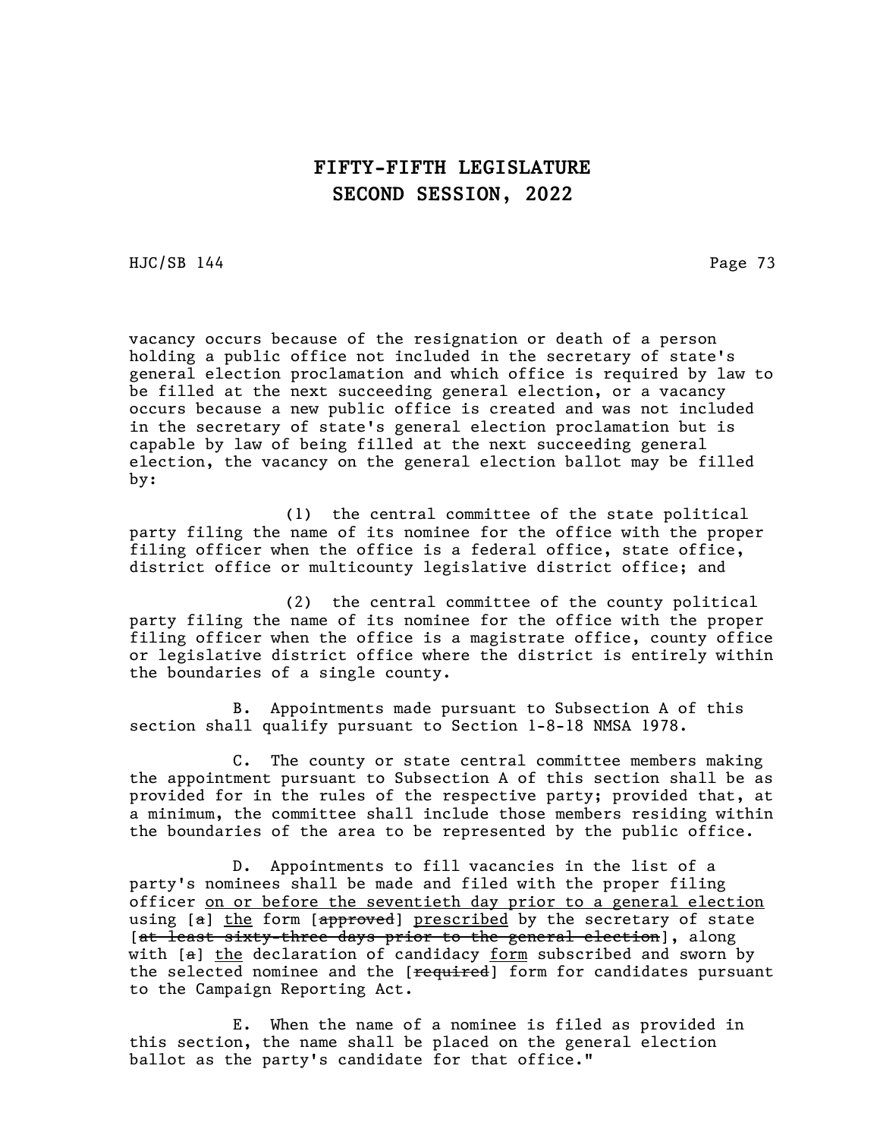HJC/SB 144 Page 73

vacancy occurs because of the resignation or death of a person holding a public office not included in the secretary of state's general election proclamation and which office is required by law to be filled at the next succeeding general election, or a vacancy occurs because a new public office is created and was not included in the secretary of state's general election proclamation but is capable by law of being filled at the next succeeding general election, the vacancy on the general election ballot may be filled by:

(1) the central committee of the state political party filing the name of its nominee for the office with the proper filing officer when the office is a federal office, state office, district office or multicounty legislative district office; and

(2) the central committee of the county political party filing the name of its nominee for the office with the proper filing officer when the office is a magistrate office, county office or legislative district office where the district is entirely within the boundaries of a single county.

B. Appointments made pursuant to Subsection A of this section shall qualify pursuant to Section 1-8-18 NMSA 1978.

C. The county or state central committee members making the appointment pursuant to Subsection A of this section shall be as provided for in the rules of the respective party; provided that, at a minimum, the committee shall include those members residing within the boundaries of the area to be represented by the public office.

D. Appointments to fill vacancies in the list of a party's nominees shall be made and filed with the proper filing officer on or before the seventieth day prior to a general election using [a] the form [approved] prescribed by the secretary of state [at least sixty-three days prior to the general election], along with [a] the declaration of candidacy form subscribed and sworn by the selected nominee and the [required] form for candidates pursuant to the Campaign Reporting Act.

E. When the name of a nominee is filed as provided in this section, the name shall be placed on the general election ballot as the party's candidate for that office."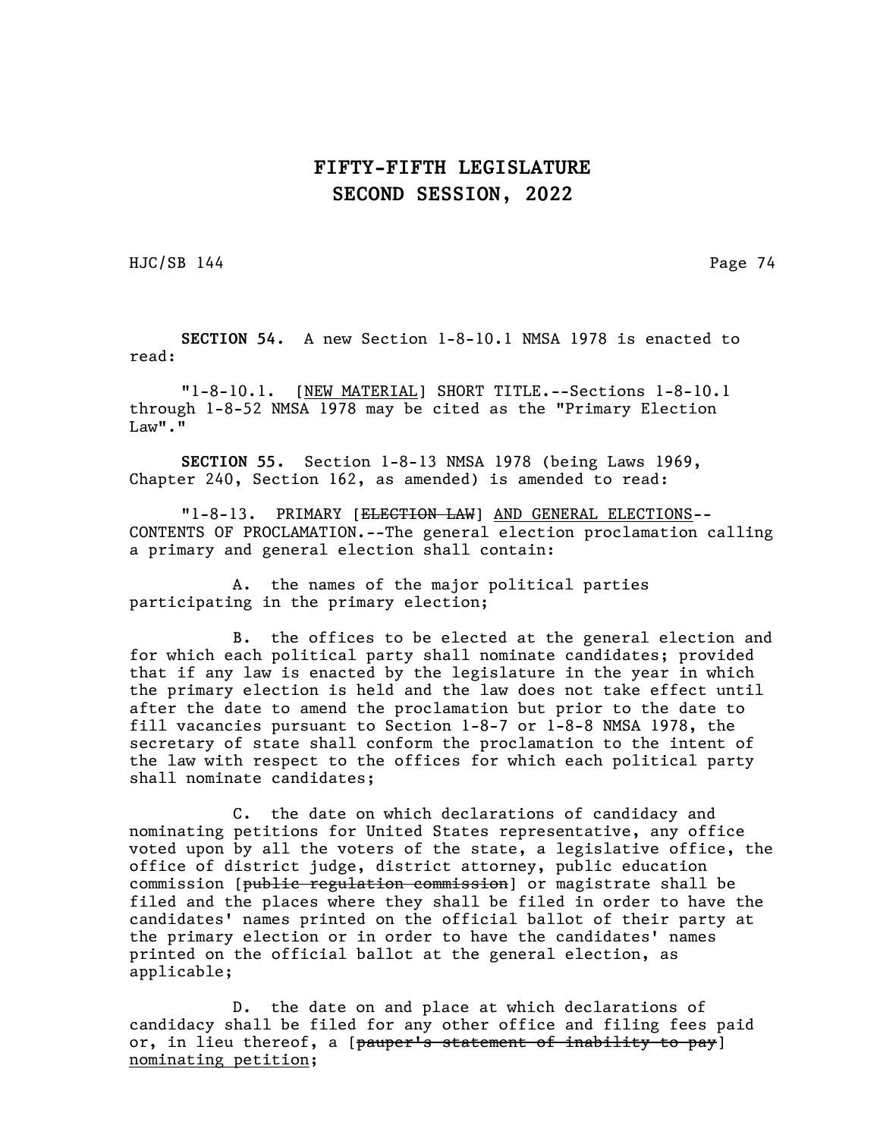HJC/SB 144 Page 74

SECTION 54. A new Section 1-8-10.1 NMSA 1978 is enacted to read:

"1-8-10.1. [NEW MATERIAL] SHORT TITLE.--Sections 1-8-10.1 through 1-8-52 NMSA 1978 may be cited as the "Primary Election  $Law$ "."

SECTION 55. Section 1-8-13 NMSA 1978 (being Laws 1969, Chapter 240, Section 162, as amended) is amended to read:

"1-8-13. PRIMARY [ELECTION LAW] AND GENERAL ELECTIONS-- CONTENTS OF PROCLAMATION.--The general election proclamation calling a primary and general election shall contain:

A. the names of the major political parties participating in the primary election;

B. the offices to be elected at the general election and for which each political party shall nominate candidates; provided that if any law is enacted by the legislature in the year in which the primary election is held and the law does not take effect until after the date to amend the proclamation but prior to the date to fill vacancies pursuant to Section 1-8-7 or 1-8-8 NMSA 1978, the secretary of state shall conform the proclamation to the intent of the law with respect to the offices for which each political party shall nominate candidates;

C. the date on which declarations of candidacy and nominating petitions for United States representative, any office voted upon by all the voters of the state, a legislative office, the office of district judge, district attorney, public education commission [public regulation commission] or magistrate shall be filed and the places where they shall be filed in order to have the candidates' names printed on the official ballot of their party at the primary election or in order to have the candidates' names printed on the official ballot at the general election, as applicable;

D. the date on and place at which declarations of candidacy shall be filed for any other office and filing fees paid or, in lieu thereof, a [pauper's statement of inability to pay] nominating petition;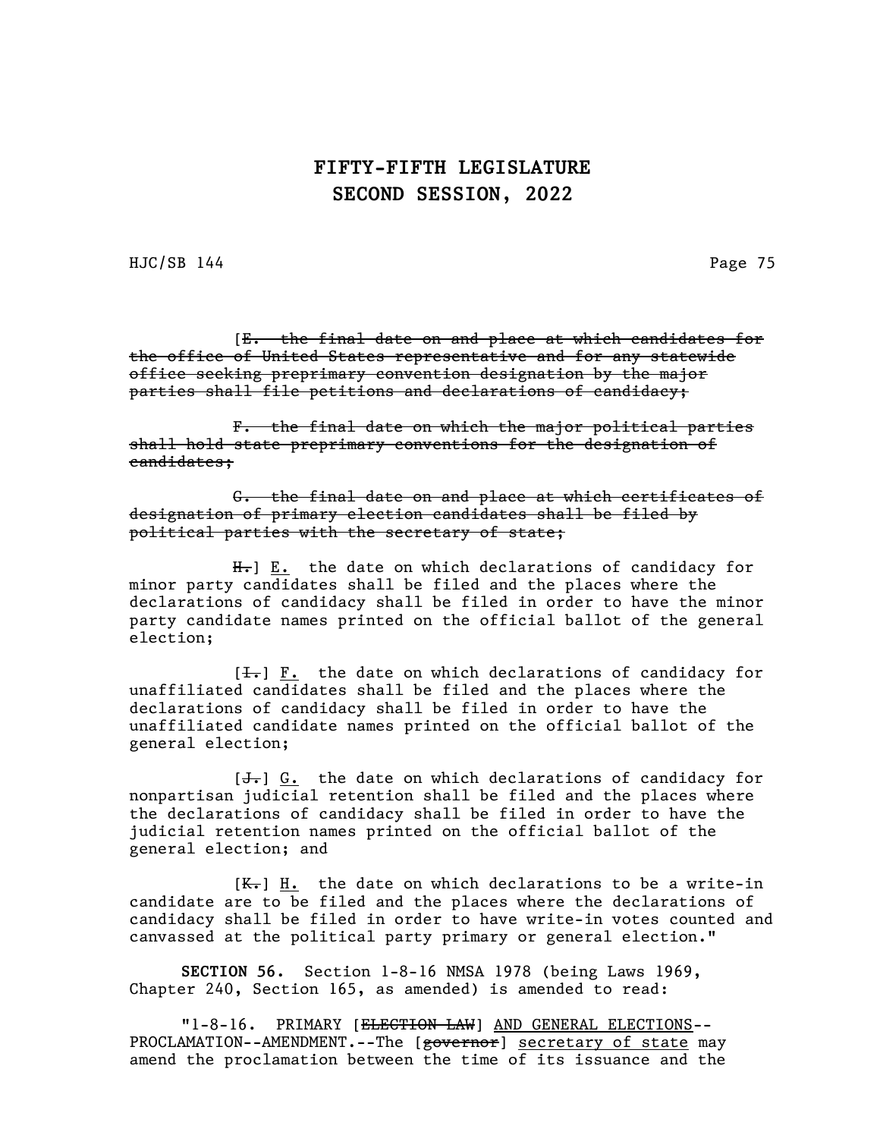HJC/SB 144 Page 75

[E. the final date on and place at which candidates for the office of United States representative and for any statewide office seeking preprimary convention designation by the major parties shall file petitions and declarations of candidacy;

F. the final date on which the major political parties shall hold state preprimary conventions for the designation of candidates;

G. the final date on and place at which certificates of designation of primary election candidates shall be filed by political parties with the secretary of state;

 $H_{\tau}$ ]  $E_{\cdot}$  the date on which declarations of candidacy for minor party candidates shall be filed and the places where the declarations of candidacy shall be filed in order to have the minor party candidate names printed on the official ballot of the general election;

 $[\frac{1}{\sqrt{1}}]$   $\underline{F.}$  the date on which declarations of candidacy for unaffiliated candidates shall be filed and the places where the declarations of candidacy shall be filed in order to have the unaffiliated candidate names printed on the official ballot of the general election;

 $[\frac{1}{\sqrt{1}}]$  G. the date on which declarations of candidacy for nonpartisan judicial retention shall be filed and the places where the declarations of candidacy shall be filed in order to have the judicial retention names printed on the official ballot of the general election; and

 $[K_{\tau}]$  H. the date on which declarations to be a write-in candidate are to be filed and the places where the declarations of candidacy shall be filed in order to have write-in votes counted and canvassed at the political party primary or general election."

SECTION 56. Section 1-8-16 NMSA 1978 (being Laws 1969, Chapter 240, Section 165, as amended) is amended to read:

"1-8-16. PRIMARY [ELECTION LAW] AND GENERAL ELECTIONS--PROCLAMATION--AMENDMENT.--The [governor] secretary of state may amend the proclamation between the time of its issuance and the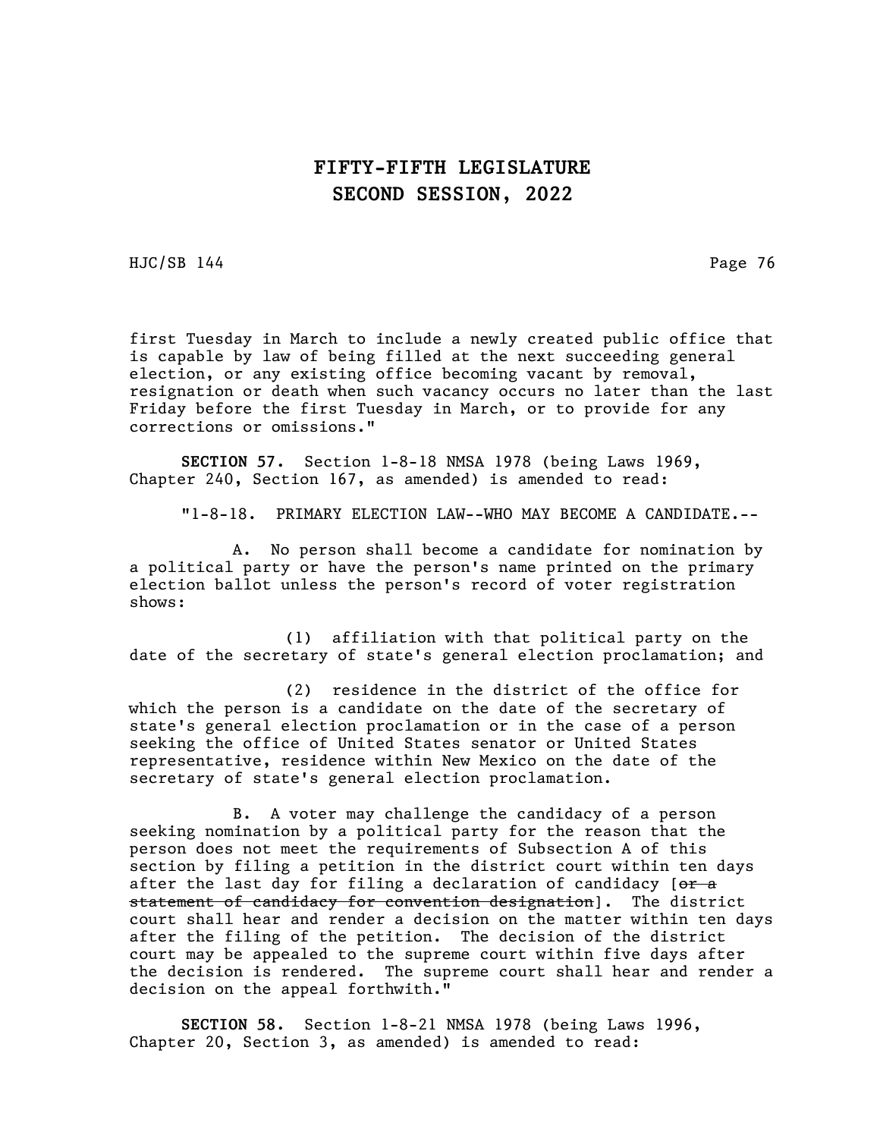HJC/SB 144 Page 76

first Tuesday in March to include a newly created public office that is capable by law of being filled at the next succeeding general election, or any existing office becoming vacant by removal, resignation or death when such vacancy occurs no later than the last Friday before the first Tuesday in March, or to provide for any corrections or omissions."

SECTION 57. Section 1-8-18 NMSA 1978 (being Laws 1969, Chapter 240, Section 167, as amended) is amended to read:

"1-8-18. PRIMARY ELECTION LAW--WHO MAY BECOME A CANDIDATE.--

A. No person shall become a candidate for nomination by a political party or have the person's name printed on the primary election ballot unless the person's record of voter registration shows:

(1) affiliation with that political party on the date of the secretary of state's general election proclamation; and

(2) residence in the district of the office for which the person is a candidate on the date of the secretary of state's general election proclamation or in the case of a person seeking the office of United States senator or United States representative, residence within New Mexico on the date of the secretary of state's general election proclamation.

B. A voter may challenge the candidacy of a person seeking nomination by a political party for the reason that the person does not meet the requirements of Subsection A of this section by filing a petition in the district court within ten days after the last day for filing a declaration of candidacy [or a statement of candidacy for convention designation]. The district court shall hear and render a decision on the matter within ten days after the filing of the petition. The decision of the district court may be appealed to the supreme court within five days after the decision is rendered. The supreme court shall hear and render a decision on the appeal forthwith."

SECTION 58. Section 1-8-21 NMSA 1978 (being Laws 1996, Chapter 20, Section 3, as amended) is amended to read: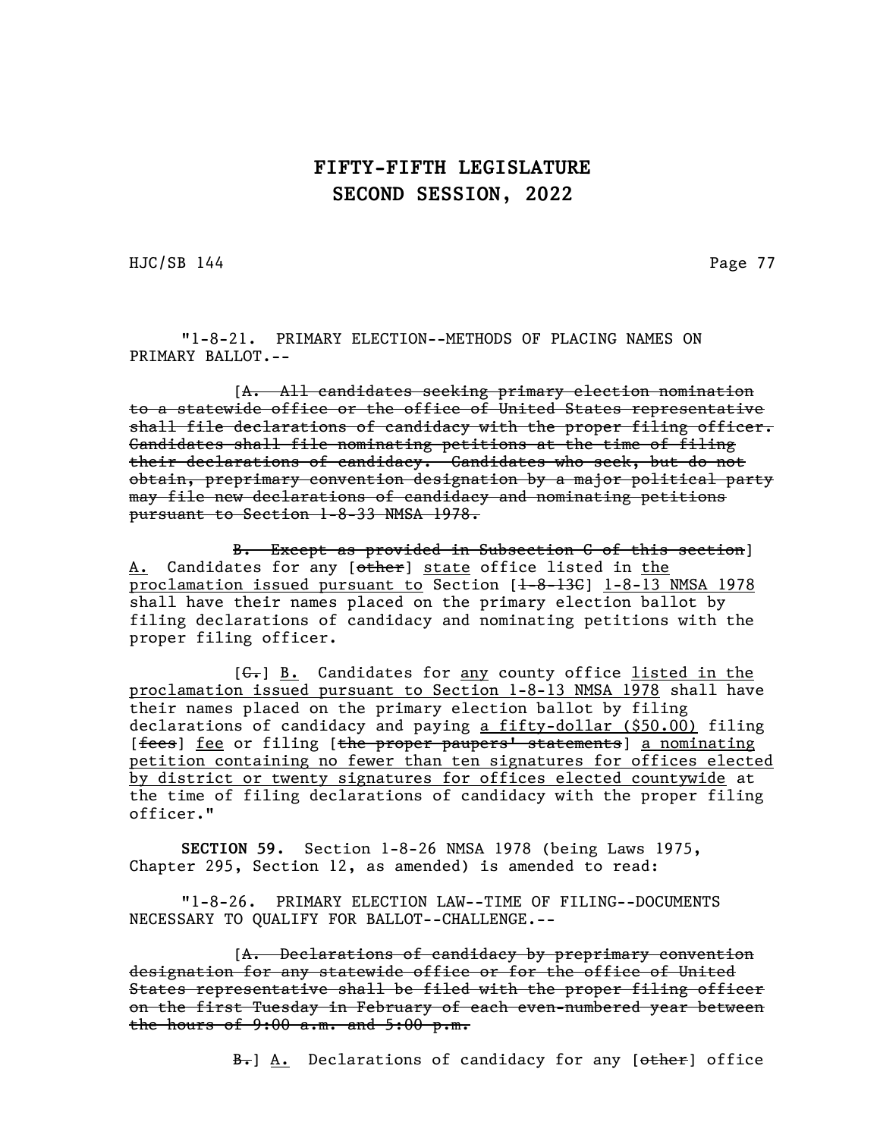HJC/SB 144 Page 77

"1-8-21. PRIMARY ELECTION--METHODS OF PLACING NAMES ON PRIMARY BALLOT.--

[A. All candidates seeking primary election nomination to a statewide office or the office of United States representative shall file declarations of candidacy with the proper filing officer. Candidates shall file nominating petitions at the time of filing their declarations of candidacy. Candidates who seek, but do not obtain, preprimary convention designation by a major political party may file new declarations of candidacy and nominating petitions pursuant to Section 1-8-33 NMSA 1978.

B. Except as provided in Subsection C of this section] A. Candidates for any [<del>other</del>] state office listed in the proclamation issued pursuant to Section  $[1-8-136]$  1-8-13 NMSA 1978 shall have their names placed on the primary election ballot by filing declarations of candidacy and nominating petitions with the proper filing officer.

[ $G-$ ] B. Candidates for any county office listed in the proclamation issued pursuant to Section 1-8-13 NMSA 1978 shall have their names placed on the primary election ballot by filing declarations of candidacy and paying a fifty-dollar (\$50.00) filing [fees] <u>fee</u> or filing [the proper paupers' statements] a nominating petition containing no fewer than ten signatures for offices elected by district or twenty signatures for offices elected countywide at the time of filing declarations of candidacy with the proper filing officer."

SECTION 59. Section 1-8-26 NMSA 1978 (being Laws 1975, Chapter 295, Section 12, as amended) is amended to read:

"1-8-26. PRIMARY ELECTION LAW--TIME OF FILING--DOCUMENTS NECESSARY TO QUALIFY FOR BALLOT--CHALLENGE.--

[A. Declarations of candidacy by preprimary convention designation for any statewide office or for the office of United States representative shall be filed with the proper filing officer on the first Tuesday in February of each even-numbered year between the hours of  $9:00$  a.m. and  $5:00$  p.m.

B. A. Declarations of candidacy for any [other] office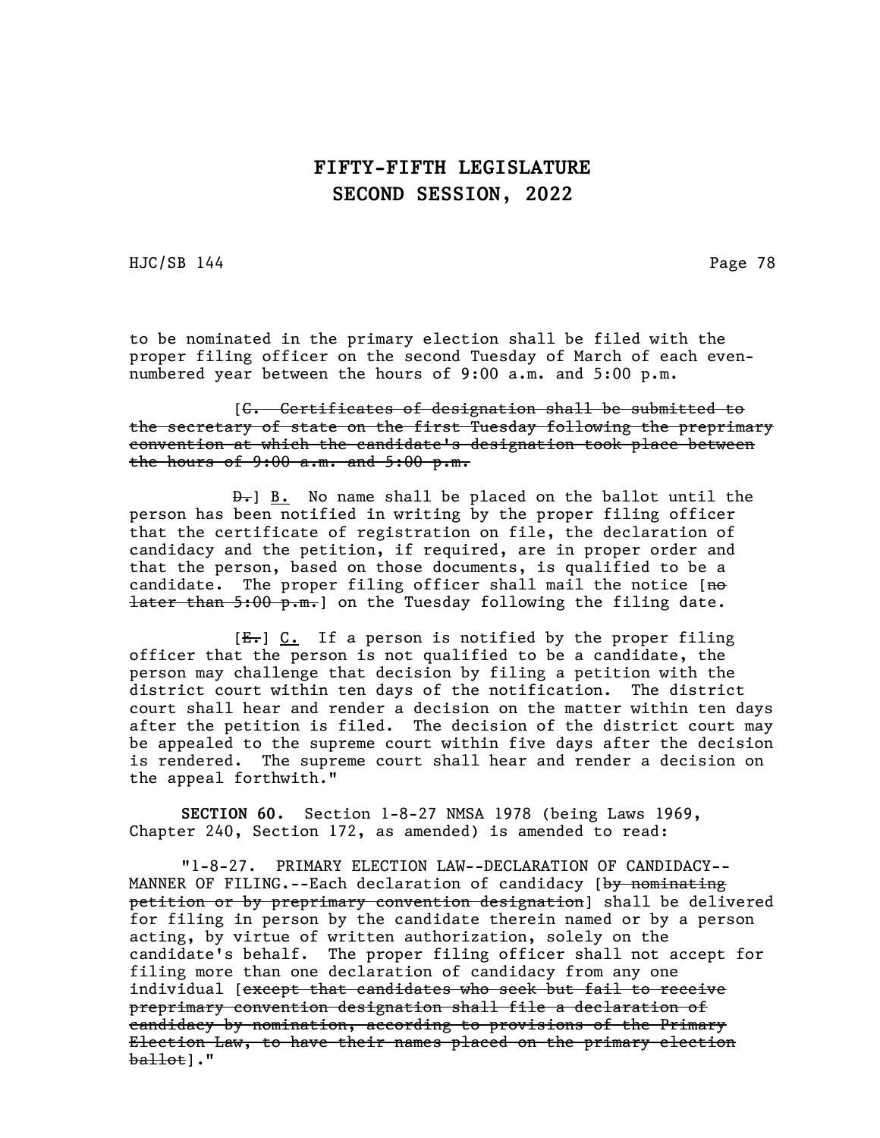HJC/SB 144 Page 78

to be nominated in the primary election shall be filed with the proper filing officer on the second Tuesday of March of each evennumbered year between the hours of 9:00 a.m. and 5:00 p.m.

[C. Certificates of designation shall be submitted to the secretary of state on the first Tuesday following the preprimary convention at which the candidate's designation took place between the hours of  $9:00$  a.m. and  $5:00$  p.m.

 $\overline{B}$ . No name shall be placed on the ballot until the person has been notified in writing by the proper filing officer that the certificate of registration on file, the declaration of candidacy and the petition, if required, are in proper order and that the person, based on those documents, is qualified to be a candidate. The proper filing officer shall mail the notice [no **later than 5:00 p.m.** on the Tuesday following the filing date.

 $[E_r]$  C. If a person is notified by the proper filing officer that the person is not qualified to be a candidate, the person may challenge that decision by filing a petition with the district court within ten days of the notification. The district court shall hear and render a decision on the matter within ten days after the petition is filed. The decision of the district court may be appealed to the supreme court within five days after the decision is rendered. The supreme court shall hear and render a decision on the appeal forthwith."

SECTION 60. Section 1-8-27 NMSA 1978 (being Laws 1969, Chapter 240, Section 172, as amended) is amended to read:

"1-8-27. PRIMARY ELECTION LAW--DECLARATION OF CANDIDACY-- MANNER OF FILING.--Each declaration of candidacy [by nominating petition or by preprimary convention designation] shall be delivered for filing in person by the candidate therein named or by a person acting, by virtue of written authorization, solely on the candidate's behalf. The proper filing officer shall not accept for filing more than one declaration of candidacy from any one individual [except that candidates who seek but fail to receive preprimary convention designation shall file a declaration of candidacy by nomination, according to provisions of the Primary Election Law, to have their names placed on the primary election  $b$ allot]."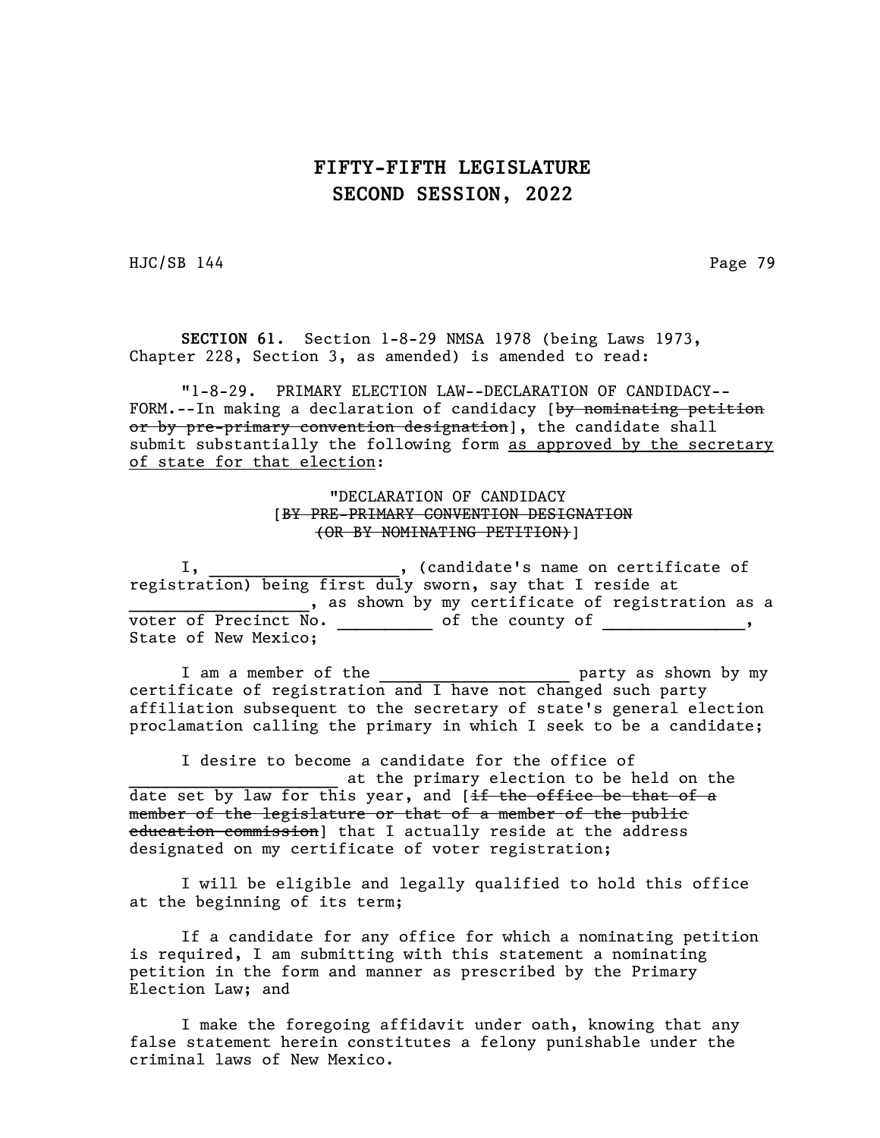HJC/SB 144 Page 79

SECTION 61. Section 1-8-29 NMSA 1978 (being Laws 1973, Chapter 228, Section 3, as amended) is amended to read:

"1-8-29. PRIMARY ELECTION LAW--DECLARATION OF CANDIDACY-- FORM.--In making a declaration of candidacy [by nominating petition or by pre-primary convention designation], the candidate shall submit substantially the following form as approved by the secretary of state for that election:

#### "DECLARATION OF CANDIDACY [BY PRE-PRIMARY CONVENTION DESIGNATION (OR BY NOMINATING PETITION)]

I, \_\_\_\_\_\_\_\_\_\_\_\_\_\_\_\_\_\_, (candidate's name on certificate of registration) being first duly sworn, say that I reside at , as shown by my certificate of registration as a voter of Precinct No.  $\frac{1}{2}$  of the county of  $\frac{1}{2}$ State of New Mexico;

I am a member of the \_\_\_\_\_\_\_\_\_\_\_\_\_\_\_\_\_\_\_\_ party as shown by my certificate of registration and I have not changed such party affiliation subsequent to the secretary of state's general election proclamation calling the primary in which I seek to be a candidate;

I desire to become a candidate for the office of at the primary election to be held on the date set by law for this year, and [if the office be that of a member of the legislature or that of a member of the public education commission] that I actually reside at the address designated on my certificate of voter registration;

I will be eligible and legally qualified to hold this office at the beginning of its term;

If a candidate for any office for which a nominating petition is required, I am submitting with this statement a nominating petition in the form and manner as prescribed by the Primary Election Law; and

I make the foregoing affidavit under oath, knowing that any false statement herein constitutes a felony punishable under the criminal laws of New Mexico.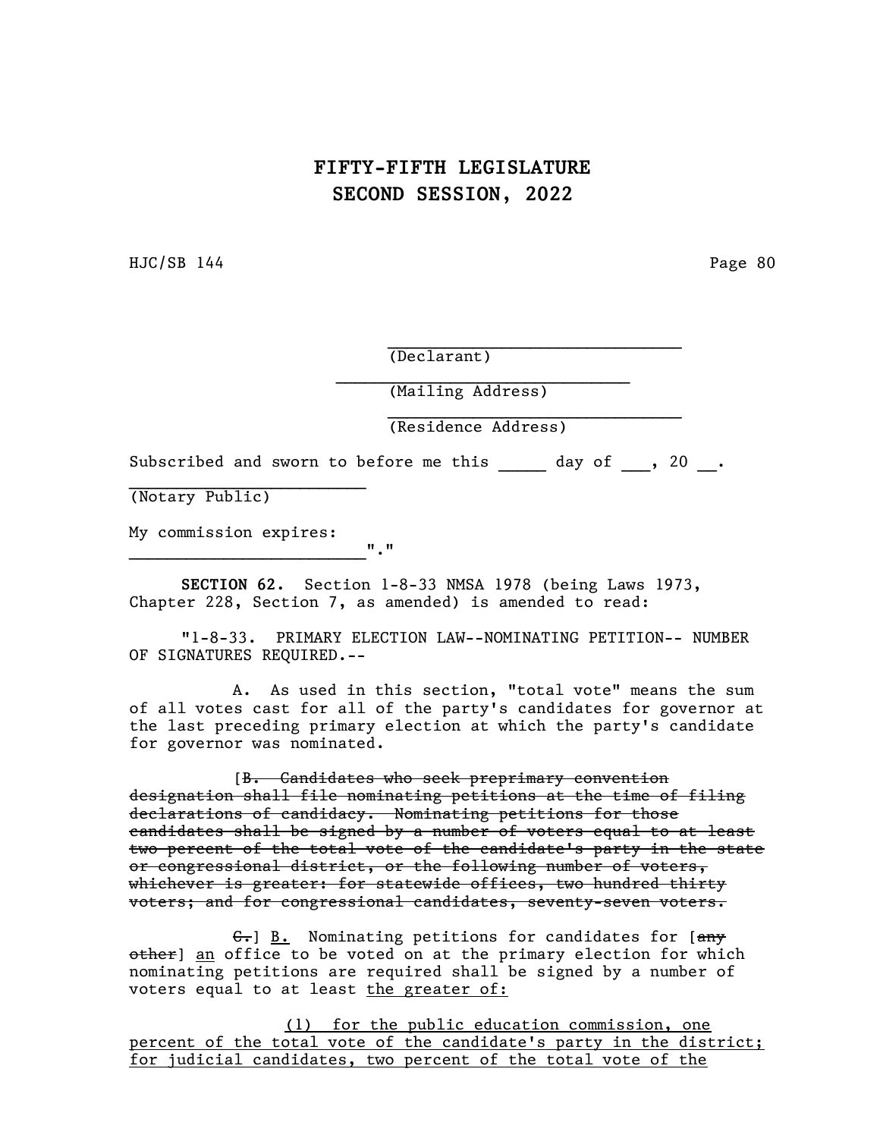HJC/SB 144 Page 80

(Declarant)

(Mailing Address)

(Residence Address)

 $\mathcal{L}_\text{max}$  and  $\mathcal{L}_\text{max}$  and  $\mathcal{L}_\text{max}$  and  $\mathcal{L}_\text{max}$ 

 $\mathcal{L}_\text{max}$ 

Subscribed and sworn to before me this day of , 20.

(Notary Public)

My commission expires:  $\mathbf{u}_1 \mathbf{u}_2$ 

SECTION 62. Section 1-8-33 NMSA 1978 (being Laws 1973, Chapter 228, Section 7, as amended) is amended to read:

"1-8-33. PRIMARY ELECTION LAW--NOMINATING PETITION-- NUMBER OF SIGNATURES REQUIRED.--

A. As used in this section, "total vote" means the sum of all votes cast for all of the party's candidates for governor at the last preceding primary election at which the party's candidate for governor was nominated.

[B. Candidates who seek preprimary convention designation shall file nominating petitions at the time of filing declarations of candidacy. Nominating petitions for those candidates shall be signed by a number of voters equal to at least two percent of the total vote of the candidate's party in the state or congressional district, or the following number of voters, whichever is greater: for statewide offices, two hundred thirty voters; and for congressional candidates, seventy-seven voters.

 $\left| \frac{\partial F}{\partial r} \right|$  B. Nominating petitions for candidates for  $\left| \frac{\partial F}{\partial r} \right|$ other] an office to be voted on at the primary election for which nominating petitions are required shall be signed by a number of voters equal to at least the greater of:

(1) for the public education commission, one percent of the total vote of the candidate's party in the district; for judicial candidates, two percent of the total vote of the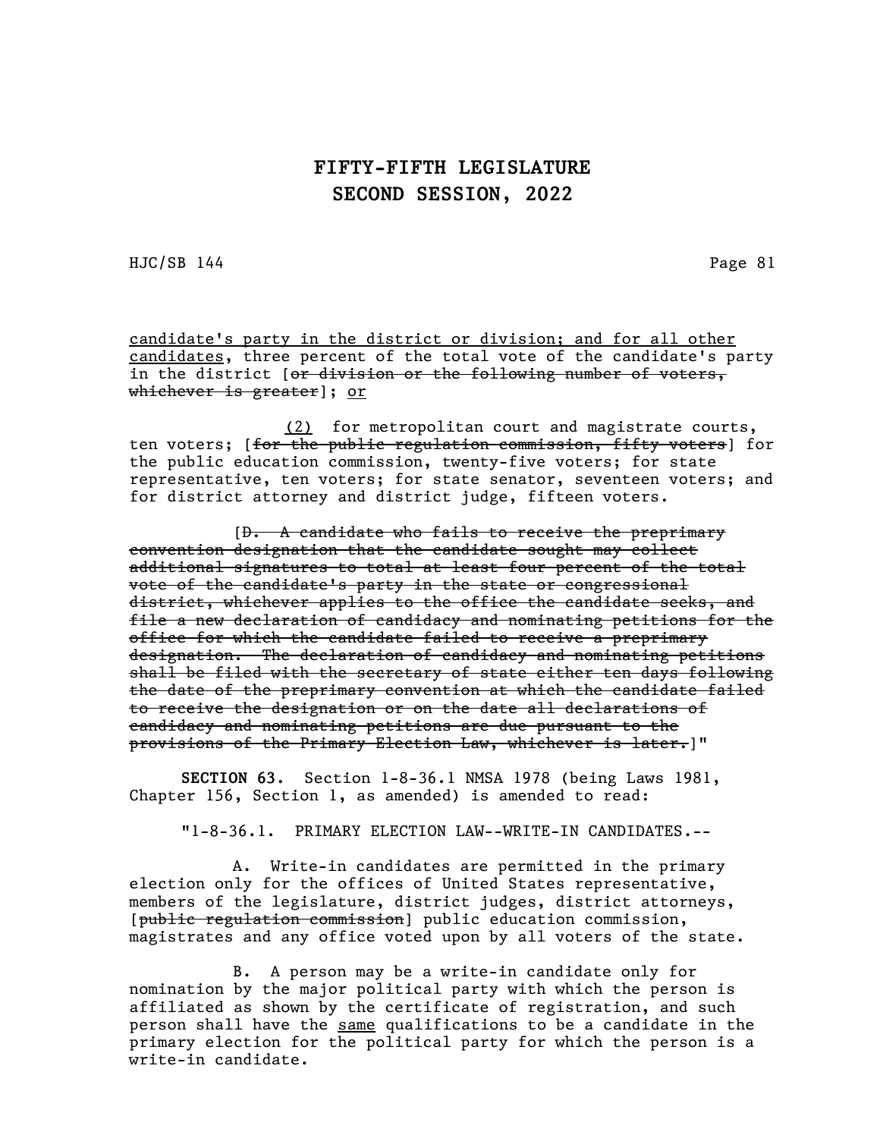HJC/SB 144 Page 81

candidate's party in the district or division; and for all other candidates, three percent of the total vote of the candidate's party in the district [or division or the following number of voters, whichever is greater]; or

(2) for metropolitan court and magistrate courts, ten voters; [<del>for the public regulation commission, fifty voters</del>] for the public education commission, twenty-five voters; for state representative, ten voters; for state senator, seventeen voters; and for district attorney and district judge, fifteen voters.

[D. A candidate who fails to receive the preprimary convention designation that the candidate sought may collect additional signatures to total at least four percent of the total vote of the candidate's party in the state or congressional district, whichever applies to the office the candidate seeks, and file a new declaration of candidacy and nominating petitions for the office for which the candidate failed to receive a preprimary designation. The declaration of candidacy and nominating petitions shall be filed with the secretary of state either ten days following the date of the preprimary convention at which the candidate failed to receive the designation or on the date all declarations of candidacy and nominating petitions are due pursuant to the provisions of the Primary Election Law, whichever is later.]"

SECTION 63. Section 1-8-36.1 NMSA 1978 (being Laws 1981, Chapter 156, Section 1, as amended) is amended to read:

"1-8-36.1. PRIMARY ELECTION LAW--WRITE-IN CANDIDATES.--

A. Write-in candidates are permitted in the primary election only for the offices of United States representative, members of the legislature, district judges, district attorneys, [public regulation commission] public education commission, magistrates and any office voted upon by all voters of the state.

B. A person may be a write-in candidate only for nomination by the major political party with which the person is affiliated as shown by the certificate of registration, and such person shall have the same qualifications to be a candidate in the primary election for the political party for which the person is a write-in candidate.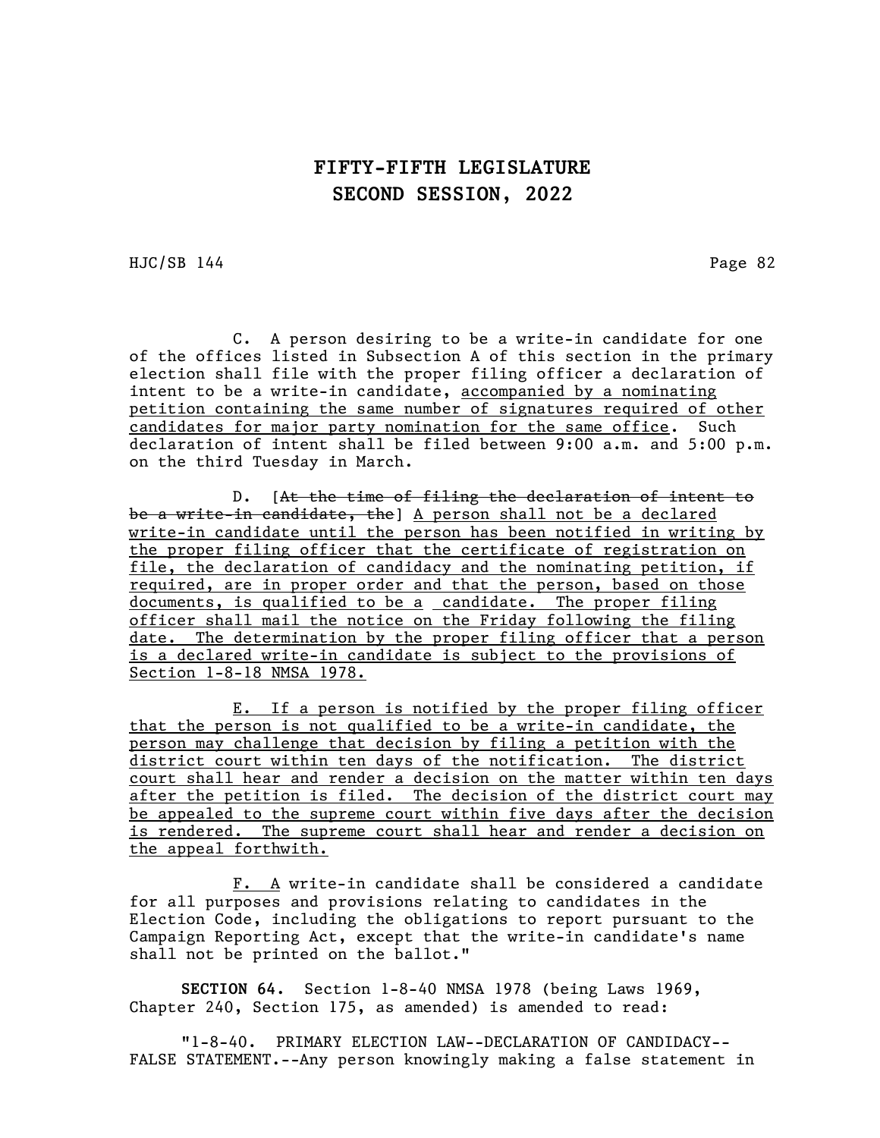HJC/SB 144 Page 82

C. A person desiring to be a write-in candidate for one of the offices listed in Subsection A of this section in the primary election shall file with the proper filing officer a declaration of intent to be a write-in candidate, accompanied by a nominating petition containing the same number of signatures required of other candidates for major party nomination for the same office. Such declaration of intent shall be filed between 9:00 a.m. and 5:00 p.m. on the third Tuesday in March.

D. [At the time of filing the declaration of intent to be a write-in candidate, the] A person shall not be a declared write-in candidate until the person has been notified in writing by the proper filing officer that the certificate of registration on file, the declaration of candidacy and the nominating petition, if required, are in proper order and that the person, based on those documents, is qualified to be a candidate. The proper filing officer shall mail the notice on the Friday following the filing date. The determination by the proper filing officer that a person is a declared write-in candidate is subject to the provisions of Section 1-8-18 NMSA 1978.

E. If a person is notified by the proper filing officer that the person is not qualified to be a write-in candidate, the person may challenge that decision by filing a petition with the district court within ten days of the notification. The district court shall hear and render a decision on the matter within ten days after the petition is filed. The decision of the district court may be appealed to the supreme court within five days after the decision is rendered. The supreme court shall hear and render a decision on the appeal forthwith.

F. A write-in candidate shall be considered a candidate for all purposes and provisions relating to candidates in the Election Code, including the obligations to report pursuant to the Campaign Reporting Act, except that the write-in candidate's name shall not be printed on the ballot."

SECTION 64. Section 1-8-40 NMSA 1978 (being Laws 1969, Chapter 240, Section 175, as amended) is amended to read:

"1-8-40. PRIMARY ELECTION LAW--DECLARATION OF CANDIDACY-- FALSE STATEMENT.--Any person knowingly making a false statement in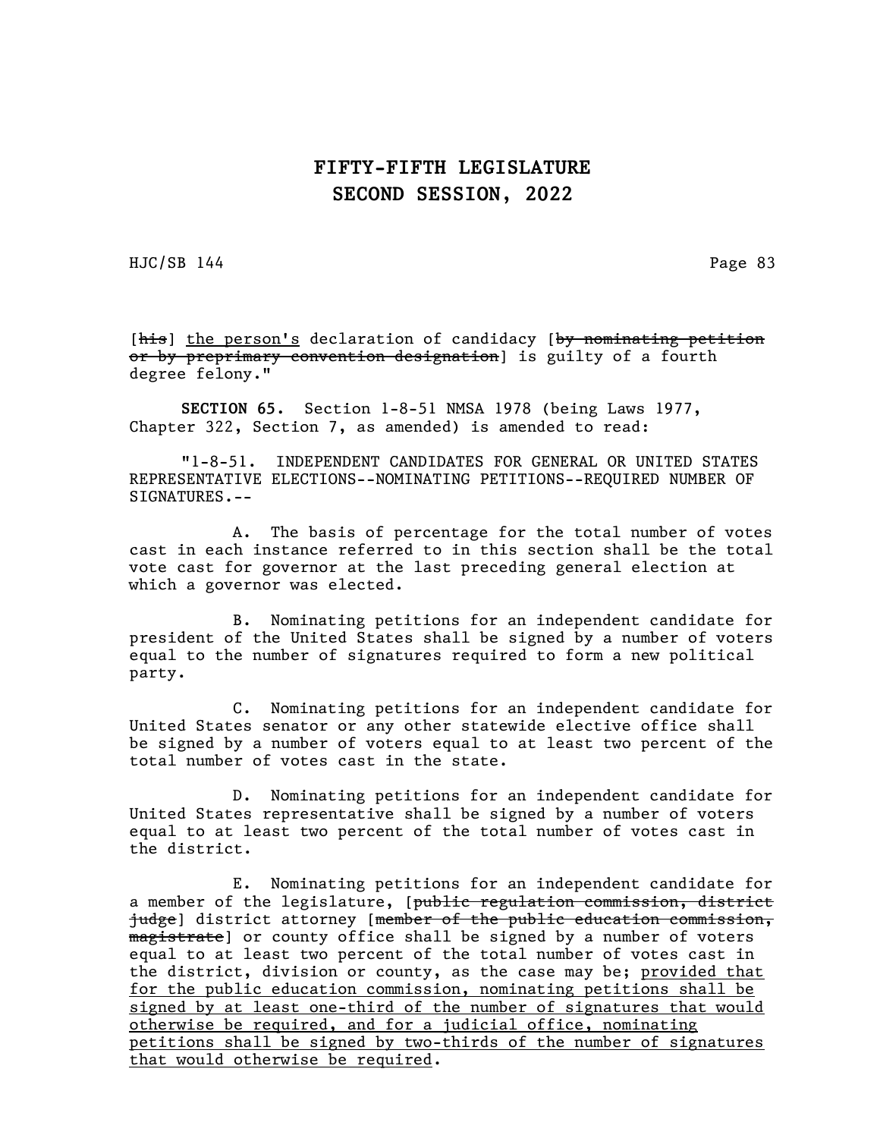HJC/SB 144 Page 83

[his] the person's declaration of candidacy [by nominating petition or by preprimary convention designation] is guilty of a fourth degree felony."

SECTION 65. Section 1-8-51 NMSA 1978 (being Laws 1977, Chapter 322, Section 7, as amended) is amended to read:

"1-8-51. INDEPENDENT CANDIDATES FOR GENERAL OR UNITED STATES REPRESENTATIVE ELECTIONS--NOMINATING PETITIONS--REQUIRED NUMBER OF SIGNATURES.--

A. The basis of percentage for the total number of votes cast in each instance referred to in this section shall be the total vote cast for governor at the last preceding general election at which a governor was elected.

B. Nominating petitions for an independent candidate for president of the United States shall be signed by a number of voters equal to the number of signatures required to form a new political party.

C. Nominating petitions for an independent candidate for United States senator or any other statewide elective office shall be signed by a number of voters equal to at least two percent of the total number of votes cast in the state.

D. Nominating petitions for an independent candidate for United States representative shall be signed by a number of voters equal to at least two percent of the total number of votes cast in the district.

E. Nominating petitions for an independent candidate for a member of the legislature, [public regulation commission, district judge] district attorney [membe<del>r of the public education commission,</del> magistrate) or county office shall be signed by a number of voters equal to at least two percent of the total number of votes cast in the district, division or county, as the case may be; provided that for the public education commission, nominating petitions shall be signed by at least one-third of the number of signatures that would otherwise be required, and for a judicial office, nominating petitions shall be signed by two-thirds of the number of signatures that would otherwise be required.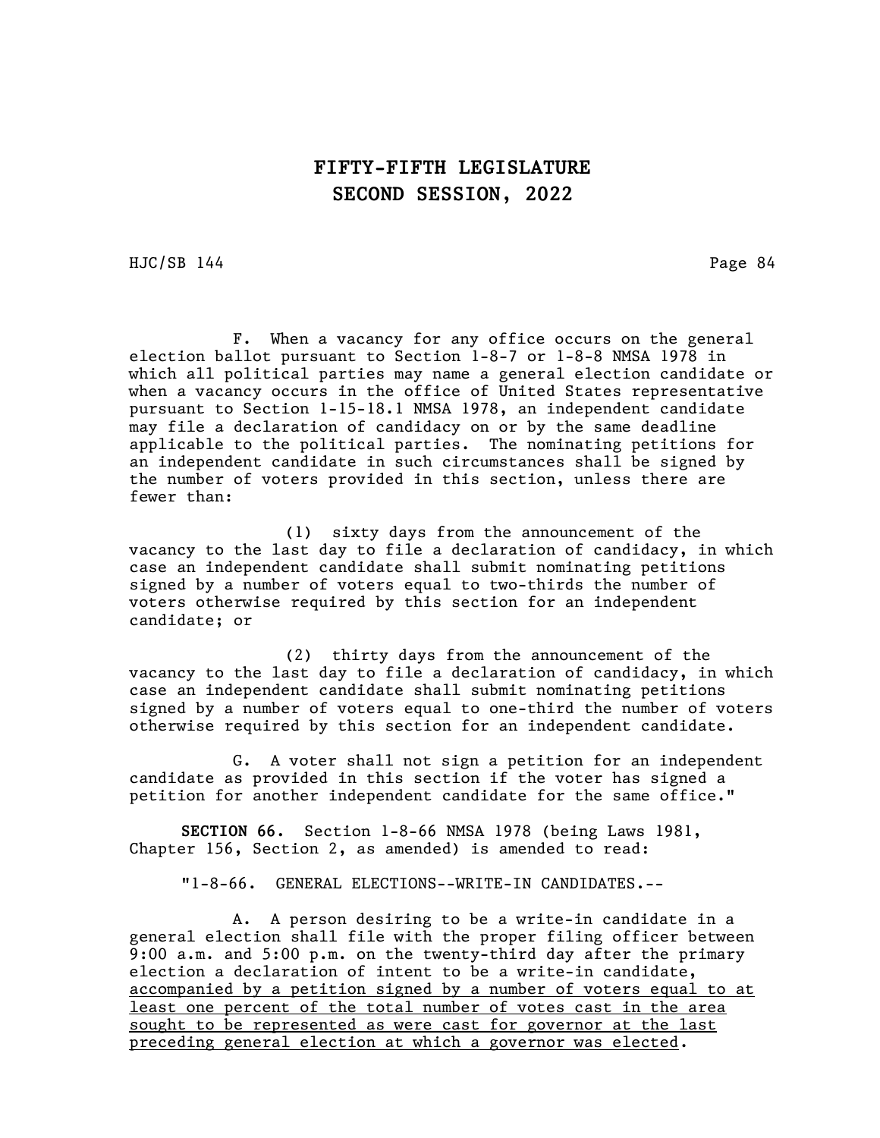HJC/SB 144 Page 84

F. When a vacancy for any office occurs on the general election ballot pursuant to Section 1-8-7 or 1-8-8 NMSA 1978 in which all political parties may name a general election candidate or when a vacancy occurs in the office of United States representative pursuant to Section 1-15-18.1 NMSA 1978, an independent candidate may file a declaration of candidacy on or by the same deadline applicable to the political parties. The nominating petitions for an independent candidate in such circumstances shall be signed by the number of voters provided in this section, unless there are fewer than:

(1) sixty days from the announcement of the vacancy to the last day to file a declaration of candidacy, in which case an independent candidate shall submit nominating petitions signed by a number of voters equal to two-thirds the number of voters otherwise required by this section for an independent candidate; or

(2) thirty days from the announcement of the vacancy to the last day to file a declaration of candidacy, in which case an independent candidate shall submit nominating petitions signed by a number of voters equal to one-third the number of voters otherwise required by this section for an independent candidate.

G. A voter shall not sign a petition for an independent candidate as provided in this section if the voter has signed a petition for another independent candidate for the same office."

SECTION 66. Section 1-8-66 NMSA 1978 (being Laws 1981, Chapter 156, Section 2, as amended) is amended to read:

"1-8-66. GENERAL ELECTIONS--WRITE-IN CANDIDATES.--

A. A person desiring to be a write-in candidate in a general election shall file with the proper filing officer between 9:00 a.m. and 5:00 p.m. on the twenty-third day after the primary election a declaration of intent to be a write-in candidate, accompanied by a petition signed by a number of voters equal to at least one percent of the total number of votes cast in the area sought to be represented as were cast for governor at the last preceding general election at which a governor was elected.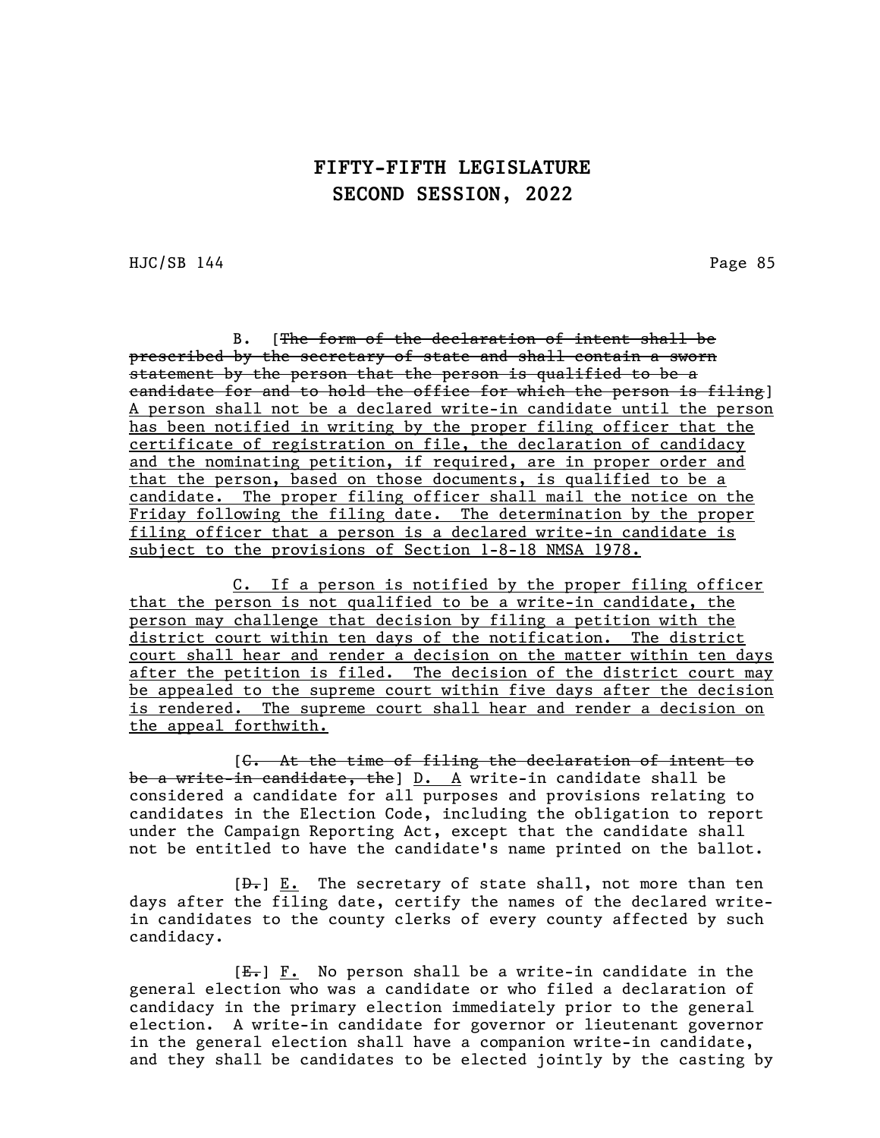HJC/SB 144 Page 85

B. [The form of the declaration of intent shall be prescribed by the secretary of state and shall contain a sworn statement by the person that the person is qualified to be a candidate for and to hold the office for which the person is filing] A person shall not be a declared write-in candidate until the person has been notified in writing by the proper filing officer that the certificate of registration on file, the declaration of candidacy and the nominating petition, if required, are in proper order and that the person, based on those documents, is qualified to be a candidate. The proper filing officer shall mail the notice on the Friday following the filing date. The determination by the proper filing officer that a person is a declared write-in candidate is subject to the provisions of Section 1-8-18 NMSA 1978.

C. If a person is notified by the proper filing officer that the person is not qualified to be a write-in candidate, the person may challenge that decision by filing a petition with the district court within ten days of the notification. The district court shall hear and render a decision on the matter within ten days after the petition is filed. The decision of the district court may be appealed to the supreme court within five days after the decision is rendered. The supreme court shall hear and render a decision on the appeal forthwith.

[C. At the time of filing the declaration of intent to be a write-in candidate, the] D. A write-in candidate shall be considered a candidate for all purposes and provisions relating to candidates in the Election Code, including the obligation to report under the Campaign Reporting Act, except that the candidate shall not be entitled to have the candidate's name printed on the ballot.

 $[\frac{D-1}{2}]$  E. The secretary of state shall, not more than ten days after the filing date, certify the names of the declared writein candidates to the county clerks of every county affected by such candidacy.

 $[E_r]$   $F.$  No person shall be a write-in candidate in the general election who was a candidate or who filed a declaration of candidacy in the primary election immediately prior to the general election. A write-in candidate for governor or lieutenant governor in the general election shall have a companion write-in candidate, and they shall be candidates to be elected jointly by the casting by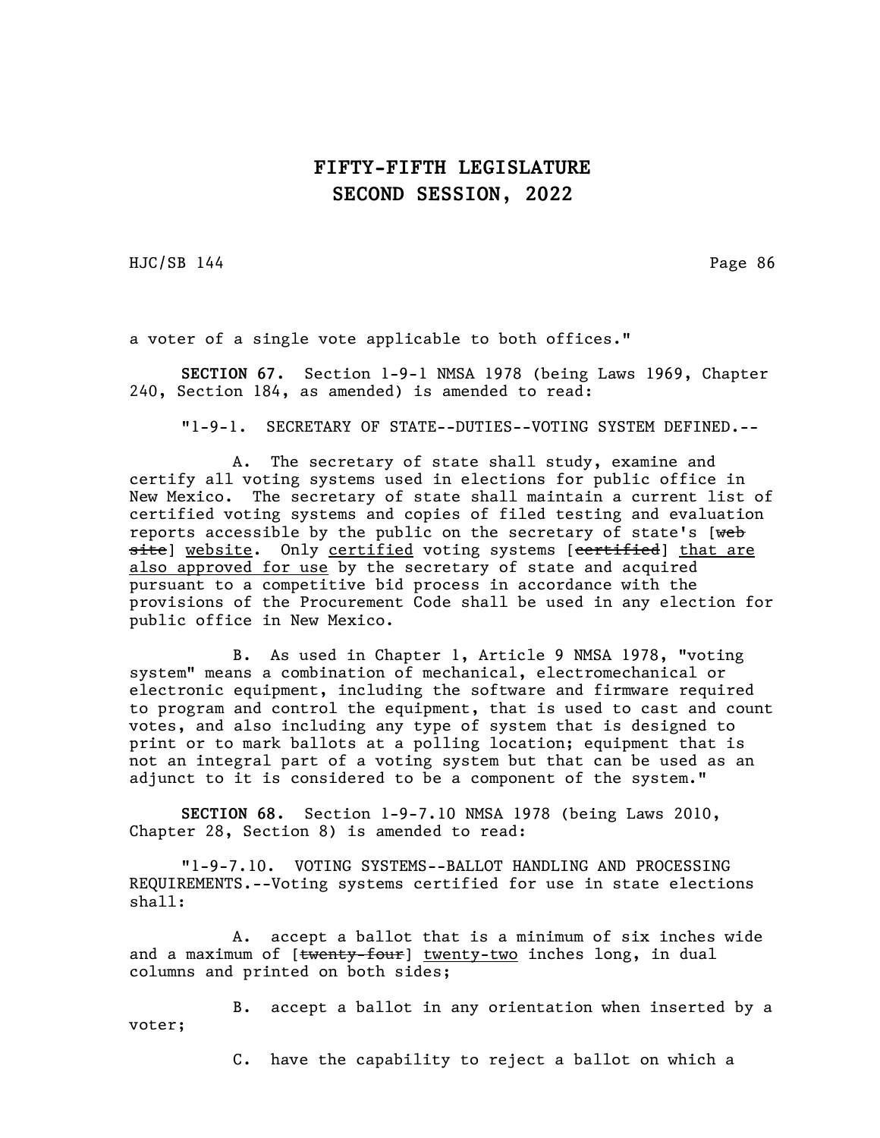HJC/SB 144 Page 86

a voter of a single vote applicable to both offices."

SECTION 67. Section 1-9-1 NMSA 1978 (being Laws 1969, Chapter 240, Section 184, as amended) is amended to read:

"1-9-1. SECRETARY OF STATE--DUTIES--VOTING SYSTEM DEFINED.--

A. The secretary of state shall study, examine and certify all voting systems used in elections for public office in New Mexico. The secretary of state shall maintain a current list of certified voting systems and copies of filed testing and evaluation reports accessible by the public on the secretary of state's  $[web]$ site] website. Only certified voting systems [certified] that are also approved for use by the secretary of state and acquired pursuant to a competitive bid process in accordance with the provisions of the Procurement Code shall be used in any election for public office in New Mexico.

B. As used in Chapter 1, Article 9 NMSA 1978, "voting system" means a combination of mechanical, electromechanical or electronic equipment, including the software and firmware required to program and control the equipment, that is used to cast and count votes, and also including any type of system that is designed to print or to mark ballots at a polling location; equipment that is not an integral part of a voting system but that can be used as an adjunct to it is considered to be a component of the system."

SECTION 68. Section 1-9-7.10 NMSA 1978 (being Laws 2010, Chapter 28, Section 8) is amended to read:

"1-9-7.10. VOTING SYSTEMS--BALLOT HANDLING AND PROCESSING REQUIREMENTS.--Voting systems certified for use in state elections shall:

A. accept a ballot that is a minimum of six inches wide and a maximum of  $[*tdiw* - *four*] *twenty* - *two* inches long, in dual$ columns and printed on both sides;

B. accept a ballot in any orientation when inserted by a voter;

C. have the capability to reject a ballot on which a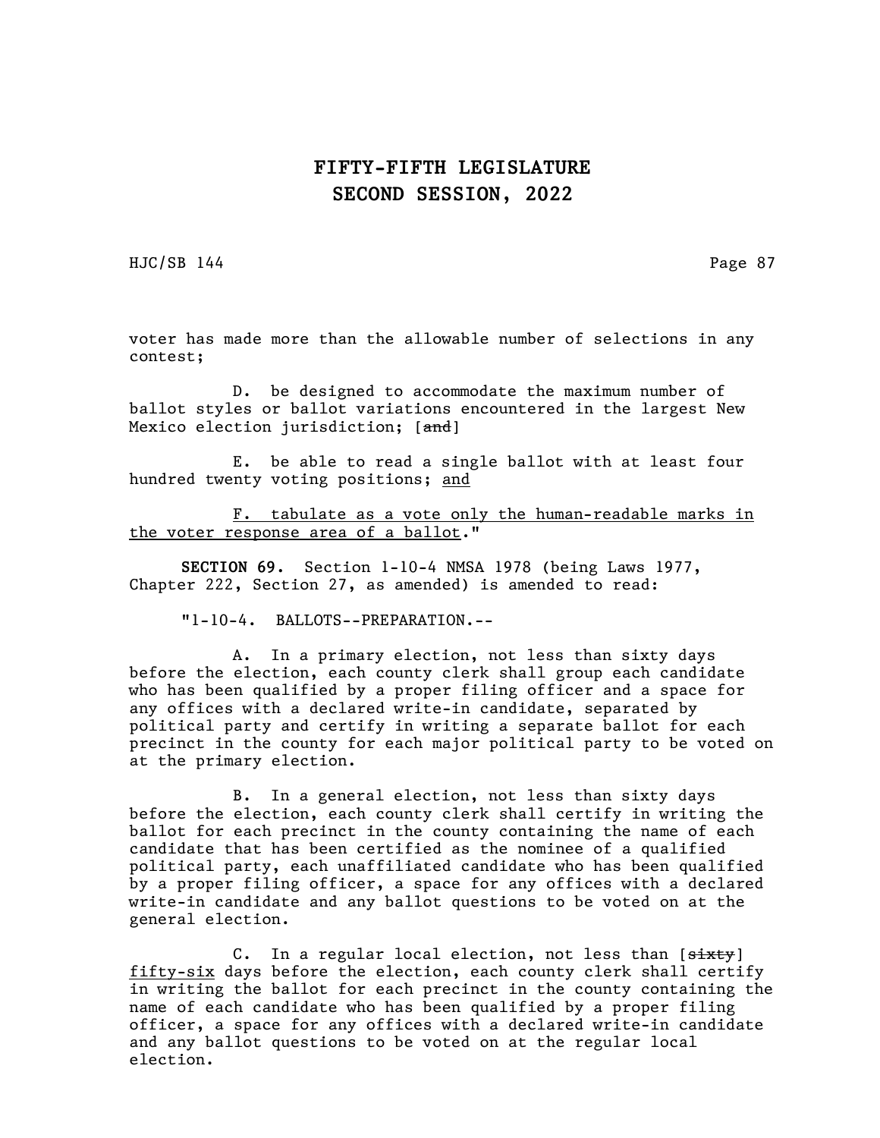HJC/SB 144 Page 87

voter has made more than the allowable number of selections in any contest;

D. be designed to accommodate the maximum number of ballot styles or ballot variations encountered in the largest New Mexico election jurisdiction; [and]

E. be able to read a single ballot with at least four hundred twenty voting positions; and

F. tabulate as a vote only the human-readable marks in the voter response area of a ballot."

SECTION 69. Section 1-10-4 NMSA 1978 (being Laws 1977, Chapter 222, Section 27, as amended) is amended to read:

"1-10-4. BALLOTS--PREPARATION.--

A. In a primary election, not less than sixty days before the election, each county clerk shall group each candidate who has been qualified by a proper filing officer and a space for any offices with a declared write-in candidate, separated by political party and certify in writing a separate ballot for each precinct in the county for each major political party to be voted on at the primary election.

B. In a general election, not less than sixty days before the election, each county clerk shall certify in writing the ballot for each precinct in the county containing the name of each candidate that has been certified as the nominee of a qualified political party, each unaffiliated candidate who has been qualified by a proper filing officer, a space for any offices with a declared write-in candidate and any ballot questions to be voted on at the general election.

C. In a regular local election, not less than [sixty] fifty-six days before the election, each county clerk shall certify in writing the ballot for each precinct in the county containing the name of each candidate who has been qualified by a proper filing officer, a space for any offices with a declared write-in candidate and any ballot questions to be voted on at the regular local election.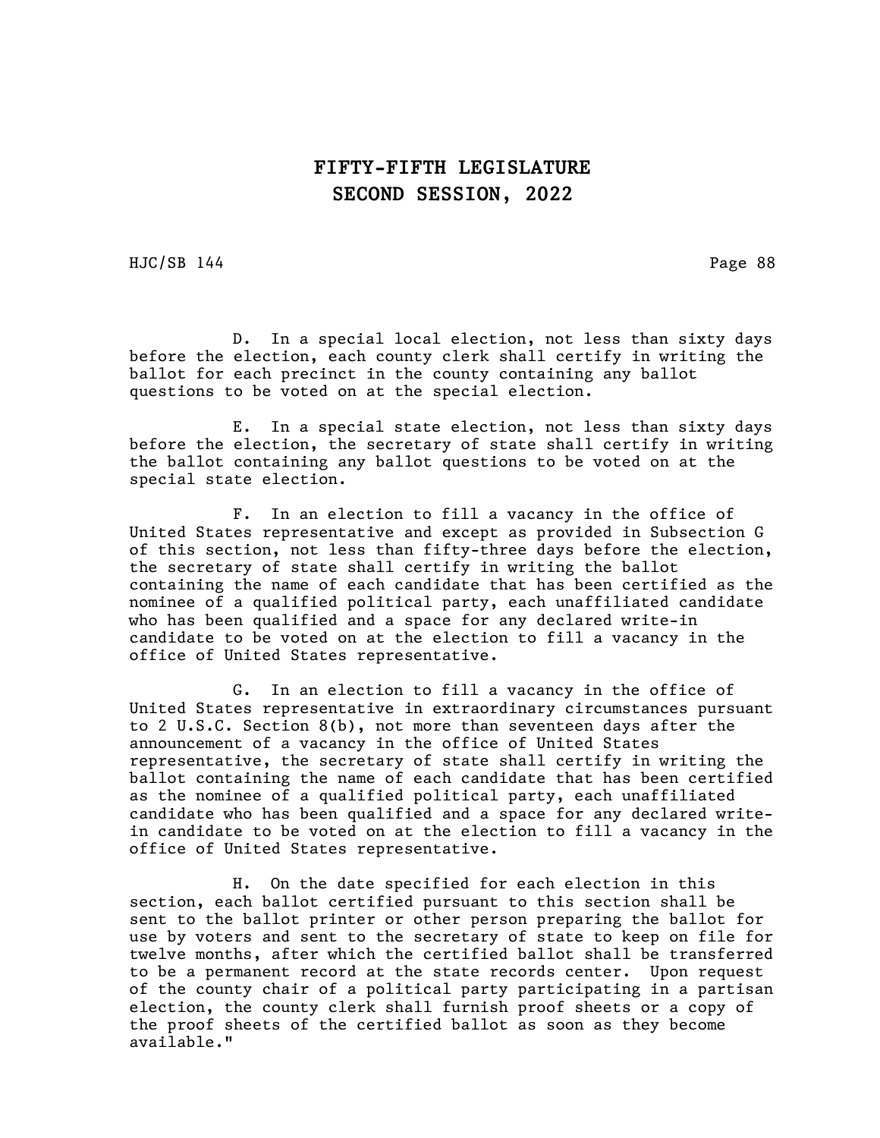HJC/SB 144 Page 88

D. In a special local election, not less than sixty days before the election, each county clerk shall certify in writing the ballot for each precinct in the county containing any ballot questions to be voted on at the special election.

E. In a special state election, not less than sixty days before the election, the secretary of state shall certify in writing the ballot containing any ballot questions to be voted on at the special state election.

F. In an election to fill a vacancy in the office of United States representative and except as provided in Subsection G of this section, not less than fifty-three days before the election, the secretary of state shall certify in writing the ballot containing the name of each candidate that has been certified as the nominee of a qualified political party, each unaffiliated candidate who has been qualified and a space for any declared write-in candidate to be voted on at the election to fill a vacancy in the office of United States representative.

G. In an election to fill a vacancy in the office of United States representative in extraordinary circumstances pursuant to 2 U.S.C. Section 8(b), not more than seventeen days after the announcement of a vacancy in the office of United States representative, the secretary of state shall certify in writing the ballot containing the name of each candidate that has been certified as the nominee of a qualified political party, each unaffiliated candidate who has been qualified and a space for any declared writein candidate to be voted on at the election to fill a vacancy in the office of United States representative.

H. On the date specified for each election in this section, each ballot certified pursuant to this section shall be sent to the ballot printer or other person preparing the ballot for use by voters and sent to the secretary of state to keep on file for twelve months, after which the certified ballot shall be transferred to be a permanent record at the state records center. Upon request of the county chair of a political party participating in a partisan election, the county clerk shall furnish proof sheets or a copy of the proof sheets of the certified ballot as soon as they become available."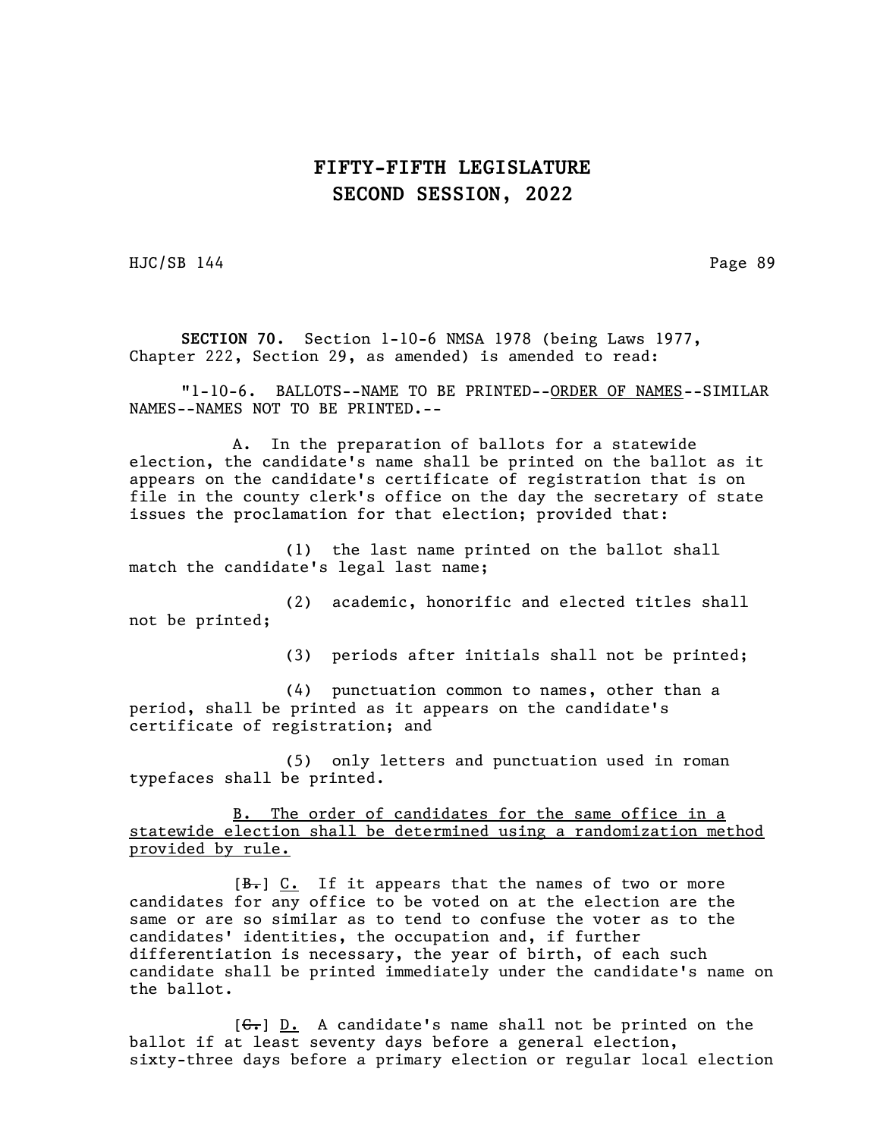HJC/SB 144 Page 89

SECTION 70. Section 1-10-6 NMSA 1978 (being Laws 1977, Chapter 222, Section 29, as amended) is amended to read:

"1-10-6. BALLOTS--NAME TO BE PRINTED--ORDER OF NAMES--SIMILAR NAMES--NAMES NOT TO BE PRINTED.--

A. In the preparation of ballots for a statewide election, the candidate's name shall be printed on the ballot as it appears on the candidate's certificate of registration that is on file in the county clerk's office on the day the secretary of state issues the proclamation for that election; provided that:

(1) the last name printed on the ballot shall match the candidate's legal last name;

(2) academic, honorific and elected titles shall not be printed;

(3) periods after initials shall not be printed;

(4) punctuation common to names, other than a period, shall be printed as it appears on the candidate's certificate of registration; and

(5) only letters and punctuation used in roman typefaces shall be printed.

B. The order of candidates for the same office in a statewide election shall be determined using a randomization method provided by rule.

[B.] C. If it appears that the names of two or more candidates for any office to be voted on at the election are the same or are so similar as to tend to confuse the voter as to the candidates' identities, the occupation and, if further differentiation is necessary, the year of birth, of each such candidate shall be printed immediately under the candidate's name on the ballot.

 $[G<sub>r</sub>]$   $D<sub>r</sub>$  A candidate's name shall not be printed on the ballot if at least seventy days before a general election, sixty-three days before a primary election or regular local election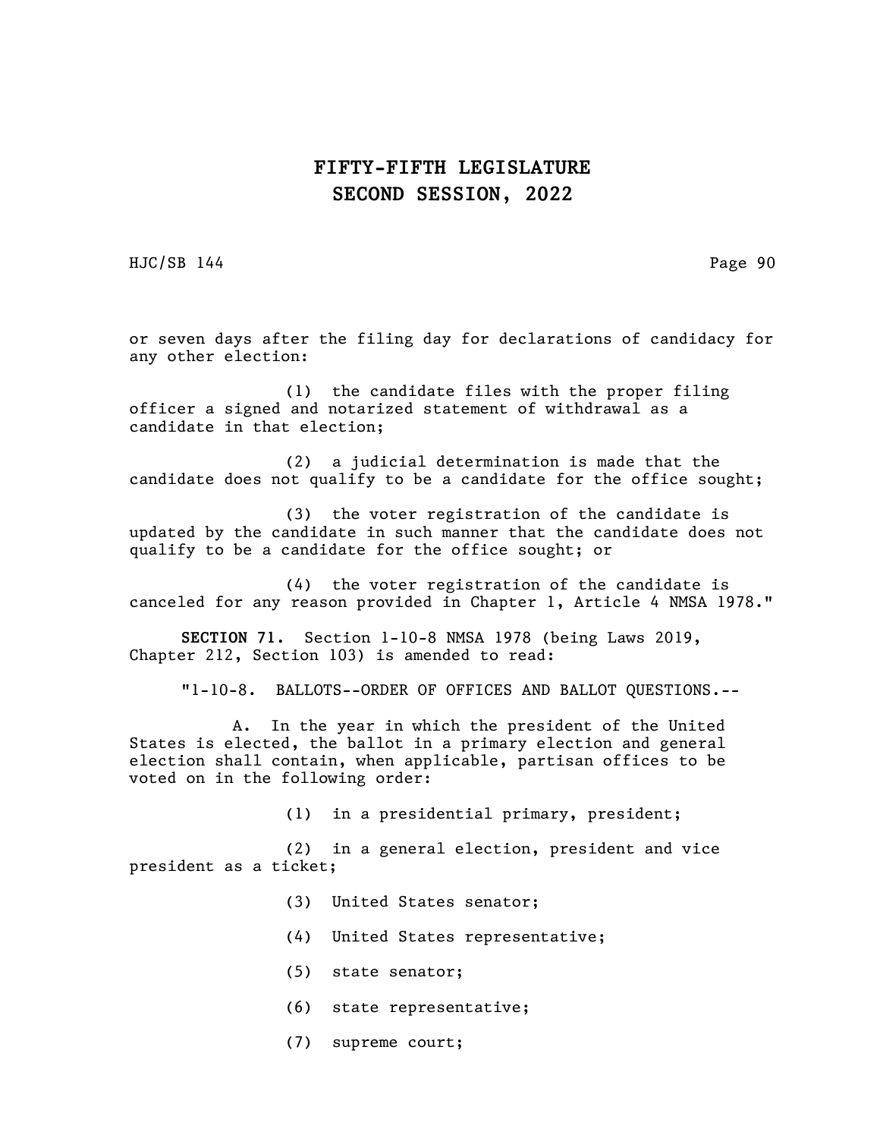HJC/SB 144 Page 90

or seven days after the filing day for declarations of candidacy for any other election:

(1) the candidate files with the proper filing officer a signed and notarized statement of withdrawal as a candidate in that election;

(2) a judicial determination is made that the candidate does not qualify to be a candidate for the office sought;

(3) the voter registration of the candidate is updated by the candidate in such manner that the candidate does not qualify to be a candidate for the office sought; or

(4) the voter registration of the candidate is canceled for any reason provided in Chapter 1, Article 4 NMSA 1978."

SECTION 71. Section 1-10-8 NMSA 1978 (being Laws 2019, Chapter 212, Section 103) is amended to read:

"1-10-8. BALLOTS--ORDER OF OFFICES AND BALLOT QUESTIONS.--

A. In the year in which the president of the United States is elected, the ballot in a primary election and general election shall contain, when applicable, partisan offices to be voted on in the following order:

(1) in a presidential primary, president;

(2) in a general election, president and vice president as a ticket;

- (3) United States senator;
- (4) United States representative;
- (5) state senator;
- (6) state representative;
- (7) supreme court;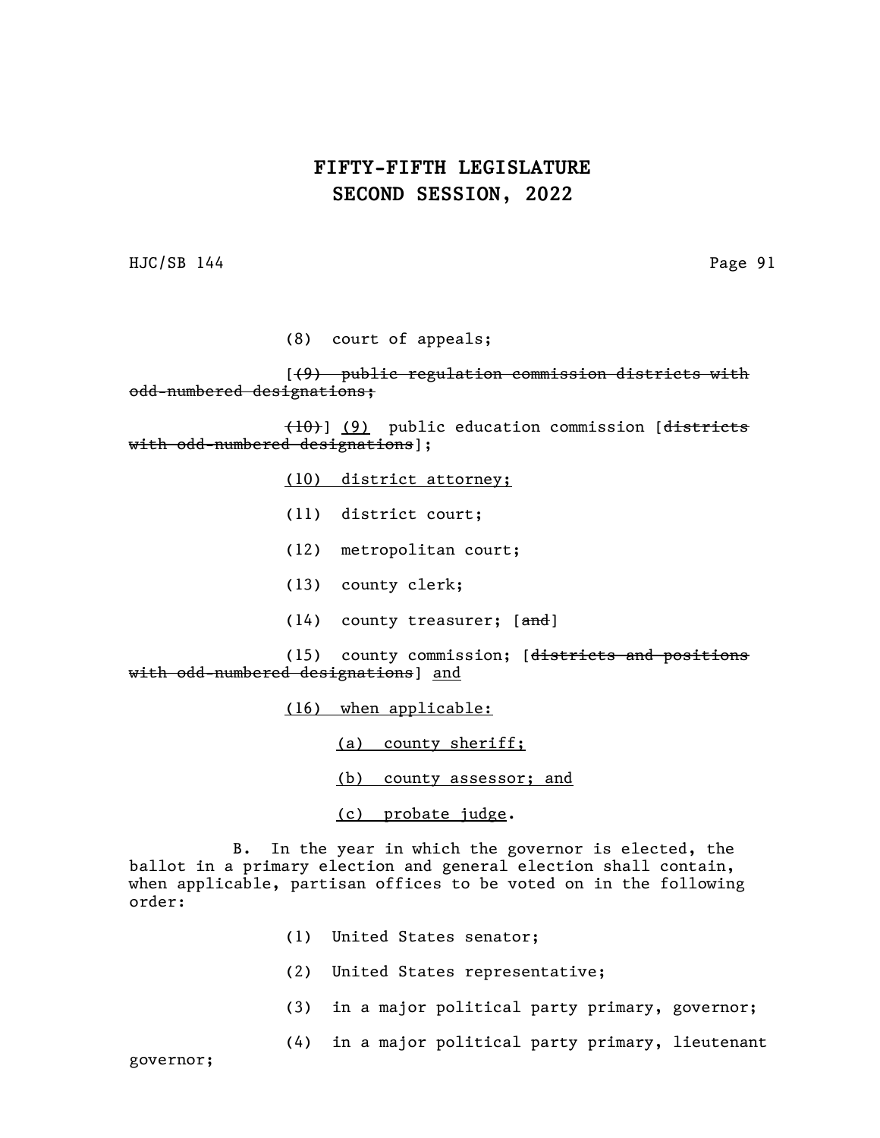HJC/SB 144 Page 91

(8) court of appeals;

[(9) public regulation commission districts with odd-numbered designations;

(10)] (9) public education commission [districts with odd-numbered designations];

(10) district attorney;

- (11) district court;
- (12) metropolitan court;
- (13) county clerk;
- (14) county treasurer; [and]

(15) county commission; [districts and positions with odd-numbered designations] and

(16) when applicable:

(a) county sheriff;

(b) county assessor; and

(c) probate judge.

B. In the year in which the governor is elected, the ballot in a primary election and general election shall contain, when applicable, partisan offices to be voted on in the following order:

- (1) United States senator;
- (2) United States representative;
- (3) in a major political party primary, governor;
- (4) in a major political party primary, lieutenant

governor;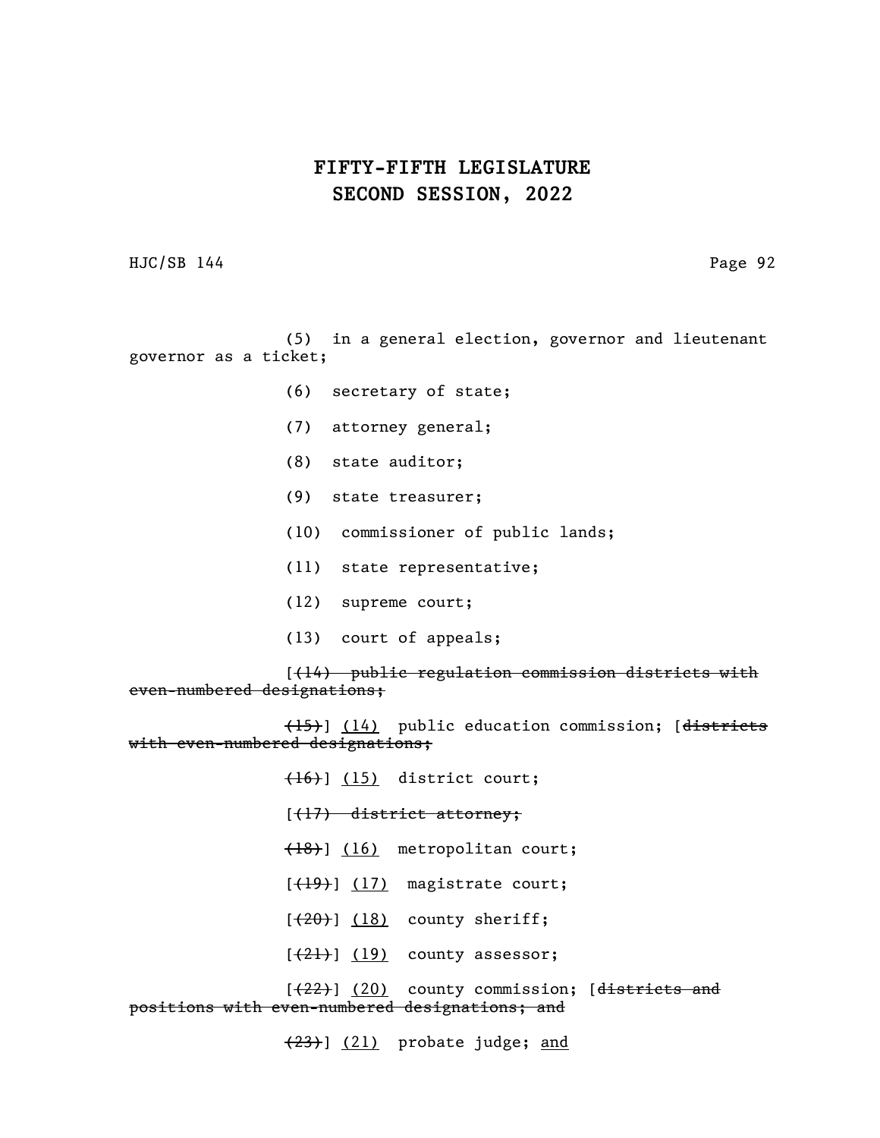HJC/SB 144 Page 92

(5) in a general election, governor and lieutenant governor as a ticket;

- (6) secretary of state;
- (7) attorney general;
- (8) state auditor;
- (9) state treasurer;
- (10) commissioner of public lands;
- (11) state representative;
- (12) supreme court;
- (13) court of appeals;

[(14) public regulation commission districts with even-numbered designations;

(15)] (14) public education commission; [districts with even-numbered designations;

> $(16)$ ]  $(15)$  district court;  $[$   $($   $\frac{17}{ }$  district attorney; (18)] (16) metropolitan court;  $[$   $(19)$ ]  $(17)$  magistrate court;  $[$   $(20)$ ]  $(18)$  county sheriff;  $[\frac{21}{1}]$   $(19)$  county assessor;

 $[\frac{22}{12}]$  (20) county commission; [districts and positions with even-numbered designations; and

(23)] (21) probate judge; and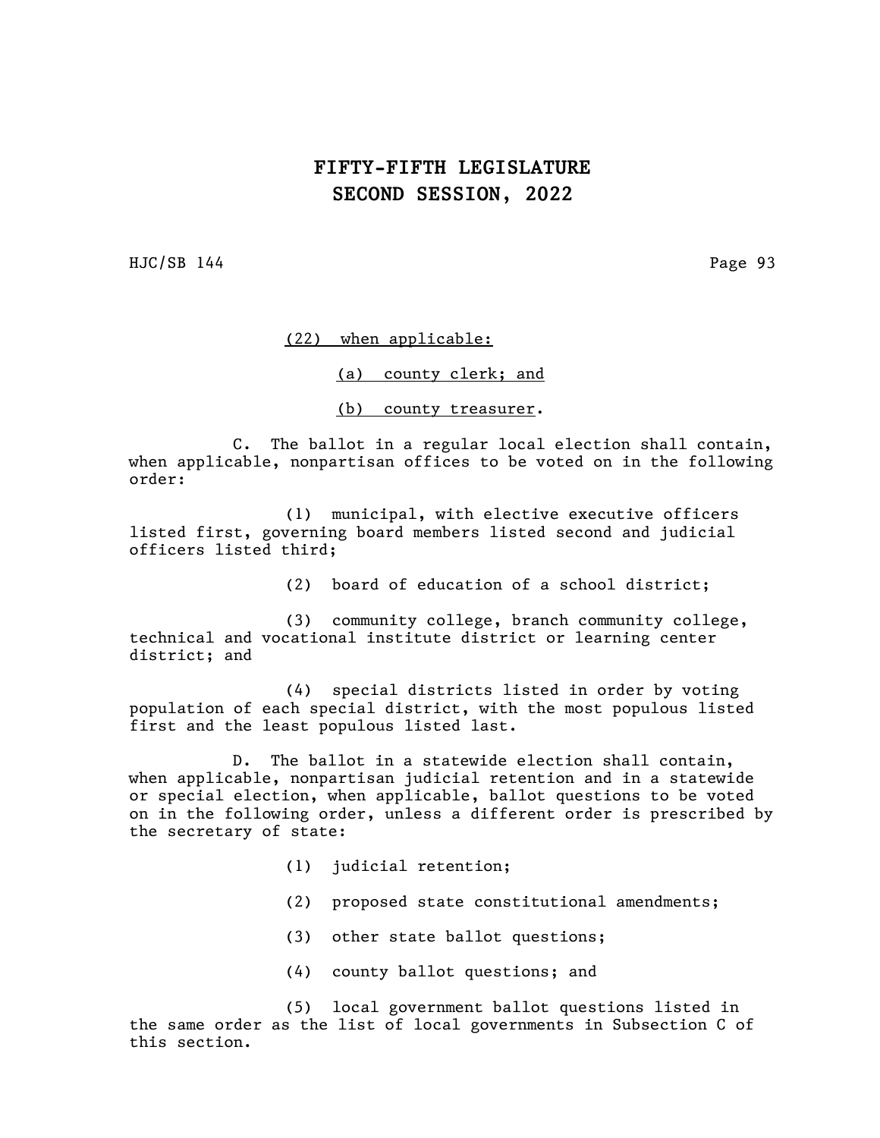HJC/SB 144 Page 93

#### (22) when applicable:

(a) county clerk; and

(b) county treasurer.

C. The ballot in a regular local election shall contain, when applicable, nonpartisan offices to be voted on in the following order:

(1) municipal, with elective executive officers listed first, governing board members listed second and judicial officers listed third;

(2) board of education of a school district;

(3) community college, branch community college, technical and vocational institute district or learning center district; and

(4) special districts listed in order by voting population of each special district, with the most populous listed first and the least populous listed last.

D. The ballot in a statewide election shall contain, when applicable, nonpartisan judicial retention and in a statewide or special election, when applicable, ballot questions to be voted on in the following order, unless a different order is prescribed by the secretary of state:

- (1) judicial retention;
- (2) proposed state constitutional amendments;
- (3) other state ballot questions;
- (4) county ballot questions; and

(5) local government ballot questions listed in the same order as the list of local governments in Subsection C of this section.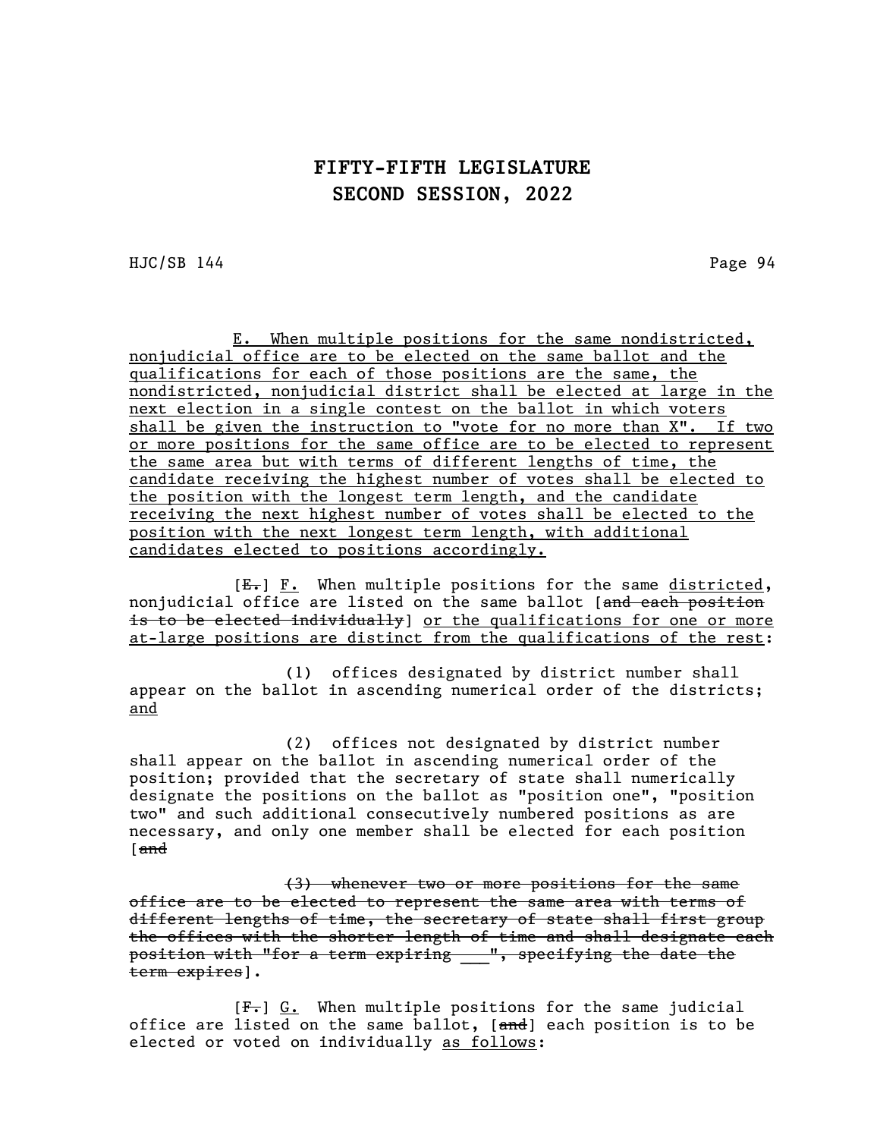HJC/SB 144 Page 94

E. When multiple positions for the same nondistricted, nonjudicial office are to be elected on the same ballot and the qualifications for each of those positions are the same, the nondistricted, nonjudicial district shall be elected at large in the next election in a single contest on the ballot in which voters shall be given the instruction to "vote for no more than X". If two or more positions for the same office are to be elected to represent the same area but with terms of different lengths of time, the candidate receiving the highest number of votes shall be elected to the position with the longest term length, and the candidate receiving the next highest number of votes shall be elected to the position with the next longest term length, with additional candidates elected to positions accordingly.

[E.] F. When multiple positions for the same districted, nonjudicial office are listed on the same ballot [and each position is to be elected individually] or the qualifications for one or more at-large positions are distinct from the qualifications of the rest:

(1) offices designated by district number shall appear on the ballot in ascending numerical order of the districts; and

(2) offices not designated by district number shall appear on the ballot in ascending numerical order of the position; provided that the secretary of state shall numerically designate the positions on the ballot as "position one", "position two" and such additional consecutively numbered positions as are necessary, and only one member shall be elected for each position [and

(3) whenever two or more positions for the same office are to be elected to represent the same area with terms of different lengths of time, the secretary of state shall first group the offices with the shorter length of time and shall designate each position with "for a term expiring \_\_", specifying the date the term expires].

[F.] G. When multiple positions for the same judicial office are listed on the same ballot, [and] each position is to be elected or voted on individually as follows: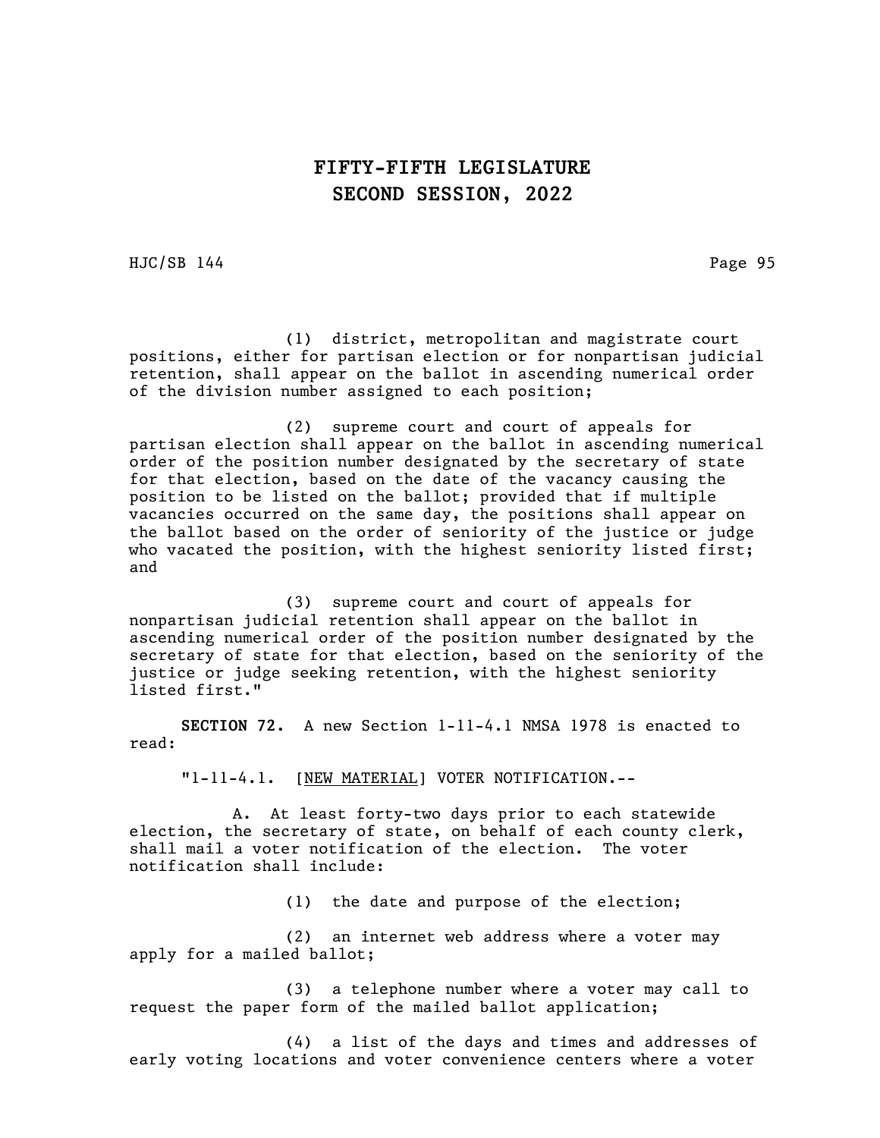HJC/SB 144 Page 95

(1) district, metropolitan and magistrate court positions, either for partisan election or for nonpartisan judicial retention, shall appear on the ballot in ascending numerical order of the division number assigned to each position;

(2) supreme court and court of appeals for partisan election shall appear on the ballot in ascending numerical order of the position number designated by the secretary of state for that election, based on the date of the vacancy causing the position to be listed on the ballot; provided that if multiple vacancies occurred on the same day, the positions shall appear on the ballot based on the order of seniority of the justice or judge who vacated the position, with the highest seniority listed first; and

(3) supreme court and court of appeals for nonpartisan judicial retention shall appear on the ballot in ascending numerical order of the position number designated by the secretary of state for that election, based on the seniority of the justice or judge seeking retention, with the highest seniority listed first."

SECTION 72. A new Section 1-11-4.1 NMSA 1978 is enacted to read:

"1-11-4.1. [NEW MATERIAL] VOTER NOTIFICATION.--

A. At least forty-two days prior to each statewide election, the secretary of state, on behalf of each county clerk, shall mail a voter notification of the election. The voter notification shall include:

(1) the date and purpose of the election;

(2) an internet web address where a voter may apply for a mailed ballot;

(3) a telephone number where a voter may call to request the paper form of the mailed ballot application;

(4) a list of the days and times and addresses of early voting locations and voter convenience centers where a voter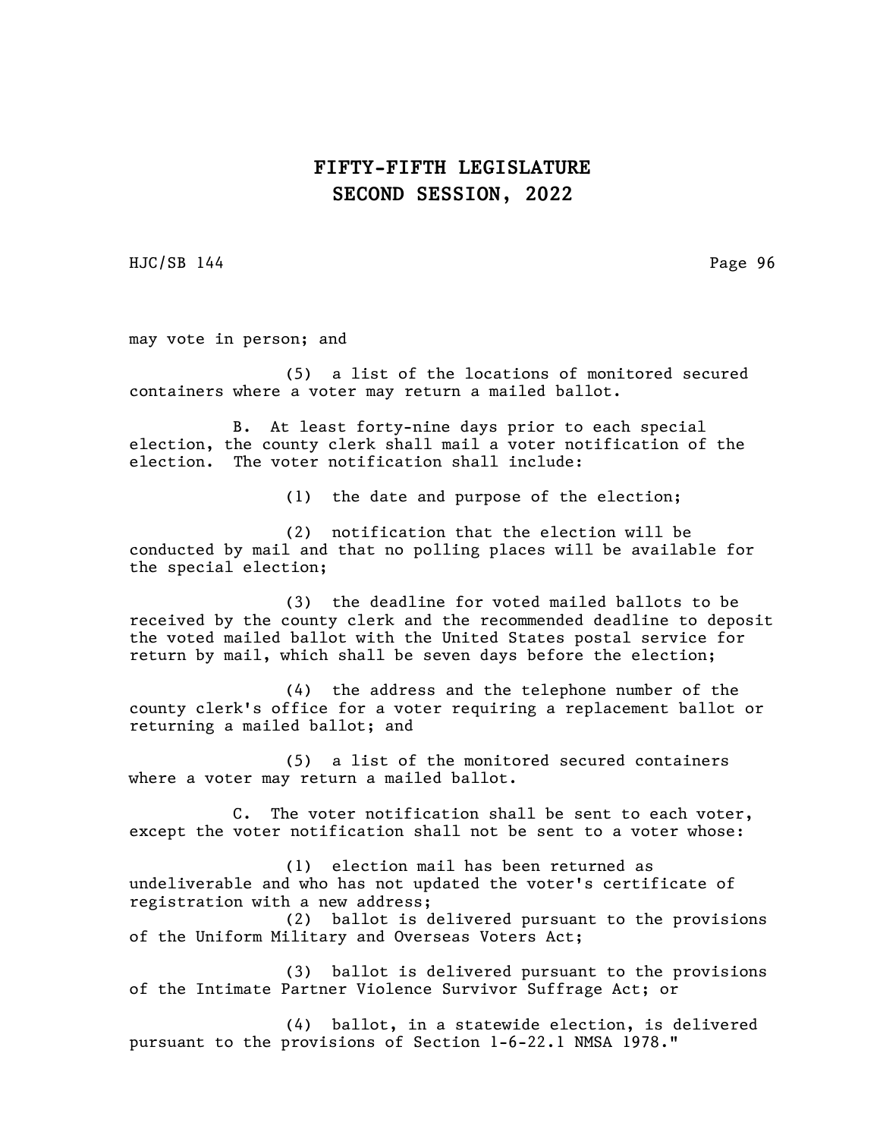HJC/SB 144 Page 96

may vote in person; and

(5) a list of the locations of monitored secured containers where a voter may return a mailed ballot.

B. At least forty-nine days prior to each special election, the county clerk shall mail a voter notification of the election. The voter notification shall include:

(1) the date and purpose of the election;

(2) notification that the election will be conducted by mail and that no polling places will be available for the special election;

(3) the deadline for voted mailed ballots to be received by the county clerk and the recommended deadline to deposit the voted mailed ballot with the United States postal service for return by mail, which shall be seven days before the election;

(4) the address and the telephone number of the county clerk's office for a voter requiring a replacement ballot or returning a mailed ballot; and

(5) a list of the monitored secured containers where a voter may return a mailed ballot.

C. The voter notification shall be sent to each voter, except the voter notification shall not be sent to a voter whose:

(1) election mail has been returned as undeliverable and who has not updated the voter's certificate of registration with a new address;

(2) ballot is delivered pursuant to the provisions of the Uniform Military and Overseas Voters Act;

(3) ballot is delivered pursuant to the provisions of the Intimate Partner Violence Survivor Suffrage Act; or

(4) ballot, in a statewide election, is delivered pursuant to the provisions of Section 1-6-22.1 NMSA 1978."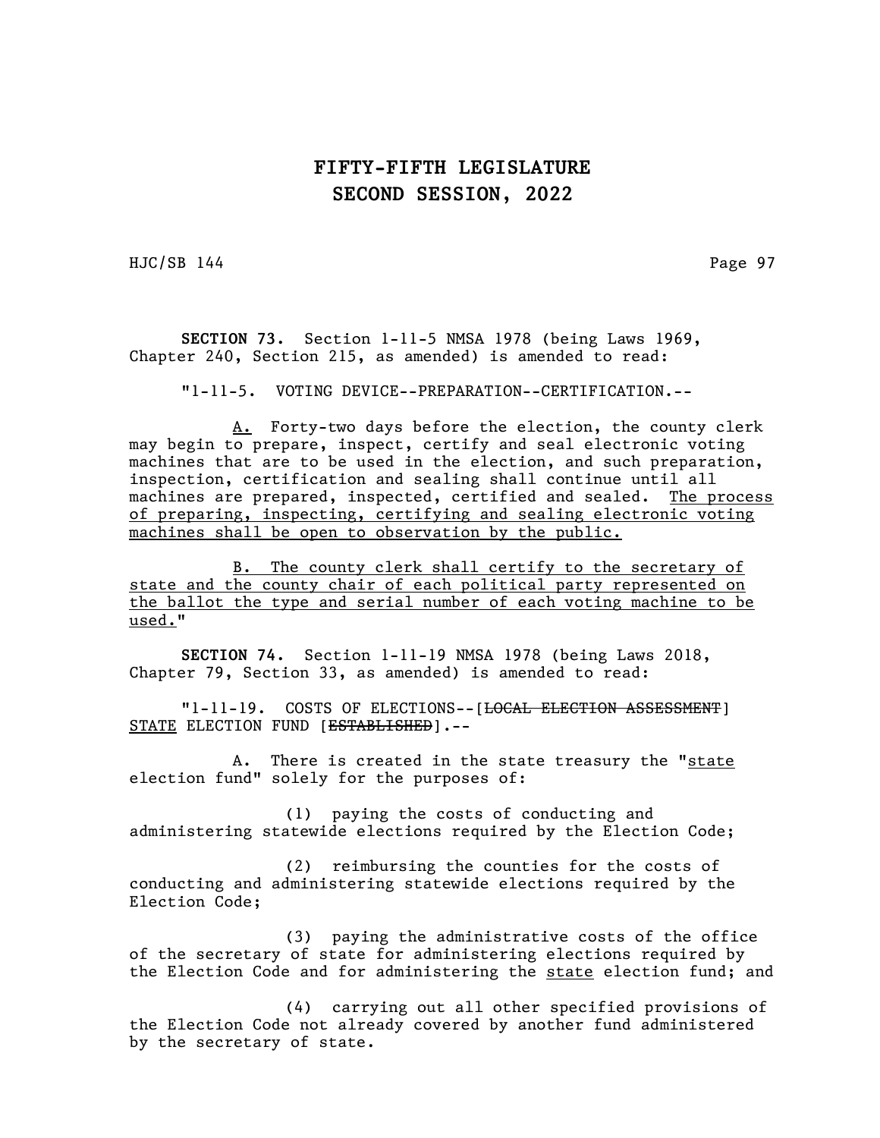HJC/SB 144 Page 97

SECTION 73. Section 1-11-5 NMSA 1978 (being Laws 1969, Chapter 240, Section 215, as amended) is amended to read:

"1-11-5. VOTING DEVICE--PREPARATION--CERTIFICATION.--

A. Forty-two days before the election, the county clerk may begin to prepare, inspect, certify and seal electronic voting machines that are to be used in the election, and such preparation, inspection, certification and sealing shall continue until all machines are prepared, inspected, certified and sealed. The process of preparing, inspecting, certifying and sealing electronic voting machines shall be open to observation by the public.

B. The county clerk shall certify to the secretary of state and the county chair of each political party represented on the ballot the type and serial number of each voting machine to be used."

SECTION 74. Section 1-11-19 NMSA 1978 (being Laws 2018, Chapter 79, Section 33, as amended) is amended to read:

"1-11-19. COSTS OF ELECTIONS--[<del>LOCAL ELECTION ASSESSMENT</del>] STATE ELECTION FUND [ESTABLISHED].--

A. There is created in the state treasury the "state election fund" solely for the purposes of:

(1) paying the costs of conducting and administering statewide elections required by the Election Code;

(2) reimbursing the counties for the costs of conducting and administering statewide elections required by the Election Code;

(3) paying the administrative costs of the office of the secretary of state for administering elections required by the Election Code and for administering the state election fund; and

(4) carrying out all other specified provisions of the Election Code not already covered by another fund administered by the secretary of state.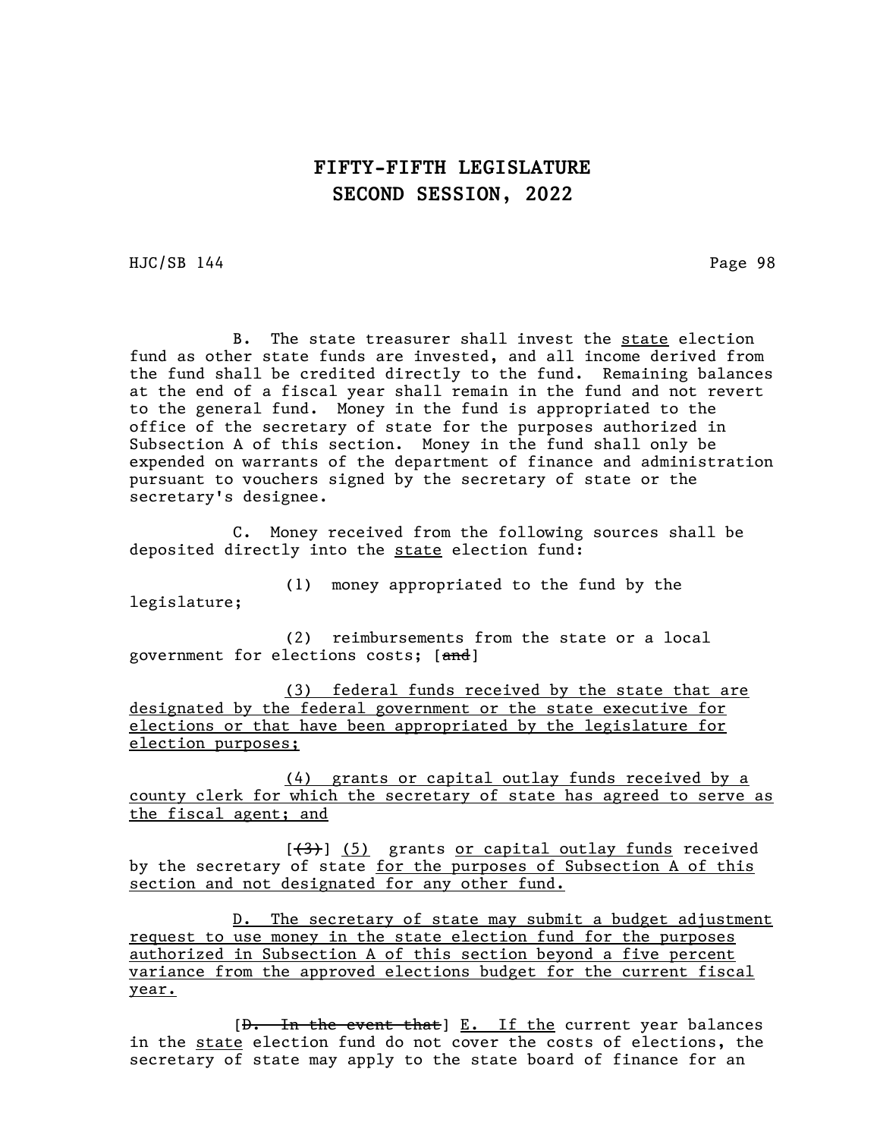HJC/SB 144 Page 98

B. The state treasurer shall invest the state election fund as other state funds are invested, and all income derived from the fund shall be credited directly to the fund. Remaining balances at the end of a fiscal year shall remain in the fund and not revert to the general fund. Money in the fund is appropriated to the office of the secretary of state for the purposes authorized in Subsection A of this section. Money in the fund shall only be expended on warrants of the department of finance and administration pursuant to vouchers signed by the secretary of state or the secretary's designee.

C. Money received from the following sources shall be deposited directly into the state election fund:

(1) money appropriated to the fund by the legislature;

(2) reimbursements from the state or a local government for elections costs; [and]

(3) federal funds received by the state that are designated by the federal government or the state executive for elections or that have been appropriated by the legislature for election purposes;

(4) grants or capital outlay funds received by a county clerk for which the secretary of state has agreed to serve as the fiscal agent; and

[(3)] (5) grants or capital outlay funds received by the secretary of state for the purposes of Subsection A of this section and not designated for any other fund.

D. The secretary of state may submit a budget adjustment request to use money in the state election fund for the purposes authorized in Subsection A of this section beyond a five percent variance from the approved elections budget for the current fiscal year.

 $[\theta - \text{In the event that}] \underline{E.}$  If the current year balances in the state election fund do not cover the costs of elections, the secretary of state may apply to the state board of finance for an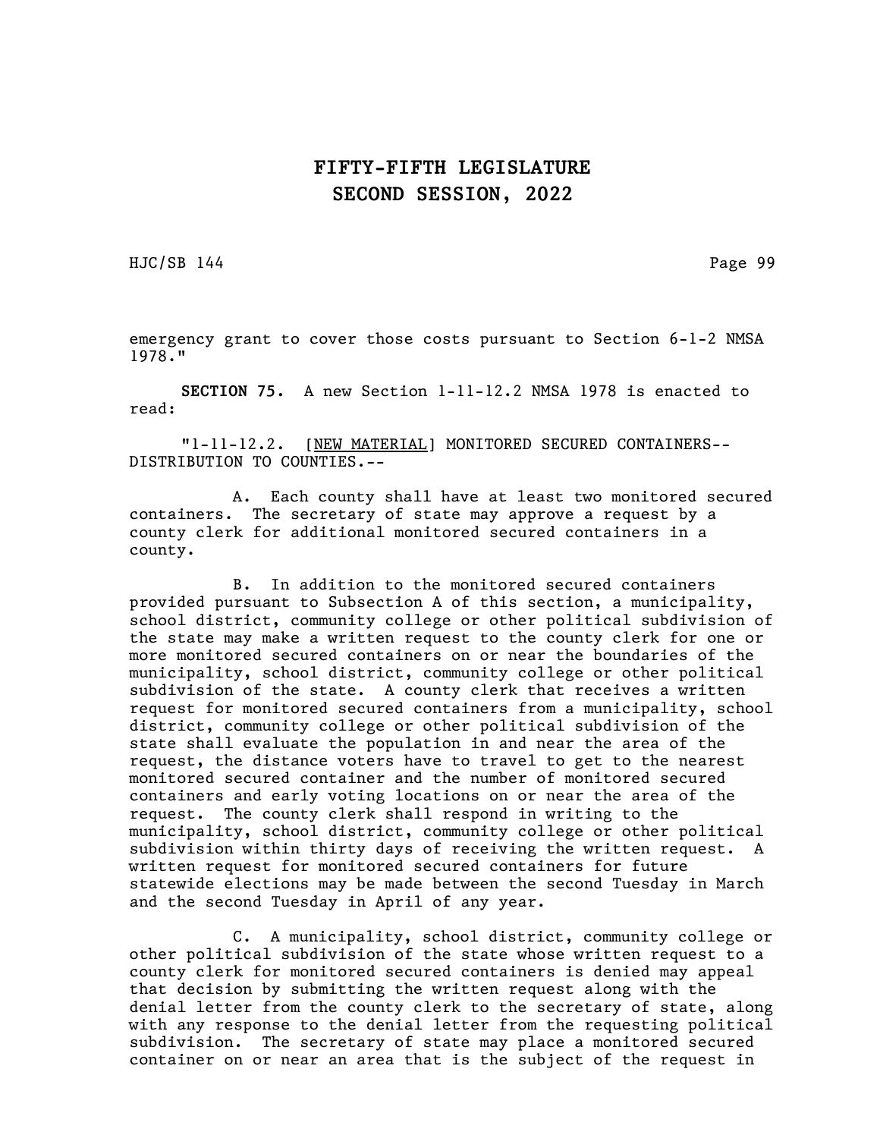HJC/SB 144 Page 99

emergency grant to cover those costs pursuant to Section 6-1-2 NMSA 1978."

SECTION 75. A new Section 1-11-12.2 NMSA 1978 is enacted to read:

"1-11-12.2. [NEW MATERIAL] MONITORED SECURED CONTAINERS-- DISTRIBUTION TO COUNTIES.--

A. Each county shall have at least two monitored secured containers. The secretary of state may approve a request by a county clerk for additional monitored secured containers in a county.

B. In addition to the monitored secured containers provided pursuant to Subsection A of this section, a municipality, school district, community college or other political subdivision of the state may make a written request to the county clerk for one or more monitored secured containers on or near the boundaries of the municipality, school district, community college or other political subdivision of the state. A county clerk that receives a written request for monitored secured containers from a municipality, school district, community college or other political subdivision of the state shall evaluate the population in and near the area of the request, the distance voters have to travel to get to the nearest monitored secured container and the number of monitored secured containers and early voting locations on or near the area of the request. The county clerk shall respond in writing to the municipality, school district, community college or other political subdivision within thirty days of receiving the written request. A written request for monitored secured containers for future statewide elections may be made between the second Tuesday in March and the second Tuesday in April of any year.

C. A municipality, school district, community college or other political subdivision of the state whose written request to a county clerk for monitored secured containers is denied may appeal that decision by submitting the written request along with the denial letter from the county clerk to the secretary of state, along with any response to the denial letter from the requesting political subdivision. The secretary of state may place a monitored secured container on or near an area that is the subject of the request in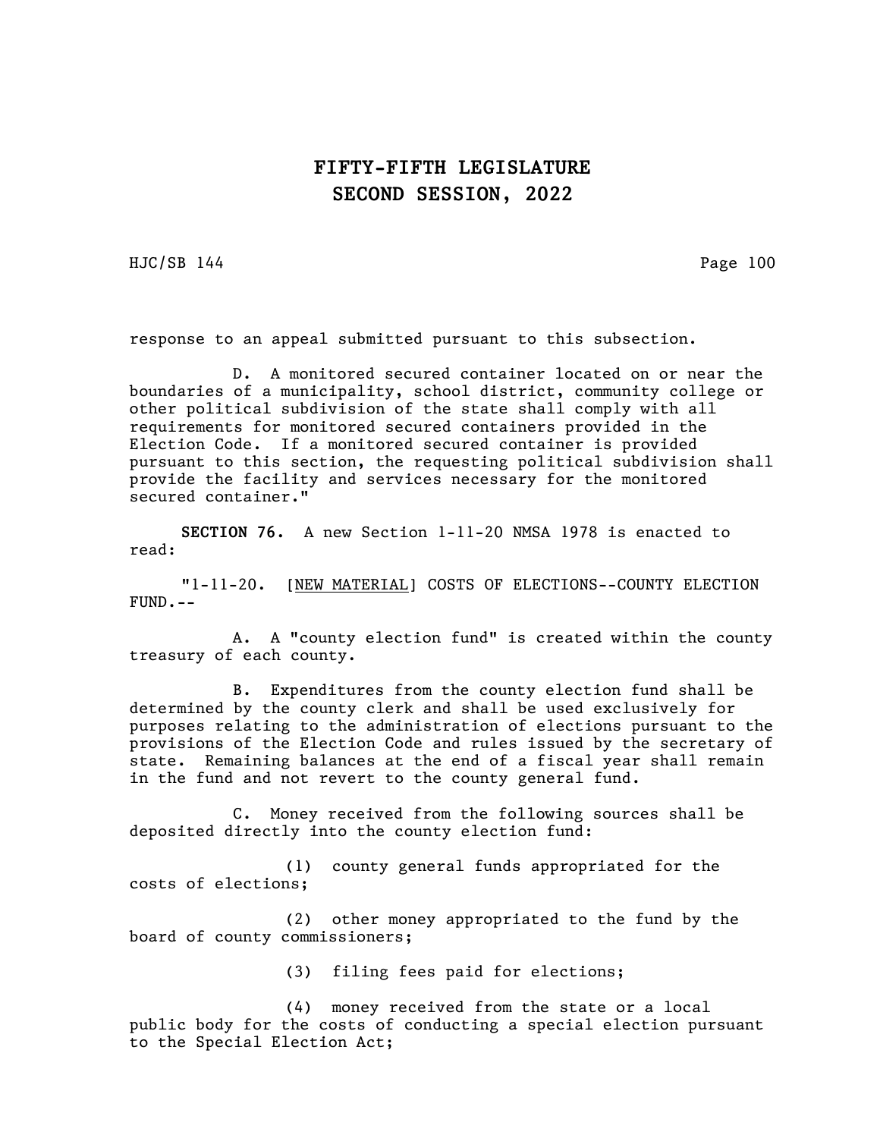HJC/SB 144 Page 100

response to an appeal submitted pursuant to this subsection.

D. A monitored secured container located on or near the boundaries of a municipality, school district, community college or other political subdivision of the state shall comply with all requirements for monitored secured containers provided in the Election Code. If a monitored secured container is provided pursuant to this section, the requesting political subdivision shall provide the facility and services necessary for the monitored secured container."

SECTION 76. A new Section 1-11-20 NMSA 1978 is enacted to read:

"1-11-20. [NEW MATERIAL] COSTS OF ELECTIONS--COUNTY ELECTION FUND.--

A. A "county election fund" is created within the county treasury of each county.

B. Expenditures from the county election fund shall be determined by the county clerk and shall be used exclusively for purposes relating to the administration of elections pursuant to the provisions of the Election Code and rules issued by the secretary of state. Remaining balances at the end of a fiscal year shall remain in the fund and not revert to the county general fund.

C. Money received from the following sources shall be deposited directly into the county election fund:

(1) county general funds appropriated for the costs of elections;

(2) other money appropriated to the fund by the board of county commissioners;

(3) filing fees paid for elections;

(4) money received from the state or a local public body for the costs of conducting a special election pursuant to the Special Election Act;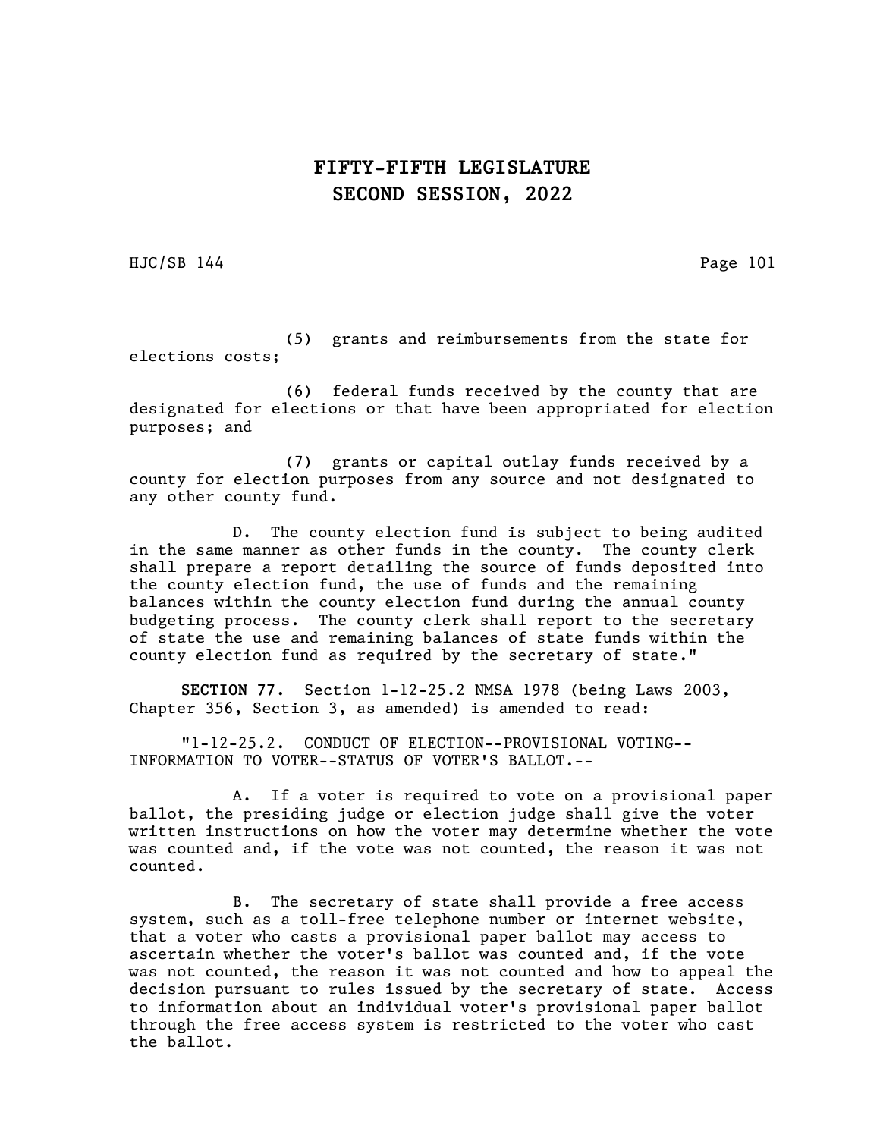HJC/SB 144 Page 101

(5) grants and reimbursements from the state for elections costs;

(6) federal funds received by the county that are designated for elections or that have been appropriated for election purposes; and

(7) grants or capital outlay funds received by a county for election purposes from any source and not designated to any other county fund.

D. The county election fund is subject to being audited in the same manner as other funds in the county. The county clerk shall prepare a report detailing the source of funds deposited into the county election fund, the use of funds and the remaining balances within the county election fund during the annual county budgeting process. The county clerk shall report to the secretary of state the use and remaining balances of state funds within the county election fund as required by the secretary of state."

SECTION 77. Section 1-12-25.2 NMSA 1978 (being Laws 2003, Chapter 356, Section 3, as amended) is amended to read:

"1-12-25.2. CONDUCT OF ELECTION--PROVISIONAL VOTING-- INFORMATION TO VOTER--STATUS OF VOTER'S BALLOT.--

A. If a voter is required to vote on a provisional paper ballot, the presiding judge or election judge shall give the voter written instructions on how the voter may determine whether the vote was counted and, if the vote was not counted, the reason it was not counted.

B. The secretary of state shall provide a free access system, such as a toll-free telephone number or internet website, that a voter who casts a provisional paper ballot may access to ascertain whether the voter's ballot was counted and, if the vote was not counted, the reason it was not counted and how to appeal the decision pursuant to rules issued by the secretary of state. Access to information about an individual voter's provisional paper ballot through the free access system is restricted to the voter who cast the ballot.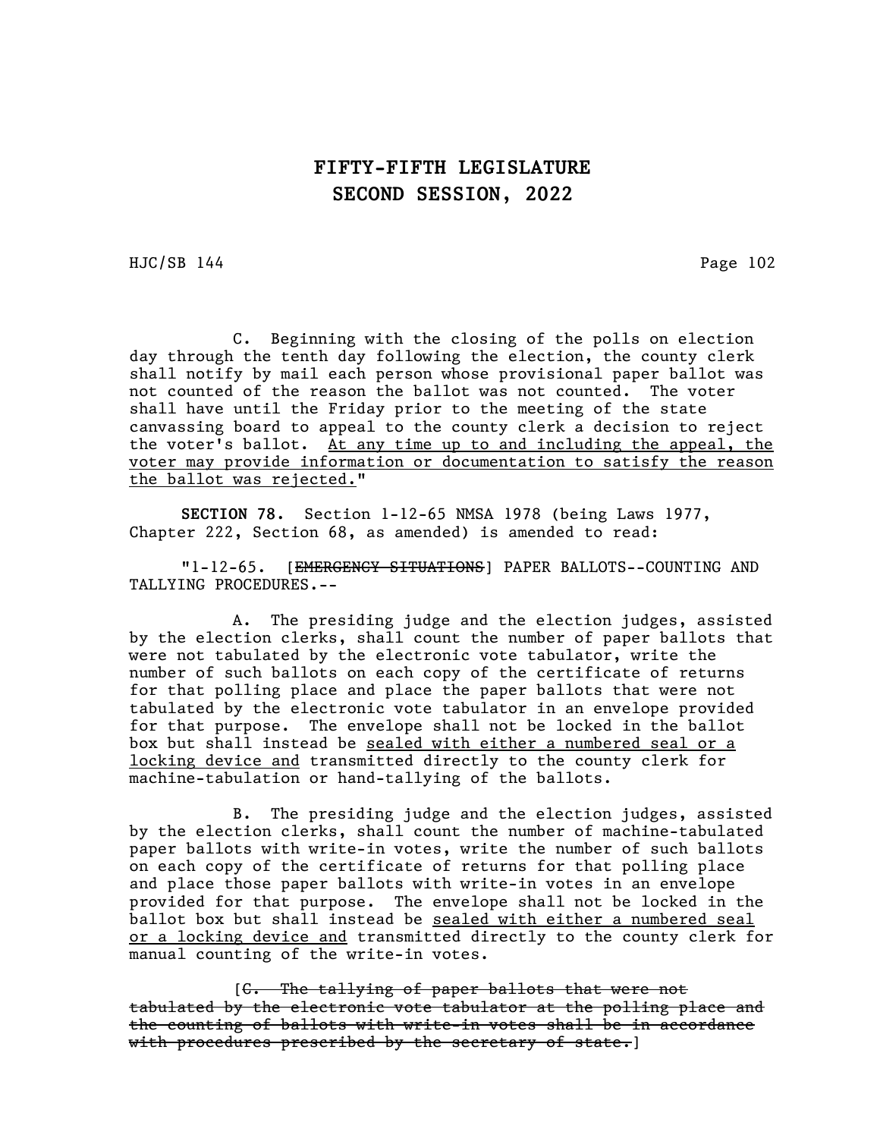HJC/SB 144 Page 102

C. Beginning with the closing of the polls on election day through the tenth day following the election, the county clerk shall notify by mail each person whose provisional paper ballot was not counted of the reason the ballot was not counted. The voter shall have until the Friday prior to the meeting of the state canvassing board to appeal to the county clerk a decision to reject the voter's ballot. At any time up to and including the appeal, the voter may provide information or documentation to satisfy the reason the ballot was rejected."

SECTION 78. Section 1-12-65 NMSA 1978 (being Laws 1977, Chapter 222, Section 68, as amended) is amended to read:

"1-12-65. [EMERGENCY SITUATIONS] PAPER BALLOTS--COUNTING AND TALLYING PROCEDURES.--

A. The presiding judge and the election judges, assisted by the election clerks, shall count the number of paper ballots that were not tabulated by the electronic vote tabulator, write the number of such ballots on each copy of the certificate of returns for that polling place and place the paper ballots that were not tabulated by the electronic vote tabulator in an envelope provided for that purpose. The envelope shall not be locked in the ballot box but shall instead be sealed with either a numbered seal or a locking device and transmitted directly to the county clerk for machine-tabulation or hand-tallying of the ballots.

B. The presiding judge and the election judges, assisted by the election clerks, shall count the number of machine-tabulated paper ballots with write-in votes, write the number of such ballots on each copy of the certificate of returns for that polling place and place those paper ballots with write-in votes in an envelope provided for that purpose. The envelope shall not be locked in the ballot box but shall instead be sealed with either a numbered seal or a locking device and transmitted directly to the county clerk for manual counting of the write-in votes.

[C. The tallying of paper ballots that were not tabulated by the electronic vote tabulator at the polling place and the counting of ballots with write-in votes shall be in accordance with procedures prescribed by the secretary of state.  $|$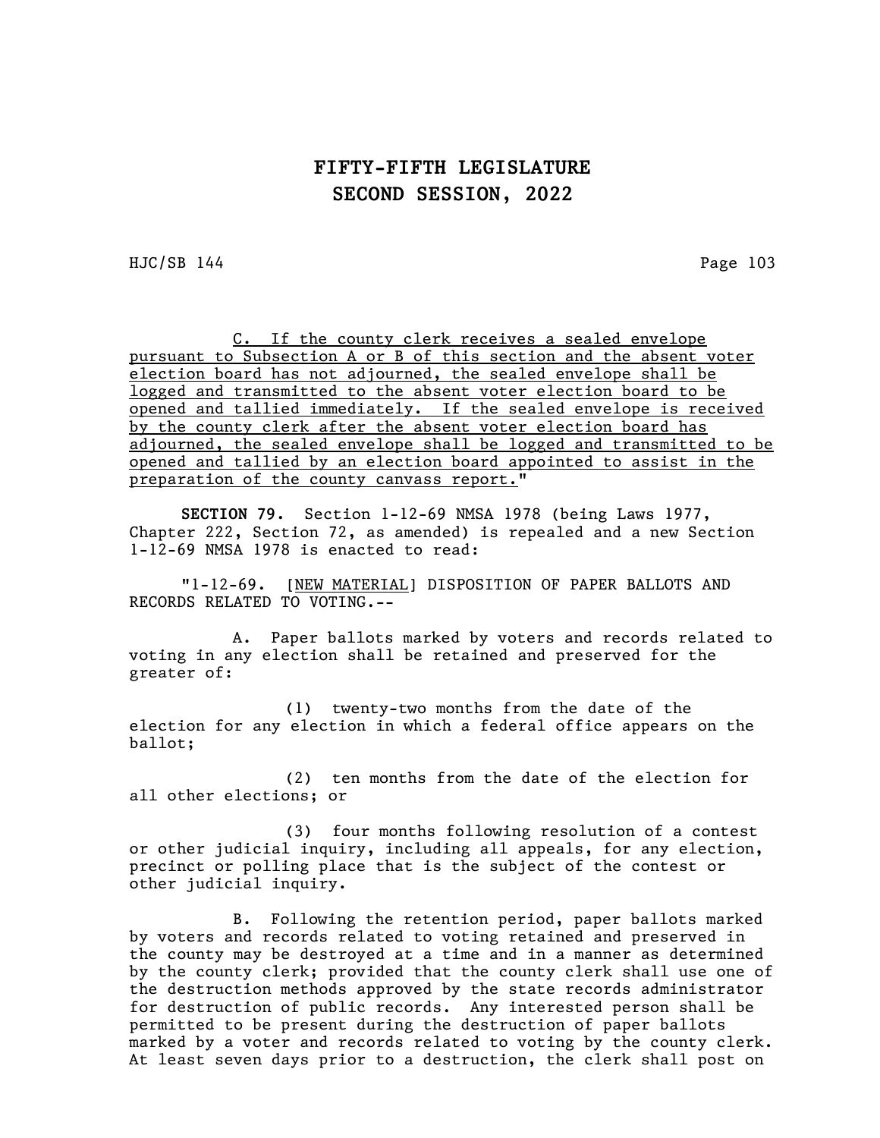$HJC/SB$  144 Page 103

C. If the county clerk receives a sealed envelope pursuant to Subsection A or B of this section and the absent voter election board has not adjourned, the sealed envelope shall be logged and transmitted to the absent voter election board to be opened and tallied immediately. If the sealed envelope is received by the county clerk after the absent voter election board has adjourned, the sealed envelope shall be logged and transmitted to be opened and tallied by an election board appointed to assist in the preparation of the county canvass report."

SECTION 79. Section 1-12-69 NMSA 1978 (being Laws 1977, Chapter 222, Section 72, as amended) is repealed and a new Section 1-12-69 NMSA 1978 is enacted to read:

"1-12-69. [NEW MATERIAL] DISPOSITION OF PAPER BALLOTS AND RECORDS RELATED TO VOTING.--

A. Paper ballots marked by voters and records related to voting in any election shall be retained and preserved for the greater of:

(1) twenty-two months from the date of the election for any election in which a federal office appears on the ballot;

(2) ten months from the date of the election for all other elections; or

(3) four months following resolution of a contest or other judicial inquiry, including all appeals, for any election, precinct or polling place that is the subject of the contest or other judicial inquiry.

B. Following the retention period, paper ballots marked by voters and records related to voting retained and preserved in the county may be destroyed at a time and in a manner as determined by the county clerk; provided that the county clerk shall use one of the destruction methods approved by the state records administrator for destruction of public records. Any interested person shall be permitted to be present during the destruction of paper ballots marked by a voter and records related to voting by the county clerk. At least seven days prior to a destruction, the clerk shall post on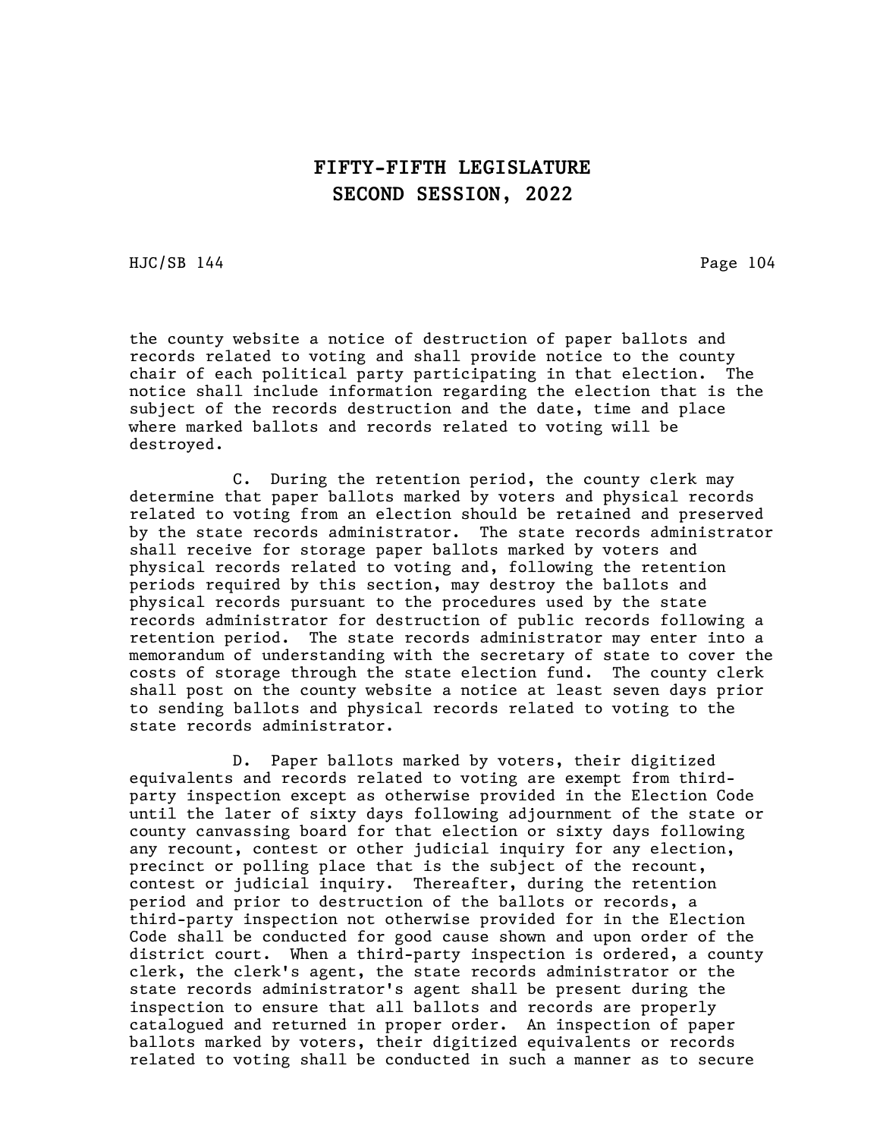HJC/SB 144 Page 104

the county website a notice of destruction of paper ballots and records related to voting and shall provide notice to the county chair of each political party participating in that election. The notice shall include information regarding the election that is the subject of the records destruction and the date, time and place where marked ballots and records related to voting will be destroyed.

C. During the retention period, the county clerk may determine that paper ballots marked by voters and physical records related to voting from an election should be retained and preserved by the state records administrator. The state records administrator shall receive for storage paper ballots marked by voters and physical records related to voting and, following the retention periods required by this section, may destroy the ballots and physical records pursuant to the procedures used by the state records administrator for destruction of public records following a retention period. The state records administrator may enter into a memorandum of understanding with the secretary of state to cover the costs of storage through the state election fund. The county clerk shall post on the county website a notice at least seven days prior to sending ballots and physical records related to voting to the state records administrator.

D. Paper ballots marked by voters, their digitized equivalents and records related to voting are exempt from thirdparty inspection except as otherwise provided in the Election Code until the later of sixty days following adjournment of the state or county canvassing board for that election or sixty days following any recount, contest or other judicial inquiry for any election, precinct or polling place that is the subject of the recount, contest or judicial inquiry. Thereafter, during the retention period and prior to destruction of the ballots or records, a third-party inspection not otherwise provided for in the Election Code shall be conducted for good cause shown and upon order of the district court. When a third-party inspection is ordered, a county clerk, the clerk's agent, the state records administrator or the state records administrator's agent shall be present during the inspection to ensure that all ballots and records are properly catalogued and returned in proper order. An inspection of paper ballots marked by voters, their digitized equivalents or records related to voting shall be conducted in such a manner as to secure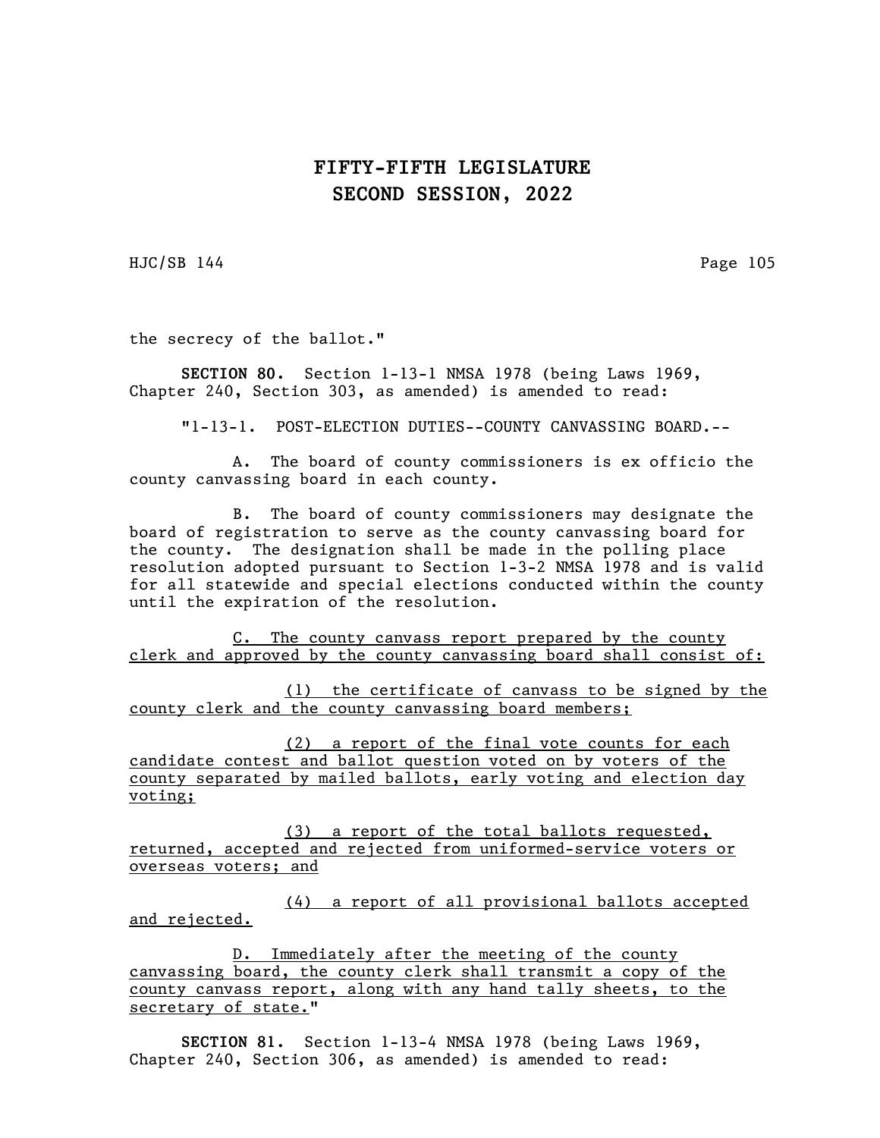HJC/SB 144 Page 105

the secrecy of the ballot."

SECTION 80. Section 1-13-1 NMSA 1978 (being Laws 1969, Chapter 240, Section 303, as amended) is amended to read:

"1-13-1. POST-ELECTION DUTIES--COUNTY CANVASSING BOARD.--

A. The board of county commissioners is ex officio the county canvassing board in each county.

B. The board of county commissioners may designate the board of registration to serve as the county canvassing board for the county. The designation shall be made in the polling place resolution adopted pursuant to Section 1-3-2 NMSA 1978 and is valid for all statewide and special elections conducted within the county until the expiration of the resolution.

C. The county canvass report prepared by the county clerk and approved by the county canvassing board shall consist of:

(1) the certificate of canvass to be signed by the county clerk and the county canvassing board members;

(2) a report of the final vote counts for each candidate contest and ballot question voted on by voters of the county separated by mailed ballots, early voting and election day voting;

(3) a report of the total ballots requested, returned, accepted and rejected from uniformed-service voters or overseas voters; and

(4) a report of all provisional ballots accepted and rejected.

D. Immediately after the meeting of the county canvassing board, the county clerk shall transmit a copy of the county canvass report, along with any hand tally sheets, to the secretary of state."

SECTION 81. Section 1-13-4 NMSA 1978 (being Laws 1969, Chapter 240, Section 306, as amended) is amended to read: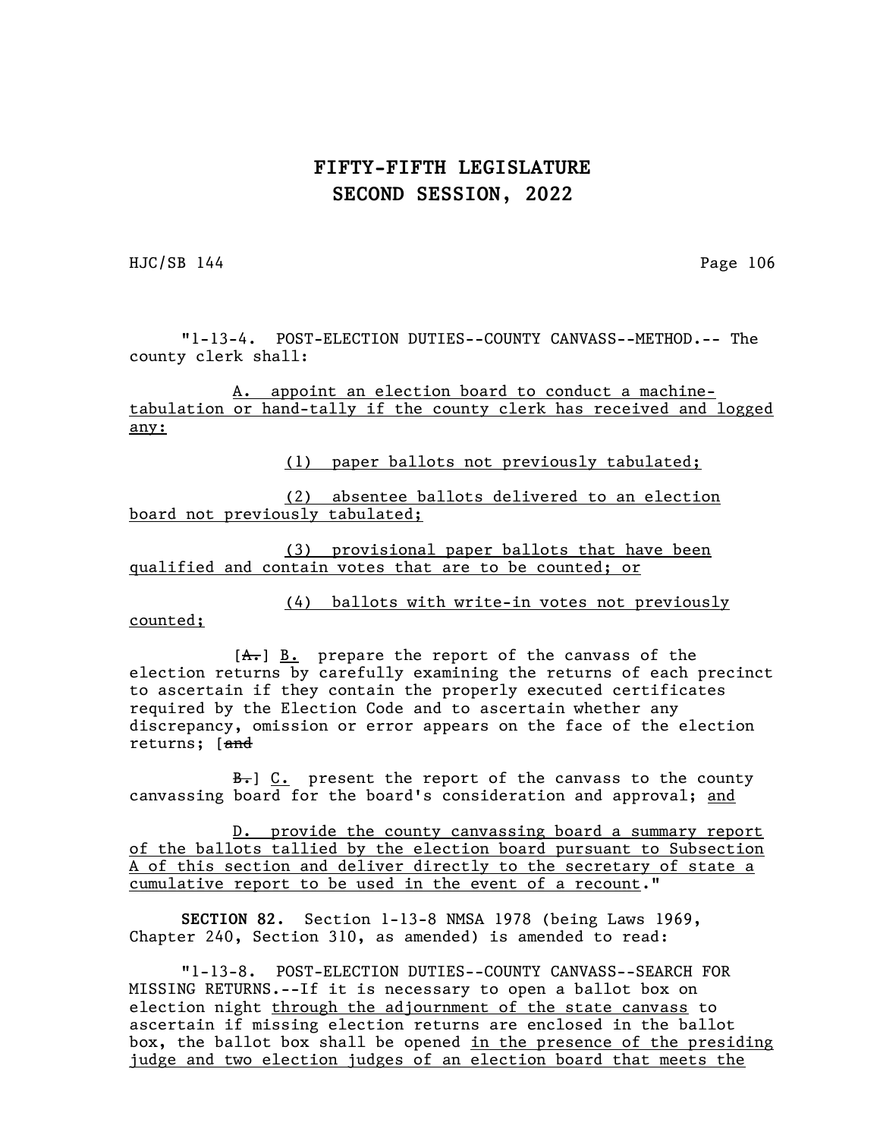HJC/SB 144 Page 106

"1-13-4. POST-ELECTION DUTIES--COUNTY CANVASS--METHOD.-- The county clerk shall:

A. appoint an election board to conduct a machinetabulation or hand-tally if the county clerk has received and logged any:

(1) paper ballots not previously tabulated;

(2) absentee ballots delivered to an election board not previously tabulated;

(3) provisional paper ballots that have been qualified and contain votes that are to be counted; or

(4) ballots with write-in votes not previously

counted;

 $[A<sub>1</sub>]$  B. prepare the report of the canvass of the election returns by carefully examining the returns of each precinct to ascertain if they contain the properly executed certificates required by the Election Code and to ascertain whether any discrepancy, omission or error appears on the face of the election returns; [and

B. G. present the report of the canvass to the county canvassing board for the board's consideration and approval; and

D. provide the county canvassing board a summary report of the ballots tallied by the election board pursuant to Subsection A of this section and deliver directly to the secretary of state a cumulative report to be used in the event of a recount."

SECTION 82. Section 1-13-8 NMSA 1978 (being Laws 1969, Chapter 240, Section 310, as amended) is amended to read:

"1-13-8. POST-ELECTION DUTIES--COUNTY CANVASS--SEARCH FOR MISSING RETURNS.--If it is necessary to open a ballot box on election night through the adjournment of the state canvass to ascertain if missing election returns are enclosed in the ballot box, the ballot box shall be opened in the presence of the presiding judge and two election judges of an election board that meets the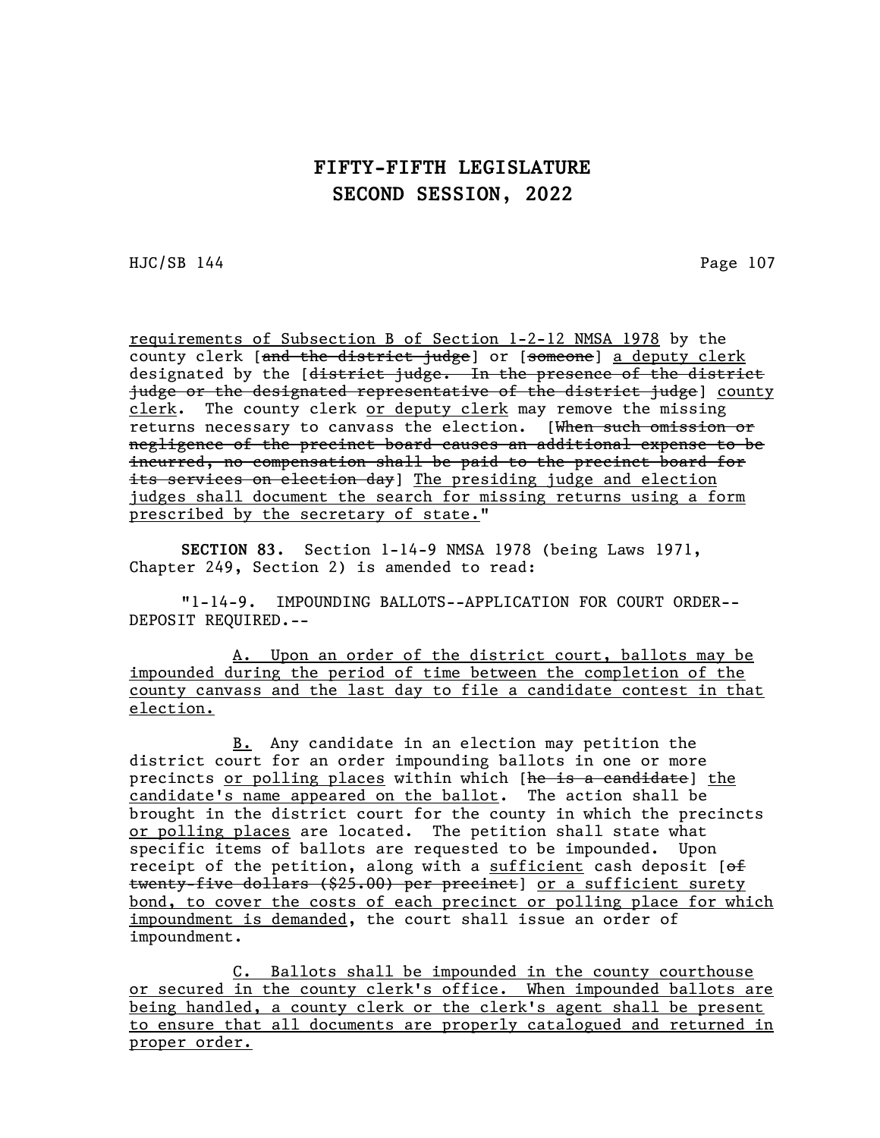HJC/SB 144 Page 107

requirements of Subsection B of Section 1-2-12 NMSA 1978 by the county clerk [and the district judge] or [someone] a deputy clerk designated by the [district judge. In the presence of the district judge or the designated representative of the district judge] county clerk. The county clerk or deputy clerk may remove the missing returns necessary to canvass the election. [When such omission or negligence of the precinct board causes an additional expense to be incurred, no compensation shall be paid to the precinct board for its services on election day] The presiding judge and election judges shall document the search for missing returns using a form prescribed by the secretary of state."

SECTION 83. Section 1-14-9 NMSA 1978 (being Laws 1971, Chapter 249, Section 2) is amended to read:

"1-14-9. IMPOUNDING BALLOTS--APPLICATION FOR COURT ORDER-- DEPOSIT REQUIRED.--

A. Upon an order of the district court, ballots may be impounded during the period of time between the completion of the county canvass and the last day to file a candidate contest in that election.

B. Any candidate in an election may petition the district court for an order impounding ballots in one or more precincts or polling places within which [he is a candidate] the candidate's name appeared on the ballot. The action shall be brought in the district court for the county in which the precincts or polling places are located. The petition shall state what specific items of ballots are requested to be impounded. Upon receipt of the petition, along with a  $sufficient$  cash deposit [of twenty-five dollars (\$25.00) per precinct] or a sufficient surety bond, to cover the costs of each precinct or polling place for which impoundment is demanded, the court shall issue an order of impoundment.

C. Ballots shall be impounded in the county courthouse or secured in the county clerk's office. When impounded ballots are being handled, a county clerk or the clerk's agent shall be present to ensure that all documents are properly catalogued and returned in proper order.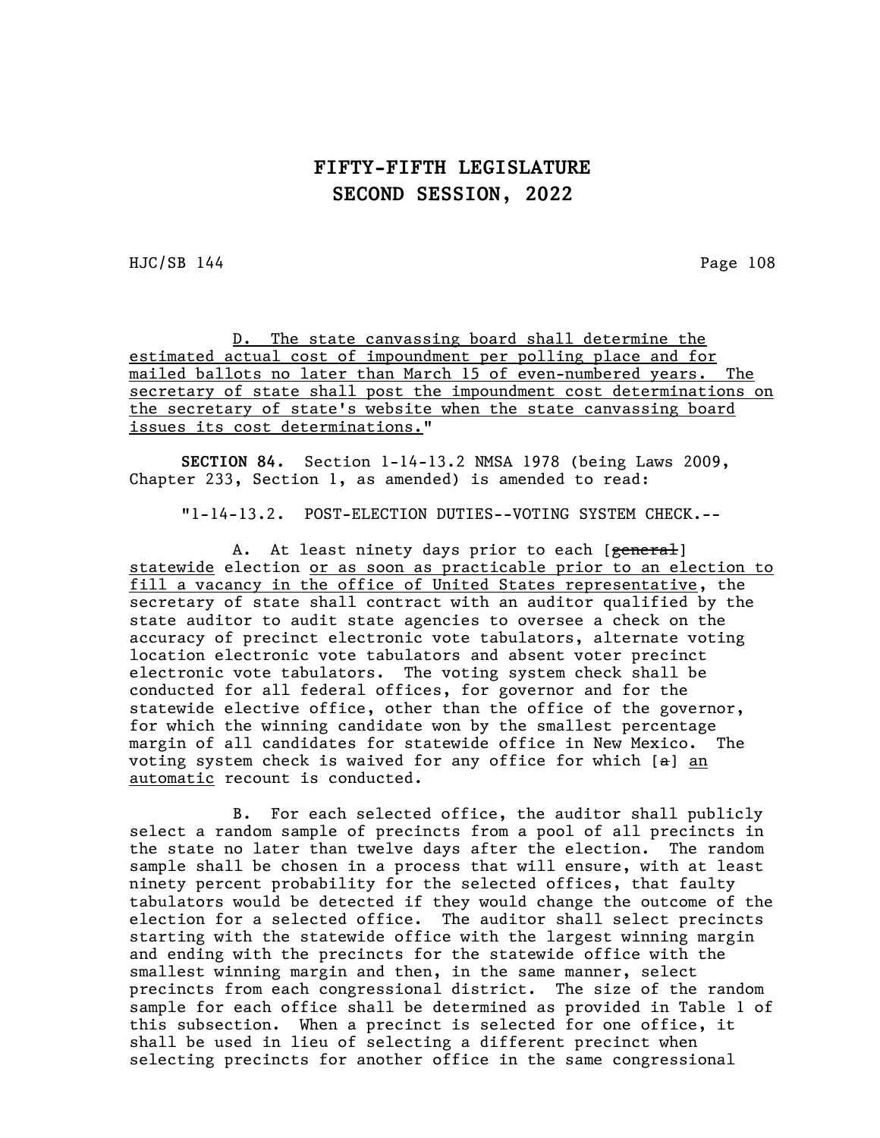HJC/SB 144 Page 108

D. The state canvassing board shall determine the estimated actual cost of impoundment per polling place and for mailed ballots no later than March 15 of even-numbered years. The secretary of state shall post the impoundment cost determinations on the secretary of state's website when the state canvassing board issues its cost determinations."

SECTION 84. Section 1-14-13.2 NMSA 1978 (being Laws 2009, Chapter 233, Section 1, as amended) is amended to read:

"1-14-13.2. POST-ELECTION DUTIES--VOTING SYSTEM CHECK.--

A. At least ninety days prior to each [general] statewide election or as soon as practicable prior to an election to fill a vacancy in the office of United States representative, the secretary of state shall contract with an auditor qualified by the state auditor to audit state agencies to oversee a check on the accuracy of precinct electronic vote tabulators, alternate voting location electronic vote tabulators and absent voter precinct electronic vote tabulators. The voting system check shall be conducted for all federal offices, for governor and for the statewide elective office, other than the office of the governor, for which the winning candidate won by the smallest percentage margin of all candidates for statewide office in New Mexico. The voting system check is waived for any office for which  $[a]$  an automatic recount is conducted.

B. For each selected office, the auditor shall publicly select a random sample of precincts from a pool of all precincts in the state no later than twelve days after the election. The random sample shall be chosen in a process that will ensure, with at least ninety percent probability for the selected offices, that faulty tabulators would be detected if they would change the outcome of the election for a selected office. The auditor shall select precincts starting with the statewide office with the largest winning margin and ending with the precincts for the statewide office with the smallest winning margin and then, in the same manner, select precincts from each congressional district. The size of the random sample for each office shall be determined as provided in Table 1 of this subsection. When a precinct is selected for one office, it shall be used in lieu of selecting a different precinct when selecting precincts for another office in the same congressional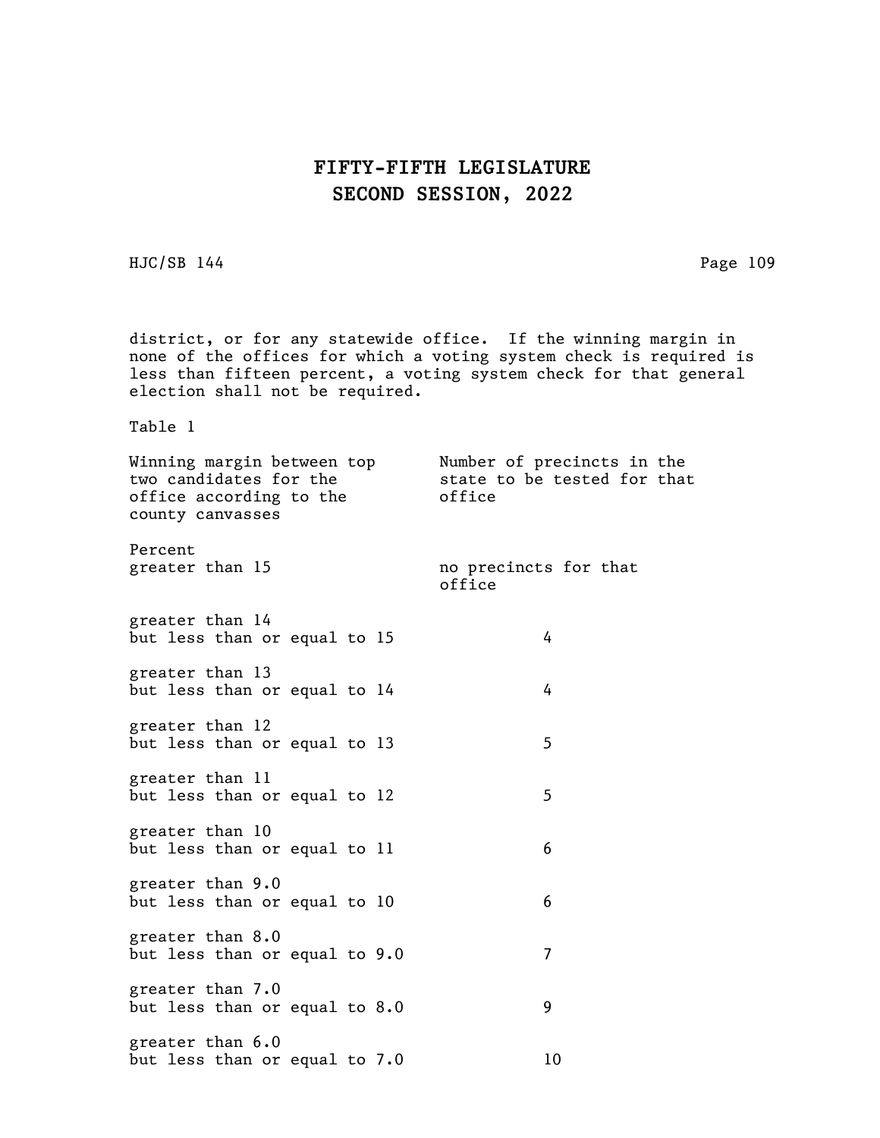HJC/SB 144 Page 109

district, or for any statewide office. If the winning margin in none of the offices for which a voting system check is required is less than fifteen percent, a voting system check for that general election shall not be required.

Table 1

| Winning margin between top<br>two candidates for the<br>office according to the<br>county canvasses | Number of precincts in the<br>state to be tested for that<br>office |  |  |
|-----------------------------------------------------------------------------------------------------|---------------------------------------------------------------------|--|--|
| Percent<br>greater than 15                                                                          | no precincts for that<br>office                                     |  |  |
| greater than 14<br>but less than or equal to 15                                                     | 4                                                                   |  |  |
| greater than 13<br>but less than or equal to 14                                                     | 4                                                                   |  |  |
| greater than 12<br>but less than or equal to 13                                                     | 5                                                                   |  |  |
| greater than 11<br>but less than or equal to 12                                                     | 5                                                                   |  |  |
| greater than 10<br>but less than or equal to 11                                                     | 6                                                                   |  |  |
| greater than 9.0<br>but less than or equal to 10                                                    | 6                                                                   |  |  |
| greater than 8.0<br>but less than or equal to 9.0                                                   | 7                                                                   |  |  |
| greater than 7.0<br>but less than or equal to 8.0                                                   | 9                                                                   |  |  |
| greater than 6.0<br>but less than or equal to 7.0                                                   | 10                                                                  |  |  |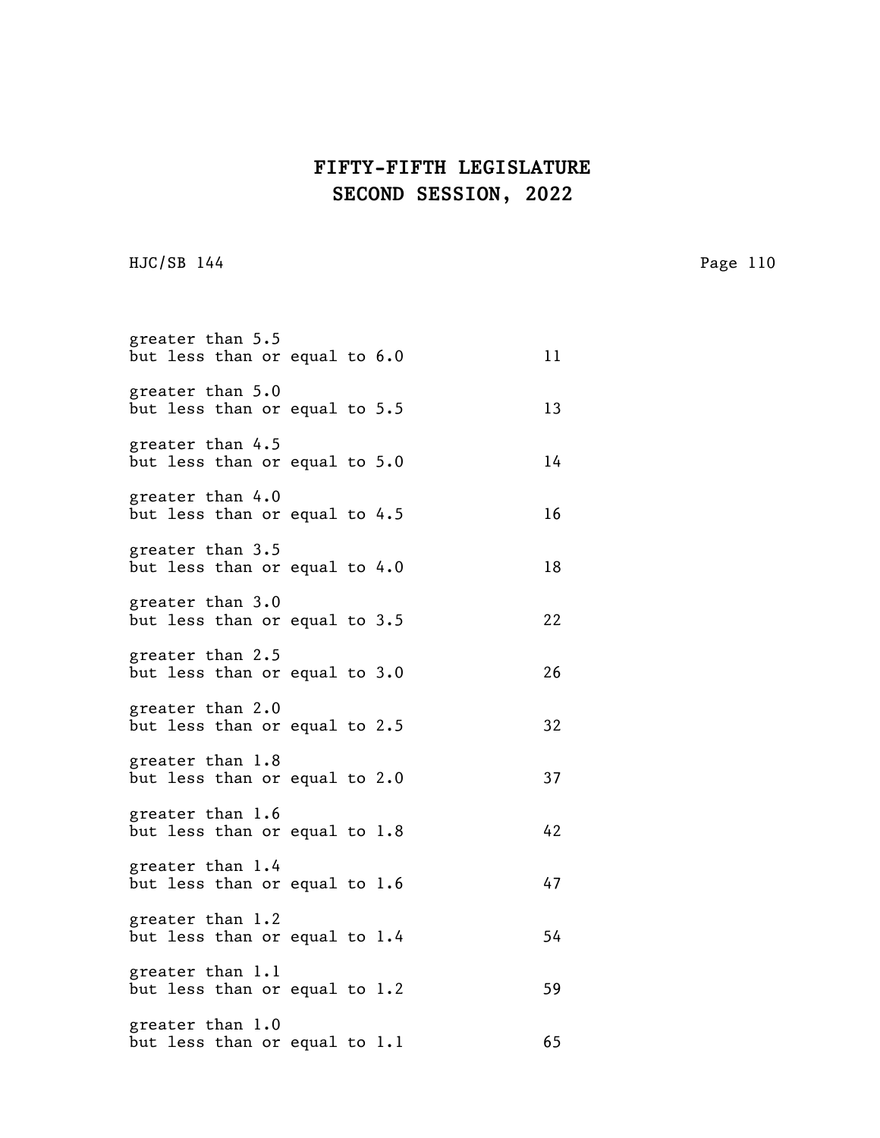HJC/SB 144 Page 110

| greater than 5.5<br>but less than or equal to 6.0 |  | 11 |
|---------------------------------------------------|--|----|
| greater than 5.0<br>but less than or equal to 5.5 |  | 13 |
| greater than 4.5<br>but less than or equal to 5.0 |  | 14 |
| greater than 4.0<br>but less than or equal to 4.5 |  | 16 |
| greater than 3.5<br>but less than or equal to 4.0 |  | 18 |
| greater than 3.0<br>but less than or equal to 3.5 |  | 22 |
| greater than 2.5<br>but less than or equal to 3.0 |  | 26 |
| greater than 2.0<br>but less than or equal to 2.5 |  | 32 |
| greater than 1.8<br>but less than or equal to 2.0 |  | 37 |
| greater than 1.6<br>but less than or equal to 1.8 |  | 42 |
| greater than 1.4<br>but less than or equal to 1.6 |  | 47 |
| greater than 1.2<br>but less than or equal to 1.4 |  | 54 |
| greater than 1.1<br>but less than or equal to 1.2 |  | 59 |
| greater than 1.0<br>but less than or equal to 1.1 |  | 65 |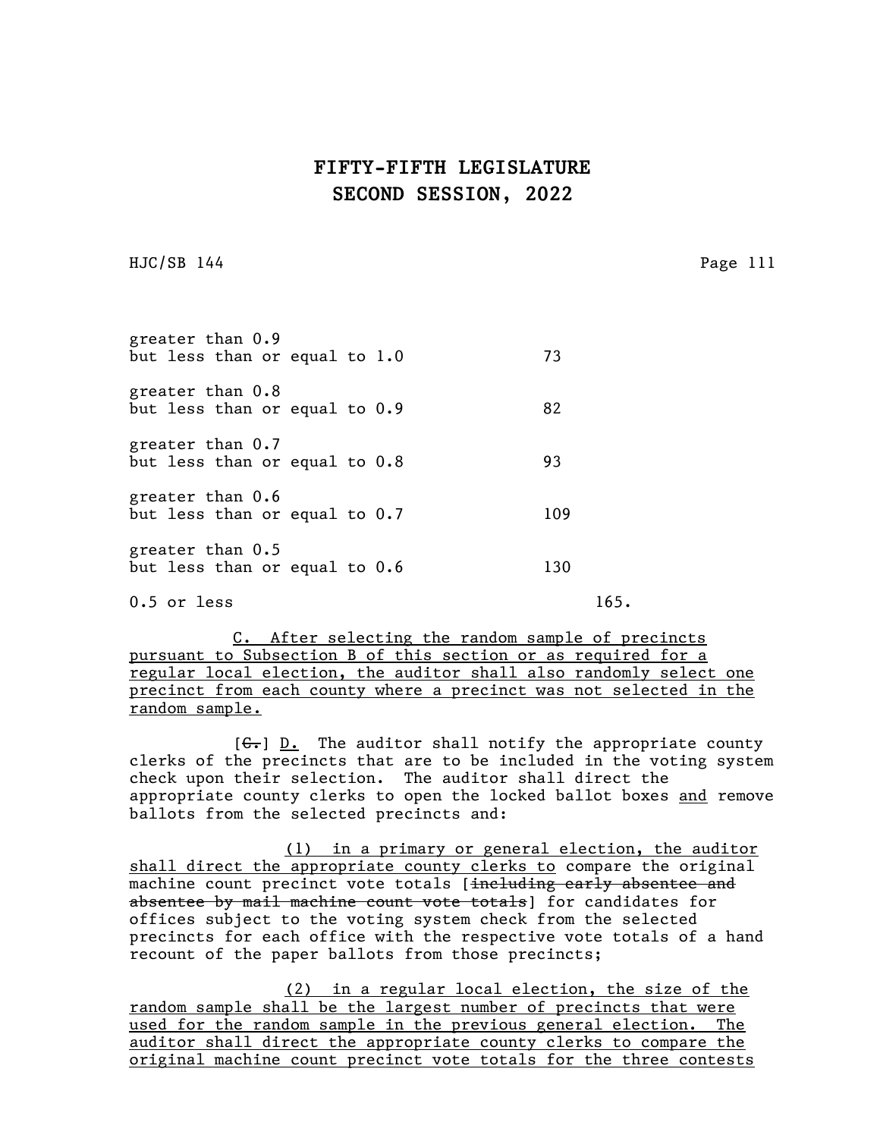HJC/SB 144 Page 111

| greater than 0.9<br>but less than or equal to 1.0   |  | 73  |
|-----------------------------------------------------|--|-----|
| greater than 0.8<br>but less than or equal to 0.9   |  | 82  |
| greater than 0.7<br>but less than or equal to 0.8   |  | 93  |
| greater than 0.6<br>but less than or equal to 0.7   |  | 109 |
| greater than $0.5$<br>but less than or equal to 0.6 |  | 130 |

0.5 or less 165.

C. After selecting the random sample of precincts pursuant to Subsection B of this section or as required for a regular local election, the auditor shall also randomly select one precinct from each county where a precinct was not selected in the random sample.

 $[G<sub>r</sub>]$  D. The auditor shall notify the appropriate county clerks of the precincts that are to be included in the voting system check upon their selection. The auditor shall direct the appropriate county clerks to open the locked ballot boxes and remove ballots from the selected precincts and:

(1) in a primary or general election, the auditor shall direct the appropriate county clerks to compare the original machine count precinct vote totals [including early absentee and absentee by mail machine count vote totals] for candidates for offices subject to the voting system check from the selected precincts for each office with the respective vote totals of a hand recount of the paper ballots from those precincts;

(2) in a regular local election, the size of the random sample shall be the largest number of precincts that were used for the random sample in the previous general election. The auditor shall direct the appropriate county clerks to compare the original machine count precinct vote totals for the three contests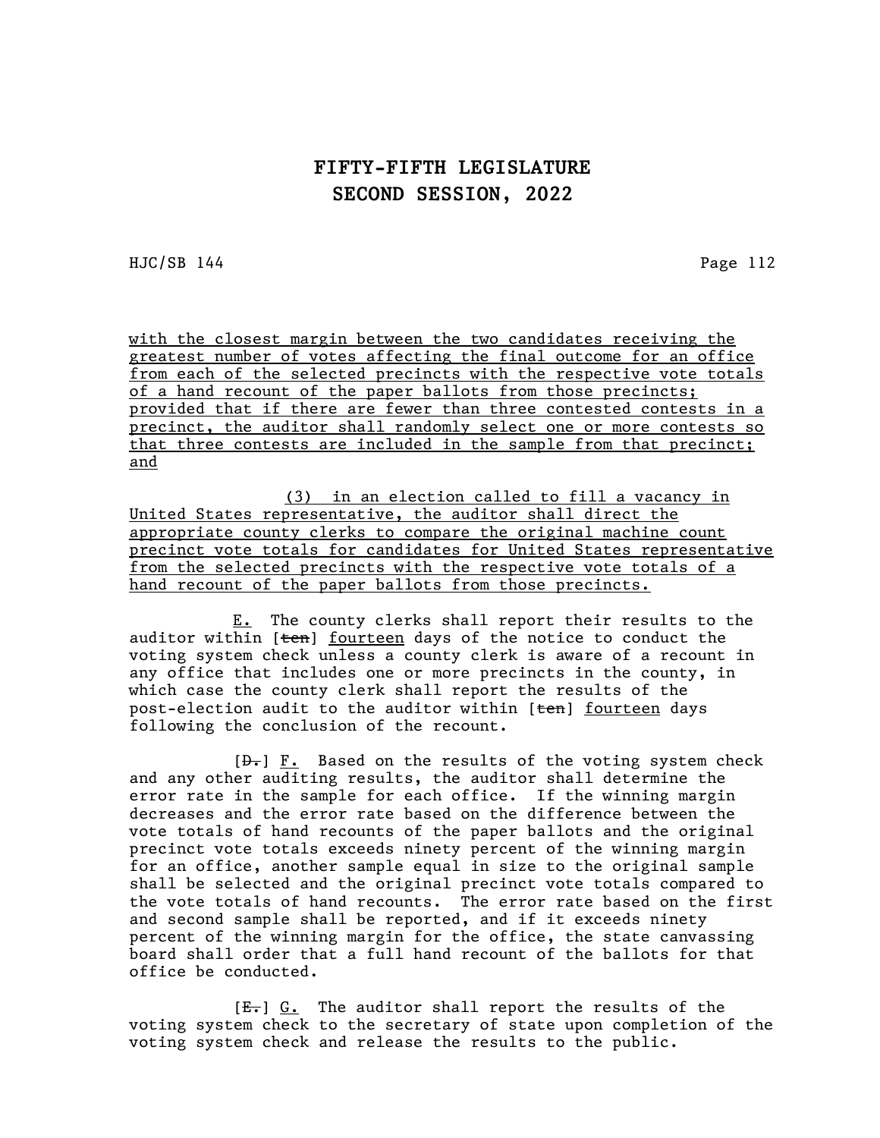HJC/SB 144 Page 112

with the closest margin between the two candidates receiving the greatest number of votes affecting the final outcome for an office from each of the selected precincts with the respective vote totals of a hand recount of the paper ballots from those precincts; provided that if there are fewer than three contested contests in a precinct, the auditor shall randomly select one or more contests so that three contests are included in the sample from that precinct; and

(3) in an election called to fill a vacancy in United States representative, the auditor shall direct the appropriate county clerks to compare the original machine count precinct vote totals for candidates for United States representative from the selected precincts with the respective vote totals of a hand recount of the paper ballots from those precincts.

E. The county clerks shall report their results to the auditor within [ten] fourteen days of the notice to conduct the voting system check unless a county clerk is aware of a recount in any office that includes one or more precincts in the county, in which case the county clerk shall report the results of the post-election audit to the auditor within [ten] fourteen days following the conclusion of the recount.

 $[\frac{D-1}{2}]$  F. Based on the results of the voting system check and any other auditing results, the auditor shall determine the error rate in the sample for each office. If the winning margin decreases and the error rate based on the difference between the vote totals of hand recounts of the paper ballots and the original precinct vote totals exceeds ninety percent of the winning margin for an office, another sample equal in size to the original sample shall be selected and the original precinct vote totals compared to the vote totals of hand recounts. The error rate based on the first and second sample shall be reported, and if it exceeds ninety percent of the winning margin for the office, the state canvassing board shall order that a full hand recount of the ballots for that office be conducted.

 $[E_r]$  G. The auditor shall report the results of the voting system check to the secretary of state upon completion of the voting system check and release the results to the public.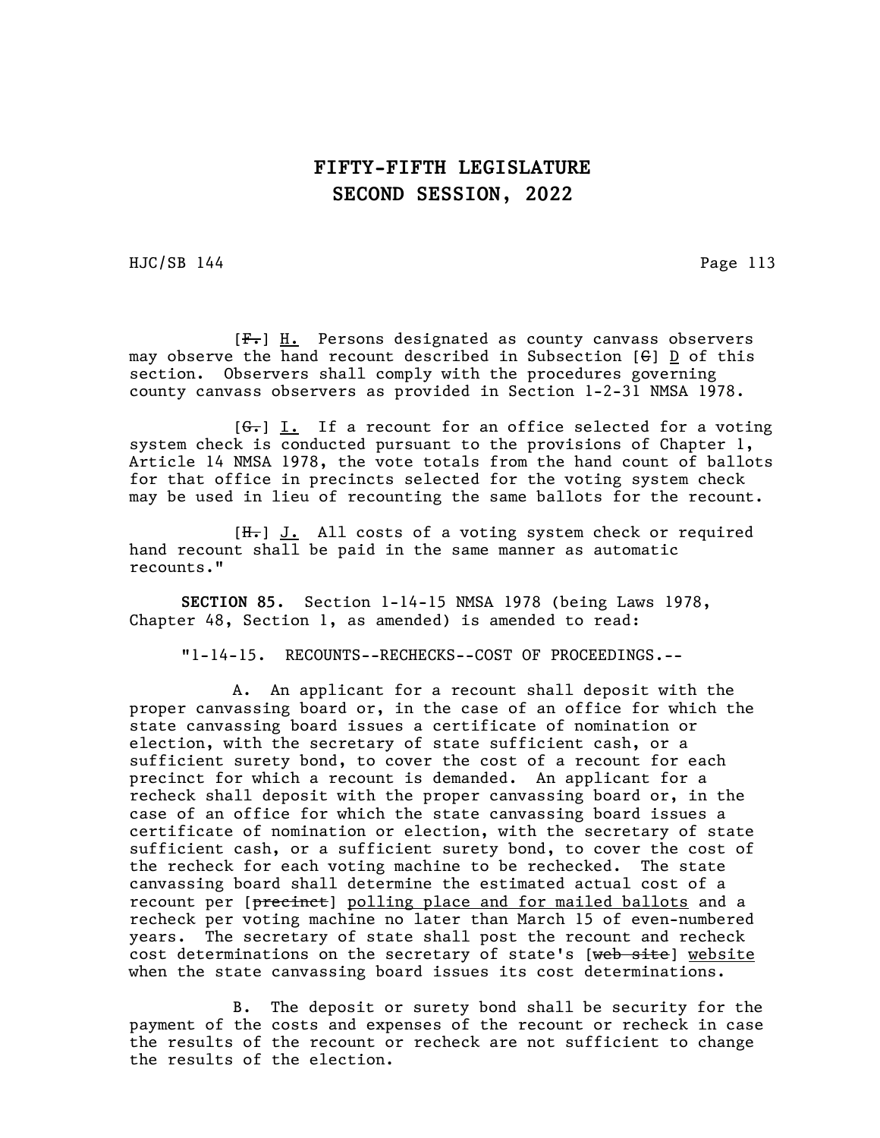HJC/SB 144 Page 113

[F.] H. Persons designated as county canvass observers may observe the hand recount described in Subsection  $[6]$  D of this section. Observers shall comply with the procedures governing county canvass observers as provided in Section 1-2-31 NMSA 1978.

 $[ $\leftarrow$ ]**F**$ . If a recount for an office selected for a voting system check is conducted pursuant to the provisions of Chapter 1, Article 14 NMSA 1978, the vote totals from the hand count of ballots for that office in precincts selected for the voting system check may be used in lieu of recounting the same ballots for the recount.

[H.] J. All costs of a voting system check or required hand recount shall be paid in the same manner as automatic recounts."

SECTION 85. Section 1-14-15 NMSA 1978 (being Laws 1978, Chapter 48, Section 1, as amended) is amended to read:

"1-14-15. RECOUNTS--RECHECKS--COST OF PROCEEDINGS.--

A. An applicant for a recount shall deposit with the proper canvassing board or, in the case of an office for which the state canvassing board issues a certificate of nomination or election, with the secretary of state sufficient cash, or a sufficient surety bond, to cover the cost of a recount for each precinct for which a recount is demanded. An applicant for a recheck shall deposit with the proper canvassing board or, in the case of an office for which the state canvassing board issues a certificate of nomination or election, with the secretary of state sufficient cash, or a sufficient surety bond, to cover the cost of the recheck for each voting machine to be rechecked. The state canvassing board shall determine the estimated actual cost of a recount per [precinct] polling place and for mailed ballots and a recheck per voting machine no later than March 15 of even-numbered years. The secretary of state shall post the recount and recheck cost determinations on the secretary of state's [web site] website when the state canvassing board issues its cost determinations.

B. The deposit or surety bond shall be security for the payment of the costs and expenses of the recount or recheck in case the results of the recount or recheck are not sufficient to change the results of the election.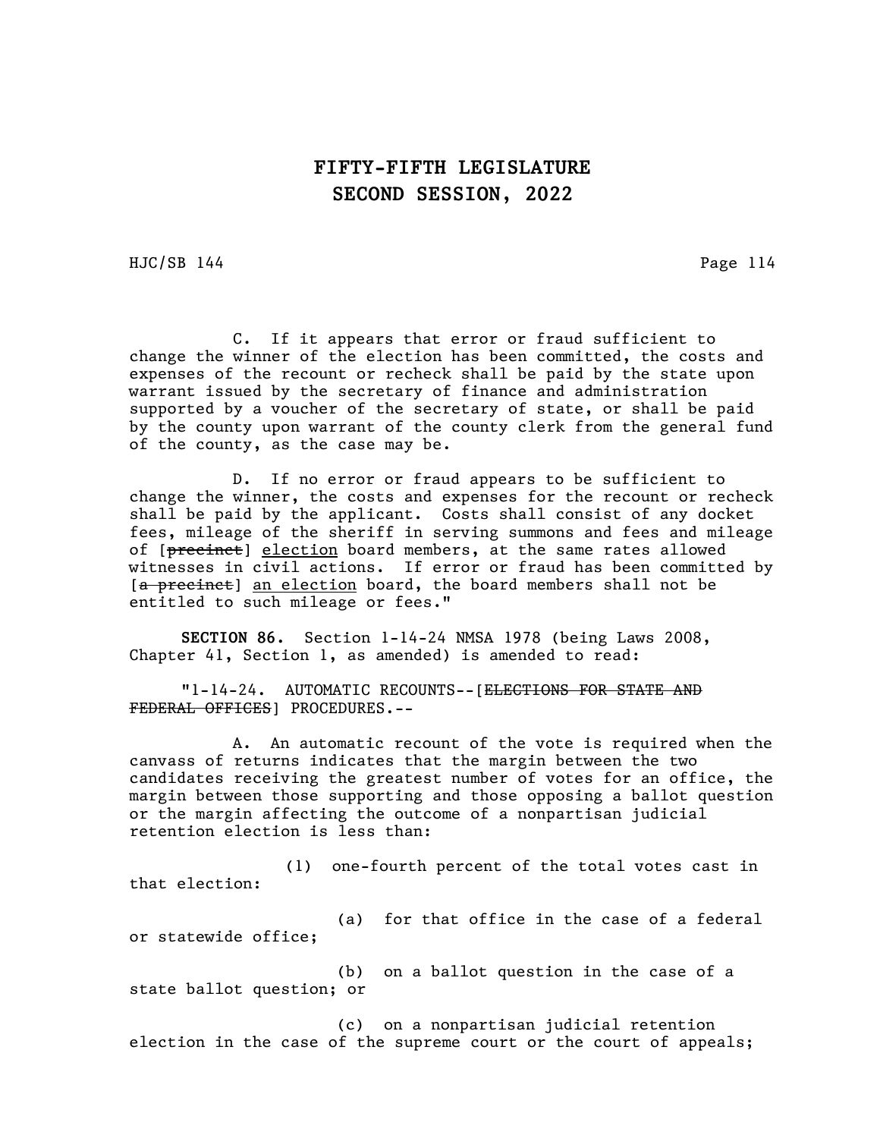HJC/SB 144 Page 114

C. If it appears that error or fraud sufficient to change the winner of the election has been committed, the costs and expenses of the recount or recheck shall be paid by the state upon warrant issued by the secretary of finance and administration supported by a voucher of the secretary of state, or shall be paid by the county upon warrant of the county clerk from the general fund of the county, as the case may be.

D. If no error or fraud appears to be sufficient to change the winner, the costs and expenses for the recount or recheck shall be paid by the applicant. Costs shall consist of any docket fees, mileage of the sheriff in serving summons and fees and mileage of [precinct] election board members, at the same rates allowed witnesses in civil actions. If error or fraud has been committed by [a precinct] an election board, the board members shall not be entitled to such mileage or fees."

SECTION 86. Section 1-14-24 NMSA 1978 (being Laws 2008, Chapter 41, Section 1, as amended) is amended to read:

"1-14-24. AUTOMATIC RECOUNTS--[ELECTIONS FOR STATE AND FEDERAL OFFICES] PROCEDURES.--

A. An automatic recount of the vote is required when the canvass of returns indicates that the margin between the two candidates receiving the greatest number of votes for an office, the margin between those supporting and those opposing a ballot question or the margin affecting the outcome of a nonpartisan judicial retention election is less than:

(1) one-fourth percent of the total votes cast in that election:

(a) for that office in the case of a federal or statewide office;

(b) on a ballot question in the case of a state ballot question; or

(c) on a nonpartisan judicial retention election in the case of the supreme court or the court of appeals;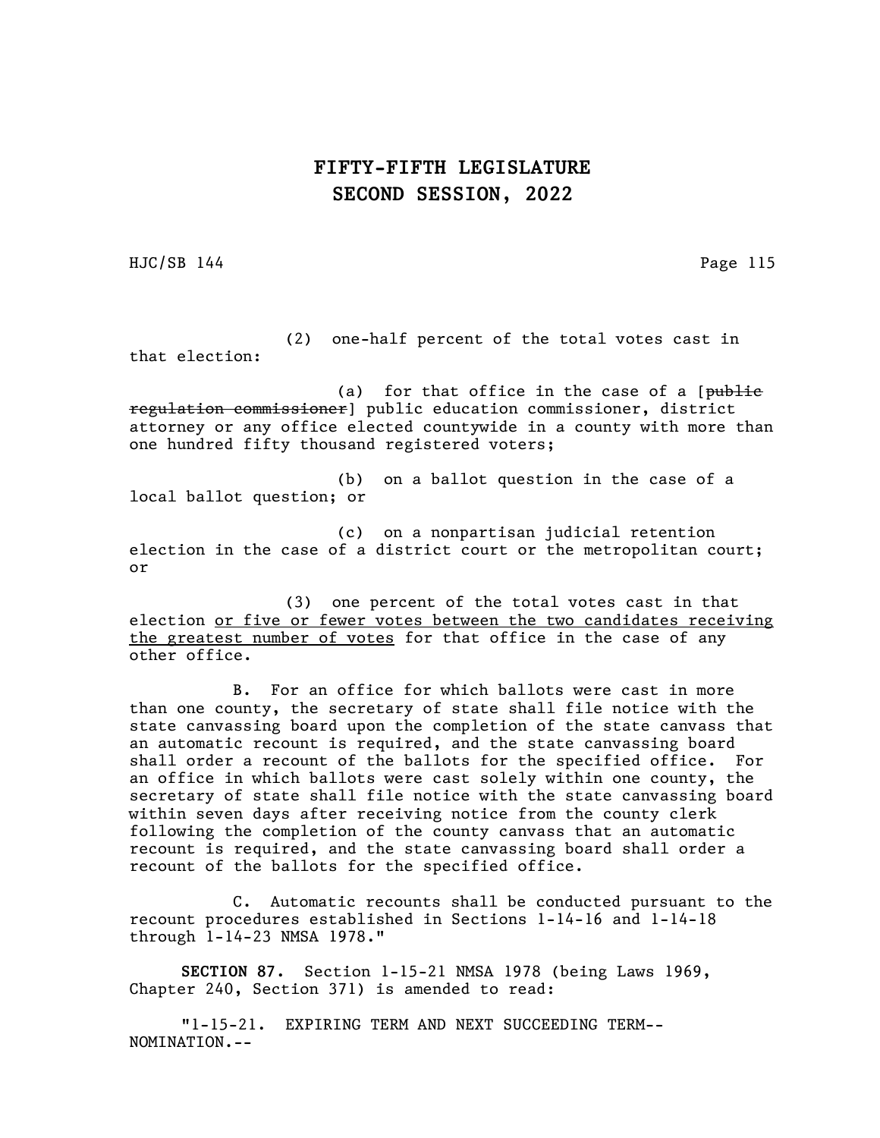HJC/SB 144 Page 115

(2) one-half percent of the total votes cast in that election:

(a) for that office in the case of a  $[\text{public}$ regulation commissioner] public education commissioner, district attorney or any office elected countywide in a county with more than one hundred fifty thousand registered voters;

(b) on a ballot question in the case of a local ballot question; or

(c) on a nonpartisan judicial retention election in the case of a district court or the metropolitan court; or

(3) one percent of the total votes cast in that election or five or fewer votes between the two candidates receiving the greatest number of votes for that office in the case of any other office.

B. For an office for which ballots were cast in more than one county, the secretary of state shall file notice with the state canvassing board upon the completion of the state canvass that an automatic recount is required, and the state canvassing board shall order a recount of the ballots for the specified office. For an office in which ballots were cast solely within one county, the secretary of state shall file notice with the state canvassing board within seven days after receiving notice from the county clerk following the completion of the county canvass that an automatic recount is required, and the state canvassing board shall order a recount of the ballots for the specified office.

C. Automatic recounts shall be conducted pursuant to the recount procedures established in Sections 1-14-16 and 1-14-18 through 1-14-23 NMSA 1978."

SECTION 87. Section 1-15-21 NMSA 1978 (being Laws 1969, Chapter 240, Section 371) is amended to read:

"1-15-21. EXPIRING TERM AND NEXT SUCCEEDING TERM-- NOMINATION.--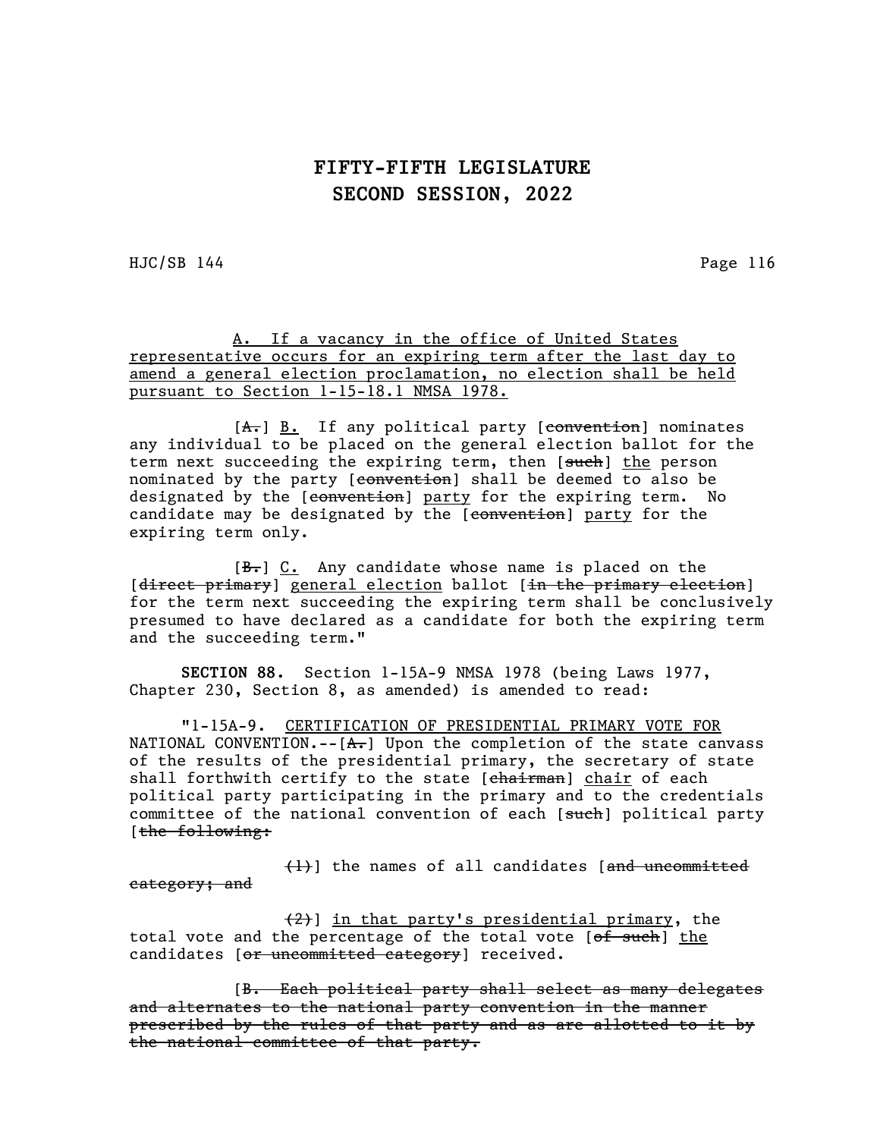HJC/SB 144 Page 116

A. If a vacancy in the office of United States representative occurs for an expiring term after the last day to amend a general election proclamation, no election shall be held pursuant to Section 1-15-18.1 NMSA 1978.

 $[A<sub>r</sub>]$  B. If any political party [convention] nominates any individual to be placed on the general election ballot for the term next succeeding the expiring term, then [such] the person nominated by the party [<del>convention</del>] shall be deemed to also be designated by the [convention] party for the expiring term. No candidate may be designated by the [convention] party for the expiring term only.

 $[\frac{B-}{C}]$  C. Any candidate whose name is placed on the [direct primary] general election ballot [in the primary election] for the term next succeeding the expiring term shall be conclusively presumed to have declared as a candidate for both the expiring term and the succeeding term."

SECTION 88. Section 1-15A-9 NMSA 1978 (being Laws 1977, Chapter 230, Section 8, as amended) is amended to read:

"1-15A-9. CERTIFICATION OF PRESIDENTIAL PRIMARY VOTE FOR NATIONAL CONVENTION.-- $[A, ]$  Upon the completion of the state canvass of the results of the presidential primary, the secretary of state shall forthwith certify to the state [chairman] chair of each political party participating in the primary and to the credentials committee of the national convention of each [such] political party [the following:

 $(1)$ ] the names of all candidates [ $and$  uncommitted category; and

(2)] in that party's presidential primary, the total vote and the percentage of the total vote [of such] the candidates [or uncommitted category] received.

[B. Each political party shall select as many delegates and alternates to the national party convention in the manner prescribed by the rules of that party and as are allotted to it by the national committee of that party.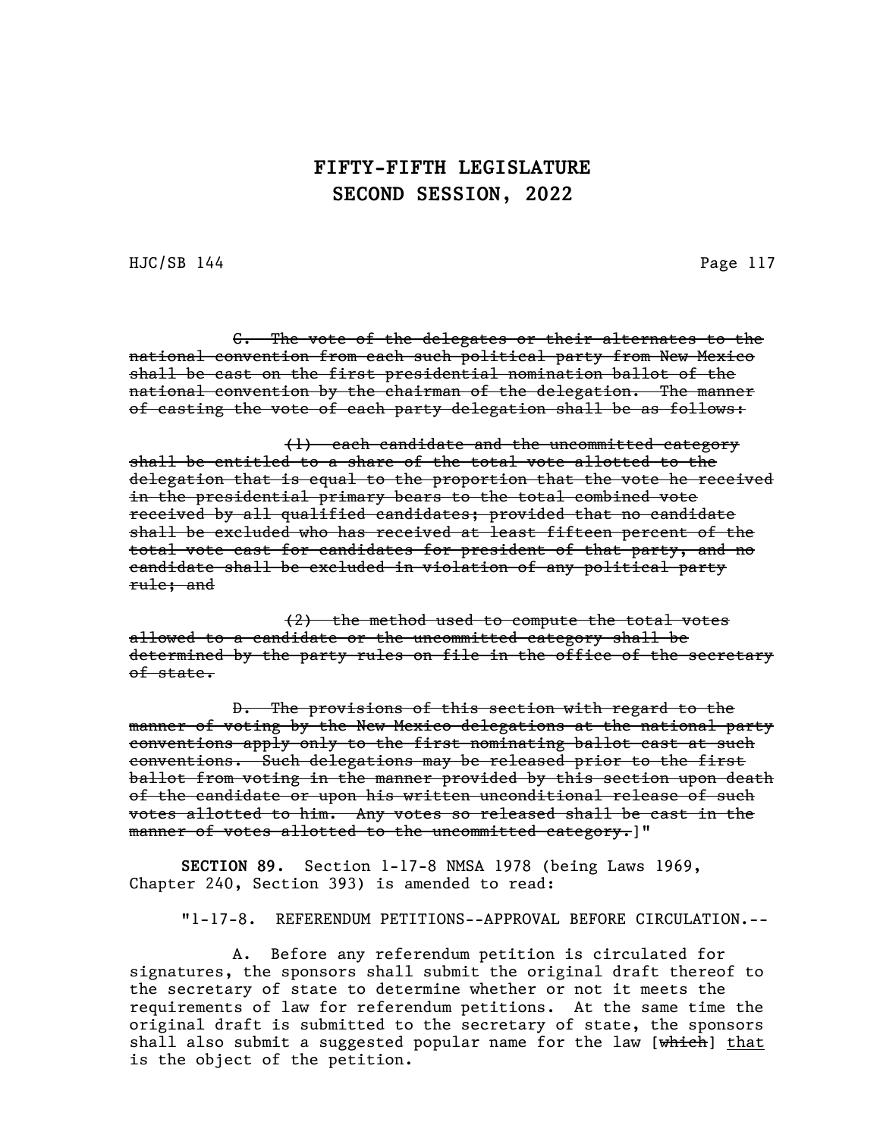HJC/SB 144 Page 117

C. The vote of the delegates or their alternates to the national convention from each such political party from New Mexico shall be cast on the first presidential nomination ballot of the national convention by the chairman of the delegation. The manner of casting the vote of each party delegation shall be as follows:

(1) each candidate and the uncommitted category shall be entitled to a share of the total vote allotted to the delegation that is equal to the proportion that the vote he received in the presidential primary bears to the total combined vote received by all qualified candidates; provided that no candidate shall be excluded who has received at least fifteen percent of the total vote cast for candidates for president of that party, and no candidate shall be excluded in violation of any political party rule; and

(2) the method used to compute the total votes allowed to a candidate or the uncommitted category shall be determined by the party rules on file in the office of the secretary of state.

D. The provisions of this section with regard to the manner of voting by the New Mexico delegations at the national party conventions apply only to the first nominating ballot cast at such conventions. Such delegations may be released prior to the first ballot from voting in the manner provided by this section upon death of the candidate or upon his written unconditional release of such votes allotted to him. Any votes so released shall be cast in the manner of votes allotted to the uncommitted category.]"

SECTION 89. Section 1-17-8 NMSA 1978 (being Laws 1969, Chapter 240, Section 393) is amended to read:

"1-17-8. REFERENDUM PETITIONS--APPROVAL BEFORE CIRCULATION.--

A. Before any referendum petition is circulated for signatures, the sponsors shall submit the original draft thereof to the secretary of state to determine whether or not it meets the requirements of law for referendum petitions. At the same time the original draft is submitted to the secretary of state, the sponsors shall also submit a suggested popular name for the law [which] that is the object of the petition.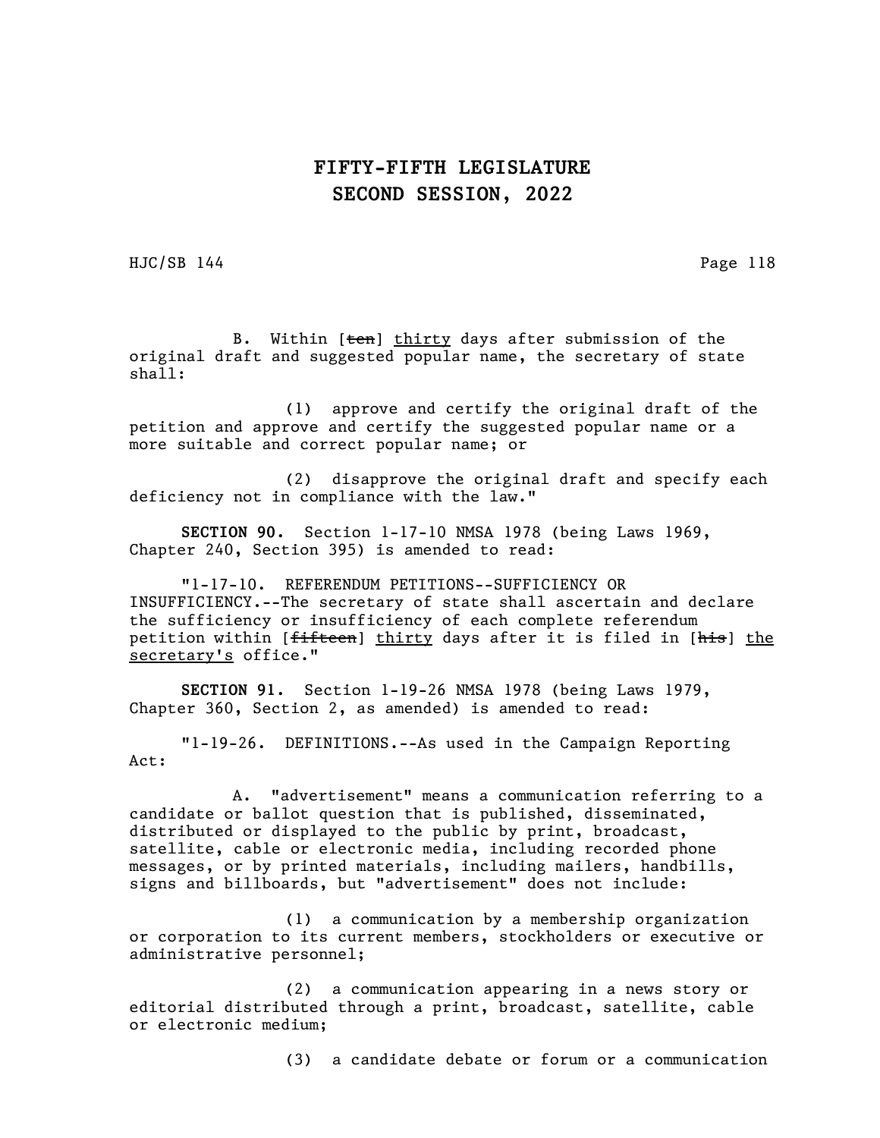HJC/SB 144 Page 118

B. Within [ten] thirty days after submission of the original draft and suggested popular name, the secretary of state shall:

(1) approve and certify the original draft of the petition and approve and certify the suggested popular name or a more suitable and correct popular name; or

(2) disapprove the original draft and specify each deficiency not in compliance with the law."

SECTION 90. Section 1-17-10 NMSA 1978 (being Laws 1969, Chapter 240, Section 395) is amended to read:

"1-17-10. REFERENDUM PETITIONS--SUFFICIENCY OR INSUFFICIENCY.--The secretary of state shall ascertain and declare the sufficiency or insufficiency of each complete referendum petition within [<del>fifteen</del>] thirty days after it is filed in [his] the secretary's office."

SECTION 91. Section 1-19-26 NMSA 1978 (being Laws 1979, Chapter 360, Section 2, as amended) is amended to read:

"1-19-26. DEFINITIONS.--As used in the Campaign Reporting Act:

A. "advertisement" means a communication referring to a candidate or ballot question that is published, disseminated, distributed or displayed to the public by print, broadcast, satellite, cable or electronic media, including recorded phone messages, or by printed materials, including mailers, handbills, signs and billboards, but "advertisement" does not include:

(1) a communication by a membership organization or corporation to its current members, stockholders or executive or administrative personnel;

(2) a communication appearing in a news story or editorial distributed through a print, broadcast, satellite, cable or electronic medium;

(3) a candidate debate or forum or a communication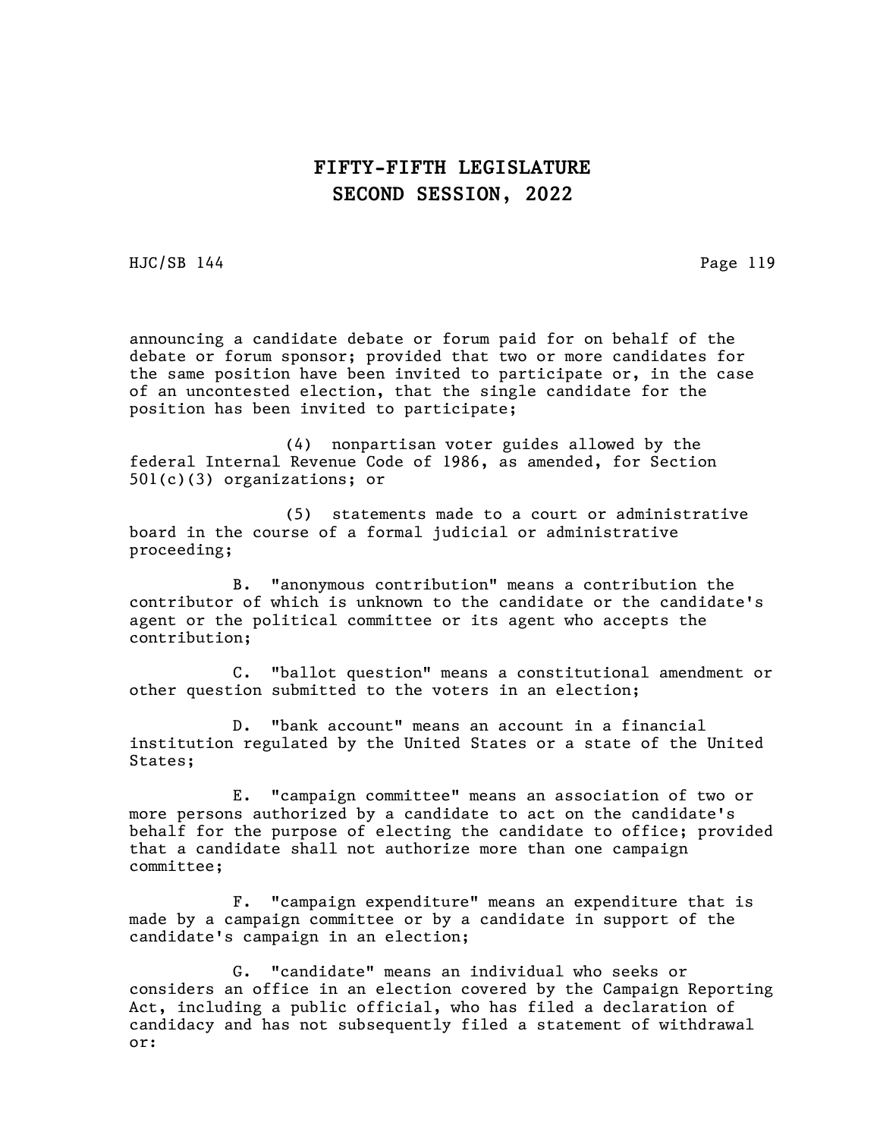HJC/SB 144 Page 119

announcing a candidate debate or forum paid for on behalf of the debate or forum sponsor; provided that two or more candidates for the same position have been invited to participate or, in the case of an uncontested election, that the single candidate for the position has been invited to participate;

(4) nonpartisan voter guides allowed by the federal Internal Revenue Code of 1986, as amended, for Section 501(c)(3) organizations; or

(5) statements made to a court or administrative board in the course of a formal judicial or administrative proceeding;

B. "anonymous contribution" means a contribution the contributor of which is unknown to the candidate or the candidate's agent or the political committee or its agent who accepts the contribution;

C. "ballot question" means a constitutional amendment or other question submitted to the voters in an election;

D. "bank account" means an account in a financial institution regulated by the United States or a state of the United States;

E. "campaign committee" means an association of two or more persons authorized by a candidate to act on the candidate's behalf for the purpose of electing the candidate to office; provided that a candidate shall not authorize more than one campaign committee;

F. "campaign expenditure" means an expenditure that is made by a campaign committee or by a candidate in support of the candidate's campaign in an election;

G. "candidate" means an individual who seeks or considers an office in an election covered by the Campaign Reporting Act, including a public official, who has filed a declaration of candidacy and has not subsequently filed a statement of withdrawal or: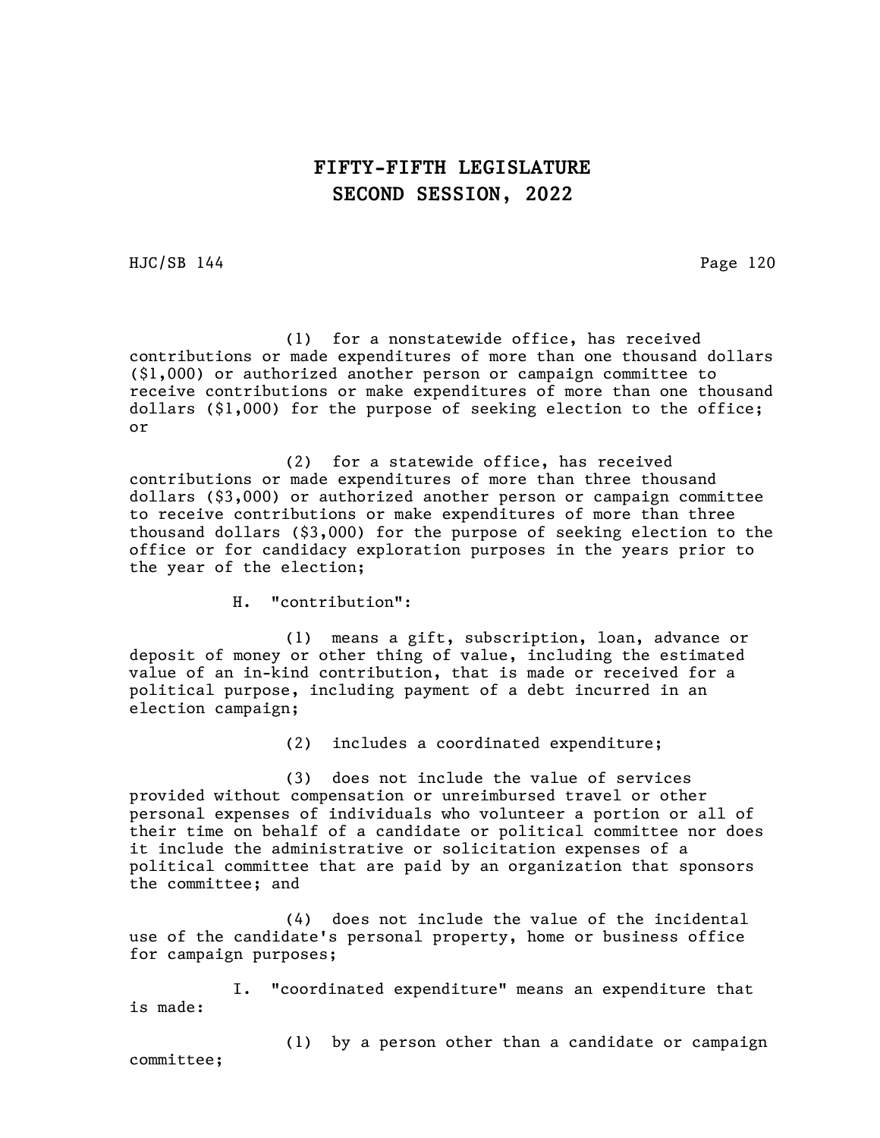HJC/SB 144 Page 120

(1) for a nonstatewide office, has received contributions or made expenditures of more than one thousand dollars (\$1,000) or authorized another person or campaign committee to receive contributions or make expenditures of more than one thousand dollars (\$1,000) for the purpose of seeking election to the office; or

(2) for a statewide office, has received contributions or made expenditures of more than three thousand dollars (\$3,000) or authorized another person or campaign committee to receive contributions or make expenditures of more than three thousand dollars (\$3,000) for the purpose of seeking election to the office or for candidacy exploration purposes in the years prior to the year of the election;

H. "contribution":

(1) means a gift, subscription, loan, advance or deposit of money or other thing of value, including the estimated value of an in-kind contribution, that is made or received for a political purpose, including payment of a debt incurred in an election campaign;

(2) includes a coordinated expenditure;

(3) does not include the value of services provided without compensation or unreimbursed travel or other personal expenses of individuals who volunteer a portion or all of their time on behalf of a candidate or political committee nor does it include the administrative or solicitation expenses of a political committee that are paid by an organization that sponsors the committee; and

(4) does not include the value of the incidental use of the candidate's personal property, home or business office for campaign purposes;

I. "coordinated expenditure" means an expenditure that is made:

(1) by a person other than a candidate or campaign

committee;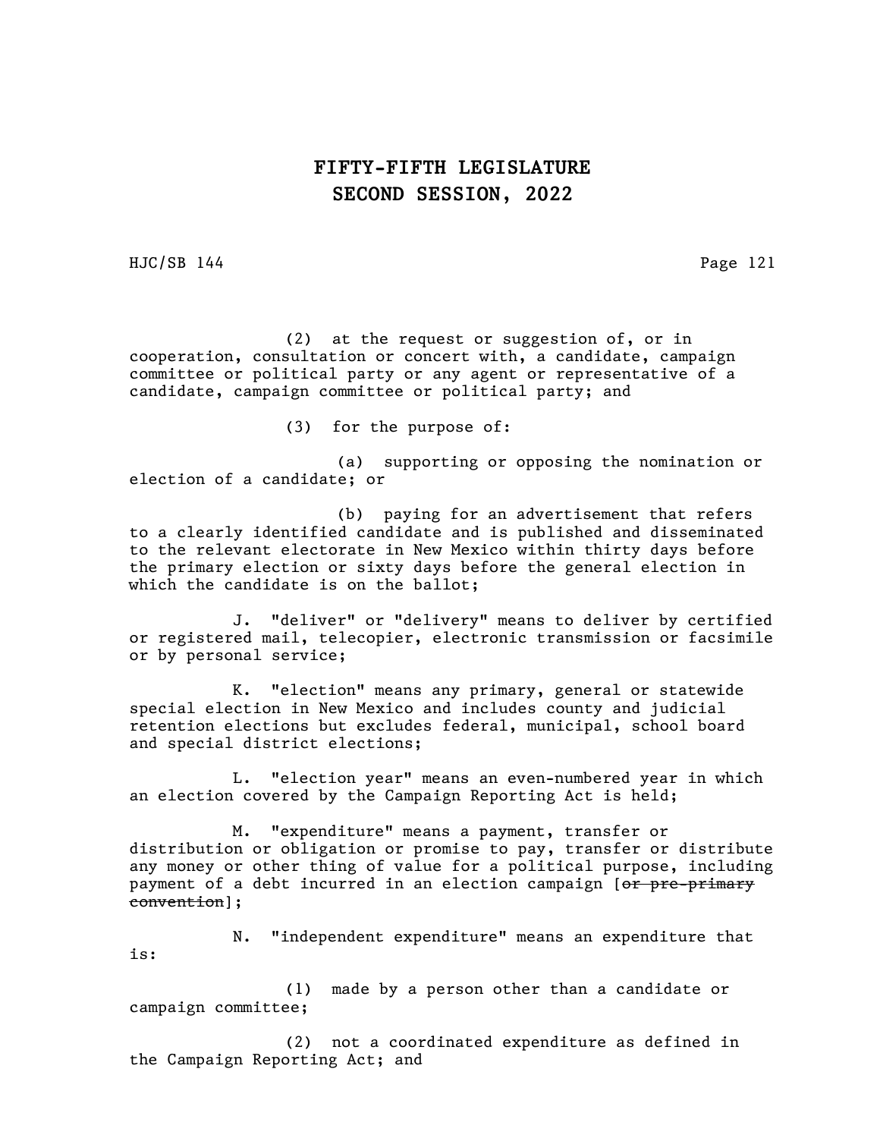HJC/SB 144 Page 121

(2) at the request or suggestion of, or in cooperation, consultation or concert with, a candidate, campaign committee or political party or any agent or representative of a candidate, campaign committee or political party; and

(3) for the purpose of:

(a) supporting or opposing the nomination or election of a candidate; or

(b) paying for an advertisement that refers to a clearly identified candidate and is published and disseminated to the relevant electorate in New Mexico within thirty days before the primary election or sixty days before the general election in which the candidate is on the ballot;

J. "deliver" or "delivery" means to deliver by certified or registered mail, telecopier, electronic transmission or facsimile or by personal service;

K. "election" means any primary, general or statewide special election in New Mexico and includes county and judicial retention elections but excludes federal, municipal, school board and special district elections;

L. "election year" means an even-numbered year in which an election covered by the Campaign Reporting Act is held;

M. "expenditure" means a payment, transfer or distribution or obligation or promise to pay, transfer or distribute any money or other thing of value for a political purpose, including payment of a debt incurred in an election campaign [or pre-primary convention];

N. "independent expenditure" means an expenditure that is:

(1) made by a person other than a candidate or campaign committee;

(2) not a coordinated expenditure as defined in the Campaign Reporting Act; and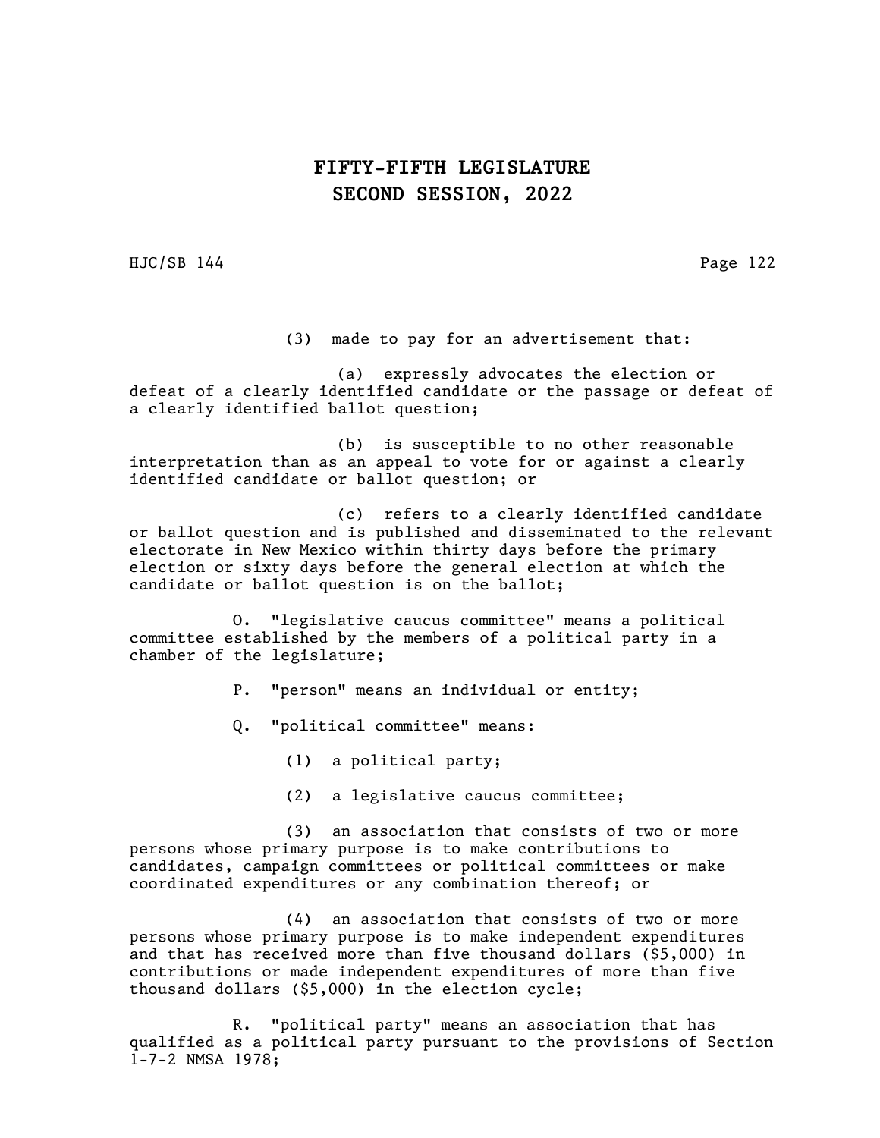HJC/SB 144 Page 122

(3) made to pay for an advertisement that:

(a) expressly advocates the election or defeat of a clearly identified candidate or the passage or defeat of a clearly identified ballot question;

(b) is susceptible to no other reasonable interpretation than as an appeal to vote for or against a clearly identified candidate or ballot question; or

(c) refers to a clearly identified candidate or ballot question and is published and disseminated to the relevant electorate in New Mexico within thirty days before the primary election or sixty days before the general election at which the candidate or ballot question is on the ballot;

O. "legislative caucus committee" means a political committee established by the members of a political party in a chamber of the legislature;

P. "person" means an individual or entity;

Q. "political committee" means:

(1) a political party;

(2) a legislative caucus committee;

(3) an association that consists of two or more persons whose primary purpose is to make contributions to candidates, campaign committees or political committees or make coordinated expenditures or any combination thereof; or

(4) an association that consists of two or more persons whose primary purpose is to make independent expenditures and that has received more than five thousand dollars (\$5,000) in contributions or made independent expenditures of more than five thousand dollars (\$5,000) in the election cycle;

R. "political party" means an association that has qualified as a political party pursuant to the provisions of Section 1-7-2 NMSA 1978;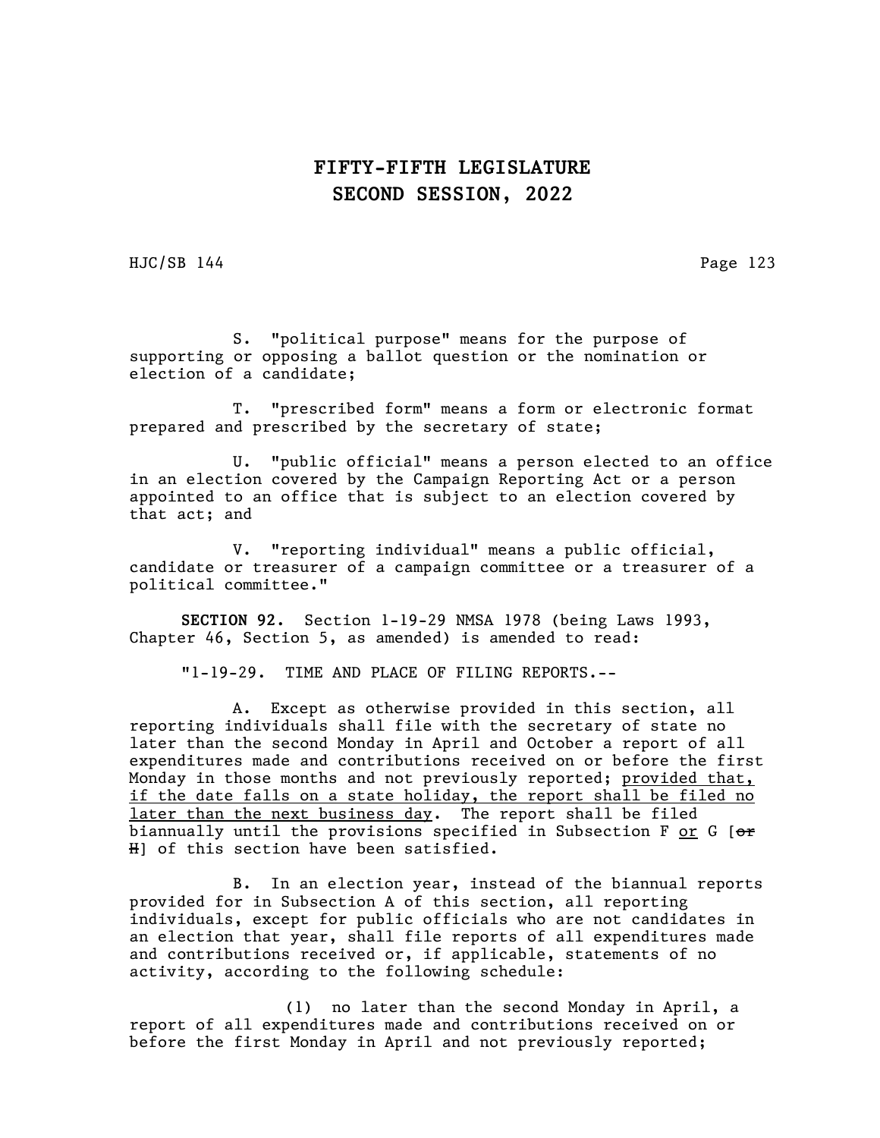HJC/SB 144 Page 123

S. "political purpose" means for the purpose of supporting or opposing a ballot question or the nomination or election of a candidate;

T. "prescribed form" means a form or electronic format prepared and prescribed by the secretary of state;

U. "public official" means a person elected to an office in an election covered by the Campaign Reporting Act or a person appointed to an office that is subject to an election covered by that act; and

V. "reporting individual" means a public official, candidate or treasurer of a campaign committee or a treasurer of a political committee."

SECTION 92. Section 1-19-29 NMSA 1978 (being Laws 1993, Chapter 46, Section 5, as amended) is amended to read:

"1-19-29. TIME AND PLACE OF FILING REPORTS.--

A. Except as otherwise provided in this section, all reporting individuals shall file with the secretary of state no later than the second Monday in April and October a report of all expenditures made and contributions received on or before the first Monday in those months and not previously reported; provided that, if the date falls on a state holiday, the report shall be filed no later than the next business day. The report shall be filed biannually until the provisions specified in Subsection F or G  $[ $\Theta$  r$ H] of this section have been satisfied.

B. In an election year, instead of the biannual reports provided for in Subsection A of this section, all reporting individuals, except for public officials who are not candidates in an election that year, shall file reports of all expenditures made and contributions received or, if applicable, statements of no activity, according to the following schedule:

(1) no later than the second Monday in April, a report of all expenditures made and contributions received on or before the first Monday in April and not previously reported;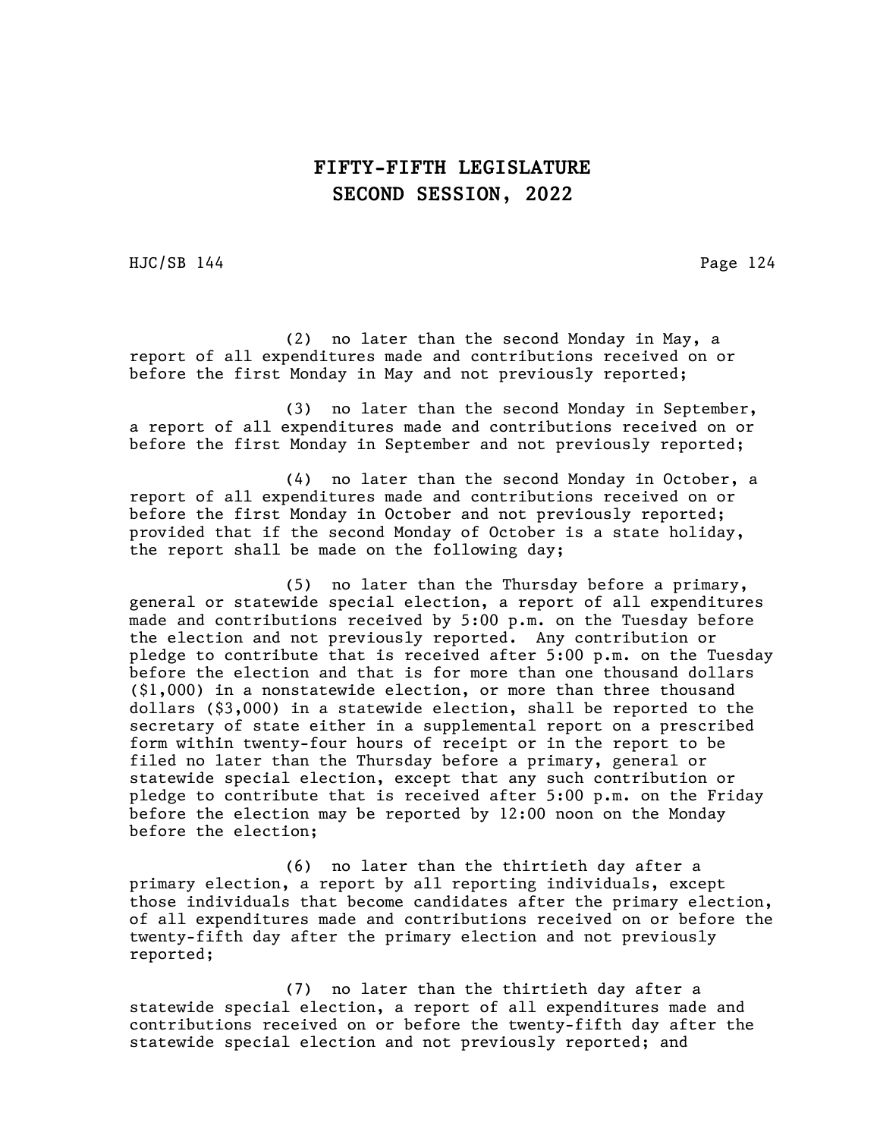HJC/SB 144 Page 124

(2) no later than the second Monday in May, a report of all expenditures made and contributions received on or before the first Monday in May and not previously reported;

(3) no later than the second Monday in September, a report of all expenditures made and contributions received on or before the first Monday in September and not previously reported;

(4) no later than the second Monday in October, a report of all expenditures made and contributions received on or before the first Monday in October and not previously reported; provided that if the second Monday of October is a state holiday, the report shall be made on the following day;

(5) no later than the Thursday before a primary, general or statewide special election, a report of all expenditures made and contributions received by 5:00 p.m. on the Tuesday before the election and not previously reported. Any contribution or pledge to contribute that is received after 5:00 p.m. on the Tuesday before the election and that is for more than one thousand dollars (\$1,000) in a nonstatewide election, or more than three thousand dollars (\$3,000) in a statewide election, shall be reported to the secretary of state either in a supplemental report on a prescribed form within twenty-four hours of receipt or in the report to be filed no later than the Thursday before a primary, general or statewide special election, except that any such contribution or pledge to contribute that is received after 5:00 p.m. on the Friday before the election may be reported by 12:00 noon on the Monday before the election;

(6) no later than the thirtieth day after a primary election, a report by all reporting individuals, except those individuals that become candidates after the primary election, of all expenditures made and contributions received on or before the twenty-fifth day after the primary election and not previously reported;

(7) no later than the thirtieth day after a statewide special election, a report of all expenditures made and contributions received on or before the twenty-fifth day after the statewide special election and not previously reported; and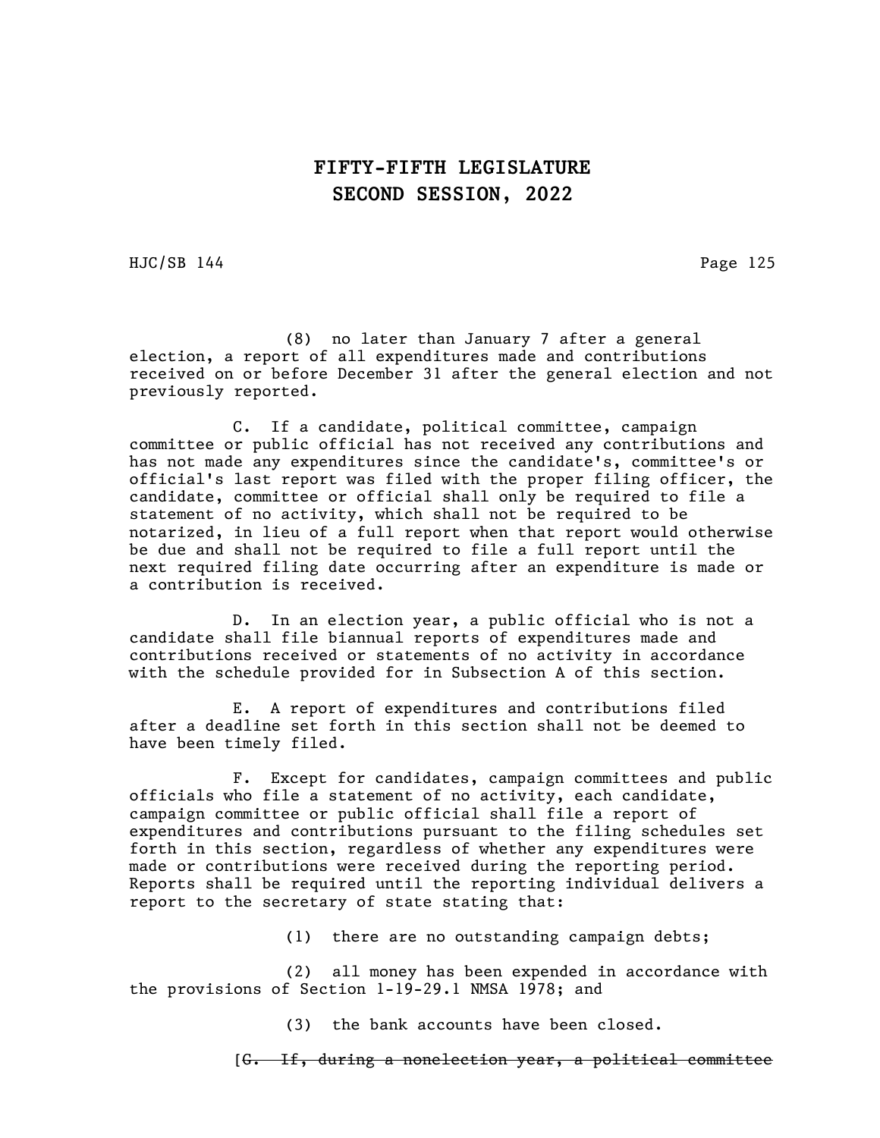HJC/SB 144 Page 125

(8) no later than January 7 after a general election, a report of all expenditures made and contributions received on or before December 31 after the general election and not previously reported.

C. If a candidate, political committee, campaign committee or public official has not received any contributions and has not made any expenditures since the candidate's, committee's or official's last report was filed with the proper filing officer, the candidate, committee or official shall only be required to file a statement of no activity, which shall not be required to be notarized, in lieu of a full report when that report would otherwise be due and shall not be required to file a full report until the next required filing date occurring after an expenditure is made or a contribution is received.

D. In an election year, a public official who is not a candidate shall file biannual reports of expenditures made and contributions received or statements of no activity in accordance with the schedule provided for in Subsection A of this section.

E. A report of expenditures and contributions filed after a deadline set forth in this section shall not be deemed to have been timely filed.

F. Except for candidates, campaign committees and public officials who file a statement of no activity, each candidate, campaign committee or public official shall file a report of expenditures and contributions pursuant to the filing schedules set forth in this section, regardless of whether any expenditures were made or contributions were received during the reporting period. Reports shall be required until the reporting individual delivers a report to the secretary of state stating that:

(1) there are no outstanding campaign debts;

(2) all money has been expended in accordance with the provisions of Section 1-19-29.1 NMSA 1978; and

(3) the bank accounts have been closed.

[G. If, during a nonelection year, a political committee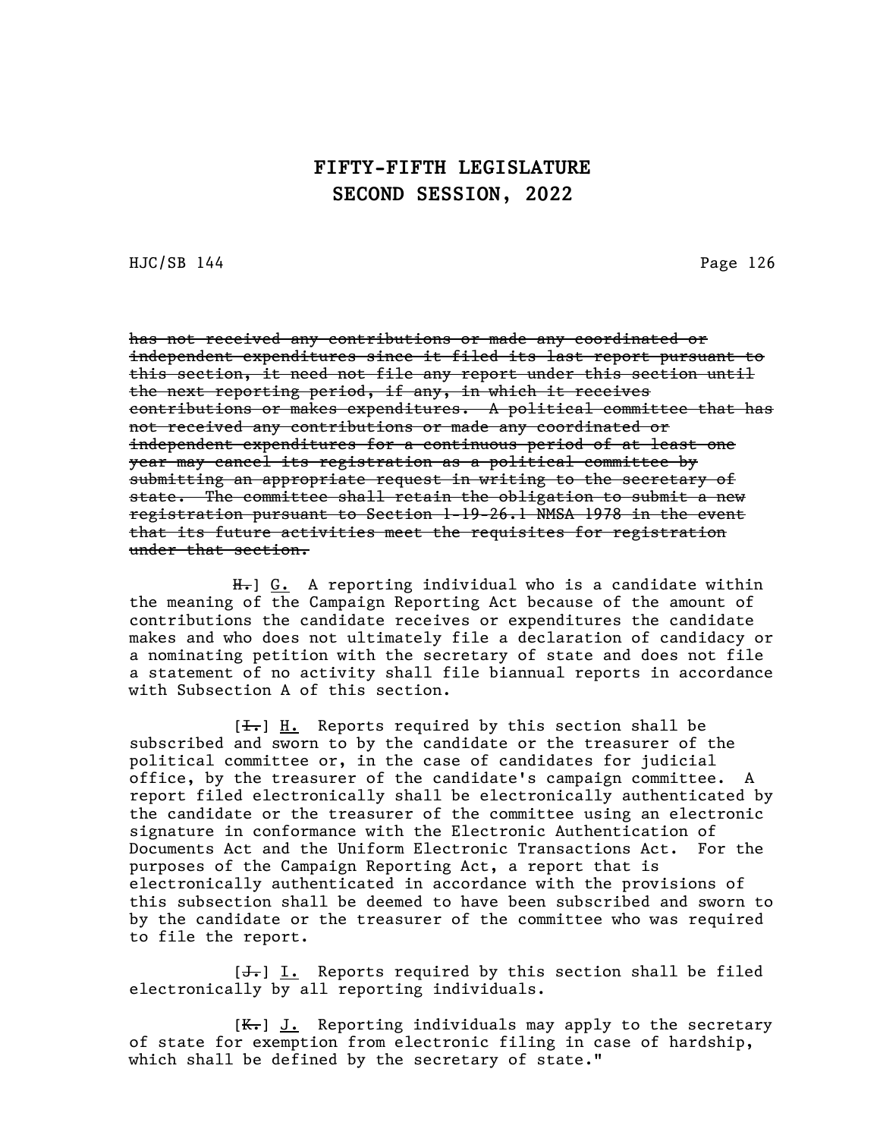HJC/SB 144 Page 126

has not received any contributions or made any coordinated or independent expenditures since it filed its last report pursuant to this section, it need not file any report under this section until the next reporting period, if any, in which it receives contributions or makes expenditures. A political committee that has not received any contributions or made any coordinated or independent expenditures for a continuous period of at least one year may cancel its registration as a political committee by submitting an appropriate request in writing to the secretary of state. The committee shall retain the obligation to submit a new registration pursuant to Section 1-19-26.1 NMSA 1978 in the event that its future activities meet the requisites for registration under that section.

H<sub>r</sub>] G. A reporting individual who is a candidate within the meaning of the Campaign Reporting Act because of the amount of contributions the candidate receives or expenditures the candidate makes and who does not ultimately file a declaration of candidacy or a nominating petition with the secretary of state and does not file a statement of no activity shall file biannual reports in accordance with Subsection A of this section.

 $[\frac{1}{\sqrt{1}}]$   $\underline{H}$ . Reports required by this section shall be subscribed and sworn to by the candidate or the treasurer of the political committee or, in the case of candidates for judicial office, by the treasurer of the candidate's campaign committee. A report filed electronically shall be electronically authenticated by the candidate or the treasurer of the committee using an electronic signature in conformance with the Electronic Authentication of Documents Act and the Uniform Electronic Transactions Act. For the purposes of the Campaign Reporting Act, a report that is electronically authenticated in accordance with the provisions of this subsection shall be deemed to have been subscribed and sworn to by the candidate or the treasurer of the committee who was required to file the report.

 $[\frac{1}{\sqrt{1}}]$  I. Reports required by this section shall be filed electronically by all reporting individuals.

 $[K_r]$  J. Reporting individuals may apply to the secretary of state for exemption from electronic filing in case of hardship, which shall be defined by the secretary of state."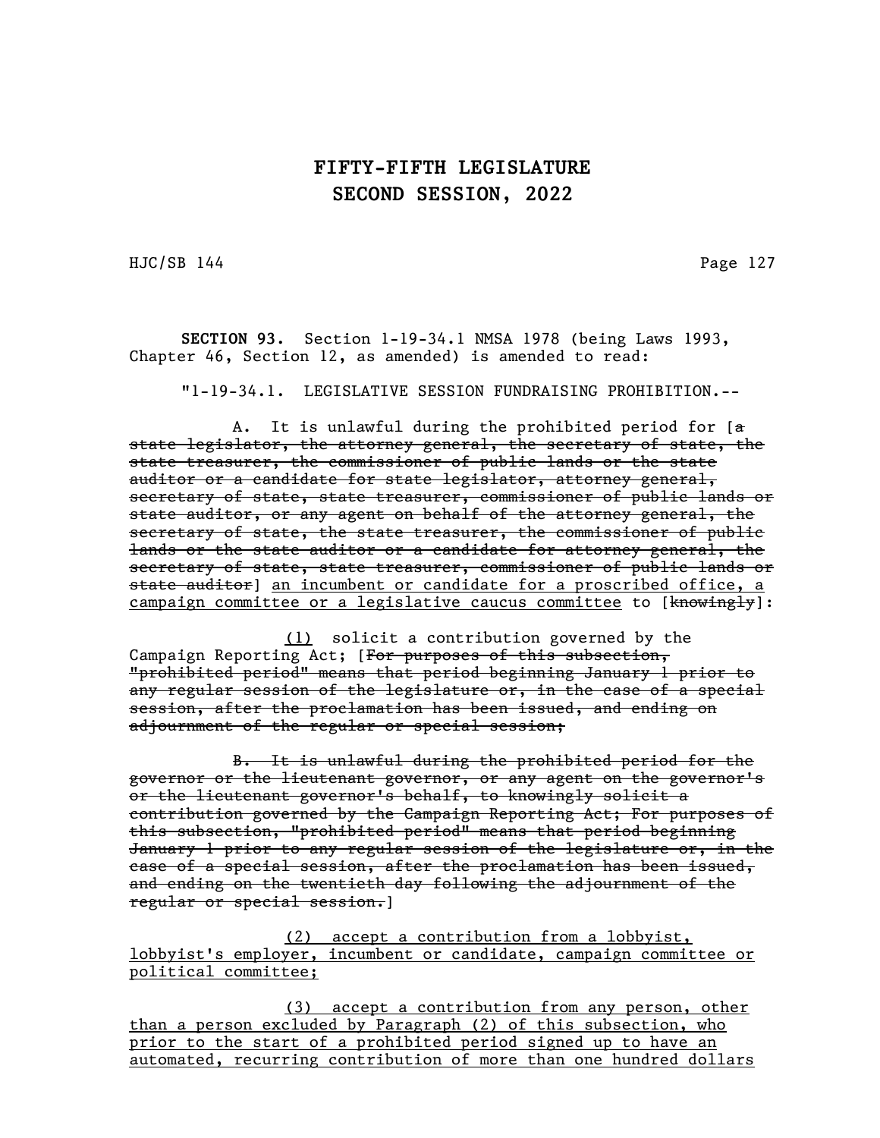HJC/SB 144 Page 127

SECTION 93. Section 1-19-34.1 NMSA 1978 (being Laws 1993, Chapter 46, Section 12, as amended) is amended to read:

"1-19-34.1. LEGISLATIVE SESSION FUNDRAISING PROHIBITION.--

A. It is unlawful during the prohibited period for [a state legislator, the attorney general, the secretary of state, the state treasurer, the commissioner of public lands or the state auditor or a candidate for state legislator, attorney general, secretary of state, state treasurer, commissioner of public lands or state auditor, or any agent on behalf of the attorney general, the secretary of state, the state treasurer, the commissioner of public lands or the state auditor or a candidate for attorney general, the secretary of state, state treasurer, commissioner of public lands or state auditor] an incumbent or candidate for a proscribed office, a campaign committee or a legislative caucus committee to [knowingly]:

(1) solicit a contribution governed by the Campaign Reporting Act; [For purposes of this subsection, "prohibited period" means that period beginning January 1 prior to any regular session of the legislature or, in the case of a special session, after the proclamation has been issued, and ending on adjournment of the regular or special session;

B. It is unlawful during the prohibited period for the governor or the lieutenant governor, or any agent on the governor's or the lieutenant governor's behalf, to knowingly solicit a contribution governed by the Campaign Reporting Act; For purposes of this subsection, "prohibited period" means that period beginning January 1 prior to any regular session of the legislature or, in the case of a special session, after the proclamation has been issued, and ending on the twentieth day following the adjournment of the regular or special session.]

(2) accept a contribution from a lobbyist, lobbyist's employer, incumbent or candidate, campaign committee or political committee;

(3) accept a contribution from any person, other than a person excluded by Paragraph (2) of this subsection, who prior to the start of a prohibited period signed up to have an automated, recurring contribution of more than one hundred dollars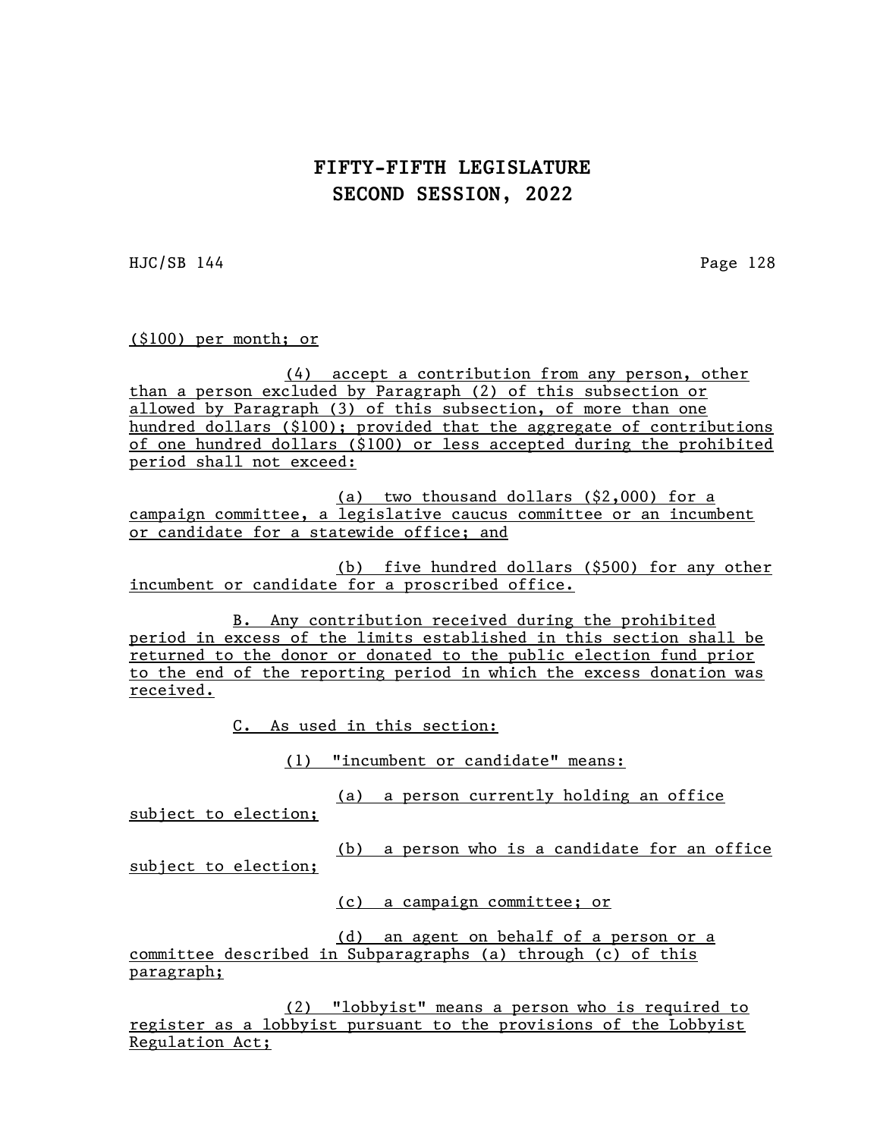HJC/SB 144 Page 128

(\$100) per month; or

(4) accept a contribution from any person, other than a person excluded by Paragraph (2) of this subsection or allowed by Paragraph (3) of this subsection, of more than one hundred dollars (\$100); provided that the aggregate of contributions of one hundred dollars (\$100) or less accepted during the prohibited period shall not exceed:

(a) two thousand dollars (\$2,000) for a campaign committee, a legislative caucus committee or an incumbent or candidate for a statewide office; and

(b) five hundred dollars (\$500) for any other incumbent or candidate for a proscribed office.

B. Any contribution received during the prohibited period in excess of the limits established in this section shall be returned to the donor or donated to the public election fund prior to the end of the reporting period in which the excess donation was received.

C. As used in this section:

(1) "incumbent or candidate" means:

(a) a person currently holding an office

subject to election;

(b) a person who is a candidate for an office subject to election;

(c) a campaign committee; or

(d) an agent on behalf of a person or a committee described in Subparagraphs (a) through (c) of this paragraph;

(2) "lobbyist" means a person who is required to register as a lobbyist pursuant to the provisions of the Lobbyist Regulation Act;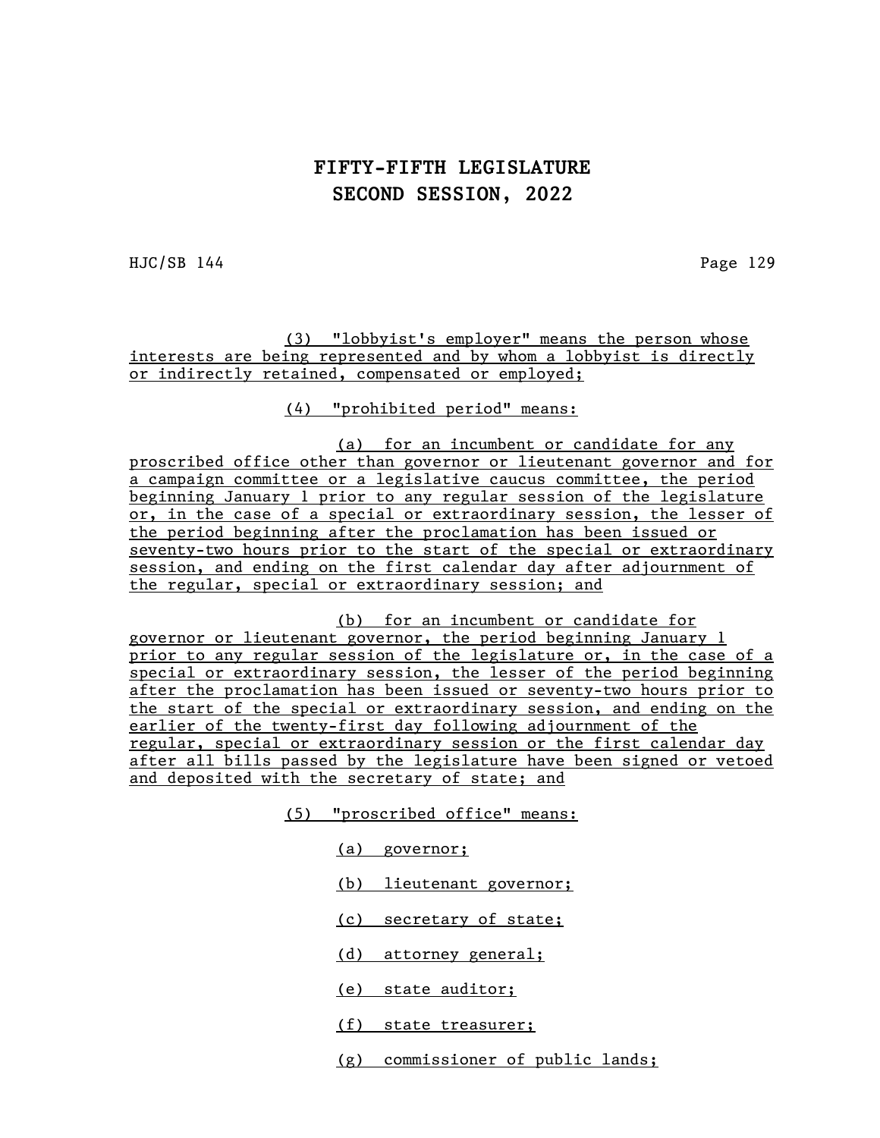HJC/SB 144 Page 129

(3) "lobbyist's employer" means the person whose interests are being represented and by whom a lobbyist is directly or indirectly retained, compensated or employed;

(4) "prohibited period" means:

(a) for an incumbent or candidate for any proscribed office other than governor or lieutenant governor and for a campaign committee or a legislative caucus committee, the period beginning January 1 prior to any regular session of the legislature or, in the case of a special or extraordinary session, the lesser of the period beginning after the proclamation has been issued or seventy-two hours prior to the start of the special or extraordinary session, and ending on the first calendar day after adjournment of the regular, special or extraordinary session; and

(b) for an incumbent or candidate for governor or lieutenant governor, the period beginning January 1 prior to any regular session of the legislature or, in the case of a special or extraordinary session, the lesser of the period beginning after the proclamation has been issued or seventy-two hours prior to the start of the special or extraordinary session, and ending on the earlier of the twenty-first day following adjournment of the regular, special or extraordinary session or the first calendar day after all bills passed by the legislature have been signed or vetoed and deposited with the secretary of state; and

- (5) "proscribed office" means:
	- (a) governor;
	- (b) lieutenant governor;
	- (c) secretary of state;
	- (d) attorney general;
	- (e) state auditor;
	- (f) state treasurer;
	- (g) commissioner of public lands;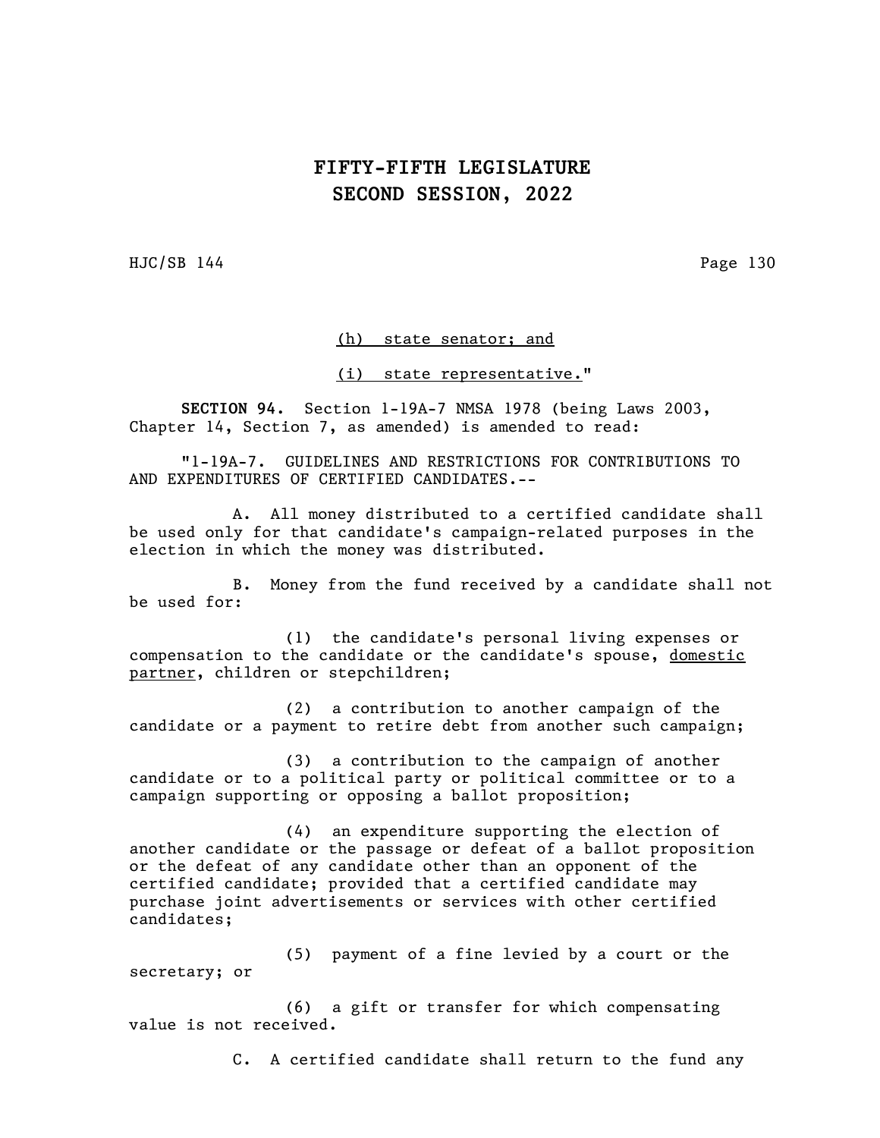HJC/SB 144 Page 130

#### (h) state senator; and

#### (i) state representative."

SECTION 94. Section 1-19A-7 NMSA 1978 (being Laws 2003, Chapter 14, Section 7, as amended) is amended to read:

"1-19A-7. GUIDELINES AND RESTRICTIONS FOR CONTRIBUTIONS TO AND EXPENDITURES OF CERTIFIED CANDIDATES.--

A. All money distributed to a certified candidate shall be used only for that candidate's campaign-related purposes in the election in which the money was distributed.

B. Money from the fund received by a candidate shall not be used for:

(1) the candidate's personal living expenses or compensation to the candidate or the candidate's spouse, domestic partner, children or stepchildren;

(2) a contribution to another campaign of the candidate or a payment to retire debt from another such campaign;

(3) a contribution to the campaign of another candidate or to a political party or political committee or to a campaign supporting or opposing a ballot proposition;

(4) an expenditure supporting the election of another candidate or the passage or defeat of a ballot proposition or the defeat of any candidate other than an opponent of the certified candidate; provided that a certified candidate may purchase joint advertisements or services with other certified candidates;

(5) payment of a fine levied by a court or the secretary; or

(6) a gift or transfer for which compensating value is not received.

C. A certified candidate shall return to the fund any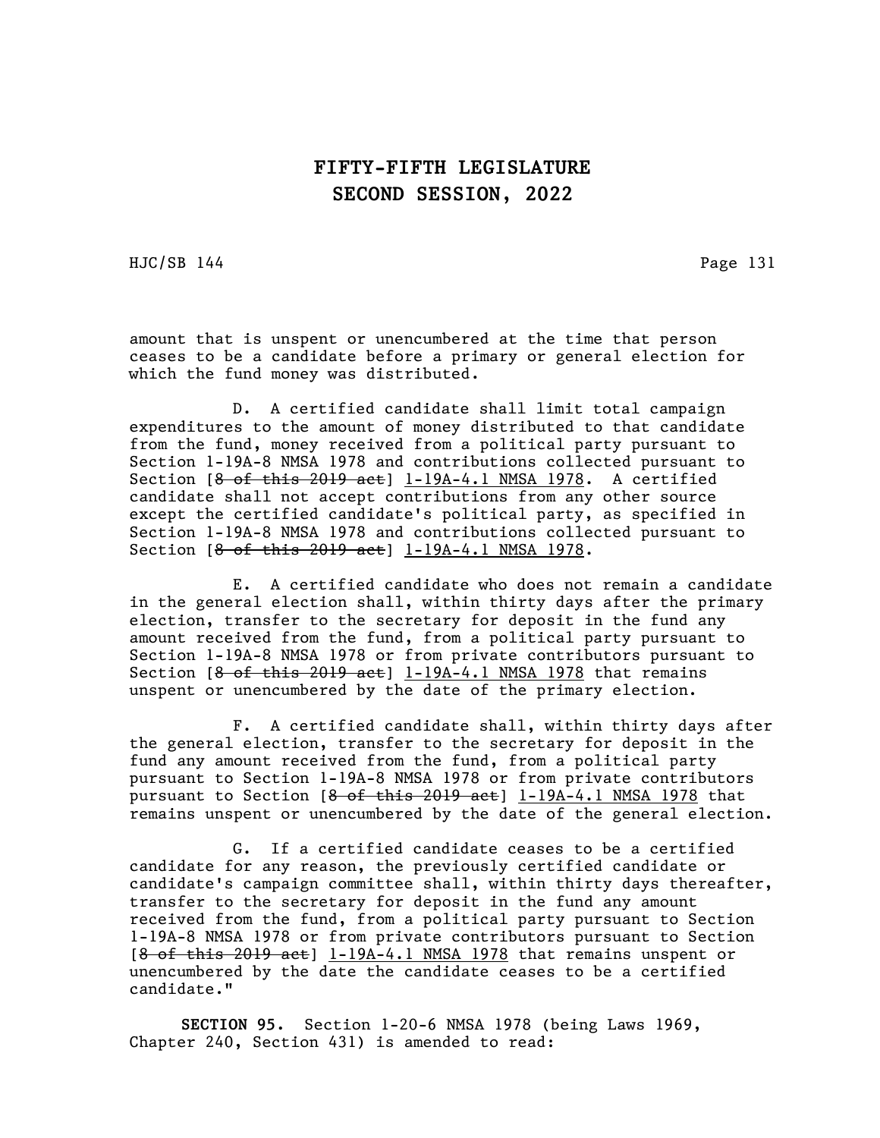HJC/SB 144 Page 131

amount that is unspent or unencumbered at the time that person ceases to be a candidate before a primary or general election for which the fund money was distributed.

D. A certified candidate shall limit total campaign expenditures to the amount of money distributed to that candidate from the fund, money received from a political party pursuant to Section 1-19A-8 NMSA 1978 and contributions collected pursuant to Section  $[8 \text{ of this } 2019 \text{ act}] \underline{1-19A-4.1} \text{ MMSA } 1978$ . A certified candidate shall not accept contributions from any other source except the certified candidate's political party, as specified in Section 1-19A-8 NMSA 1978 and contributions collected pursuant to Section  $[8$  of this 2019 act]  $1-19A-4.1$  NMSA 1978.

E. A certified candidate who does not remain a candidate in the general election shall, within thirty days after the primary election, transfer to the secretary for deposit in the fund any amount received from the fund, from a political party pursuant to Section 1-19A-8 NMSA 1978 or from private contributors pursuant to Section  $[8 - 6f + this - 2019 - 4e]$  1-19A-4.1 NMSA 1978 that remains unspent or unencumbered by the date of the primary election.

F. A certified candidate shall, within thirty days after the general election, transfer to the secretary for deposit in the fund any amount received from the fund, from a political party pursuant to Section 1-19A-8 NMSA 1978 or from private contributors pursuant to Section  $[8 \text{ of this } 2019 \text{ act}]$  1-19A-4.1 NMSA 1978 that remains unspent or unencumbered by the date of the general election.

G. If a certified candidate ceases to be a certified candidate for any reason, the previously certified candidate or candidate's campaign committee shall, within thirty days thereafter, transfer to the secretary for deposit in the fund any amount received from the fund, from a political party pursuant to Section 1-19A-8 NMSA 1978 or from private contributors pursuant to Section  $[8$  of this 2019 act]  $1-19A-4.1$  NMSA 1978 that remains unspent or unencumbered by the date the candidate ceases to be a certified candidate."

SECTION 95. Section 1-20-6 NMSA 1978 (being Laws 1969, Chapter 240, Section 431) is amended to read: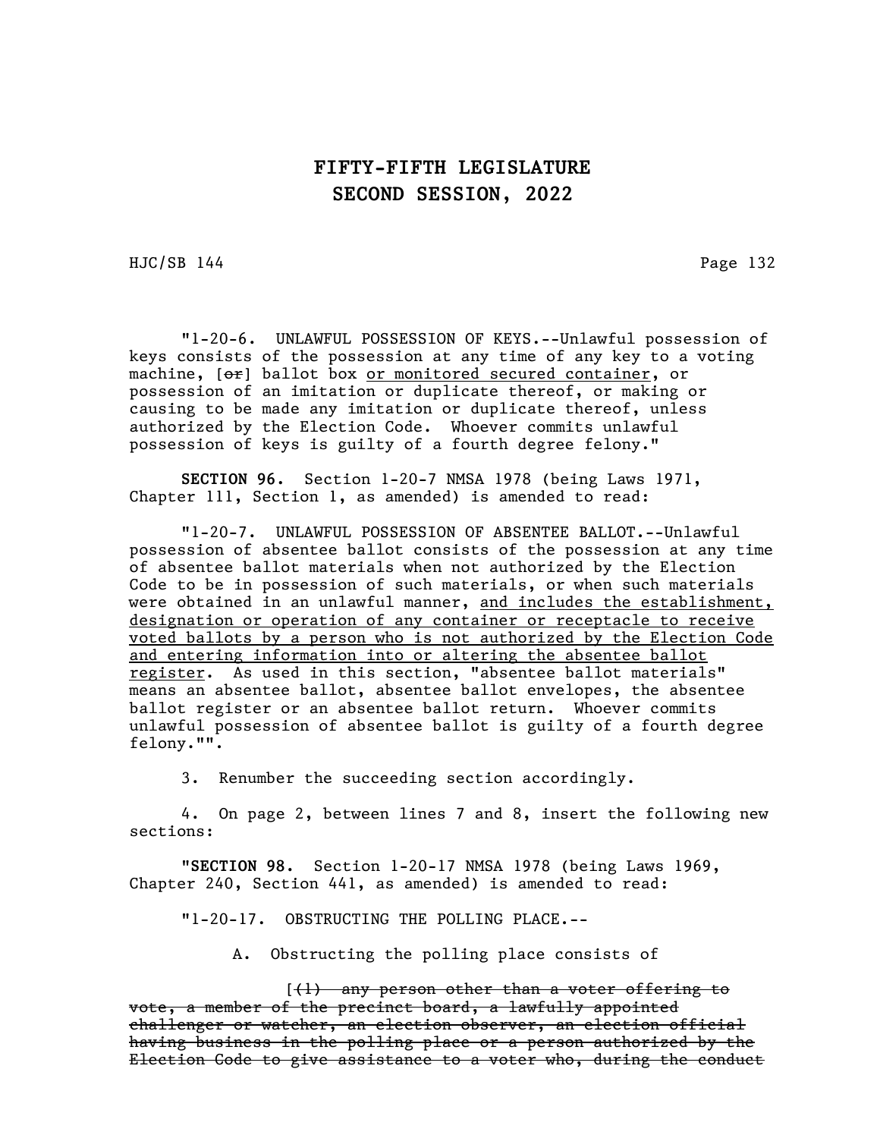HJC/SB 144 Page 132

"1-20-6. UNLAWFUL POSSESSION OF KEYS.--Unlawful possession of keys consists of the possession at any time of any key to a voting machine, [or] ballot box or monitored secured container, or possession of an imitation or duplicate thereof, or making or causing to be made any imitation or duplicate thereof, unless authorized by the Election Code. Whoever commits unlawful possession of keys is guilty of a fourth degree felony."

SECTION 96. Section 1-20-7 NMSA 1978 (being Laws 1971, Chapter 111, Section 1, as amended) is amended to read:

"1-20-7. UNLAWFUL POSSESSION OF ABSENTEE BALLOT.--Unlawful possession of absentee ballot consists of the possession at any time of absentee ballot materials when not authorized by the Election Code to be in possession of such materials, or when such materials were obtained in an unlawful manner, and includes the establishment, designation or operation of any container or receptacle to receive voted ballots by a person who is not authorized by the Election Code and entering information into or altering the absentee ballot register. As used in this section, "absentee ballot materials" means an absentee ballot, absentee ballot envelopes, the absentee ballot register or an absentee ballot return. Whoever commits unlawful possession of absentee ballot is guilty of a fourth degree felony."".

3. Renumber the succeeding section accordingly.

4. On page 2, between lines 7 and 8, insert the following new sections:

"SECTION 98. Section 1-20-17 NMSA 1978 (being Laws 1969, Chapter 240, Section 441, as amended) is amended to read:

"1-20-17. OBSTRUCTING THE POLLING PLACE.--

A. Obstructing the polling place consists of

 $(1)$  any person other than a voter offering to vote, a member of the precinct board, a lawfully appointed challenger or watcher, an election observer, an election official having business in the polling place or a person authorized by the Election Code to give assistance to a voter who, during the conduct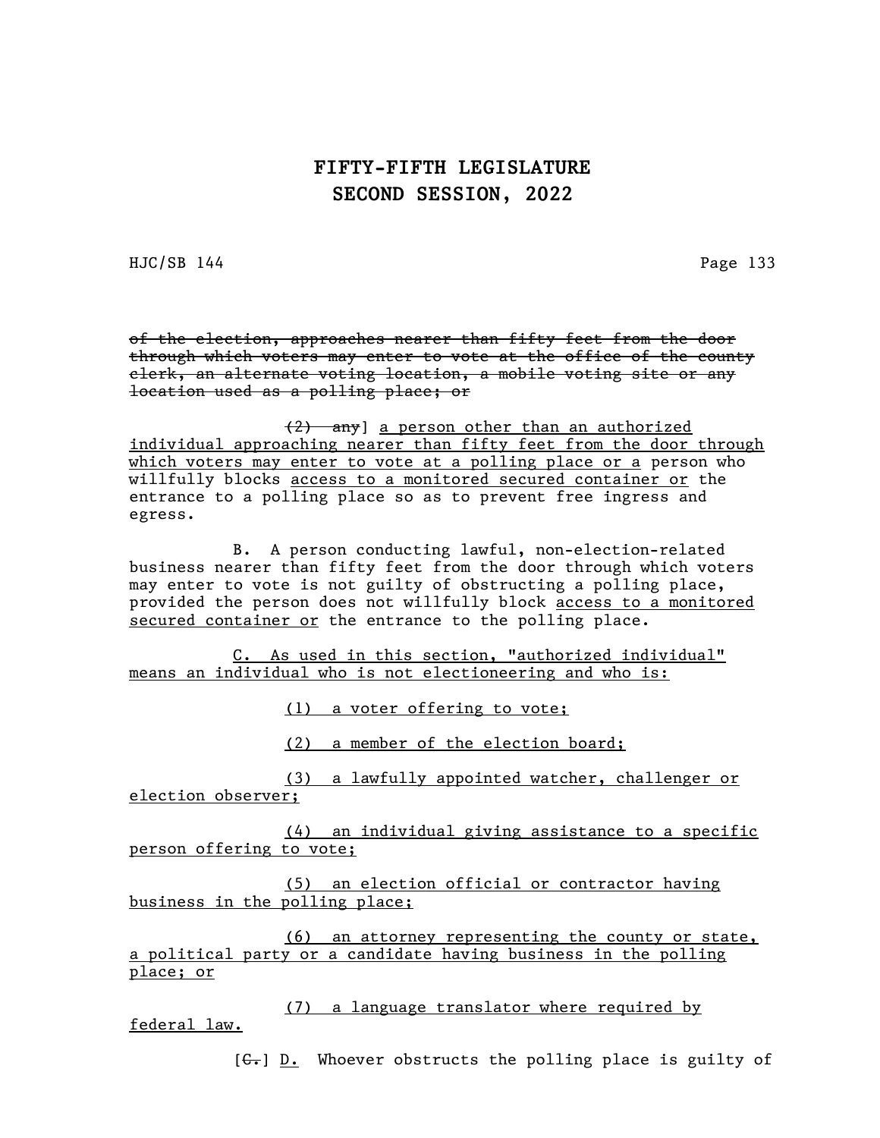$HJC/SB$  144 Page 133

of the election, approaches nearer than fifty feet from the door through which voters may enter to vote at the office of the county clerk, an alternate voting location, a mobile voting site or any location used as a polling place; or

(2) any] a person other than an authorized individual approaching nearer than fifty feet from the door through which voters may enter to vote at a polling place or a person who willfully blocks access to a monitored secured container or the entrance to a polling place so as to prevent free ingress and egress.

B. A person conducting lawful, non-election-related business nearer than fifty feet from the door through which voters may enter to vote is not guilty of obstructing a polling place, provided the person does not willfully block access to a monitored secured container or the entrance to the polling place.

C. As used in this section, "authorized individual" means an individual who is not electioneering and who is:

(1) a voter offering to vote;

(2) a member of the election board;

(3) a lawfully appointed watcher, challenger or election observer;

(4) an individual giving assistance to a specific person offering to vote;

(5) an election official or contractor having business in the polling place;

(6) an attorney representing the county or state, a political party or a candidate having business in the polling place; or

(7) a language translator where required by federal law.

[C.] D. Whoever obstructs the polling place is guilty of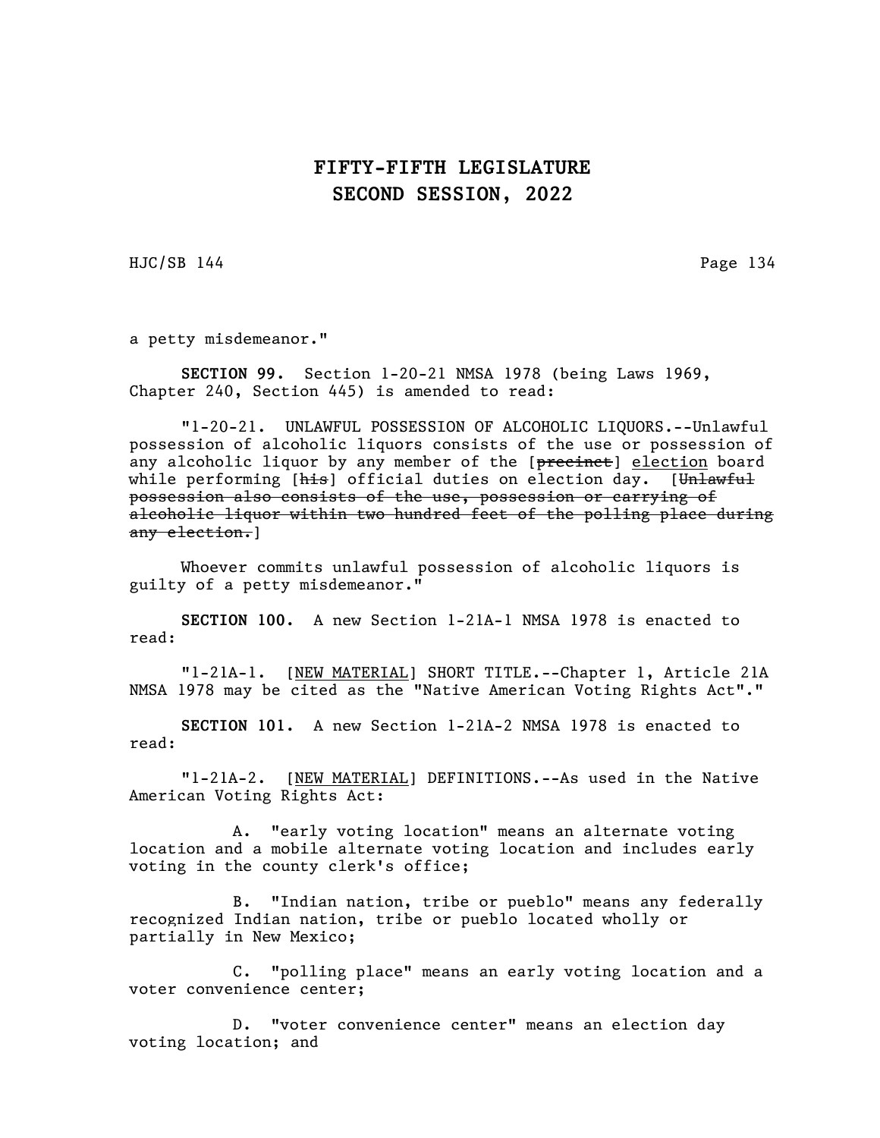HJC/SB 144 Page 134

a petty misdemeanor."

SECTION 99. Section 1-20-21 NMSA 1978 (being Laws 1969, Chapter 240, Section 445) is amended to read:

"1-20-21. UNLAWFUL POSSESSION OF ALCOHOLIC LIQUORS.--Unlawful possession of alcoholic liquors consists of the use or possession of any alcoholic liquor by any member of the [precinct] election board while performing [his] official duties on election day. [Unlawful possession also consists of the use, possession or carrying of alcoholic liquor within two hundred feet of the polling place during any election.]

Whoever commits unlawful possession of alcoholic liquors is guilty of a petty misdemeanor."

SECTION 100. A new Section 1-21A-1 NMSA 1978 is enacted to read:

"1-21A-1. [NEW MATERIAL] SHORT TITLE.--Chapter 1, Article 21A NMSA 1978 may be cited as the "Native American Voting Rights Act"."

SECTION 101. A new Section 1-21A-2 NMSA 1978 is enacted to read:

"1-21A-2. [NEW MATERIAL] DEFINITIONS.--As used in the Native American Voting Rights Act:

A. "early voting location" means an alternate voting location and a mobile alternate voting location and includes early voting in the county clerk's office;

B. "Indian nation, tribe or pueblo" means any federally recognized Indian nation, tribe or pueblo located wholly or partially in New Mexico;

C. "polling place" means an early voting location and a voter convenience center;

D. "voter convenience center" means an election day voting location; and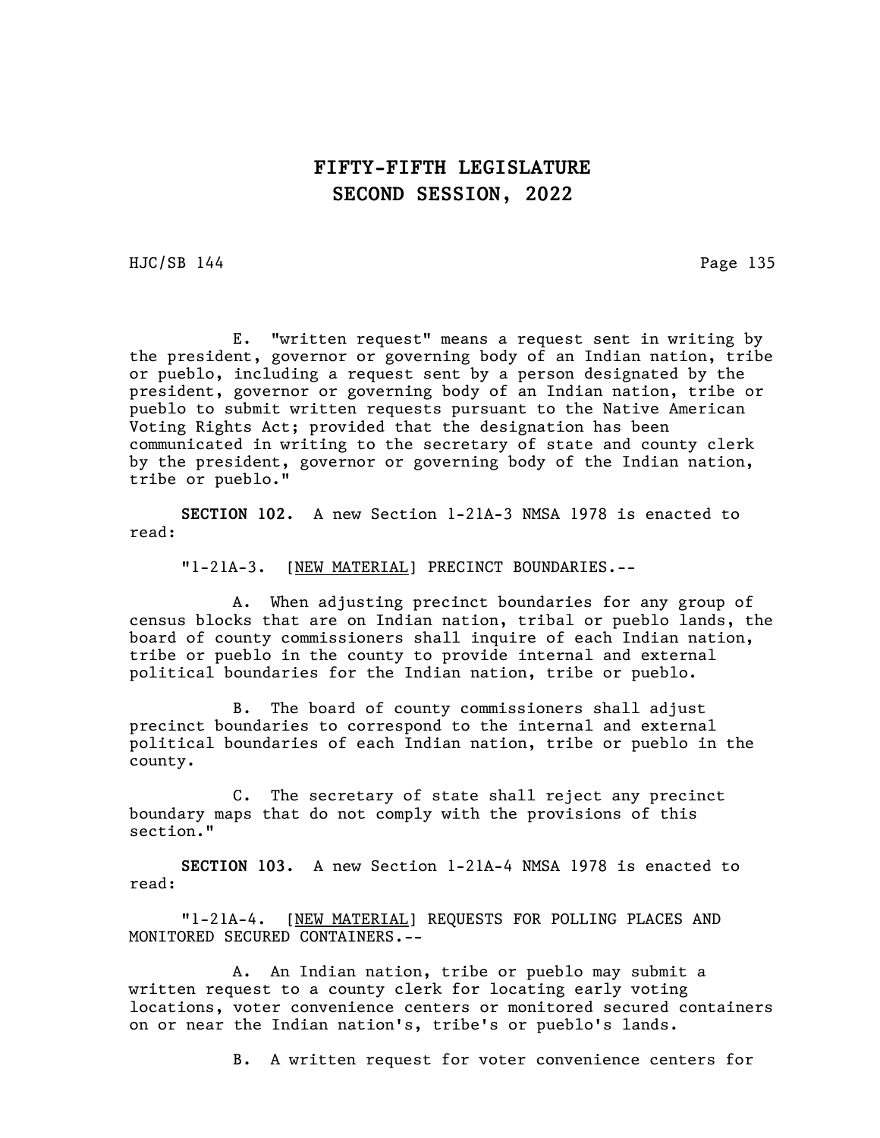HJC/SB 144 Page 135

E. "written request" means a request sent in writing by the president, governor or governing body of an Indian nation, tribe or pueblo, including a request sent by a person designated by the president, governor or governing body of an Indian nation, tribe or pueblo to submit written requests pursuant to the Native American Voting Rights Act; provided that the designation has been communicated in writing to the secretary of state and county clerk by the president, governor or governing body of the Indian nation, tribe or pueblo."

SECTION 102. A new Section 1-21A-3 NMSA 1978 is enacted to read:

"1-21A-3. [NEW MATERIAL] PRECINCT BOUNDARIES.--

A. When adjusting precinct boundaries for any group of census blocks that are on Indian nation, tribal or pueblo lands, the board of county commissioners shall inquire of each Indian nation, tribe or pueblo in the county to provide internal and external political boundaries for the Indian nation, tribe or pueblo.

B. The board of county commissioners shall adjust precinct boundaries to correspond to the internal and external political boundaries of each Indian nation, tribe or pueblo in the county.

C. The secretary of state shall reject any precinct boundary maps that do not comply with the provisions of this section."

SECTION 103. A new Section 1-21A-4 NMSA 1978 is enacted to read:

"1-21A-4. [NEW MATERIAL] REQUESTS FOR POLLING PLACES AND MONITORED SECURED CONTAINERS.--

A. An Indian nation, tribe or pueblo may submit a written request to a county clerk for locating early voting locations, voter convenience centers or monitored secured containers on or near the Indian nation's, tribe's or pueblo's lands.

B. A written request for voter convenience centers for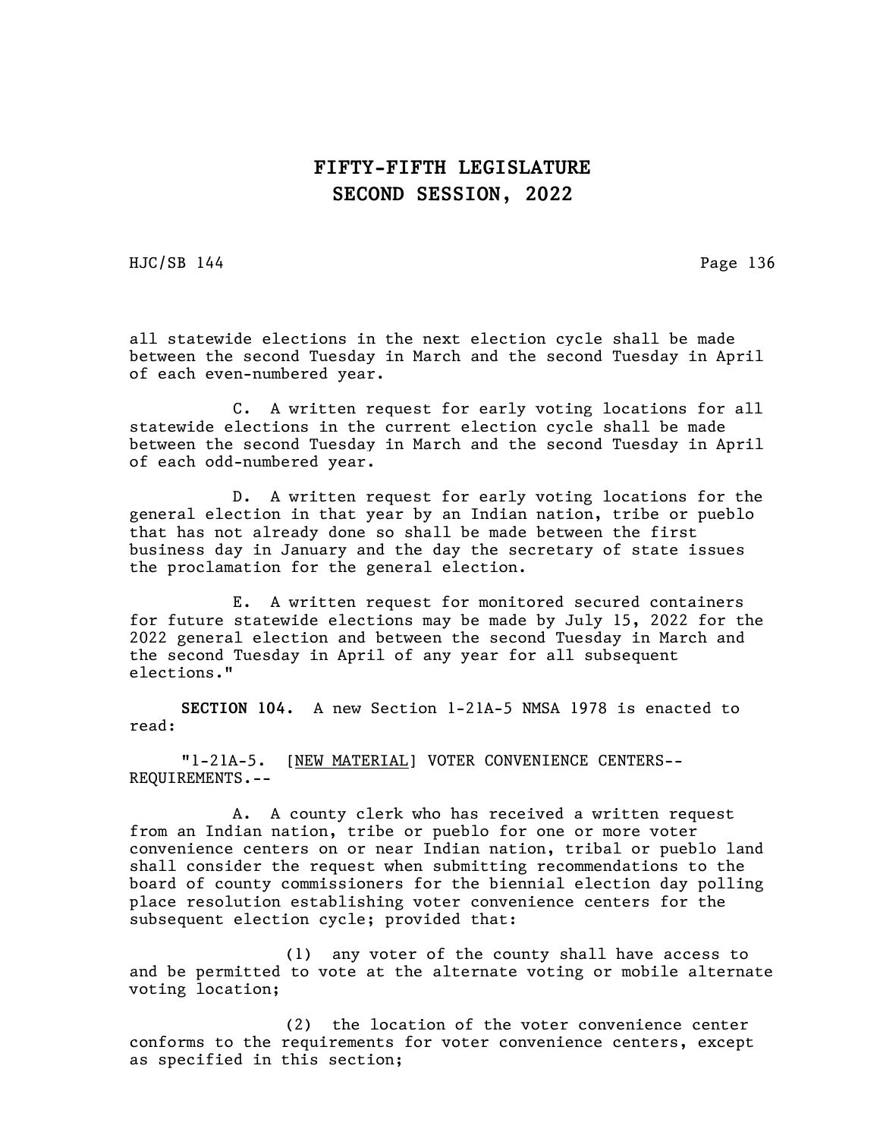HJC/SB 144 Page 136

all statewide elections in the next election cycle shall be made between the second Tuesday in March and the second Tuesday in April of each even-numbered year.

C. A written request for early voting locations for all statewide elections in the current election cycle shall be made between the second Tuesday in March and the second Tuesday in April of each odd-numbered year.

D. A written request for early voting locations for the general election in that year by an Indian nation, tribe or pueblo that has not already done so shall be made between the first business day in January and the day the secretary of state issues the proclamation for the general election.

E. A written request for monitored secured containers for future statewide elections may be made by July 15, 2022 for the 2022 general election and between the second Tuesday in March and the second Tuesday in April of any year for all subsequent elections."

SECTION 104. A new Section 1-21A-5 NMSA 1978 is enacted to read:

"1-21A-5. [NEW MATERIAL] VOTER CONVENIENCE CENTERS-- REQUIREMENTS.--

A. A county clerk who has received a written request from an Indian nation, tribe or pueblo for one or more voter convenience centers on or near Indian nation, tribal or pueblo land shall consider the request when submitting recommendations to the board of county commissioners for the biennial election day polling place resolution establishing voter convenience centers for the subsequent election cycle; provided that:

(1) any voter of the county shall have access to and be permitted to vote at the alternate voting or mobile alternate voting location;

(2) the location of the voter convenience center conforms to the requirements for voter convenience centers, except as specified in this section;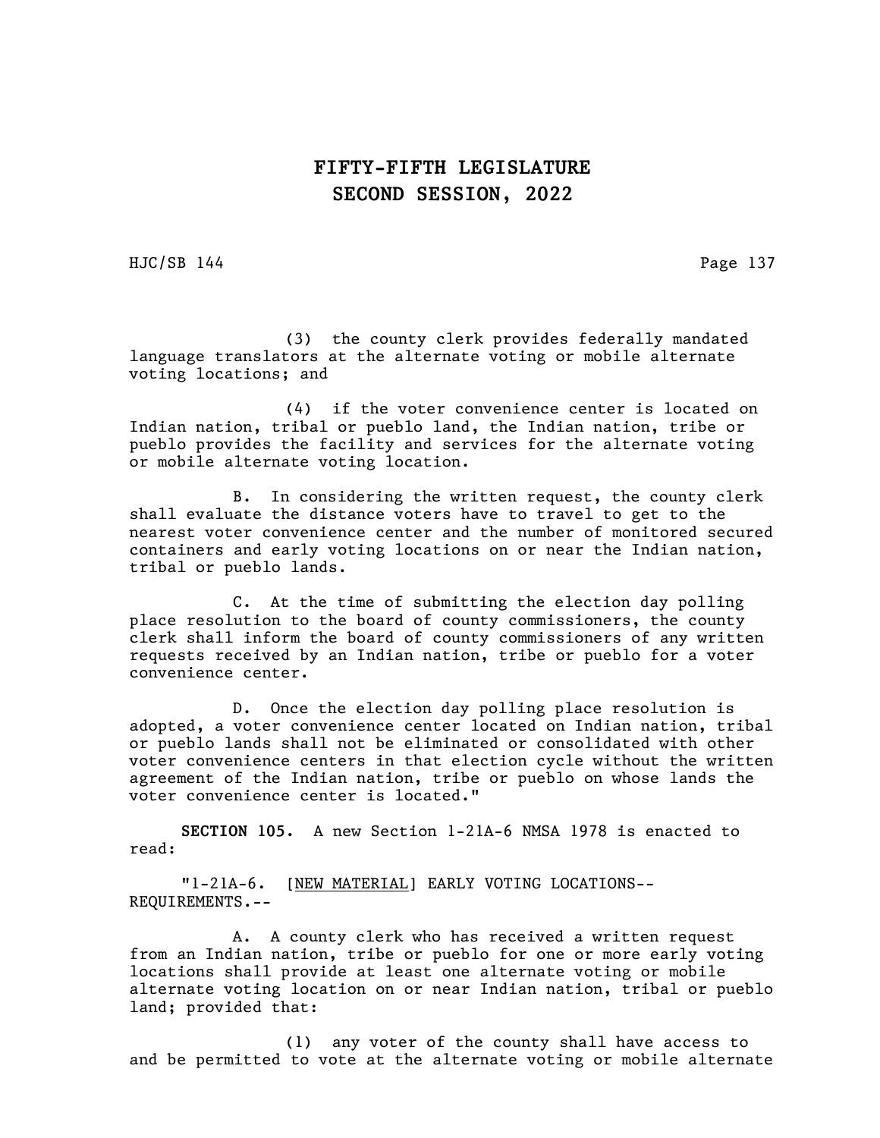HJC/SB 144 Page 137

(3) the county clerk provides federally mandated language translators at the alternate voting or mobile alternate voting locations; and

(4) if the voter convenience center is located on Indian nation, tribal or pueblo land, the Indian nation, tribe or pueblo provides the facility and services for the alternate voting or mobile alternate voting location.

B. In considering the written request, the county clerk shall evaluate the distance voters have to travel to get to the nearest voter convenience center and the number of monitored secured containers and early voting locations on or near the Indian nation, tribal or pueblo lands.

C. At the time of submitting the election day polling place resolution to the board of county commissioners, the county clerk shall inform the board of county commissioners of any written requests received by an Indian nation, tribe or pueblo for a voter convenience center.

D. Once the election day polling place resolution is adopted, a voter convenience center located on Indian nation, tribal or pueblo lands shall not be eliminated or consolidated with other voter convenience centers in that election cycle without the written agreement of the Indian nation, tribe or pueblo on whose lands the voter convenience center is located."

SECTION 105. A new Section 1-21A-6 NMSA 1978 is enacted to read:

"1-21A-6. [NEW MATERIAL] EARLY VOTING LOCATIONS-- REQUIREMENTS.--

A. A county clerk who has received a written request from an Indian nation, tribe or pueblo for one or more early voting locations shall provide at least one alternate voting or mobile alternate voting location on or near Indian nation, tribal or pueblo land; provided that:

(1) any voter of the county shall have access to and be permitted to vote at the alternate voting or mobile alternate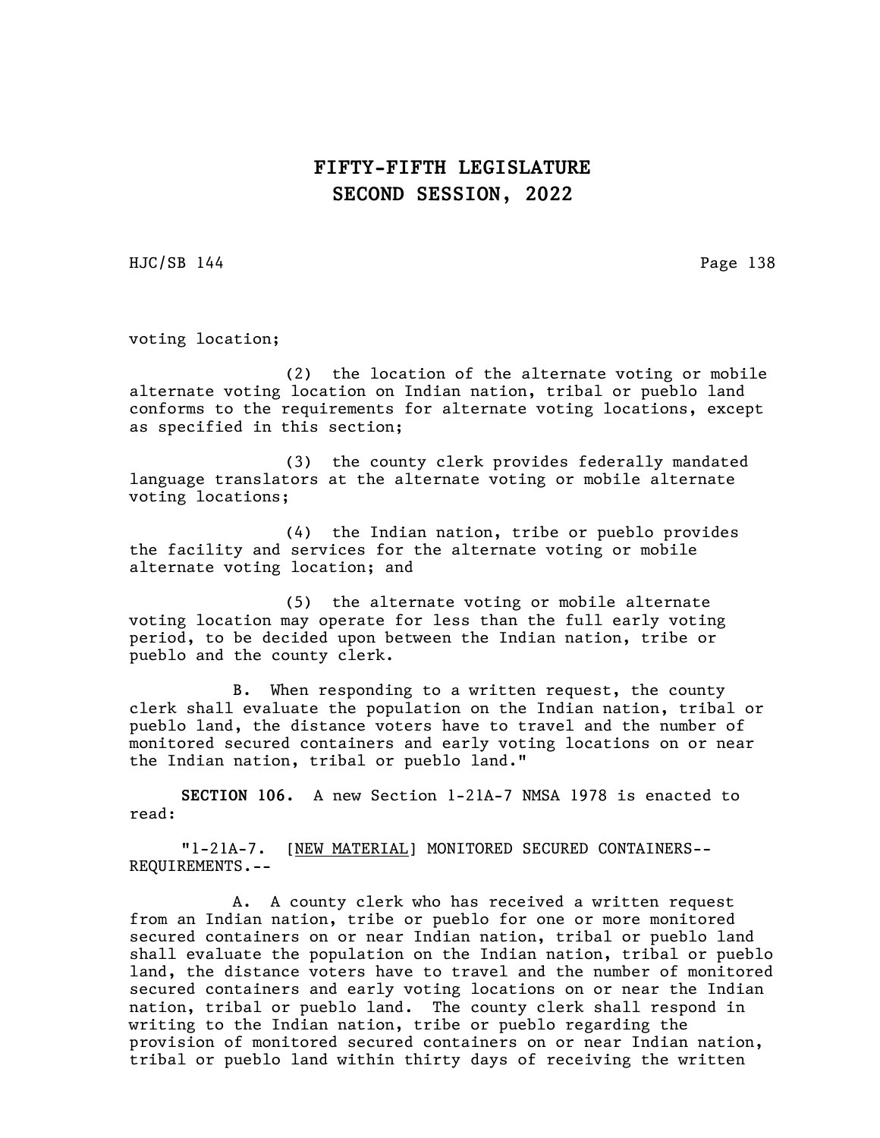HJC/SB 144 Page 138

voting location;

(2) the location of the alternate voting or mobile alternate voting location on Indian nation, tribal or pueblo land conforms to the requirements for alternate voting locations, except as specified in this section;

(3) the county clerk provides federally mandated language translators at the alternate voting or mobile alternate voting locations;

(4) the Indian nation, tribe or pueblo provides the facility and services for the alternate voting or mobile alternate voting location; and

(5) the alternate voting or mobile alternate voting location may operate for less than the full early voting period, to be decided upon between the Indian nation, tribe or pueblo and the county clerk.

B. When responding to a written request, the county clerk shall evaluate the population on the Indian nation, tribal or pueblo land, the distance voters have to travel and the number of monitored secured containers and early voting locations on or near the Indian nation, tribal or pueblo land."

SECTION 106. A new Section 1-21A-7 NMSA 1978 is enacted to read:

"1-21A-7. [NEW MATERIAL] MONITORED SECURED CONTAINERS-- REQUIREMENTS.--

A. A county clerk who has received a written request from an Indian nation, tribe or pueblo for one or more monitored secured containers on or near Indian nation, tribal or pueblo land shall evaluate the population on the Indian nation, tribal or pueblo land, the distance voters have to travel and the number of monitored secured containers and early voting locations on or near the Indian nation, tribal or pueblo land. The county clerk shall respond in writing to the Indian nation, tribe or pueblo regarding the provision of monitored secured containers on or near Indian nation, tribal or pueblo land within thirty days of receiving the written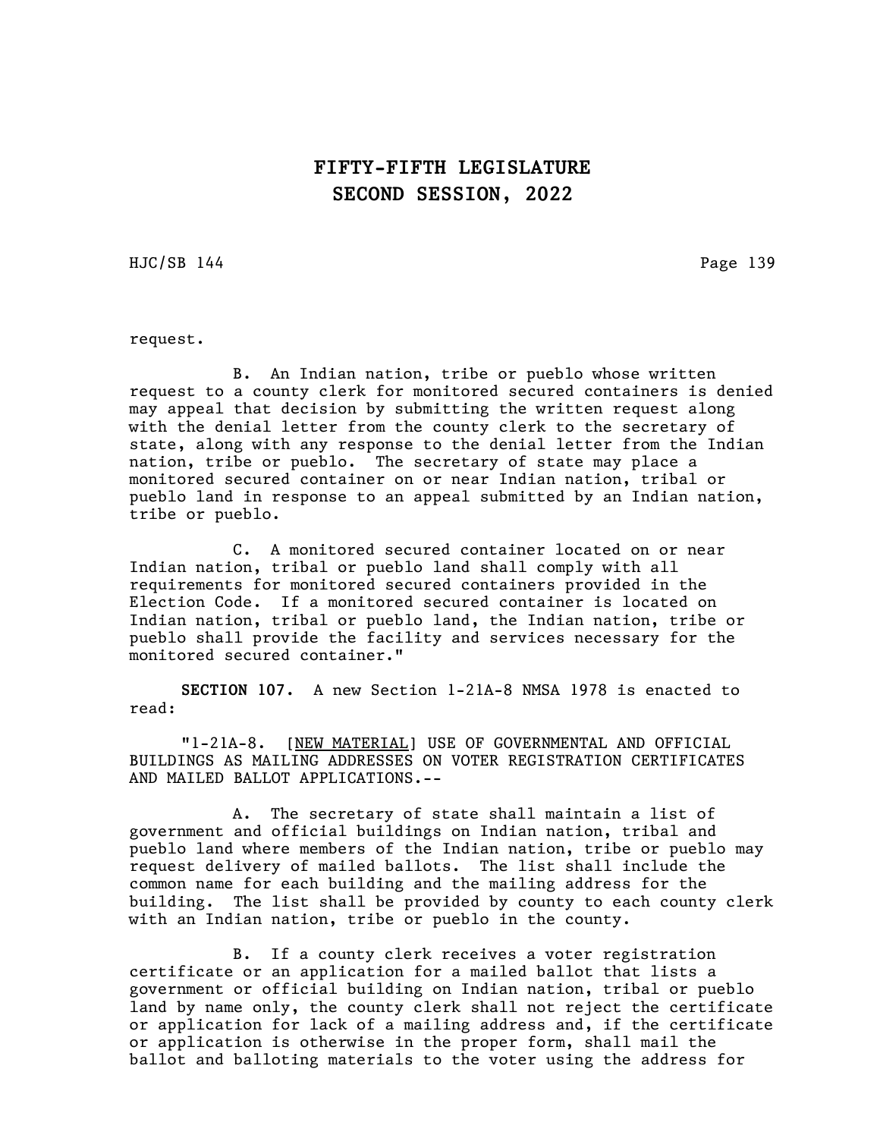HJC/SB 144 Page 139

request.

B. An Indian nation, tribe or pueblo whose written request to a county clerk for monitored secured containers is denied may appeal that decision by submitting the written request along with the denial letter from the county clerk to the secretary of state, along with any response to the denial letter from the Indian nation, tribe or pueblo. The secretary of state may place a monitored secured container on or near Indian nation, tribal or pueblo land in response to an appeal submitted by an Indian nation, tribe or pueblo.

C. A monitored secured container located on or near Indian nation, tribal or pueblo land shall comply with all requirements for monitored secured containers provided in the Election Code. If a monitored secured container is located on Indian nation, tribal or pueblo land, the Indian nation, tribe or pueblo shall provide the facility and services necessary for the monitored secured container."

SECTION 107. A new Section 1-21A-8 NMSA 1978 is enacted to read:

"1-21A-8. [NEW MATERIAL] USE OF GOVERNMENTAL AND OFFICIAL BUILDINGS AS MAILING ADDRESSES ON VOTER REGISTRATION CERTIFICATES AND MAILED BALLOT APPLICATIONS.--

A. The secretary of state shall maintain a list of government and official buildings on Indian nation, tribal and pueblo land where members of the Indian nation, tribe or pueblo may request delivery of mailed ballots. The list shall include the common name for each building and the mailing address for the building. The list shall be provided by county to each county clerk with an Indian nation, tribe or pueblo in the county.

B. If a county clerk receives a voter registration certificate or an application for a mailed ballot that lists a government or official building on Indian nation, tribal or pueblo land by name only, the county clerk shall not reject the certificate or application for lack of a mailing address and, if the certificate or application is otherwise in the proper form, shall mail the ballot and balloting materials to the voter using the address for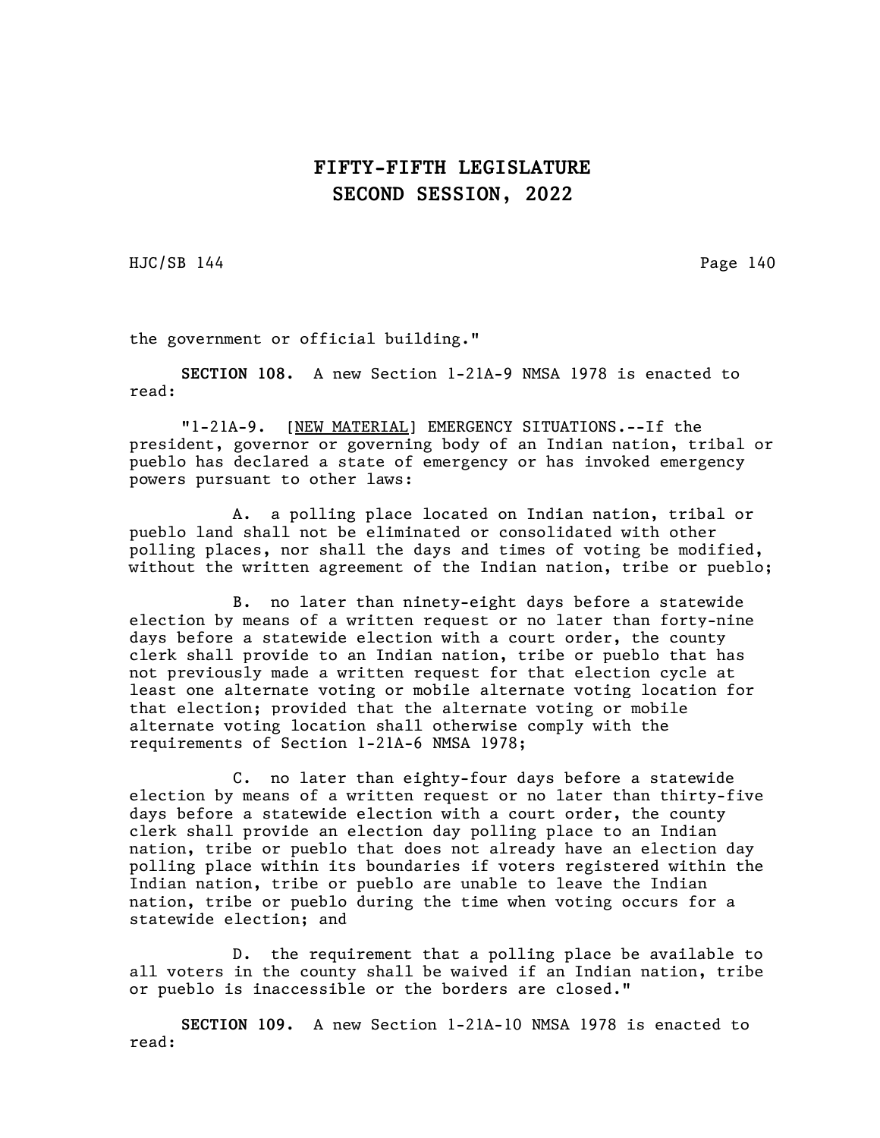HJC/SB 144 Page 140

the government or official building."

SECTION 108. A new Section 1-21A-9 NMSA 1978 is enacted to read:

"1-21A-9. [NEW MATERIAL] EMERGENCY SITUATIONS.--If the president, governor or governing body of an Indian nation, tribal or pueblo has declared a state of emergency or has invoked emergency powers pursuant to other laws:

A. a polling place located on Indian nation, tribal or pueblo land shall not be eliminated or consolidated with other polling places, nor shall the days and times of voting be modified, without the written agreement of the Indian nation, tribe or pueblo;

B. no later than ninety-eight days before a statewide election by means of a written request or no later than forty-nine days before a statewide election with a court order, the county clerk shall provide to an Indian nation, tribe or pueblo that has not previously made a written request for that election cycle at least one alternate voting or mobile alternate voting location for that election; provided that the alternate voting or mobile alternate voting location shall otherwise comply with the requirements of Section 1-21A-6 NMSA 1978;

C. no later than eighty-four days before a statewide election by means of a written request or no later than thirty-five days before a statewide election with a court order, the county clerk shall provide an election day polling place to an Indian nation, tribe or pueblo that does not already have an election day polling place within its boundaries if voters registered within the Indian nation, tribe or pueblo are unable to leave the Indian nation, tribe or pueblo during the time when voting occurs for a statewide election; and

D. the requirement that a polling place be available to all voters in the county shall be waived if an Indian nation, tribe or pueblo is inaccessible or the borders are closed."

SECTION 109. A new Section 1-21A-10 NMSA 1978 is enacted to read: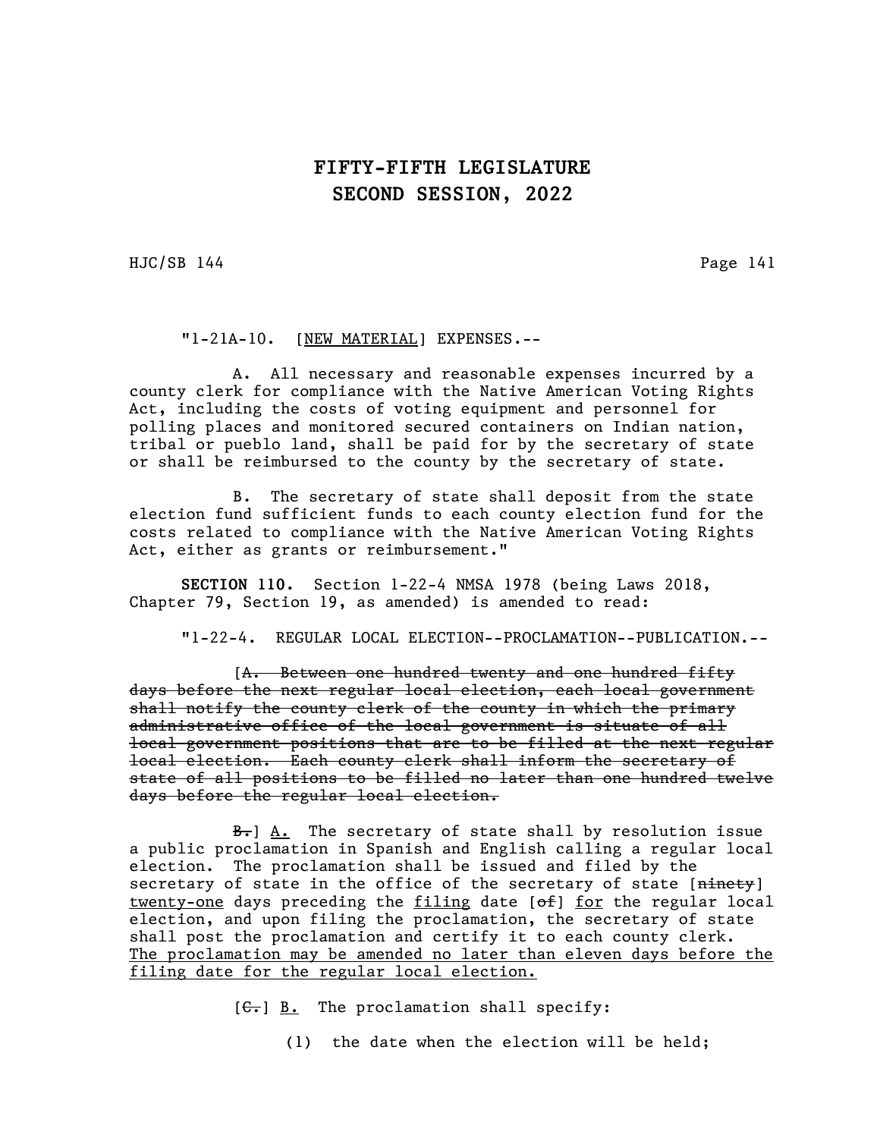HJC/SB 144 Page 141

"1-21A-10. [NEW MATERIAL] EXPENSES.--

A. All necessary and reasonable expenses incurred by a county clerk for compliance with the Native American Voting Rights Act, including the costs of voting equipment and personnel for polling places and monitored secured containers on Indian nation, tribal or pueblo land, shall be paid for by the secretary of state or shall be reimbursed to the county by the secretary of state.

B. The secretary of state shall deposit from the state election fund sufficient funds to each county election fund for the costs related to compliance with the Native American Voting Rights Act, either as grants or reimbursement."

SECTION 110. Section 1-22-4 NMSA 1978 (being Laws 2018, Chapter 79, Section 19, as amended) is amended to read:

"1-22-4. REGULAR LOCAL ELECTION--PROCLAMATION--PUBLICATION.--

[A. Between one hundred twenty and one hundred fifty days before the next regular local election, each local government shall notify the county clerk of the county in which the primary administrative office of the local government is situate of all local government positions that are to be filled at the next regular local election. Each county clerk shall inform the secretary of state of all positions to be filled no later than one hundred twelve days before the regular local election.

 $B_{\tau}$  A. The secretary of state shall by resolution issue a public proclamation in Spanish and English calling a regular local election. The proclamation shall be issued and filed by the secretary of state in the office of the secretary of state [ninety] twenty-one days preceding the filing date  $[6f]$  for the regular local election, and upon filing the proclamation, the secretary of state shall post the proclamation and certify it to each county clerk. The proclamation may be amended no later than eleven days before the filing date for the regular local election.

 $[G<sub>r</sub>]$  B. The proclamation shall specify:

(1) the date when the election will be held;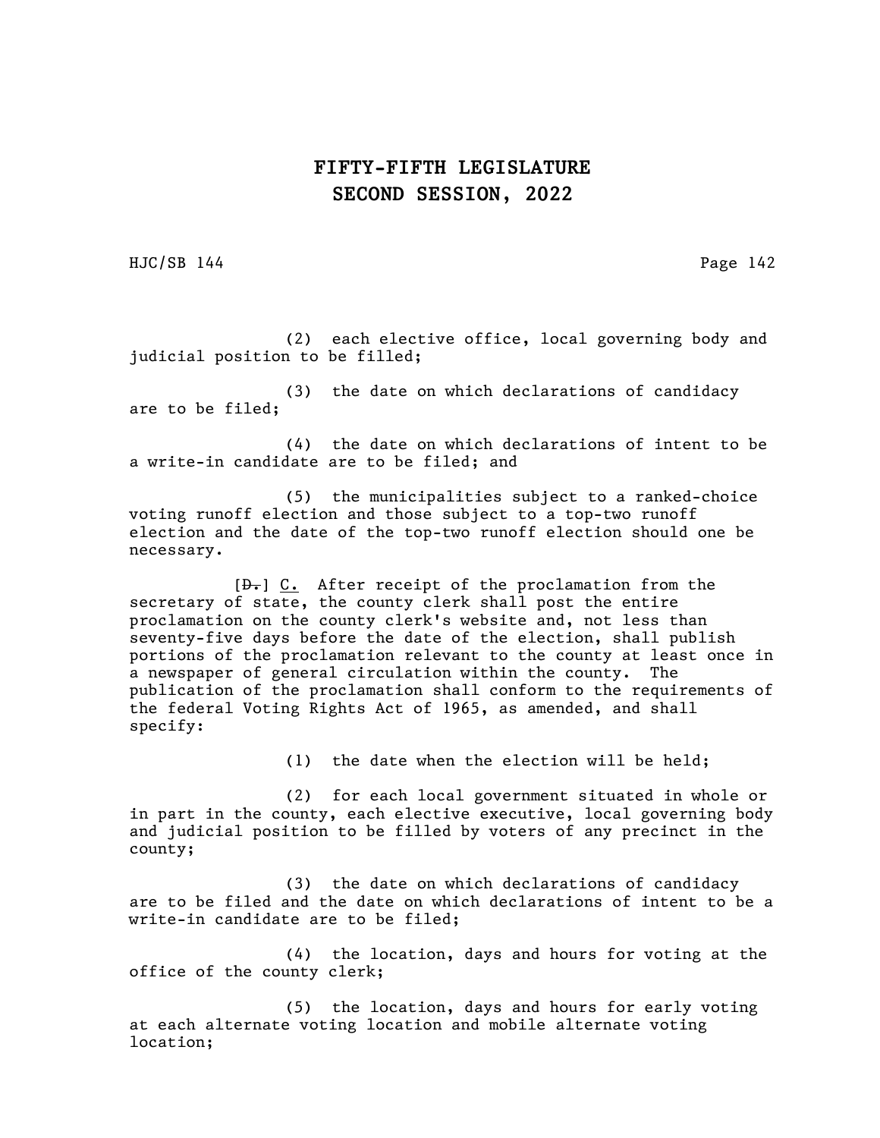HJC/SB 144 Page 142

(2) each elective office, local governing body and judicial position to be filled;

(3) the date on which declarations of candidacy are to be filed;

(4) the date on which declarations of intent to be a write-in candidate are to be filed; and

(5) the municipalities subject to a ranked-choice voting runoff election and those subject to a top-two runoff election and the date of the top-two runoff election should one be necessary.

 $[\frac{\theta}{\theta}]$  C. After receipt of the proclamation from the secretary of state, the county clerk shall post the entire proclamation on the county clerk's website and, not less than seventy-five days before the date of the election, shall publish portions of the proclamation relevant to the county at least once in a newspaper of general circulation within the county. The publication of the proclamation shall conform to the requirements of the federal Voting Rights Act of 1965, as amended, and shall specify:

(1) the date when the election will be held;

(2) for each local government situated in whole or in part in the county, each elective executive, local governing body and judicial position to be filled by voters of any precinct in the county;

(3) the date on which declarations of candidacy are to be filed and the date on which declarations of intent to be a write-in candidate are to be filed;

(4) the location, days and hours for voting at the office of the county clerk;

(5) the location, days and hours for early voting at each alternate voting location and mobile alternate voting location;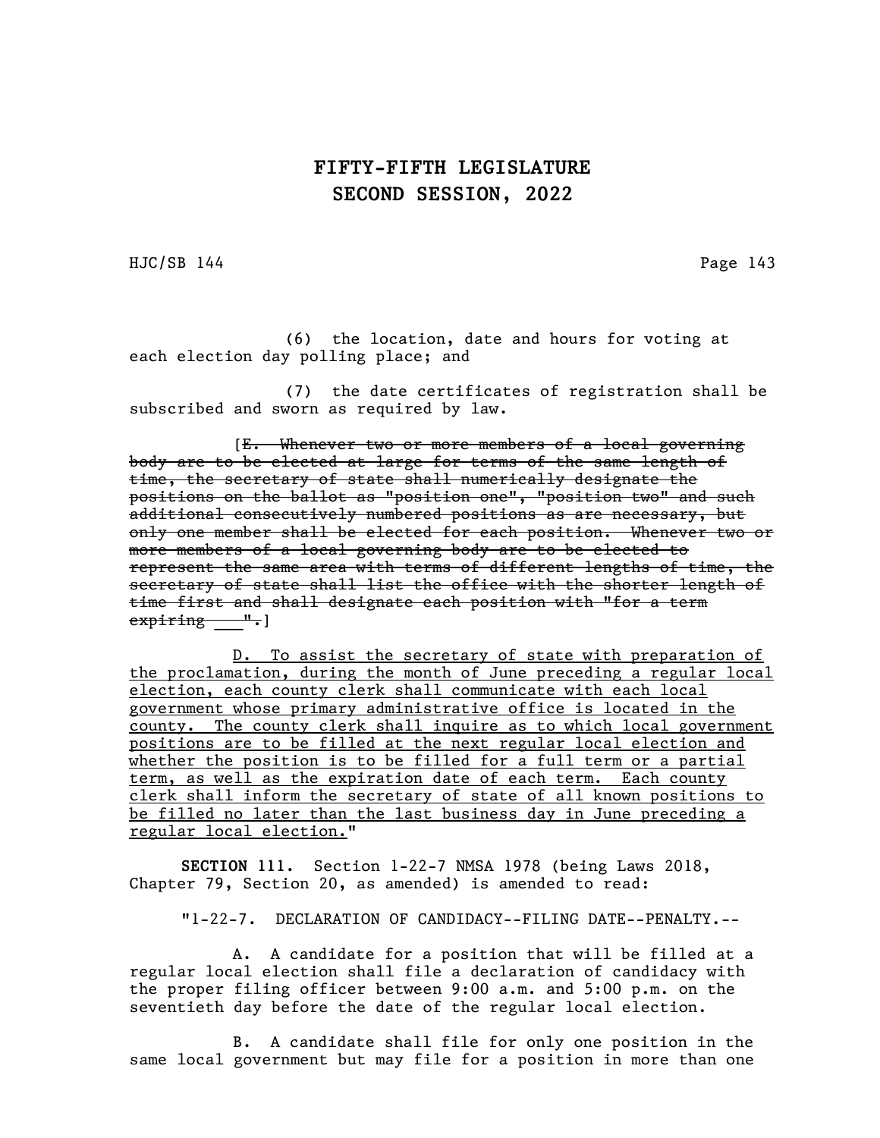HJC/SB 144 Page 143

(6) the location, date and hours for voting at each election day polling place; and

(7) the date certificates of registration shall be subscribed and sworn as required by law.

[E. Whenever two or more members of a local governing body are to be elected at large for terms of the same length of time, the secretary of state shall numerically designate the positions on the ballot as "position one", "position two" and such .<br>additional consecutively numbered positions as are necessary, but only one member shall be elected for each position. Whenever two or more members of a local governing body are to be elected to represent the same area with terms of different lengths of time, the secretary of state shall list the office with the shorter length of time first and shall designate each position with "for a term e<del>xpiring ".</del>]

D. To assist the secretary of state with preparation of the proclamation, during the month of June preceding a regular local election, each county clerk shall communicate with each local government whose primary administrative office is located in the county. The county clerk shall inquire as to which local government positions are to be filled at the next regular local election and whether the position is to be filled for a full term or a partial term, as well as the expiration date of each term. Each county clerk shall inform the secretary of state of all known positions to be filled no later than the last business day in June preceding a regular local election."

SECTION 111. Section 1-22-7 NMSA 1978 (being Laws 2018, Chapter 79, Section 20, as amended) is amended to read:

"1-22-7. DECLARATION OF CANDIDACY--FILING DATE--PENALTY.--

A. A candidate for a position that will be filled at a regular local election shall file a declaration of candidacy with the proper filing officer between 9:00 a.m. and 5:00 p.m. on the seventieth day before the date of the regular local election.

B. A candidate shall file for only one position in the same local government but may file for a position in more than one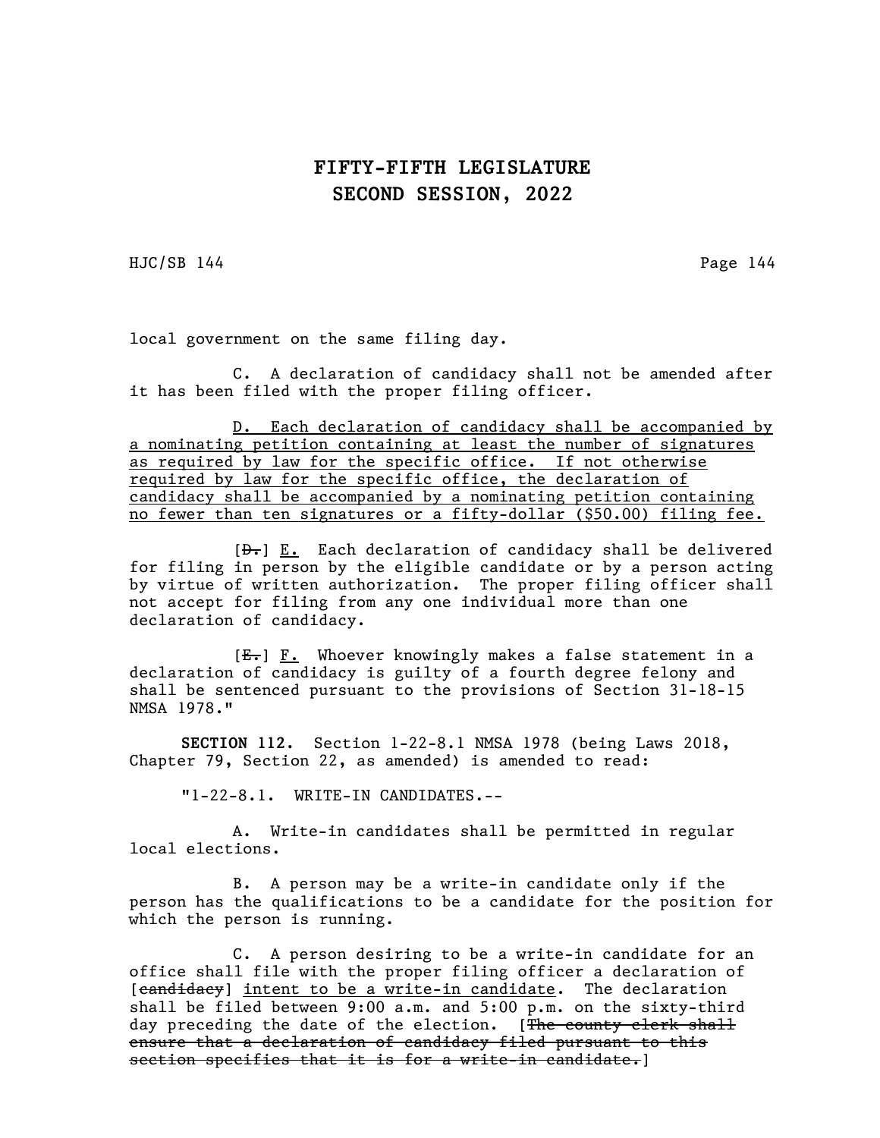HJC/SB 144 Page 144

local government on the same filing day.

C. A declaration of candidacy shall not be amended after it has been filed with the proper filing officer.

D. Each declaration of candidacy shall be accompanied by a nominating petition containing at least the number of signatures as required by law for the specific office. If not otherwise required by law for the specific office, the declaration of candidacy shall be accompanied by a nominating petition containing no fewer than ten signatures or a fifty-dollar (\$50.00) filing fee.

 $[\frac{D-}{D}]$  E. Each declaration of candidacy shall be delivered for filing in person by the eligible candidate or by a person acting by virtue of written authorization. The proper filing officer shall not accept for filing from any one individual more than one declaration of candidacy.

[E.] F. Whoever knowingly makes a false statement in a declaration of candidacy is guilty of a fourth degree felony and shall be sentenced pursuant to the provisions of Section 31-18-15 NMSA 1978."

SECTION 112. Section 1-22-8.1 NMSA 1978 (being Laws 2018, Chapter 79, Section 22, as amended) is amended to read:

"1-22-8.1. WRITE-IN CANDIDATES.--

A. Write-in candidates shall be permitted in regular local elections.

B. A person may be a write-in candidate only if the person has the qualifications to be a candidate for the position for which the person is running.

C. A person desiring to be a write-in candidate for an office shall file with the proper filing officer a declaration of [candidacy] intent to be a write-in candidate. The declaration shall be filed between 9:00 a.m. and 5:00 p.m. on the sixty-third day preceding the date of the election. [The county clerk shall ensure that a declaration of candidacy filed pursuant to this section specifies that it is for a write-in candidate.]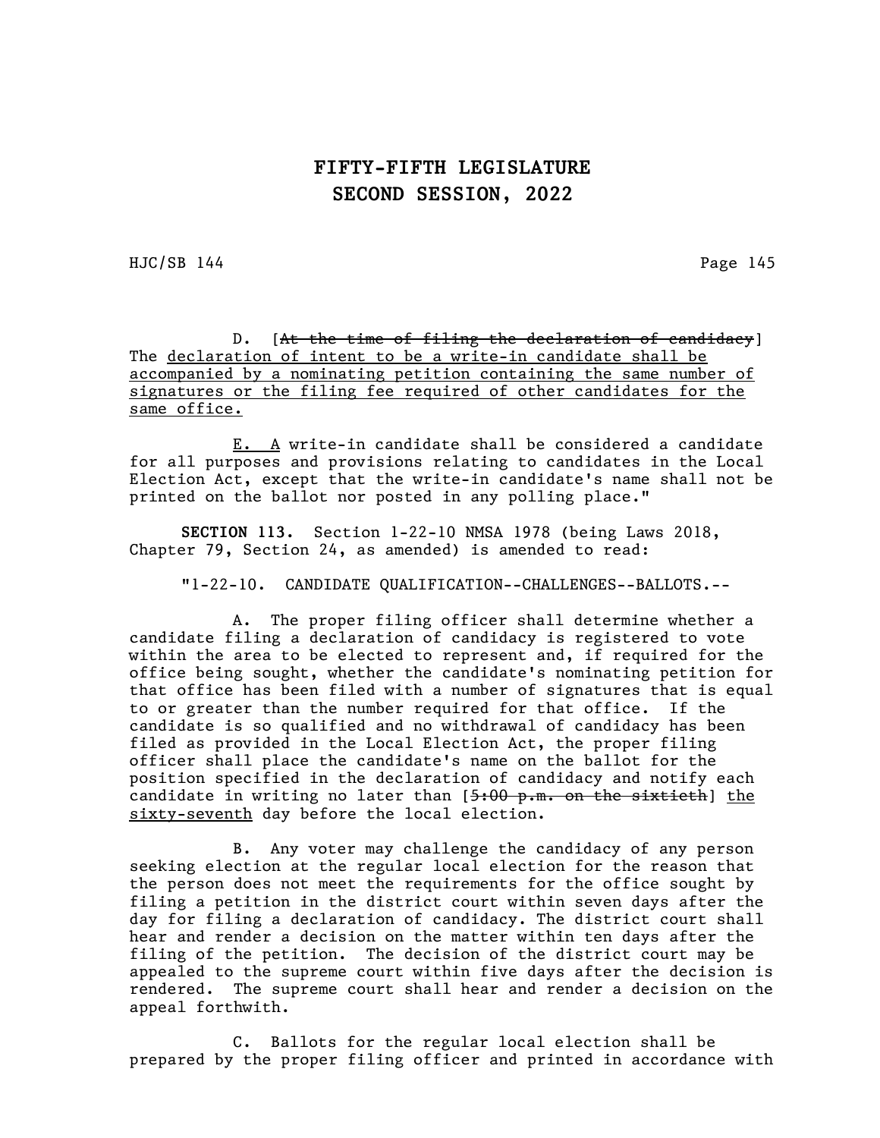$HJC/SB$  144 Page 145

D. [At the time of filing the declaration of candidacy] The declaration of intent to be a write-in candidate shall be accompanied by a nominating petition containing the same number of signatures or the filing fee required of other candidates for the same office.

E. A write-in candidate shall be considered a candidate for all purposes and provisions relating to candidates in the Local Election Act, except that the write-in candidate's name shall not be printed on the ballot nor posted in any polling place."

SECTION 113. Section 1-22-10 NMSA 1978 (being Laws 2018, Chapter 79, Section 24, as amended) is amended to read:

"1-22-10. CANDIDATE QUALIFICATION--CHALLENGES--BALLOTS.--

A. The proper filing officer shall determine whether a candidate filing a declaration of candidacy is registered to vote within the area to be elected to represent and, if required for the office being sought, whether the candidate's nominating petition for that office has been filed with a number of signatures that is equal to or greater than the number required for that office. If the candidate is so qualified and no withdrawal of candidacy has been filed as provided in the Local Election Act, the proper filing officer shall place the candidate's name on the ballot for the position specified in the declaration of candidacy and notify each candidate in writing no later than  $[5:00 \text{ p.m.} \text{ on the sixth}$  the sixty-seventh day before the local election.

B. Any voter may challenge the candidacy of any person seeking election at the regular local election for the reason that the person does not meet the requirements for the office sought by filing a petition in the district court within seven days after the day for filing a declaration of candidacy. The district court shall hear and render a decision on the matter within ten days after the filing of the petition. The decision of the district court may be appealed to the supreme court within five days after the decision is rendered. The supreme court shall hear and render a decision on the appeal forthwith.

C. Ballots for the regular local election shall be prepared by the proper filing officer and printed in accordance with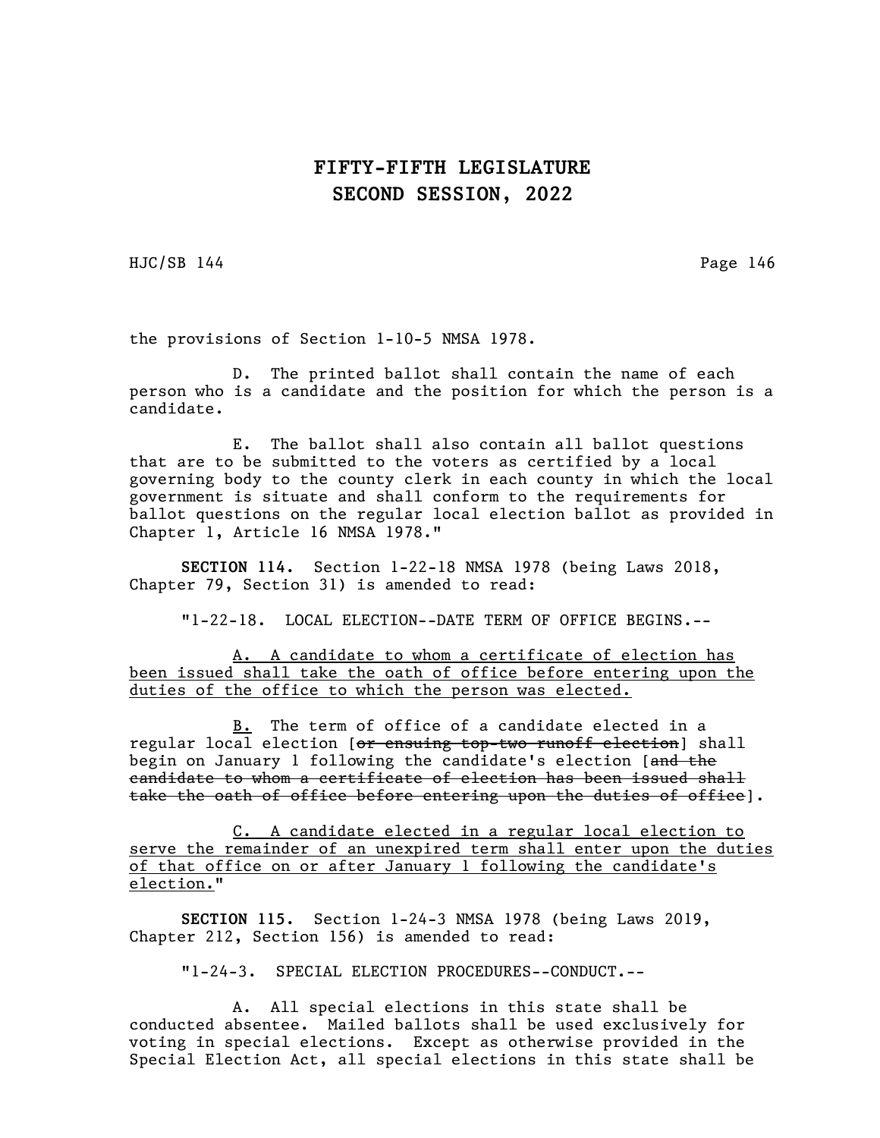HJC/SB 144 Page 146

the provisions of Section 1-10-5 NMSA 1978.

D. The printed ballot shall contain the name of each person who is a candidate and the position for which the person is a candidate.

E. The ballot shall also contain all ballot questions that are to be submitted to the voters as certified by a local governing body to the county clerk in each county in which the local government is situate and shall conform to the requirements for ballot questions on the regular local election ballot as provided in Chapter 1, Article 16 NMSA 1978."

SECTION 114. Section 1-22-18 NMSA 1978 (being Laws 2018, Chapter 79, Section 31) is amended to read:

"1-22-18. LOCAL ELECTION--DATE TERM OF OFFICE BEGINS.--

A. A candidate to whom a certificate of election has been issued shall take the oath of office before entering upon the duties of the office to which the person was elected.

B. The term of office of a candidate elected in a regular local election [or ensuing top-two runoff election] shall begin on January 1 following the candidate's election [and the candidate to whom a certificate of election has been issued shall take the oath of office before entering upon the duties of office].

C. A candidate elected in a regular local election to serve the remainder of an unexpired term shall enter upon the duties of that office on or after January 1 following the candidate's election."

SECTION 115. Section 1-24-3 NMSA 1978 (being Laws 2019, Chapter 212, Section 156) is amended to read:

"1-24-3. SPECIAL ELECTION PROCEDURES--CONDUCT.--

A. All special elections in this state shall be conducted absentee. Mailed ballots shall be used exclusively for voting in special elections. Except as otherwise provided in the Special Election Act, all special elections in this state shall be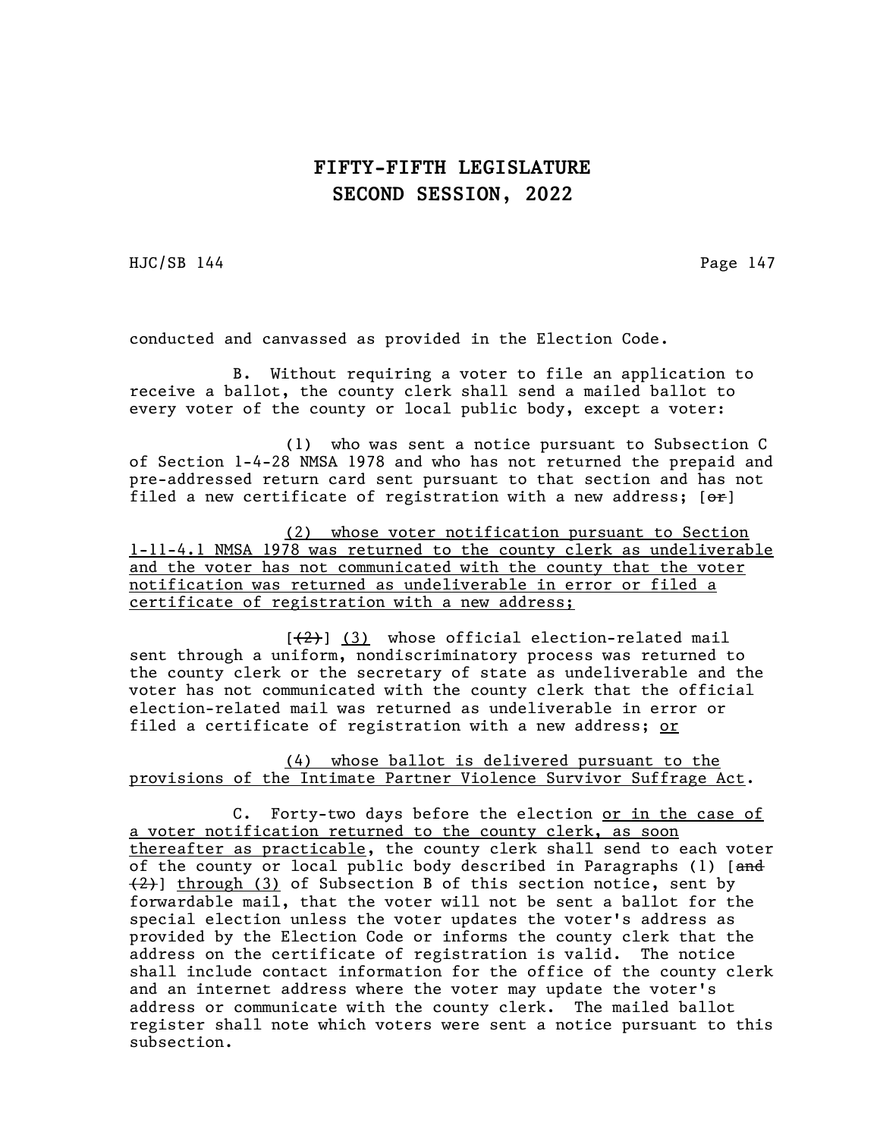HJC/SB 144 Page 147

conducted and canvassed as provided in the Election Code.

B. Without requiring a voter to file an application to receive a ballot, the county clerk shall send a mailed ballot to every voter of the county or local public body, except a voter:

(1) who was sent a notice pursuant to Subsection C of Section 1-4-28 NMSA 1978 and who has not returned the prepaid and pre-addressed return card sent pursuant to that section and has not filed a new certificate of registration with a new address;  $[ $\theta$ **r**]$ 

(2) whose voter notification pursuant to Section 1-11-4.1 NMSA 1978 was returned to the county clerk as undeliverable and the voter has not communicated with the county that the voter notification was returned as undeliverable in error or filed a certificate of registration with a new address;

 $[\frac{1}{2}]$  (3) whose official election-related mail sent through a uniform, nondiscriminatory process was returned to the county clerk or the secretary of state as undeliverable and the voter has not communicated with the county clerk that the official election-related mail was returned as undeliverable in error or filed a certificate of registration with a new address; or

(4) whose ballot is delivered pursuant to the provisions of the Intimate Partner Violence Survivor Suffrage Act.

C. Forty-two days before the election or in the case of a voter notification returned to the county clerk, as soon thereafter as practicable, the county clerk shall send to each voter of the county or local public body described in Paragraphs (1) [and  $(2)$ ] through (3) of Subsection B of this section notice, sent by forwardable mail, that the voter will not be sent a ballot for the special election unless the voter updates the voter's address as provided by the Election Code or informs the county clerk that the address on the certificate of registration is valid. The notice shall include contact information for the office of the county clerk and an internet address where the voter may update the voter's address or communicate with the county clerk. The mailed ballot register shall note which voters were sent a notice pursuant to this subsection.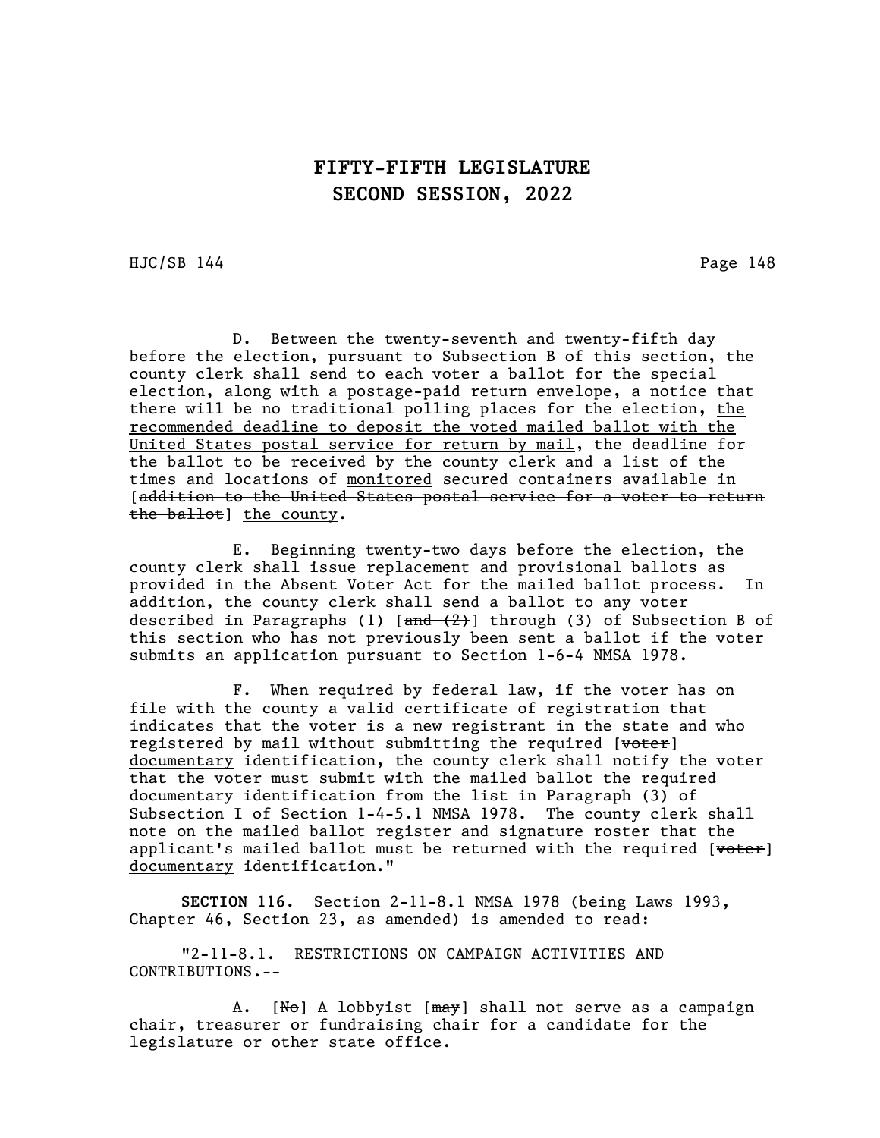HJC/SB 144 Page 148

D. Between the twenty-seventh and twenty-fifth day before the election, pursuant to Subsection B of this section, the county clerk shall send to each voter a ballot for the special election, along with a postage-paid return envelope, a notice that there will be no traditional polling places for the election, the recommended deadline to deposit the voted mailed ballot with the United States postal service for return by mail, the deadline for the ballot to be received by the county clerk and a list of the times and locations of monitored secured containers available in [addition to the United States postal service for a voter to return the ballot] the county.

E. Beginning twenty-two days before the election, the county clerk shall issue replacement and provisional ballots as provided in the Absent Voter Act for the mailed ballot process. In addition, the county clerk shall send a ballot to any voter described in Paragraphs (1)  $[\frac{and (2)}]$  through (3) of Subsection B of this section who has not previously been sent a ballot if the voter submits an application pursuant to Section 1-6-4 NMSA 1978.

F. When required by federal law, if the voter has on file with the county a valid certificate of registration that indicates that the voter is a new registrant in the state and who registered by mail without submitting the required [voter] documentary identification, the county clerk shall notify the voter that the voter must submit with the mailed ballot the required documentary identification from the list in Paragraph (3) of Subsection I of Section 1-4-5.1 NMSA 1978. The county clerk shall note on the mailed ballot register and signature roster that the applicant's mailed ballot must be returned with the required [ $v$ oter] documentary identification."

SECTION 116. Section 2-11-8.1 NMSA 1978 (being Laws 1993, Chapter 46, Section 23, as amended) is amended to read:

"2-11-8.1. RESTRICTIONS ON CAMPAIGN ACTIVITIES AND CONTRIBUTIONS.--

A. [No] A lobbyist [may] shall not serve as a campaign chair, treasurer or fundraising chair for a candidate for the legislature or other state office.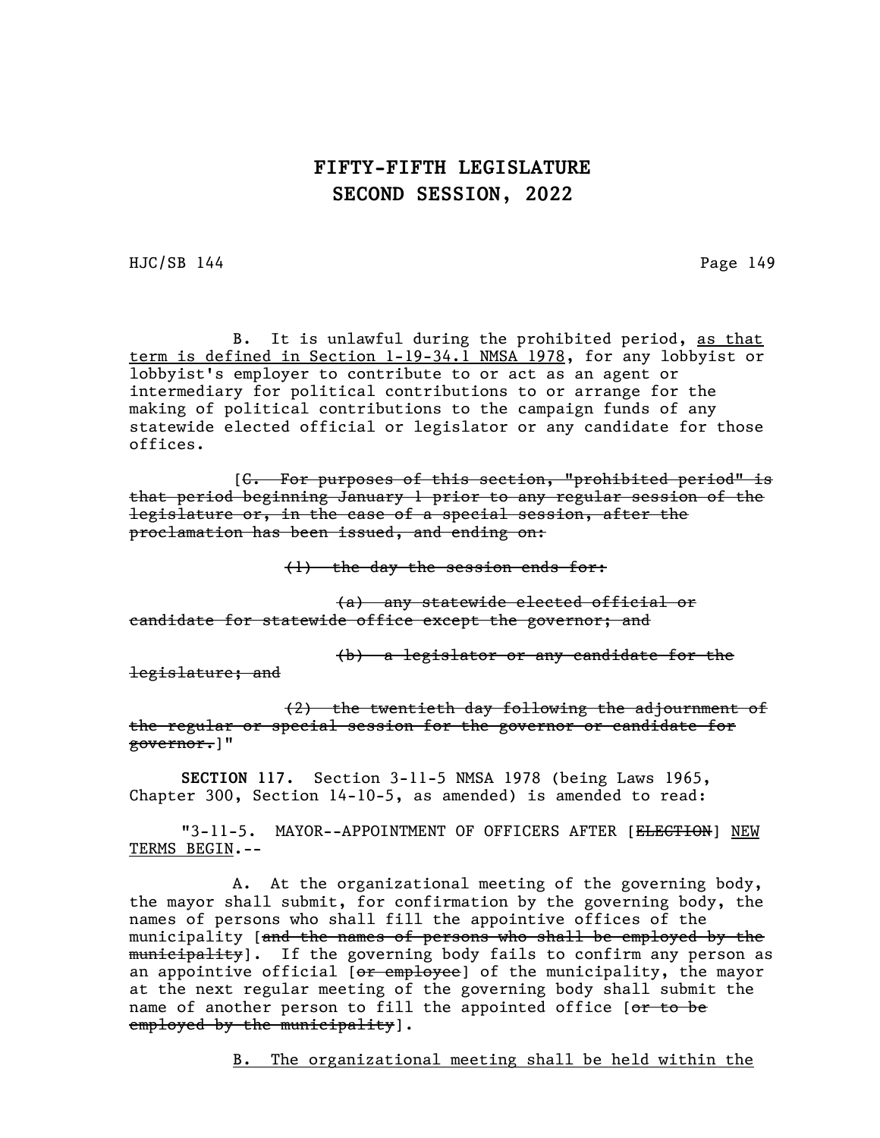HJC/SB 144 Page 149

B. It is unlawful during the prohibited period, as that term is defined in Section 1-19-34.1 NMSA 1978, for any lobbyist or lobbyist's employer to contribute to or act as an agent or intermediary for political contributions to or arrange for the making of political contributions to the campaign funds of any statewide elected official or legislator or any candidate for those offices.

[C. For purposes of this section, "prohibited period" is that period beginning January 1 prior to any regular session of the legislature or, in the case of a special session, after the proclamation has been issued, and ending on:

(1) the day the session ends for:

(a) any statewide elected official or candidate for statewide office except the governor; and

(b) a legislator or any candidate for the

legislature; and

(2) the twentieth day following the adjournment of the regular or special session for the governor or candidate for governor.]"

SECTION 117. Section 3-11-5 NMSA 1978 (being Laws 1965, Chapter 300, Section 14-10-5, as amended) is amended to read:

"3-11-5. MAYOR--APPOINTMENT OF OFFICERS AFTER [ELECTION] NEW TERMS BEGIN.--

A. At the organizational meeting of the governing body, the mayor shall submit, for confirmation by the governing body, the names of persons who shall fill the appointive offices of the municipality [and the names of persons who shall be employed by the municipality]. If the governing body fails to confirm any person as an appointive official [or employee] of the municipality, the mayor at the next regular meeting of the governing body shall submit the name of another person to fill the appointed office [or to be employed by the municipality].

B. The organizational meeting shall be held within the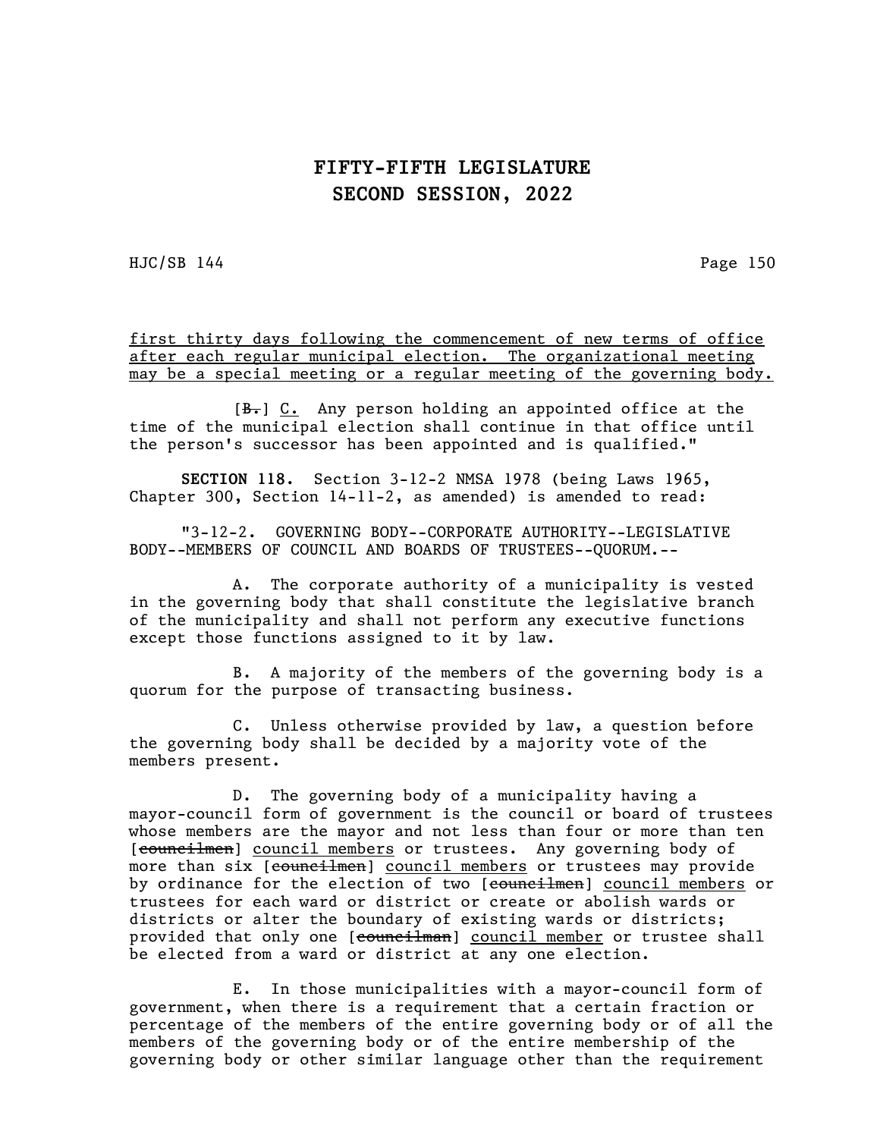$HJC/SB$  144 Page 150

first thirty days following the commencement of new terms of office after each regular municipal election. The organizational meeting may be a special meeting or a regular meeting of the governing body.

 $[\frac{B-1}{16}]$  C. Any person holding an appointed office at the time of the municipal election shall continue in that office until the person's successor has been appointed and is qualified."

SECTION 118. Section 3-12-2 NMSA 1978 (being Laws 1965, Chapter 300, Section 14-11-2, as amended) is amended to read:

"3-12-2. GOVERNING BODY--CORPORATE AUTHORITY--LEGISLATIVE BODY--MEMBERS OF COUNCIL AND BOARDS OF TRUSTEES--QUORUM.--

A. The corporate authority of a municipality is vested in the governing body that shall constitute the legislative branch of the municipality and shall not perform any executive functions except those functions assigned to it by law.

B. A majority of the members of the governing body is a quorum for the purpose of transacting business.

C. Unless otherwise provided by law, a question before the governing body shall be decided by a majority vote of the members present.

D. The governing body of a municipality having a mayor-council form of government is the council or board of trustees whose members are the mayor and not less than four or more than ten [councilmen] council members or trustees. Any governing body of more than six [councilmen] council members or trustees may provide by ordinance for the election of two [councilmen] council members or trustees for each ward or district or create or abolish wards or districts or alter the boundary of existing wards or districts; provided that only one [councilman] council member or trustee shall be elected from a ward or district at any one election.

E. In those municipalities with a mayor-council form of government, when there is a requirement that a certain fraction or percentage of the members of the entire governing body or of all the members of the governing body or of the entire membership of the governing body or other similar language other than the requirement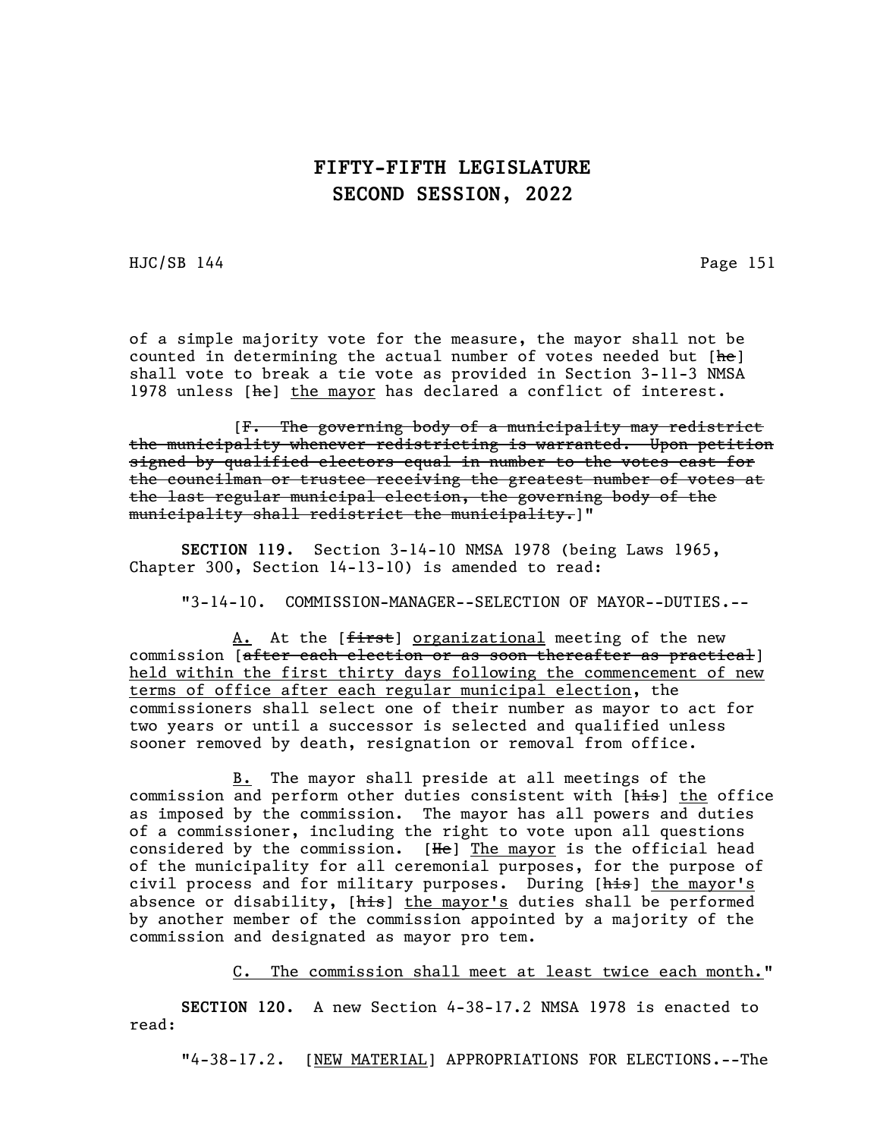HJC/SB 144 Page 151

of a simple majority vote for the measure, the mayor shall not be counted in determining the actual number of votes needed but [he] shall vote to break a tie vote as provided in Section 3-11-3 NMSA 1978 unless [he] the mayor has declared a conflict of interest.

[F. The governing body of a municipality may redistrict the municipality whenever redistricting is warranted. Upon petition signed by qualified electors equal in number to the votes cast for the councilman or trustee receiving the greatest number of votes at the last regular municipal election, the governing body of the municipality shall redistrict the municipality.]"

SECTION 119. Section 3-14-10 NMSA 1978 (being Laws 1965, Chapter 300, Section 14-13-10) is amended to read:

"3-14-10. COMMISSION-MANAGER--SELECTION OF MAYOR--DUTIES.--

A. At the [first] organizational meeting of the new commission [after each election or as soon thereafter as practical] held within the first thirty days following the commencement of new terms of office after each regular municipal election, the commissioners shall select one of their number as mayor to act for two years or until a successor is selected and qualified unless sooner removed by death, resignation or removal from office.

B. The mayor shall preside at all meetings of the commission and perform other duties consistent with [his] the office as imposed by the commission. The mayor has all powers and duties of a commissioner, including the right to vote upon all questions considered by the commission.  $[He]$  The mayor is the official head of the municipality for all ceremonial purposes, for the purpose of civil process and for military purposes. During [his] the mayor's absence or disability, [his] the mayor's duties shall be performed by another member of the commission appointed by a majority of the commission and designated as mayor pro tem.

C. The commission shall meet at least twice each month."

SECTION 120. A new Section 4-38-17.2 NMSA 1978 is enacted to read:

"4-38-17.2. [NEW MATERIAL] APPROPRIATIONS FOR ELECTIONS.--The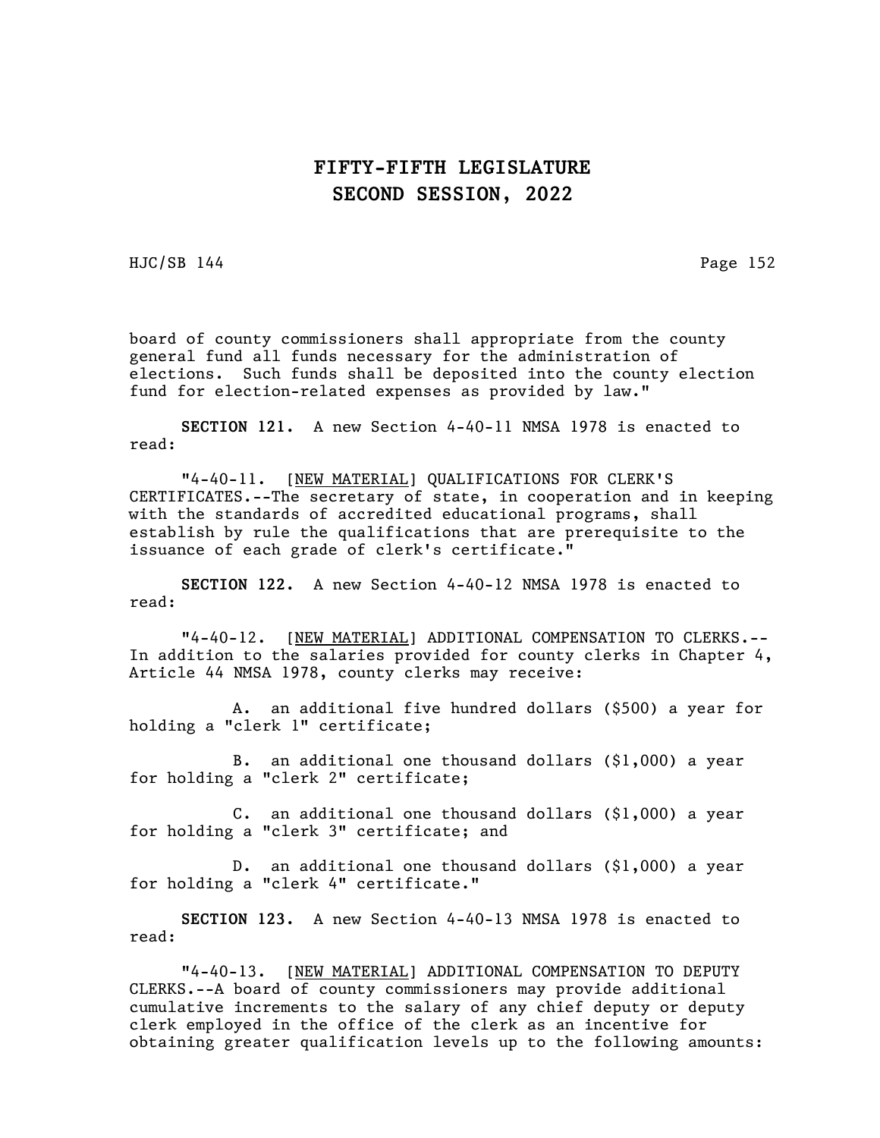HJC/SB 144 Page 152

board of county commissioners shall appropriate from the county general fund all funds necessary for the administration of elections. Such funds shall be deposited into the county election fund for election-related expenses as provided by law."

SECTION 121. A new Section 4-40-11 NMSA 1978 is enacted to read:

"4-40-11. [NEW MATERIAL] QUALIFICATIONS FOR CLERK'S CERTIFICATES.--The secretary of state, in cooperation and in keeping with the standards of accredited educational programs, shall establish by rule the qualifications that are prerequisite to the issuance of each grade of clerk's certificate."

SECTION 122. A new Section 4-40-12 NMSA 1978 is enacted to read:

"4-40-12. [NEW MATERIAL] ADDITIONAL COMPENSATION TO CLERKS.-- In addition to the salaries provided for county clerks in Chapter 4, Article 44 NMSA 1978, county clerks may receive:

A. an additional five hundred dollars (\$500) a year for holding a "clerk 1" certificate;

B. an additional one thousand dollars (\$1,000) a year for holding a "clerk 2" certificate;

C. an additional one thousand dollars (\$1,000) a year for holding a "clerk 3" certificate; and

D. an additional one thousand dollars (\$1,000) a year for holding a "clerk 4" certificate."

SECTION 123. A new Section 4-40-13 NMSA 1978 is enacted to read:

"4-40-13. [NEW MATERIAL] ADDITIONAL COMPENSATION TO DEPUTY CLERKS.--A board of county commissioners may provide additional cumulative increments to the salary of any chief deputy or deputy clerk employed in the office of the clerk as an incentive for obtaining greater qualification levels up to the following amounts: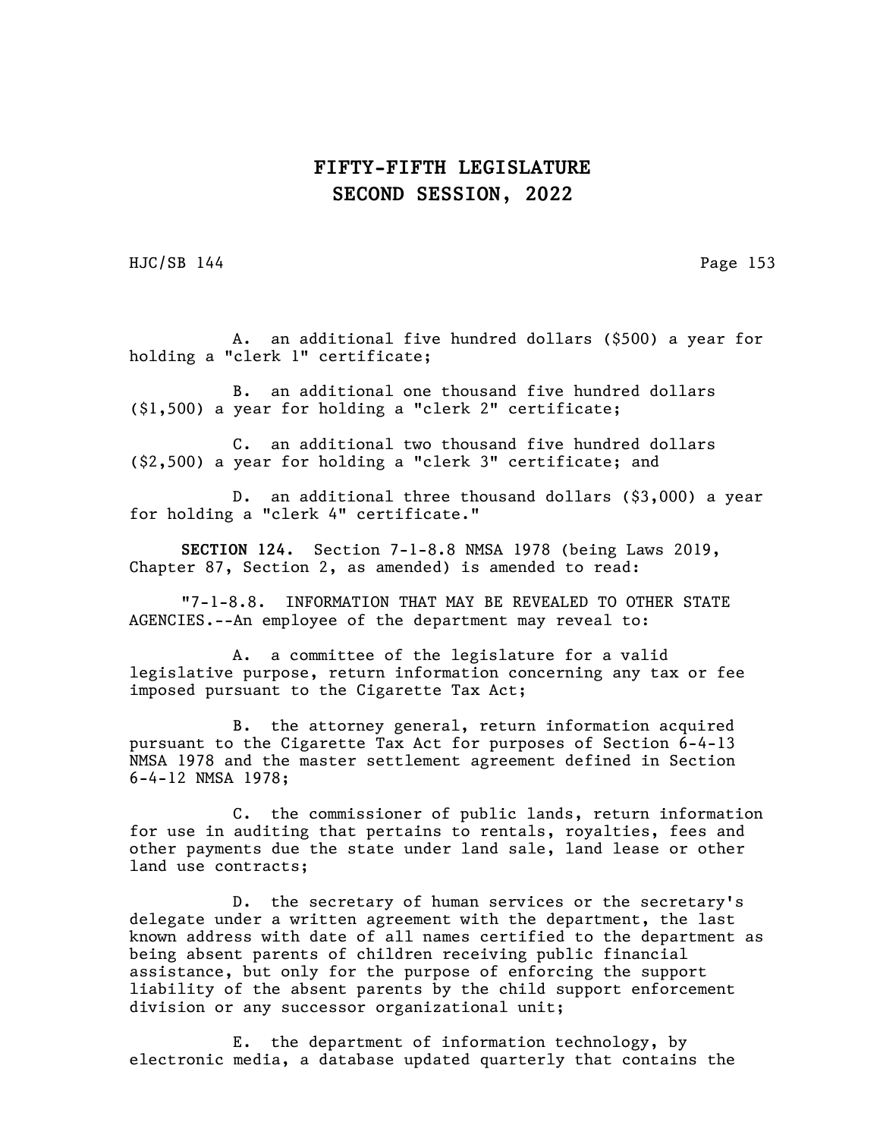$HJC/SB$  144 Page 153

A. an additional five hundred dollars (\$500) a year for holding a "clerk 1" certificate;

B. an additional one thousand five hundred dollars (\$1,500) a year for holding a "clerk 2" certificate;

C. an additional two thousand five hundred dollars (\$2,500) a year for holding a "clerk 3" certificate; and

D. an additional three thousand dollars (\$3,000) a year for holding a "clerk 4" certificate."

SECTION 124. Section 7-1-8.8 NMSA 1978 (being Laws 2019, Chapter 87, Section 2, as amended) is amended to read:

"7-1-8.8. INFORMATION THAT MAY BE REVEALED TO OTHER STATE AGENCIES.--An employee of the department may reveal to:

A. a committee of the legislature for a valid legislative purpose, return information concerning any tax or fee imposed pursuant to the Cigarette Tax Act;

B. the attorney general, return information acquired pursuant to the Cigarette Tax Act for purposes of Section 6-4-13 NMSA 1978 and the master settlement agreement defined in Section 6-4-12 NMSA 1978;

C. the commissioner of public lands, return information for use in auditing that pertains to rentals, royalties, fees and other payments due the state under land sale, land lease or other land use contracts;

D. the secretary of human services or the secretary's delegate under a written agreement with the department, the last known address with date of all names certified to the department as being absent parents of children receiving public financial assistance, but only for the purpose of enforcing the support liability of the absent parents by the child support enforcement division or any successor organizational unit;

E. the department of information technology, by electronic media, a database updated quarterly that contains the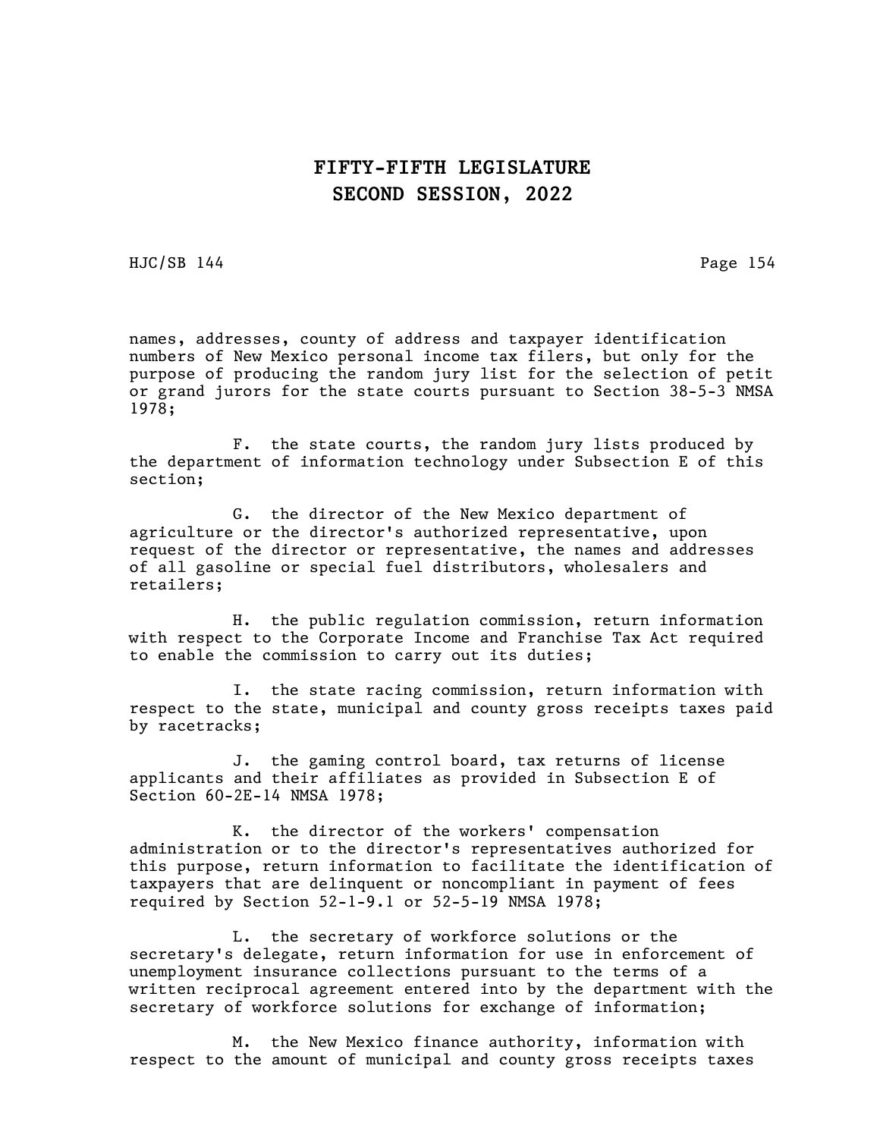HJC/SB 144 Page 154

names, addresses, county of address and taxpayer identification numbers of New Mexico personal income tax filers, but only for the purpose of producing the random jury list for the selection of petit or grand jurors for the state courts pursuant to Section 38-5-3 NMSA 1978;

F. the state courts, the random jury lists produced by the department of information technology under Subsection E of this section;

G. the director of the New Mexico department of agriculture or the director's authorized representative, upon request of the director or representative, the names and addresses of all gasoline or special fuel distributors, wholesalers and retailers;

H. the public regulation commission, return information with respect to the Corporate Income and Franchise Tax Act required to enable the commission to carry out its duties;

I. the state racing commission, return information with respect to the state, municipal and county gross receipts taxes paid by racetracks;

J. the gaming control board, tax returns of license applicants and their affiliates as provided in Subsection E of Section 60-2E-14 NMSA 1978;

K. the director of the workers' compensation administration or to the director's representatives authorized for this purpose, return information to facilitate the identification of taxpayers that are delinquent or noncompliant in payment of fees required by Section 52-1-9.1 or 52-5-19 NMSA 1978;

L. the secretary of workforce solutions or the secretary's delegate, return information for use in enforcement of unemployment insurance collections pursuant to the terms of a written reciprocal agreement entered into by the department with the secretary of workforce solutions for exchange of information;

M. the New Mexico finance authority, information with respect to the amount of municipal and county gross receipts taxes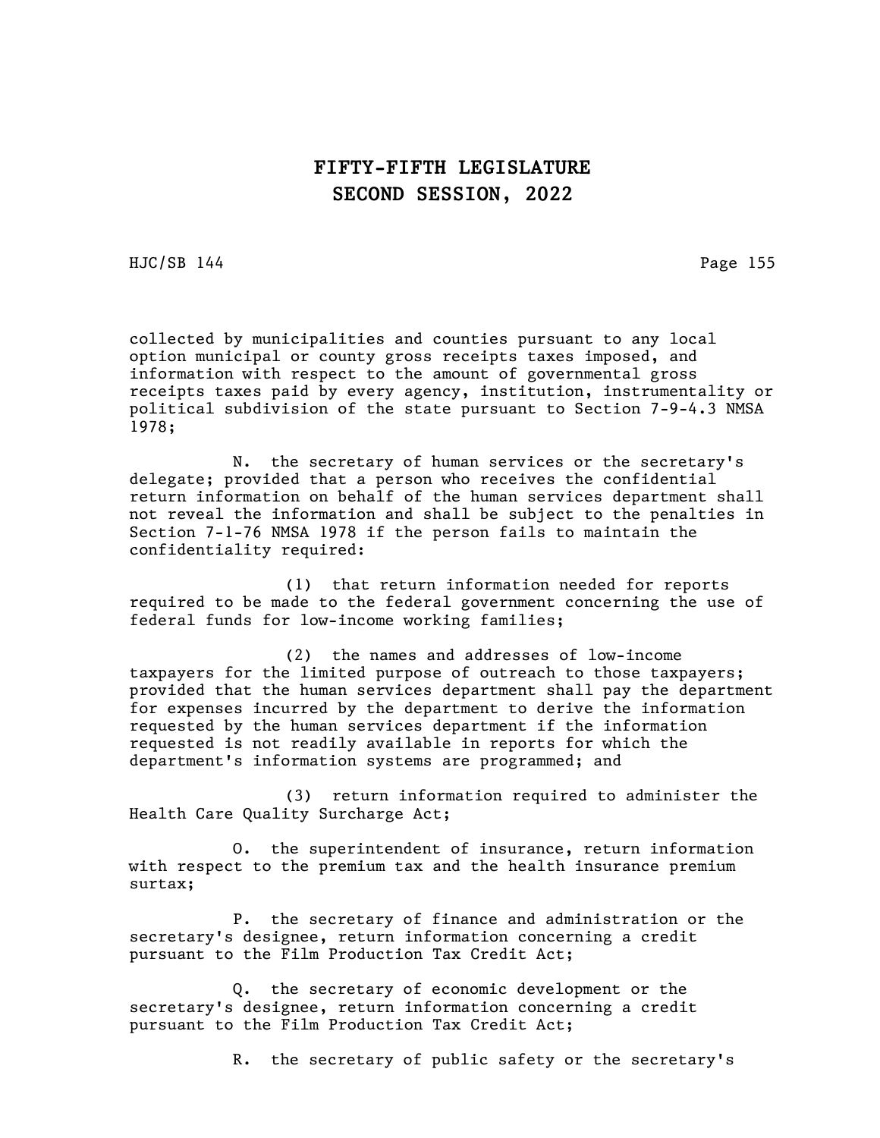HJC/SB 144 Page 155

collected by municipalities and counties pursuant to any local option municipal or county gross receipts taxes imposed, and information with respect to the amount of governmental gross receipts taxes paid by every agency, institution, instrumentality or political subdivision of the state pursuant to Section 7-9-4.3 NMSA 1978;

N. the secretary of human services or the secretary's delegate; provided that a person who receives the confidential return information on behalf of the human services department shall not reveal the information and shall be subject to the penalties in Section 7-1-76 NMSA 1978 if the person fails to maintain the confidentiality required:

(1) that return information needed for reports required to be made to the federal government concerning the use of federal funds for low-income working families;

(2) the names and addresses of low-income taxpayers for the limited purpose of outreach to those taxpayers; provided that the human services department shall pay the department for expenses incurred by the department to derive the information requested by the human services department if the information requested is not readily available in reports for which the department's information systems are programmed; and

(3) return information required to administer the Health Care Quality Surcharge Act;

O. the superintendent of insurance, return information with respect to the premium tax and the health insurance premium surtax;

P. the secretary of finance and administration or the secretary's designee, return information concerning a credit pursuant to the Film Production Tax Credit Act;

Q. the secretary of economic development or the secretary's designee, return information concerning a credit pursuant to the Film Production Tax Credit Act;

R. the secretary of public safety or the secretary's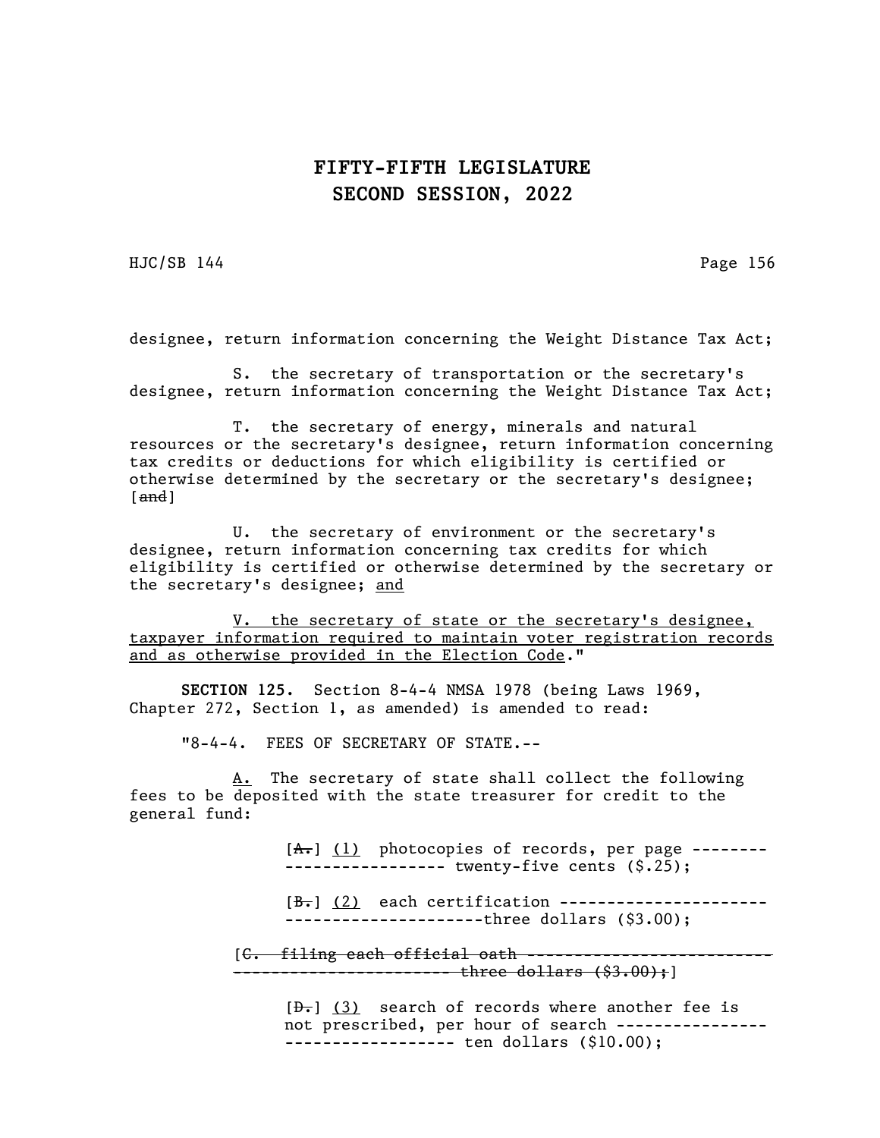HJC/SB 144 Page 156

designee, return information concerning the Weight Distance Tax Act;

S. the secretary of transportation or the secretary's designee, return information concerning the Weight Distance Tax Act;

T. the secretary of energy, minerals and natural resources or the secretary's designee, return information concerning tax credits or deductions for which eligibility is certified or otherwise determined by the secretary or the secretary's designee;  $[and]$ 

U. the secretary of environment or the secretary's designee, return information concerning tax credits for which eligibility is certified or otherwise determined by the secretary or the secretary's designee; and

V. the secretary of state or the secretary's designee, taxpayer information required to maintain voter registration records and as otherwise provided in the Election Code."

SECTION 125. Section 8-4-4 NMSA 1978 (being Laws 1969, Chapter 272, Section 1, as amended) is amended to read:

"8-4-4. FEES OF SECRETARY OF STATE.--

A. The secretary of state shall collect the following fees to be deposited with the state treasurer for credit to the general fund:

> $[A_r]$   $(1)$  photocopies of records, per page ------------------------ twenty-five cents (\$.25);

> $[\frac{B-1}{12}]$  each certification ------------------------------------------three dollars (\$3.00);

[<del>C. filing each official oath ------</del> --------------- three dollars (\$3.00);]

> $[\frac{1}{2}, \frac{1}{3}]$  search of records where another fee is not prescribed, per hour of search ---------------- ------------------ ten dollars (\$10.00);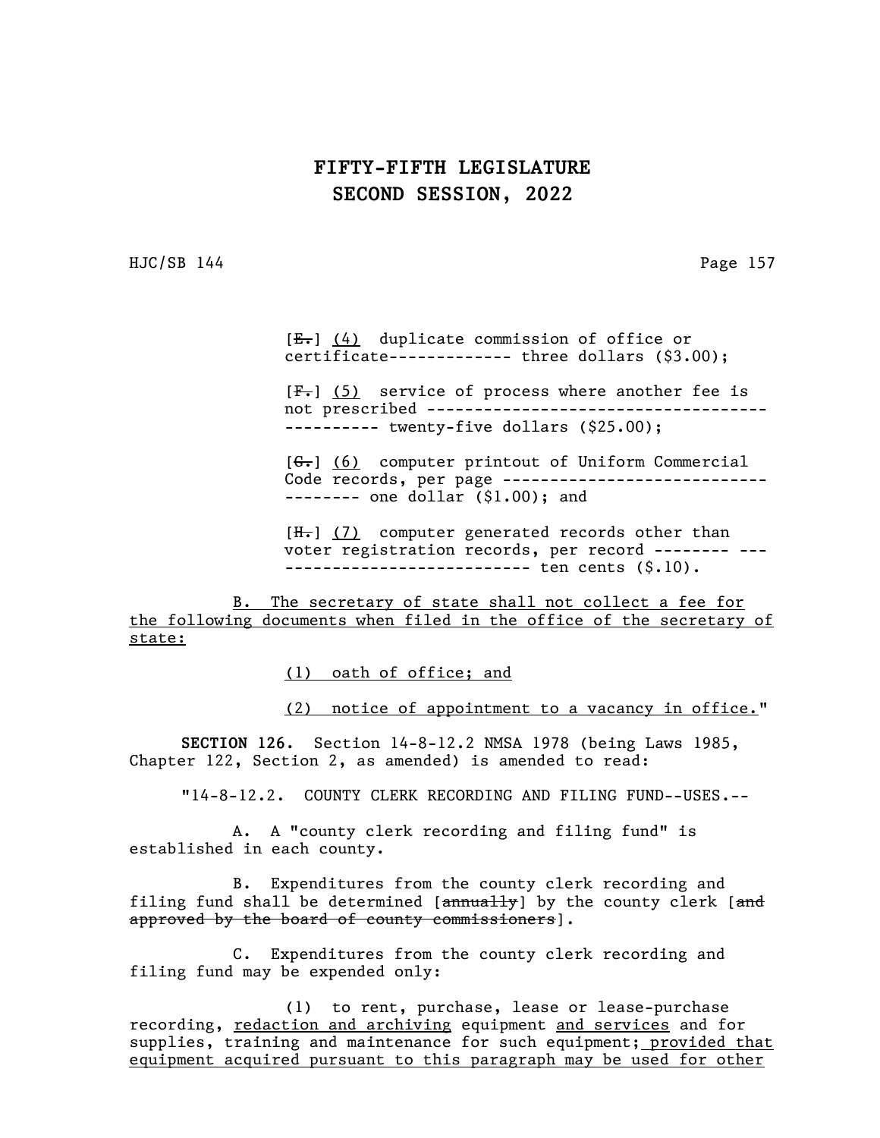HJC/SB 144 Page 157

 $[E_r]$  (4) duplicate commission of office or  $certificate$ ------------- three dollars  $(§3.00);$ 

 $[F-]$  (5) service of process where another fee is not prescribed ------------------------------------ ---------- twenty-five dollars (\$25.00);

 $[G<sub>1</sub>]$  (6) computer printout of Uniform Commercial Code records, per page ------------------------------------ one dollar (\$1.00); and

 $[H-]$  (7) computer generated records other than voter registration records, per record -------- --- -------------------------- ten cents (\$.10).

B. The secretary of state shall not collect a fee for the following documents when filed in the office of the secretary of state:

(1) oath of office; and

(2) notice of appointment to a vacancy in office."

SECTION 126. Section 14-8-12.2 NMSA 1978 (being Laws 1985, Chapter 122, Section 2, as amended) is amended to read:

"14-8-12.2. COUNTY CLERK RECORDING AND FILING FUND--USES.--

A. A "county clerk recording and filing fund" is established in each county.

B. Expenditures from the county clerk recording and filing fund shall be determined  $[annually]$  by the county clerk  $[and]$ approved by the board of county commissioners].

C. Expenditures from the county clerk recording and filing fund may be expended only:

(1) to rent, purchase, lease or lease-purchase recording, redaction and archiving equipment and services and for supplies, training and maintenance for such equipment; provided that equipment acquired pursuant to this paragraph may be used for other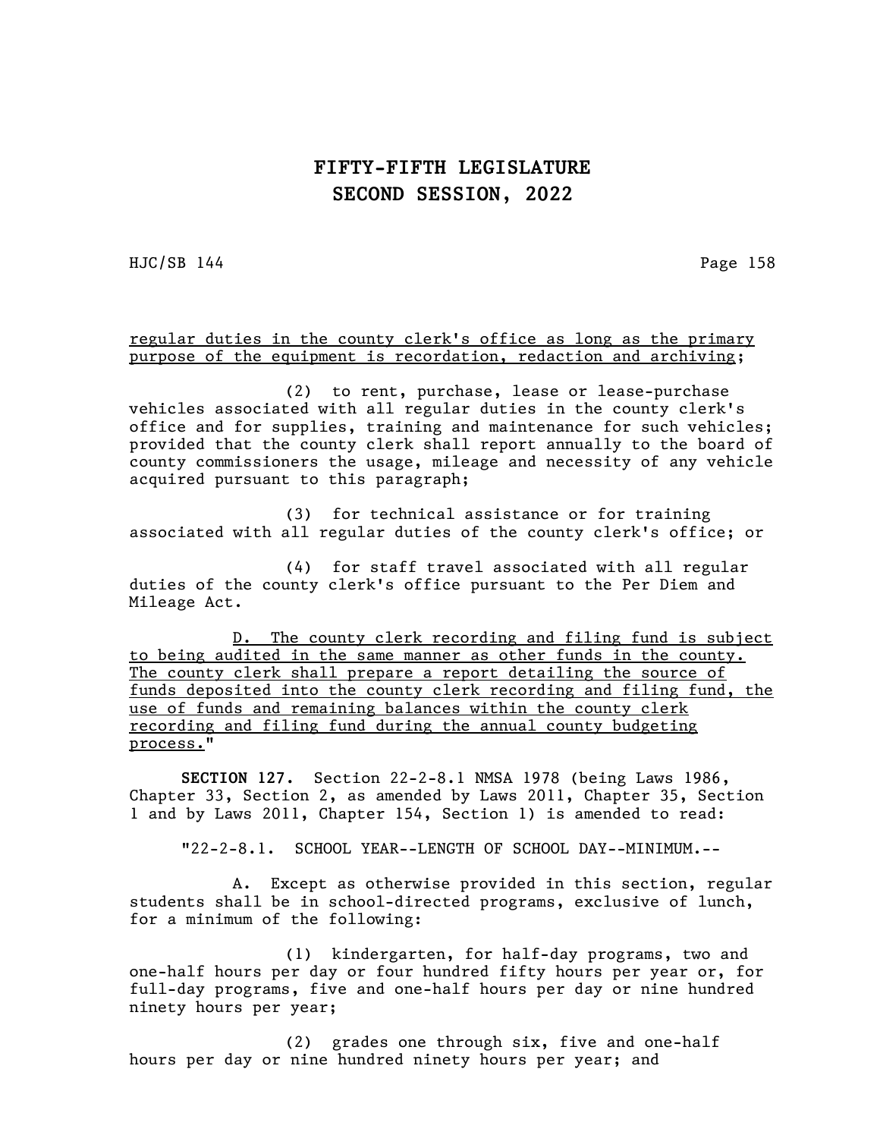HJC/SB 144 Page 158

regular duties in the county clerk's office as long as the primary purpose of the equipment is recordation, redaction and archiving;

(2) to rent, purchase, lease or lease-purchase vehicles associated with all regular duties in the county clerk's office and for supplies, training and maintenance for such vehicles; provided that the county clerk shall report annually to the board of county commissioners the usage, mileage and necessity of any vehicle acquired pursuant to this paragraph;

(3) for technical assistance or for training associated with all regular duties of the county clerk's office; or

(4) for staff travel associated with all regular duties of the county clerk's office pursuant to the Per Diem and Mileage Act.

D. The county clerk recording and filing fund is subject to being audited in the same manner as other funds in the county. The county clerk shall prepare a report detailing the source of funds deposited into the county clerk recording and filing fund, the use of funds and remaining balances within the county clerk recording and filing fund during the annual county budgeting process."

SECTION 127. Section 22-2-8.1 NMSA 1978 (being Laws 1986, Chapter 33, Section 2, as amended by Laws 2011, Chapter 35, Section 1 and by Laws 2011, Chapter 154, Section 1) is amended to read:

"22-2-8.1. SCHOOL YEAR--LENGTH OF SCHOOL DAY--MINIMUM.--

A. Except as otherwise provided in this section, regular students shall be in school-directed programs, exclusive of lunch, for a minimum of the following:

(1) kindergarten, for half-day programs, two and one-half hours per day or four hundred fifty hours per year or, for full-day programs, five and one-half hours per day or nine hundred ninety hours per year;

(2) grades one through six, five and one-half hours per day or nine hundred ninety hours per year; and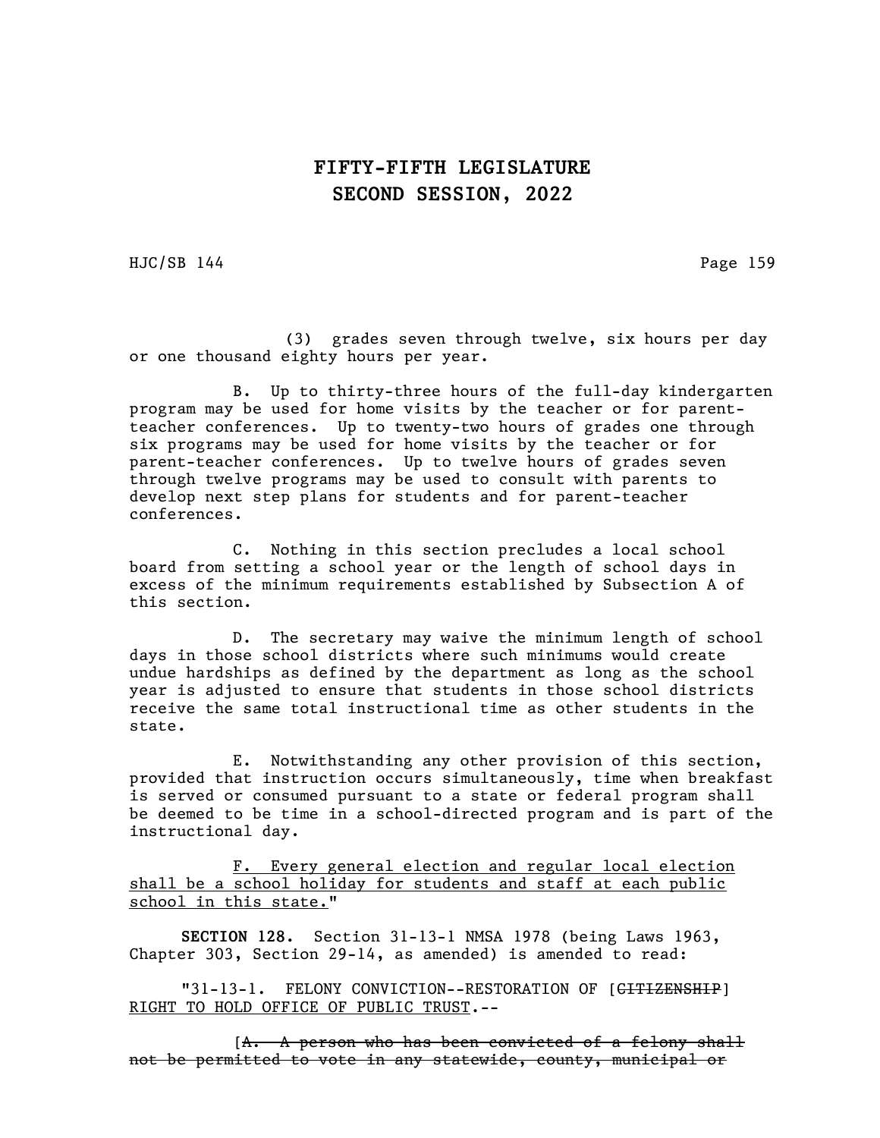HJC/SB 144 Page 159

(3) grades seven through twelve, six hours per day or one thousand eighty hours per year.

B. Up to thirty-three hours of the full-day kindergarten program may be used for home visits by the teacher or for parentteacher conferences. Up to twenty-two hours of grades one through six programs may be used for home visits by the teacher or for parent-teacher conferences. Up to twelve hours of grades seven through twelve programs may be used to consult with parents to develop next step plans for students and for parent-teacher conferences.

C. Nothing in this section precludes a local school board from setting a school year or the length of school days in excess of the minimum requirements established by Subsection A of this section.

D. The secretary may waive the minimum length of school days in those school districts where such minimums would create undue hardships as defined by the department as long as the school year is adjusted to ensure that students in those school districts receive the same total instructional time as other students in the state.

E. Notwithstanding any other provision of this section, provided that instruction occurs simultaneously, time when breakfast is served or consumed pursuant to a state or federal program shall be deemed to be time in a school-directed program and is part of the instructional day.

F. Every general election and regular local election shall be a school holiday for students and staff at each public school in this state."

SECTION 128. Section 31-13-1 NMSA 1978 (being Laws 1963, Chapter 303, Section 29-14, as amended) is amended to read:

"31-13-1. FELONY CONVICTION--RESTORATION OF [<del>CITIZENSHIP</del>] RIGHT TO HOLD OFFICE OF PUBLIC TRUST.--

 $[A. \quad A$  person who has been convicted of a felony shall not be permitted to vote in any statewide, county, municipal or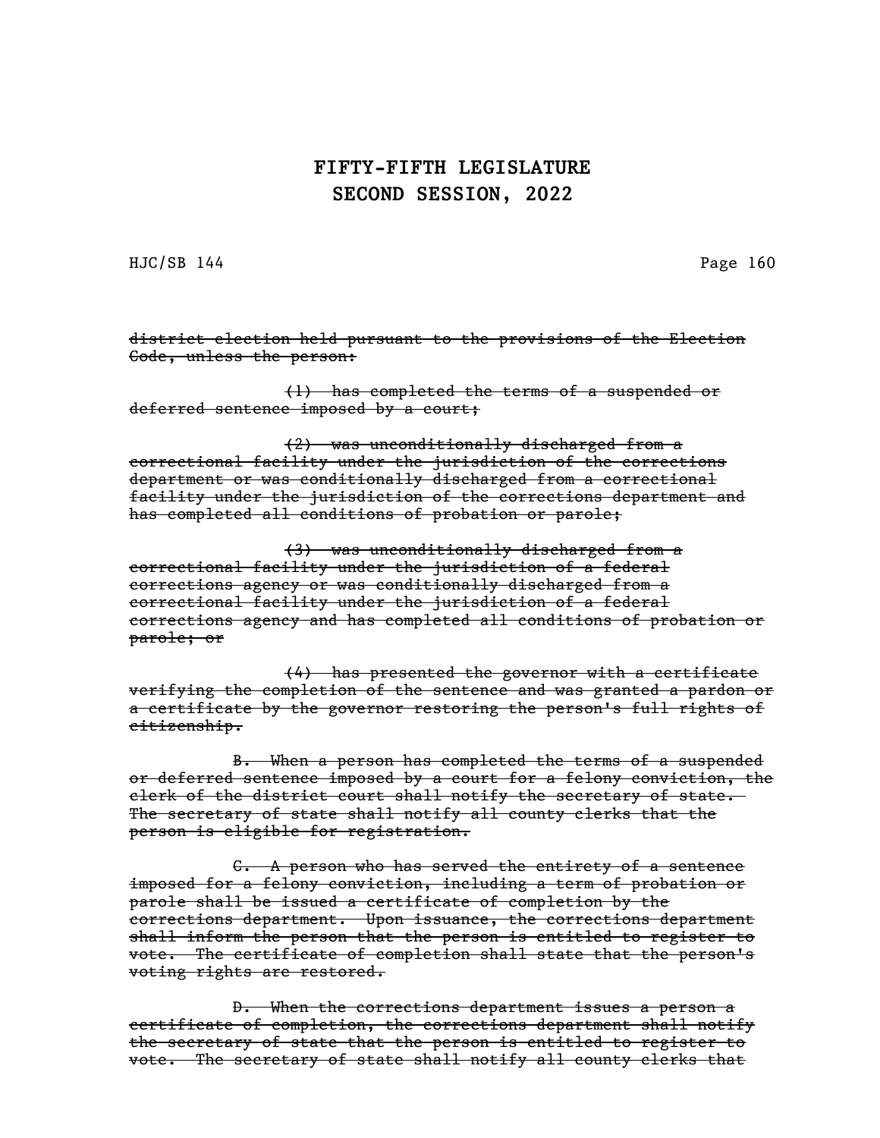HJC/SB 144 Page 160

district election held pursuant to the provisions of the Election Code, unless the person:

(1) has completed the terms of a suspended or deferred sentence imposed by a court;

(2) was unconditionally discharged from a correctional facility under the jurisdiction of the corrections department or was conditionally discharged from a correctional facility under the jurisdiction of the corrections department and has completed all conditions of probation or parole;

(3) was unconditionally discharged from a correctional facility under the jurisdiction of a federal corrections agency or was conditionally discharged from a correctional facility under the jurisdiction of a federal corrections agency and has completed all conditions of probation or parole; or

(4) has presented the governor with a certificate verifying the completion of the sentence and was granted a pardon or a certificate by the governor restoring the person's full rights of citizenship.

B. When a person has completed the terms of a suspended or deferred sentence imposed by a court for a felony conviction, the clerk of the district court shall notify the secretary of state. The secretary of state shall notify all county clerks that the person is eligible for registration.

C. A person who has served the entirety of a sentence imposed for a felony conviction, including a term of probation or parole shall be issued a certificate of completion by the corrections department. Upon issuance, the corrections department shall inform the person that the person is entitled to register to vote. The certificate of completion shall state that the person's voting rights are restored.

D. When the corrections department issues a person a certificate of completion, the corrections department shall notify the secretary of state that the person is entitled to register to vote. The secretary of state shall notify all county clerks that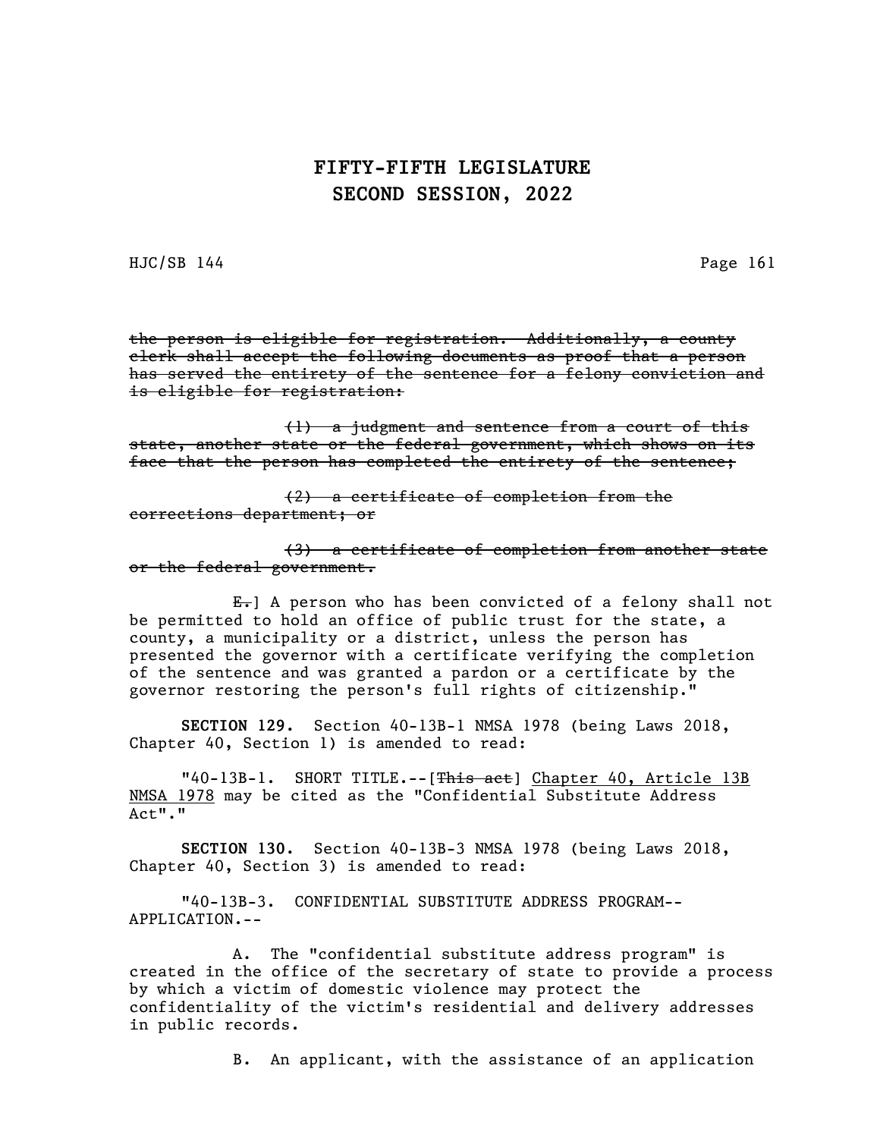HJC/SB 144 Page 161

the person is eligible for registration. Additionally, a county clerk shall accept the following documents as proof that a person has served the entirety of the sentence for a felony conviction and is eligible for registration:

(1) a judgment and sentence from a court of this state, another state or the federal government, which shows on its face that the person has completed the entirety of the sentence;

(2) a certificate of completion from the corrections department; or

(3) a certificate of completion from another state or the federal government.

 $E_{\tau}$  A person who has been convicted of a felony shall not be permitted to hold an office of public trust for the state, a county, a municipality or a district, unless the person has presented the governor with a certificate verifying the completion of the sentence and was granted a pardon or a certificate by the governor restoring the person's full rights of citizenship."

SECTION 129. Section 40-13B-1 NMSA 1978 (being Laws 2018, Chapter 40, Section 1) is amended to read:

"40-13B-1. SHORT TITLE.--[This act] Chapter 40, Article 13B NMSA 1978 may be cited as the "Confidential Substitute Address Act"."

SECTION 130. Section 40-13B-3 NMSA 1978 (being Laws 2018, Chapter 40, Section 3) is amended to read:

"40-13B-3. CONFIDENTIAL SUBSTITUTE ADDRESS PROGRAM-- APPLICATION.--

A. The "confidential substitute address program" is created in the office of the secretary of state to provide a process by which a victim of domestic violence may protect the confidentiality of the victim's residential and delivery addresses in public records.

B. An applicant, with the assistance of an application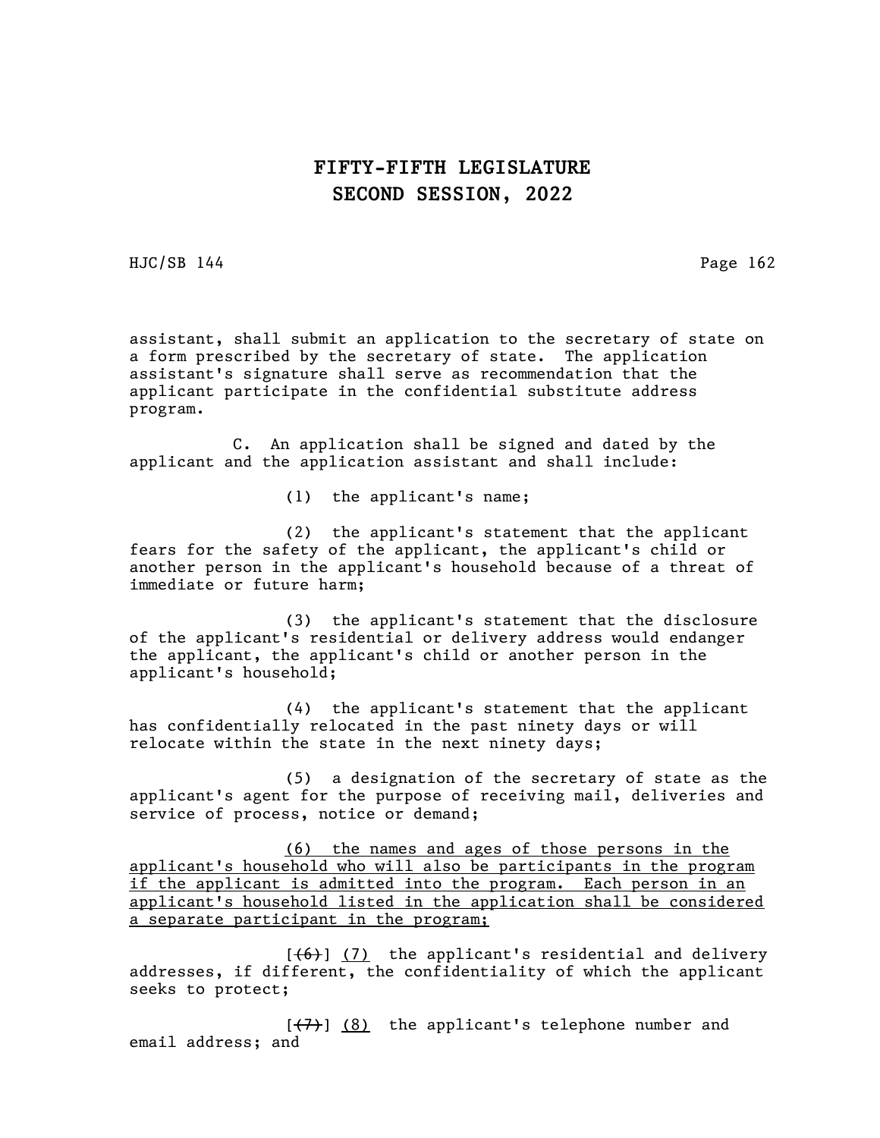HJC/SB 144 Page 162

assistant, shall submit an application to the secretary of state on a form prescribed by the secretary of state. The application assistant's signature shall serve as recommendation that the applicant participate in the confidential substitute address program.

C. An application shall be signed and dated by the applicant and the application assistant and shall include:

(1) the applicant's name;

(2) the applicant's statement that the applicant fears for the safety of the applicant, the applicant's child or another person in the applicant's household because of a threat of immediate or future harm;

(3) the applicant's statement that the disclosure of the applicant's residential or delivery address would endanger the applicant, the applicant's child or another person in the applicant's household;

(4) the applicant's statement that the applicant has confidentially relocated in the past ninety days or will relocate within the state in the next ninety days;

(5) a designation of the secretary of state as the applicant's agent for the purpose of receiving mail, deliveries and service of process, notice or demand;

(6) the names and ages of those persons in the applicant's household who will also be participants in the program if the applicant is admitted into the program. Each person in an applicant's household listed in the application shall be considered a separate participant in the program;

 $[ (6) ] (7)$  the applicant's residential and delivery addresses, if different, the confidentiality of which the applicant seeks to protect;

 $[\overline{(+7)}]$  (8) the applicant's telephone number and email address; and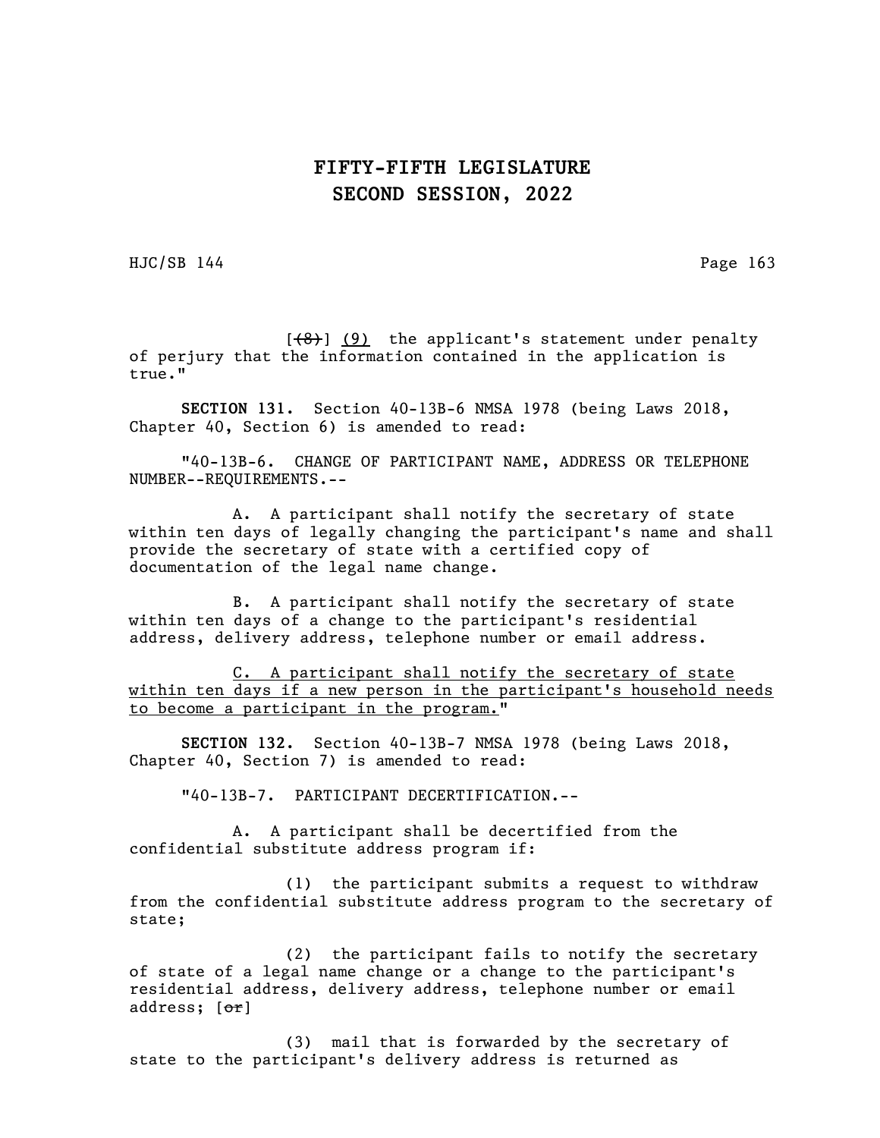HJC/SB 144 Page 163

 $[$ (8)] (9) the applicant's statement under penalty of perjury that the information contained in the application is true."

SECTION 131. Section 40-13B-6 NMSA 1978 (being Laws 2018, Chapter 40, Section 6) is amended to read:

"40-13B-6. CHANGE OF PARTICIPANT NAME, ADDRESS OR TELEPHONE NUMBER--REQUIREMENTS.--

A. A participant shall notify the secretary of state within ten days of legally changing the participant's name and shall provide the secretary of state with a certified copy of documentation of the legal name change.

B. A participant shall notify the secretary of state within ten days of a change to the participant's residential address, delivery address, telephone number or email address.

C. A participant shall notify the secretary of state within ten days if a new person in the participant's household needs to become a participant in the program."

SECTION 132. Section 40-13B-7 NMSA 1978 (being Laws 2018, Chapter 40, Section 7) is amended to read:

"40-13B-7. PARTICIPANT DECERTIFICATION.--

A. A participant shall be decertified from the confidential substitute address program if:

(1) the participant submits a request to withdraw from the confidential substitute address program to the secretary of state;

(2) the participant fails to notify the secretary of state of a legal name change or a change to the participant's residential address, delivery address, telephone number or email address; [or]

(3) mail that is forwarded by the secretary of state to the participant's delivery address is returned as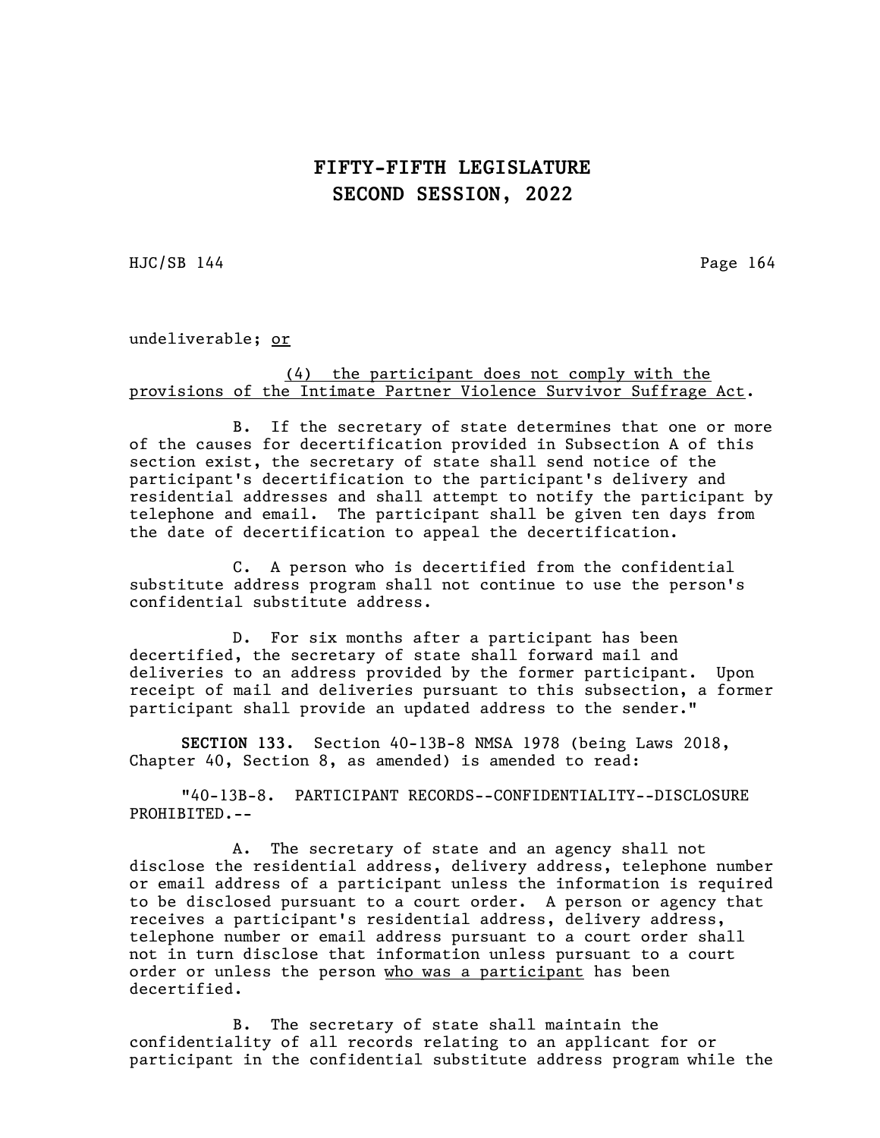$HJC/SB$  144 Page 164

undeliverable; or

#### (4) the participant does not comply with the provisions of the Intimate Partner Violence Survivor Suffrage Act.

B. If the secretary of state determines that one or more of the causes for decertification provided in Subsection A of this section exist, the secretary of state shall send notice of the participant's decertification to the participant's delivery and residential addresses and shall attempt to notify the participant by telephone and email. The participant shall be given ten days from the date of decertification to appeal the decertification.

C. A person who is decertified from the confidential substitute address program shall not continue to use the person's confidential substitute address.

D. For six months after a participant has been decertified, the secretary of state shall forward mail and deliveries to an address provided by the former participant. Upon receipt of mail and deliveries pursuant to this subsection, a former participant shall provide an updated address to the sender."

SECTION 133. Section 40-13B-8 NMSA 1978 (being Laws 2018, Chapter 40, Section 8, as amended) is amended to read:

"40-13B-8. PARTICIPANT RECORDS--CONFIDENTIALITY--DISCLOSURE PROHIBITED.--

A. The secretary of state and an agency shall not disclose the residential address, delivery address, telephone number or email address of a participant unless the information is required to be disclosed pursuant to a court order. A person or agency that receives a participant's residential address, delivery address, telephone number or email address pursuant to a court order shall not in turn disclose that information unless pursuant to a court order or unless the person who was a participant has been decertified.

B. The secretary of state shall maintain the confidentiality of all records relating to an applicant for or participant in the confidential substitute address program while the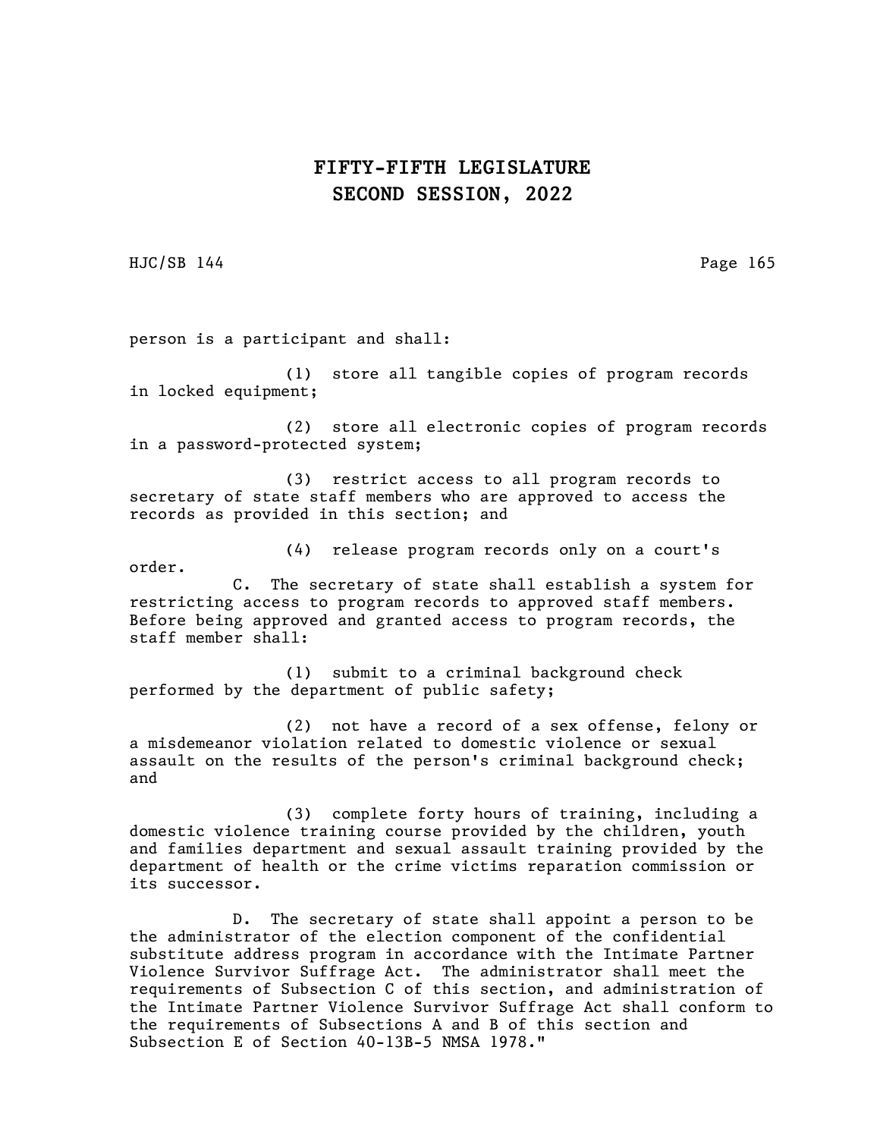HJC/SB 144 Page 165

person is a participant and shall:

(1) store all tangible copies of program records in locked equipment;

(2) store all electronic copies of program records in a password-protected system;

(3) restrict access to all program records to secretary of state staff members who are approved to access the records as provided in this section; and

(4) release program records only on a court's order.

C. The secretary of state shall establish a system for restricting access to program records to approved staff members. Before being approved and granted access to program records, the staff member shall:

(1) submit to a criminal background check performed by the department of public safety;

(2) not have a record of a sex offense, felony or a misdemeanor violation related to domestic violence or sexual assault on the results of the person's criminal background check; and

(3) complete forty hours of training, including a domestic violence training course provided by the children, youth and families department and sexual assault training provided by the department of health or the crime victims reparation commission or its successor.

D. The secretary of state shall appoint a person to be the administrator of the election component of the confidential substitute address program in accordance with the Intimate Partner Violence Survivor Suffrage Act. The administrator shall meet the requirements of Subsection C of this section, and administration of the Intimate Partner Violence Survivor Suffrage Act shall conform to the requirements of Subsections A and B of this section and Subsection E of Section 40-13B-5 NMSA 1978."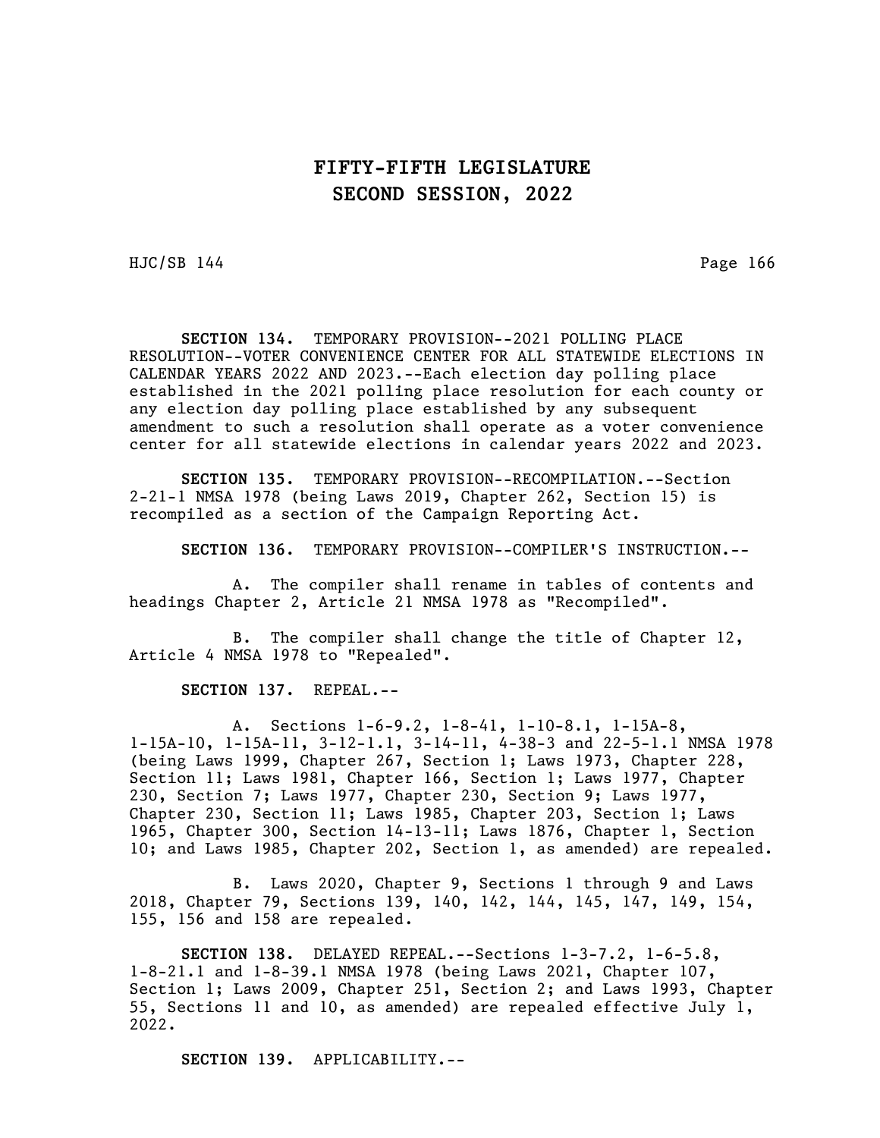HJC/SB 144 Page 166

SECTION 134. TEMPORARY PROVISION--2021 POLLING PLACE RESOLUTION--VOTER CONVENIENCE CENTER FOR ALL STATEWIDE ELECTIONS IN CALENDAR YEARS 2022 AND 2023.--Each election day polling place established in the 2021 polling place resolution for each county or any election day polling place established by any subsequent amendment to such a resolution shall operate as a voter convenience center for all statewide elections in calendar years 2022 and 2023.

SECTION 135. TEMPORARY PROVISION--RECOMPILATION.--Section 2-21-1 NMSA 1978 (being Laws 2019, Chapter 262, Section 15) is recompiled as a section of the Campaign Reporting Act.

SECTION 136. TEMPORARY PROVISION--COMPILER'S INSTRUCTION.--

A. The compiler shall rename in tables of contents and headings Chapter 2, Article 21 NMSA 1978 as "Recompiled".

B. The compiler shall change the title of Chapter 12, Article 4 NMSA 1978 to "Repealed".

SECTION 137. REPEAL.--

A. Sections 1-6-9.2, 1-8-41, 1-10-8.1, 1-15A-8, 1-15A-10, 1-15A-11, 3-12-1.1, 3-14-11, 4-38-3 and 22-5-1.1 NMSA 1978 (being Laws 1999, Chapter 267, Section 1; Laws 1973, Chapter 228, Section 11; Laws 1981, Chapter 166, Section 1; Laws 1977, Chapter 230, Section 7; Laws 1977, Chapter 230, Section 9; Laws 1977, Chapter 230, Section 11; Laws 1985, Chapter 203, Section 1; Laws 1965, Chapter 300, Section 14-13-11; Laws 1876, Chapter 1, Section 10; and Laws 1985, Chapter 202, Section 1, as amended) are repealed.

B. Laws 2020, Chapter 9, Sections 1 through 9 and Laws 2018, Chapter 79, Sections 139, 140, 142, 144, 145, 147, 149, 154, 155, 156 and 158 are repealed.

SECTION 138. DELAYED REPEAL.--Sections 1-3-7.2, 1-6-5.8, 1-8-21.1 and 1-8-39.1 NMSA 1978 (being Laws 2021, Chapter 107, Section 1; Laws 2009, Chapter 251, Section 2; and Laws 1993, Chapter 55, Sections 11 and 10, as amended) are repealed effective July 1, 2022.

SECTION 139. APPLICABILITY.--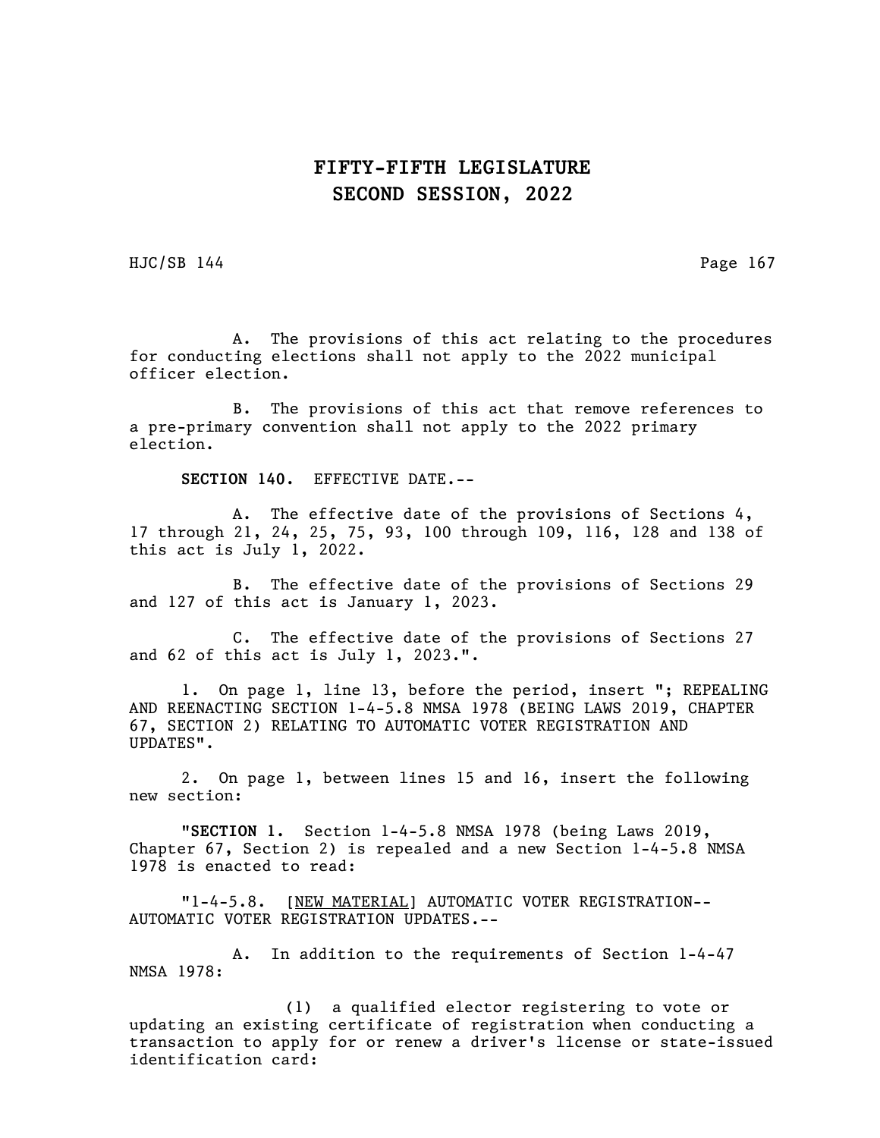HJC/SB 144 Page 167

A. The provisions of this act relating to the procedures for conducting elections shall not apply to the 2022 municipal officer election.

B. The provisions of this act that remove references to a pre-primary convention shall not apply to the 2022 primary election.

SECTION 140. EFFECTIVE DATE.--

A. The effective date of the provisions of Sections 4, 17 through 21, 24, 25, 75, 93, 100 through 109, 116, 128 and 138 of this act is July 1, 2022.

B. The effective date of the provisions of Sections 29 and 127 of this act is January 1, 2023.

C. The effective date of the provisions of Sections 27 and 62 of this act is July 1, 2023.".

1. On page 1, line 13, before the period, insert "; REPEALING AND REENACTING SECTION 1-4-5.8 NMSA 1978 (BEING LAWS 2019, CHAPTER 67, SECTION 2) RELATING TO AUTOMATIC VOTER REGISTRATION AND UPDATES".

2. On page 1, between lines 15 and 16, insert the following new section:

"SECTION 1. Section 1-4-5.8 NMSA 1978 (being Laws 2019, Chapter 67, Section 2) is repealed and a new Section 1-4-5.8 NMSA 1978 is enacted to read:

"1-4-5.8. [NEW MATERIAL] AUTOMATIC VOTER REGISTRATION-- AUTOMATIC VOTER REGISTRATION UPDATES.--

A. In addition to the requirements of Section 1-4-47 NMSA 1978:

(1) a qualified elector registering to vote or updating an existing certificate of registration when conducting a transaction to apply for or renew a driver's license or state-issued identification card: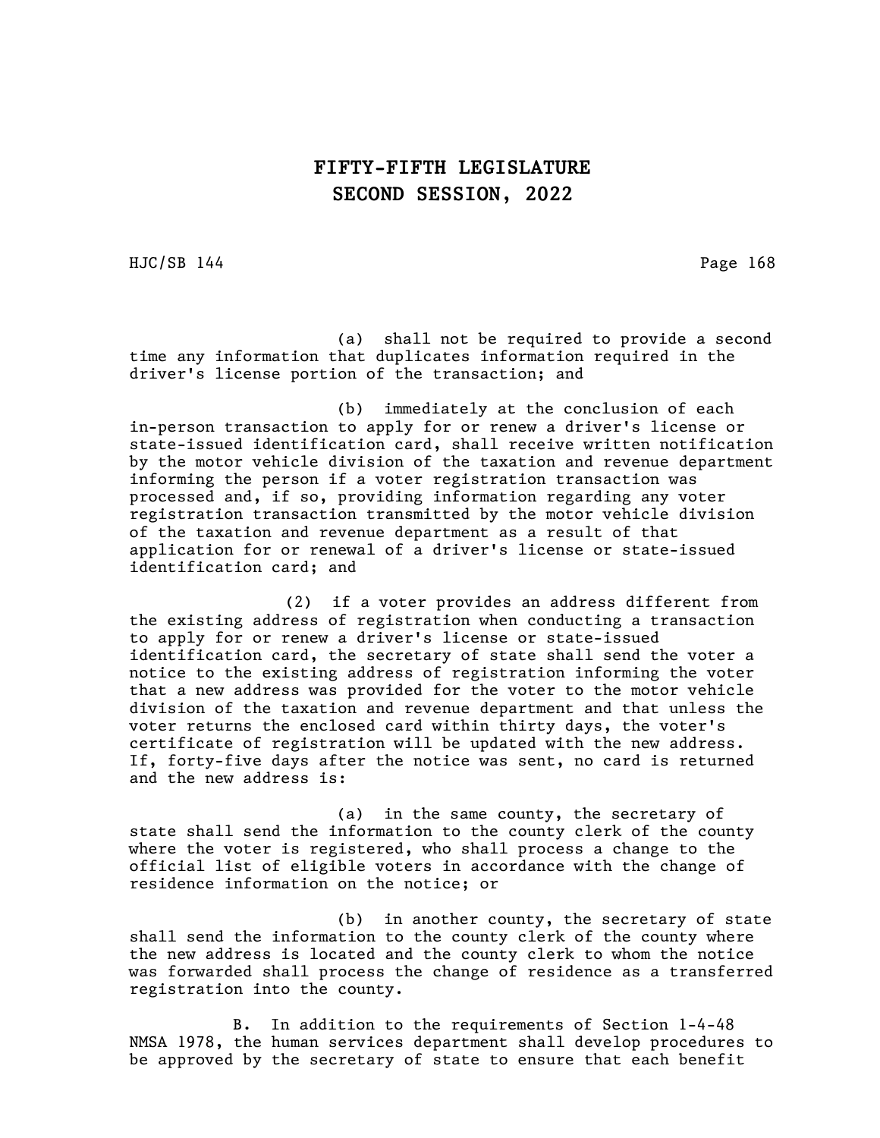HJC/SB 144 Page 168

(a) shall not be required to provide a second time any information that duplicates information required in the driver's license portion of the transaction; and

(b) immediately at the conclusion of each in-person transaction to apply for or renew a driver's license or state-issued identification card, shall receive written notification by the motor vehicle division of the taxation and revenue department informing the person if a voter registration transaction was processed and, if so, providing information regarding any voter registration transaction transmitted by the motor vehicle division of the taxation and revenue department as a result of that application for or renewal of a driver's license or state-issued identification card; and

(2) if a voter provides an address different from the existing address of registration when conducting a transaction to apply for or renew a driver's license or state-issued identification card, the secretary of state shall send the voter a notice to the existing address of registration informing the voter that a new address was provided for the voter to the motor vehicle division of the taxation and revenue department and that unless the voter returns the enclosed card within thirty days, the voter's certificate of registration will be updated with the new address. If, forty-five days after the notice was sent, no card is returned and the new address is:

(a) in the same county, the secretary of state shall send the information to the county clerk of the county where the voter is registered, who shall process a change to the official list of eligible voters in accordance with the change of residence information on the notice; or

(b) in another county, the secretary of state shall send the information to the county clerk of the county where the new address is located and the county clerk to whom the notice was forwarded shall process the change of residence as a transferred registration into the county.

B. In addition to the requirements of Section 1-4-48 NMSA 1978, the human services department shall develop procedures to be approved by the secretary of state to ensure that each benefit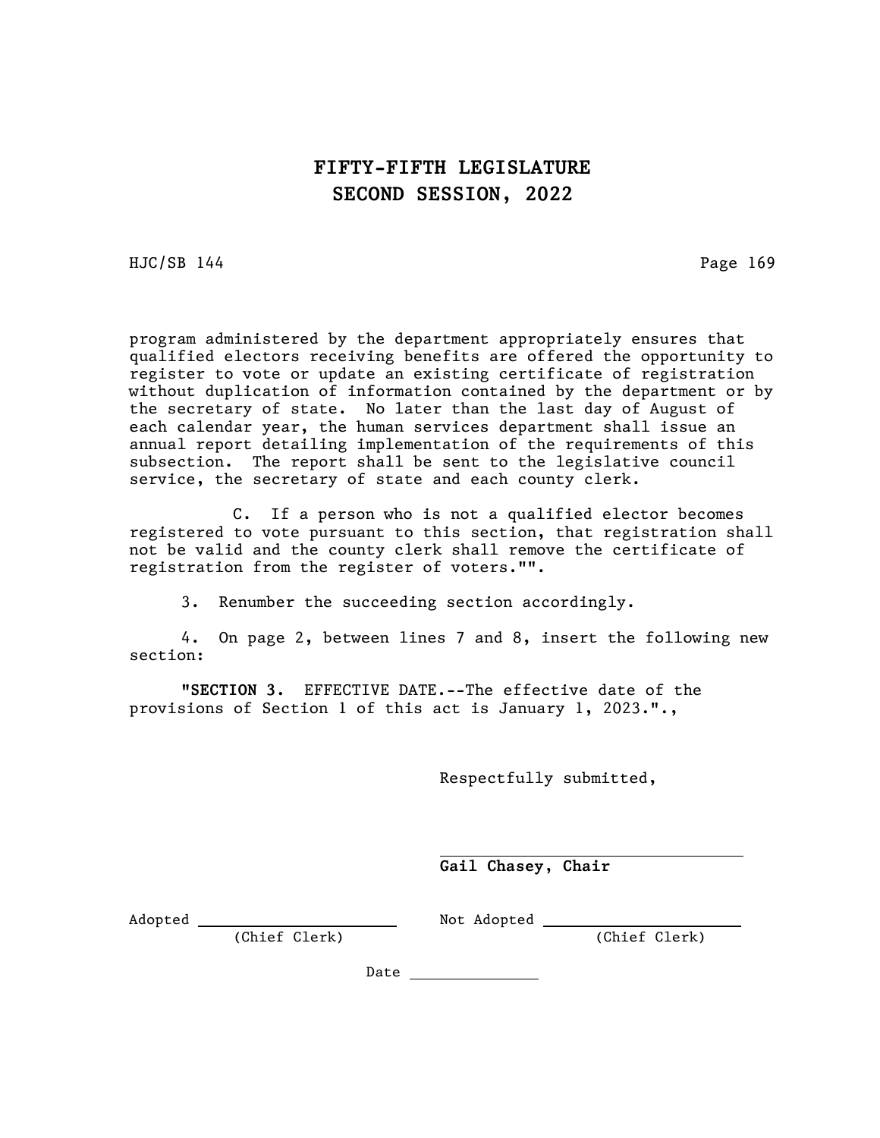HJC/SB 144 Page 169

program administered by the department appropriately ensures that qualified electors receiving benefits are offered the opportunity to register to vote or update an existing certificate of registration without duplication of information contained by the department or by the secretary of state. No later than the last day of August of each calendar year, the human services department shall issue an annual report detailing implementation of the requirements of this subsection. The report shall be sent to the legislative council service, the secretary of state and each county clerk.

C. If a person who is not a qualified elector becomes registered to vote pursuant to this section, that registration shall not be valid and the county clerk shall remove the certificate of registration from the register of voters."".

3. Renumber the succeeding section accordingly.

4. On page 2, between lines 7 and 8, insert the following new section:

"SECTION 3. EFFECTIVE DATE.--The effective date of the provisions of Section 1 of this act is January 1, 2023.".,

Respectfully submitted,

 Gail Chasey, Chair

Adopted Not Adopted

(Chief Clerk) (Chief Clerk)

Date